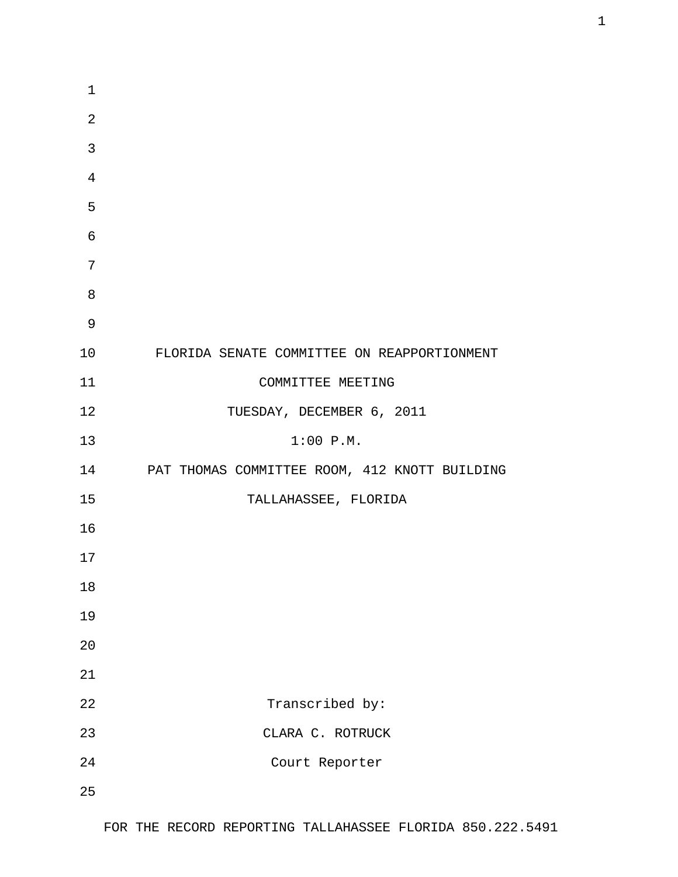| 1              |                                                  |
|----------------|--------------------------------------------------|
| $\overline{2}$ |                                                  |
| 3              |                                                  |
| $\overline{4}$ |                                                  |
| 5              |                                                  |
| 6              |                                                  |
| 7              |                                                  |
| 8              |                                                  |
| 9              |                                                  |
| 10             | FLORIDA SENATE COMMITTEE ON REAPPORTIONMENT      |
| 11             | COMMITTEE MEETING                                |
| 12             | TUESDAY, DECEMBER 6, 2011                        |
| 13             | 1:00 P.M.                                        |
|                | 14 PAT THOMAS COMMITTEE ROOM, 412 KNOTT BUILDING |
| 15             | TALLAHASSEE, FLORIDA                             |
| 16             |                                                  |
| 17             |                                                  |
| 18             |                                                  |
| 19             |                                                  |
| 20             |                                                  |
| 21             |                                                  |
| 22             | Transcribed by:                                  |
| 23             | CLARA C. ROTRUCK                                 |
| 24             | Court Reporter                                   |
| 25             |                                                  |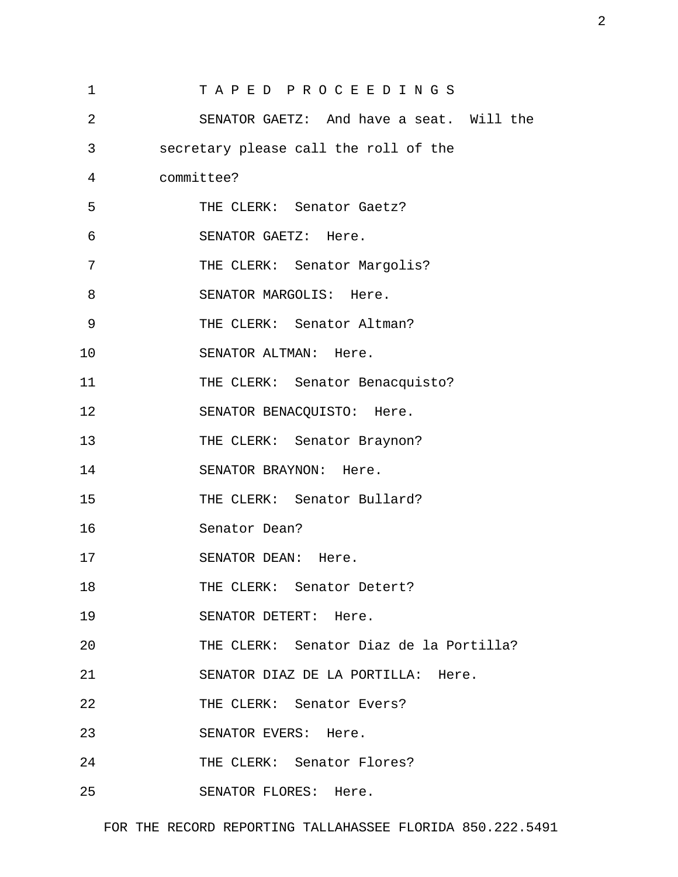| $\mathbf 1$ | TAPED PROCEEDINGS                        |
|-------------|------------------------------------------|
| 2           | SENATOR GAETZ: And have a seat. Will the |
| 3           | secretary please call the roll of the    |
| 4           | committee?                               |
| 5           | THE CLERK: Senator Gaetz?                |
| 6           | SENATOR GAETZ: Here.                     |
| 7           | THE CLERK: Senator Margolis?             |
| 8           | SENATOR MARGOLIS: Here.                  |
| 9           | THE CLERK: Senator Altman?               |
| 10          | SENATOR ALTMAN: Here.                    |
| 11          | THE CLERK: Senator Benacquisto?          |
| 12          | SENATOR BENACQUISTO: Here.               |
| 13          | THE CLERK: Senator Braynon?              |
| 14          | SENATOR BRAYNON: Here.                   |
| 15          | THE CLERK: Senator Bullard?              |
| 16          | Senator Dean?                            |
| 17          | SENATOR DEAN: Here.                      |
| 18          | THE CLERK: Senator Detert?               |
| 19          | SENATOR DETERT: Here.                    |
| 20          | THE CLERK: Senator Diaz de la Portilla?  |
| 21          | SENATOR DIAZ DE LA PORTILLA: Here.       |
| 22          | THE CLERK: Senator Evers?                |
| 23          | SENATOR EVERS: Here.                     |
| 24          | THE CLERK: Senator Flores?               |
| 25          | SENATOR FLORES: Here.                    |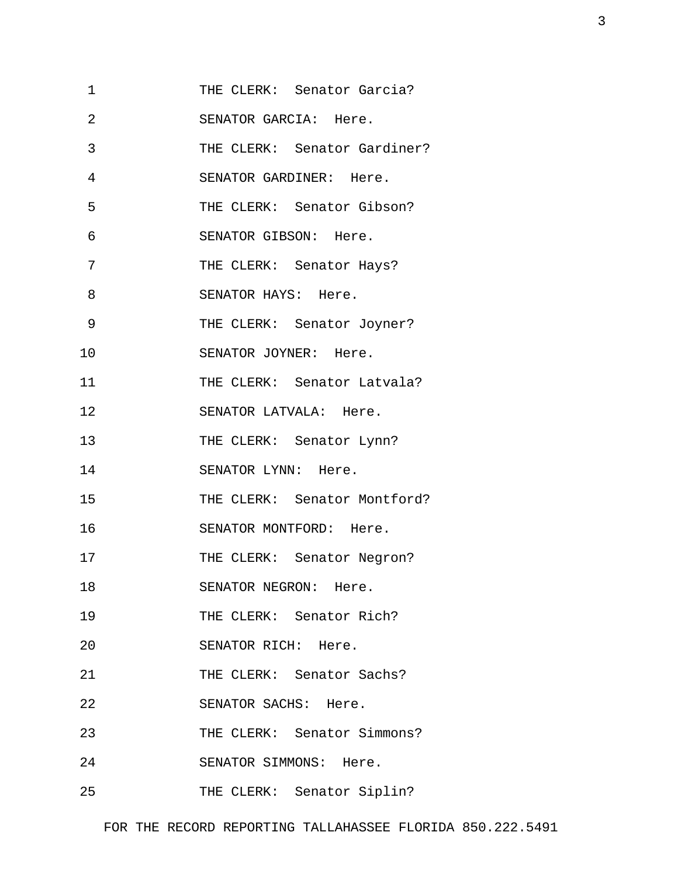| 1  | THE CLERK: Senator Garcia?   |  |
|----|------------------------------|--|
| 2  | SENATOR GARCIA: Here.        |  |
| 3  | THE CLERK: Senator Gardiner? |  |
| 4  | SENATOR GARDINER: Here.      |  |
| 5  | THE CLERK: Senator Gibson?   |  |
| 6  | SENATOR GIBSON: Here.        |  |
| 7  | THE CLERK: Senator Hays?     |  |
| 8  | SENATOR HAYS: Here.          |  |
| 9  | THE CLERK: Senator Joyner?   |  |
| 10 | SENATOR JOYNER: Here.        |  |
| 11 | THE CLERK: Senator Latvala?  |  |
| 12 | SENATOR LATVALA: Here.       |  |
| 13 | THE CLERK: Senator Lynn?     |  |
| 14 | SENATOR LYNN: Here.          |  |
| 15 | THE CLERK: Senator Montford? |  |
| 16 | SENATOR MONTFORD: Here.      |  |
| 17 | THE CLERK: Senator Negron?   |  |
| 18 | SENATOR NEGRON: Here.        |  |
| 19 | THE CLERK: Senator Rich?     |  |
| 20 | SENATOR RICH: Here.          |  |
| 21 | THE CLERK: Senator Sachs?    |  |
| 22 | SENATOR SACHS: Here.         |  |
| 23 | THE CLERK: Senator Simmons?  |  |
| 24 | SENATOR SIMMONS: Here.       |  |
| 25 | THE CLERK: Senator Siplin?   |  |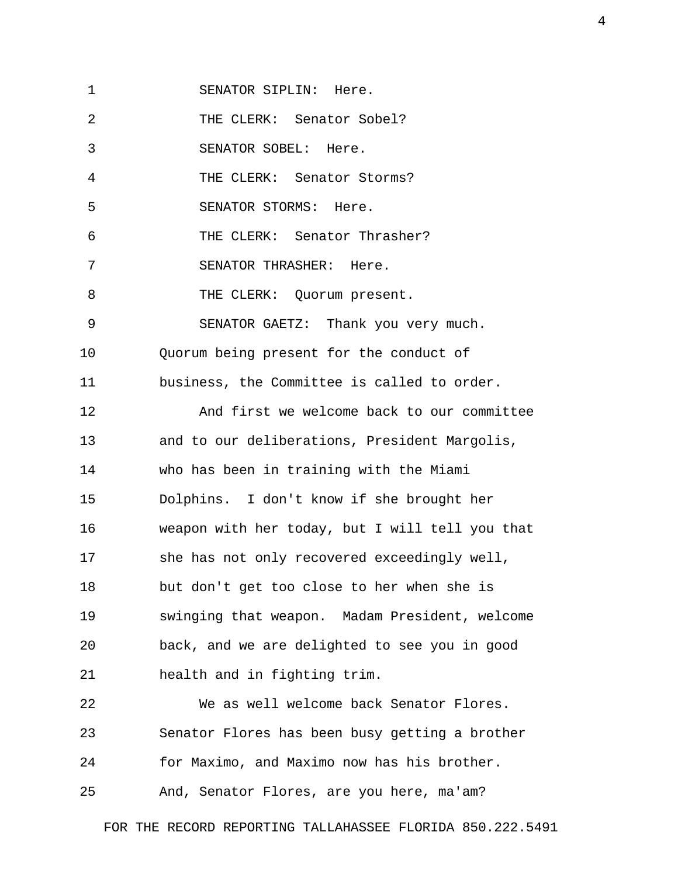1 SENATOR SIPLIN: Here.

2 THE CLERK: Senator Sobel?

3 SENATOR SOBEL: Here.

4 THE CLERK: Senator Storms?

5 SENATOR STORMS: Here.

6 THE CLERK: Senator Thrasher?

7 SENATOR THRASHER: Here.

8 THE CLERK: Quorum present.

9 SENATOR GAETZ: Thank you very much.

10 Quorum being present for the conduct of

11 business, the Committee is called to order.

12 And first we welcome back to our committee 13 and to our deliberations, President Margolis, 14 who has been in training with the Miami 15 Dolphins. I don't know if she brought her 16 weapon with her today, but I will tell you that 17 she has not only recovered exceedingly well, 18 but don't get too close to her when she is 19 swinging that weapon. Madam President, welcome 20 back, and we are delighted to see you in good 21 health and in fighting trim.

22 We as well welcome back Senator Flores. 23 Senator Flores has been busy getting a brother 24 for Maximo, and Maximo now has his brother.

25 And, Senator Flores, are you here, ma'am?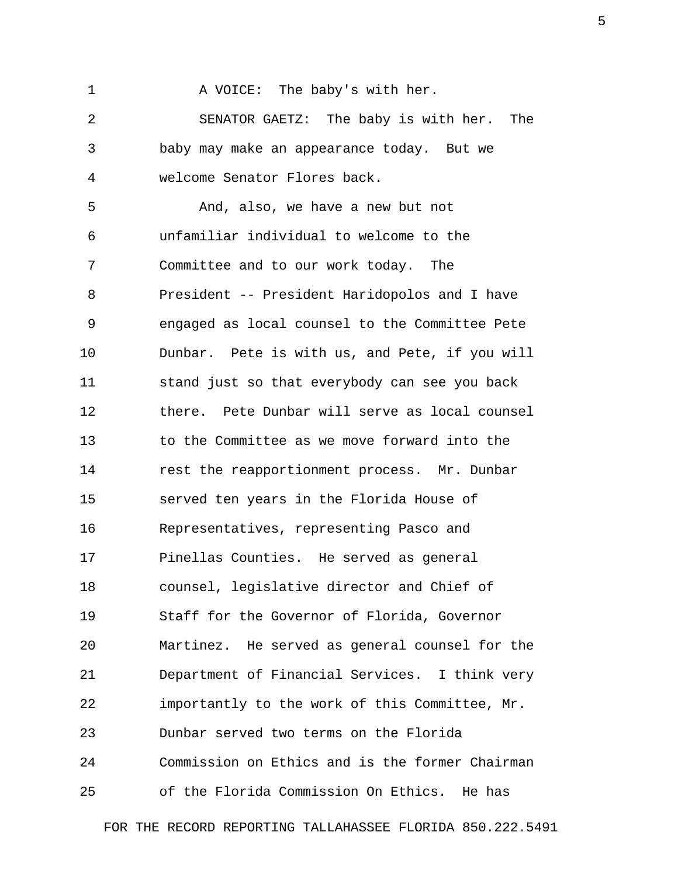1 A VOICE: The baby's with her.

 2 SENATOR GAETZ: The baby is with her. The 3 baby may make an appearance today. But we 4 welcome Senator Flores back.

 5 And, also, we have a new but not 6 unfamiliar individual to welcome to the 7 Committee and to our work today. The 8 President -- President Haridopolos and I have 9 engaged as local counsel to the Committee Pete 10 Dunbar. Pete is with us, and Pete, if you will 11 stand just so that everybody can see you back 12 there. Pete Dunbar will serve as local counsel 13 to the Committee as we move forward into the 14 rest the reapportionment process. Mr. Dunbar 15 served ten years in the Florida House of 16 Representatives, representing Pasco and 17 Pinellas Counties. He served as general 18 counsel, legislative director and Chief of 19 Staff for the Governor of Florida, Governor 20 Martinez. He served as general counsel for the 21 Department of Financial Services. I think very 22 importantly to the work of this Committee, Mr. 23 Dunbar served two terms on the Florida 24 Commission on Ethics and is the former Chairman 25 of the Florida Commission On Ethics. He has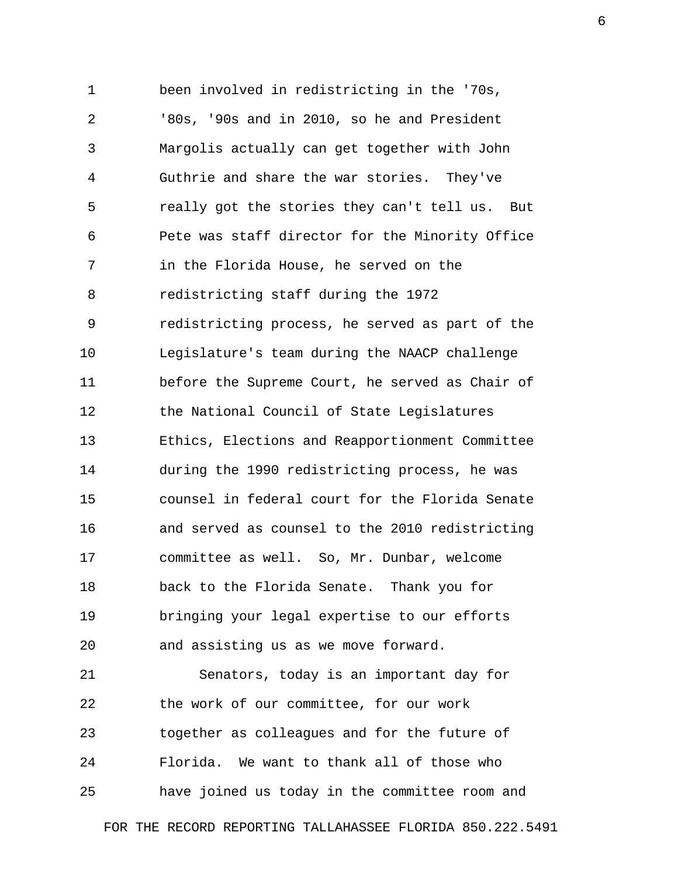1 been involved in redistricting in the '70s, 2 '80s, '90s and in 2010, so he and President 3 Margolis actually can get together with John 4 Guthrie and share the war stories. They've 5 really got the stories they can't tell us. But 6 Pete was staff director for the Minority Office 7 in the Florida House, he served on the 8 redistricting staff during the 1972 9 redistricting process, he served as part of the 10 Legislature's team during the NAACP challenge 11 before the Supreme Court, he served as Chair of 12 the National Council of State Legislatures 13 Ethics, Elections and Reapportionment Committee 14 during the 1990 redistricting process, he was 15 counsel in federal court for the Florida Senate 16 and served as counsel to the 2010 redistricting 17 committee as well. So, Mr. Dunbar, welcome 18 back to the Florida Senate. Thank you for 19 bringing your legal expertise to our efforts 20 and assisting us as we move forward. 21 Senators, today is an important day for 22 the work of our committee, for our work 23 together as colleagues and for the future of

25 have joined us today in the committee room and

24 Florida. We want to thank all of those who

FOR THE RECORD REPORTING TALLAHASSEE FLORIDA 850.222.5491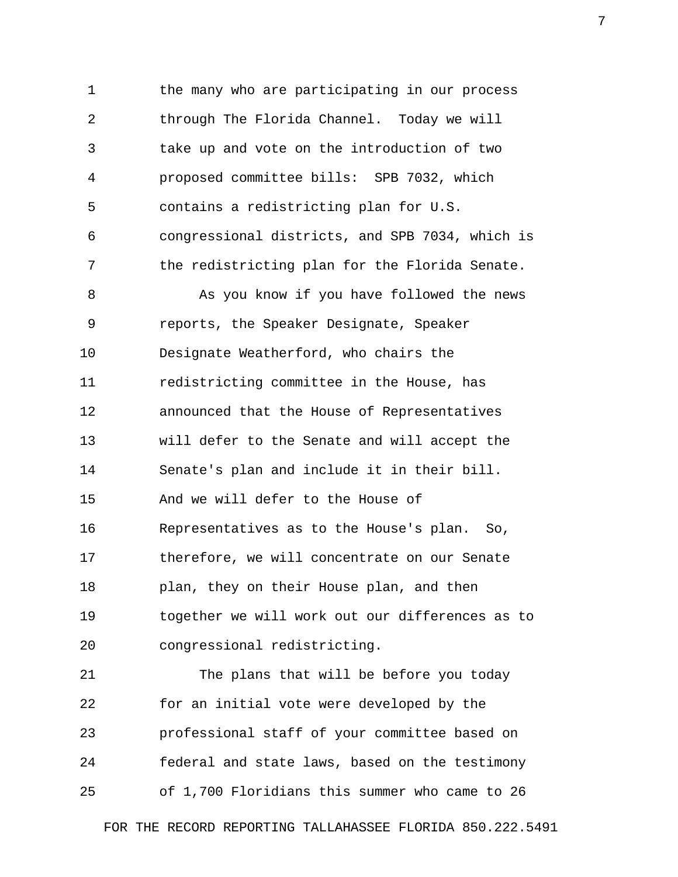1 the many who are participating in our process 2 through The Florida Channel. Today we will 3 take up and vote on the introduction of two 4 proposed committee bills: SPB 7032, which 5 contains a redistricting plan for U.S. 6 congressional districts, and SPB 7034, which is 7 the redistricting plan for the Florida Senate. 8 As you know if you have followed the news 9 reports, the Speaker Designate, Speaker 10 Designate Weatherford, who chairs the 11 redistricting committee in the House, has 12 announced that the House of Representatives 13 will defer to the Senate and will accept the 14 Senate's plan and include it in their bill. 15 And we will defer to the House of 16 Representatives as to the House's plan. So, 17 therefore, we will concentrate on our Senate 18 plan, they on their House plan, and then 19 together we will work out our differences as to 20 congressional redistricting.

21 The plans that will be before you today 22 for an initial vote were developed by the 23 professional staff of your committee based on 24 federal and state laws, based on the testimony 25 of 1,700 Floridians this summer who came to 26

FOR THE RECORD REPORTING TALLAHASSEE FLORIDA 850.222.5491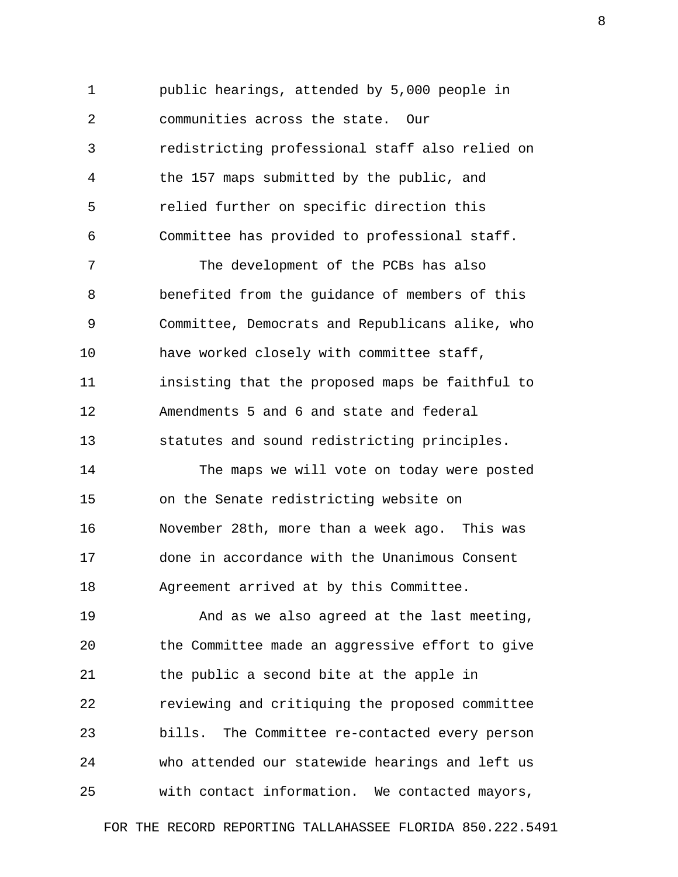1 public hearings, attended by 5,000 people in 2 communities across the state. Our 3 redistricting professional staff also relied on 4 the 157 maps submitted by the public, and 5 relied further on specific direction this 6 Committee has provided to professional staff.

 7 The development of the PCBs has also 8 benefited from the guidance of members of this 9 Committee, Democrats and Republicans alike, who 10 have worked closely with committee staff, 11 insisting that the proposed maps be faithful to 12 Amendments 5 and 6 and state and federal 13 statutes and sound redistricting principles.

14 The maps we will vote on today were posted 15 on the Senate redistricting website on 16 November 28th, more than a week ago. This was 17 done in accordance with the Unanimous Consent 18 Agreement arrived at by this Committee.

19 And as we also agreed at the last meeting, 20 the Committee made an aggressive effort to give 21 the public a second bite at the apple in 22 reviewing and critiquing the proposed committee 23 bills. The Committee re-contacted every person 24 who attended our statewide hearings and left us 25 with contact information. We contacted mayors,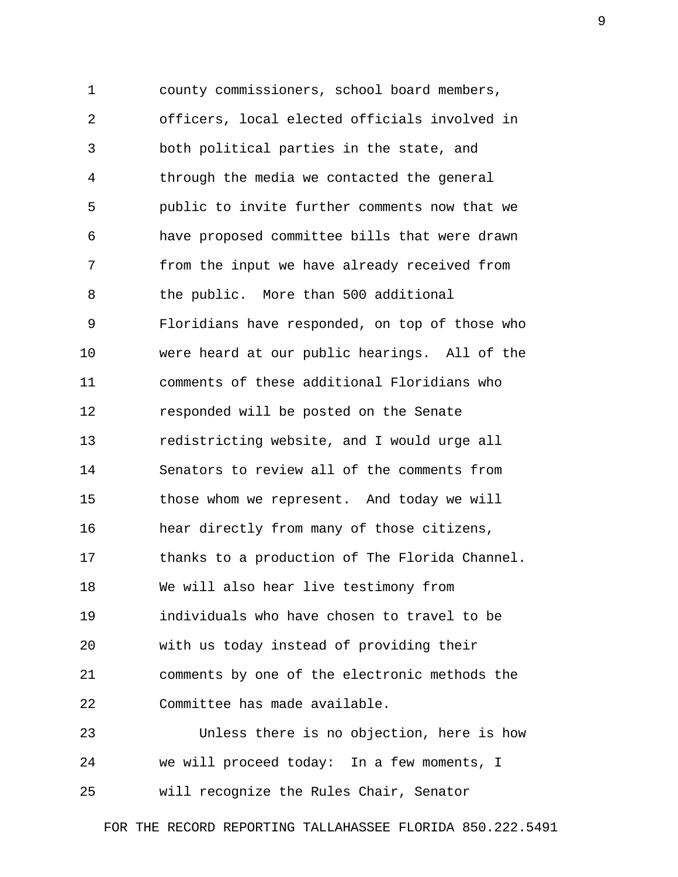1 county commissioners, school board members, 2 officers, local elected officials involved in 3 both political parties in the state, and 4 through the media we contacted the general 5 public to invite further comments now that we 6 have proposed committee bills that were drawn 7 from the input we have already received from 8 the public. More than 500 additional 9 Floridians have responded, on top of those who 10 were heard at our public hearings. All of the 11 comments of these additional Floridians who 12 responded will be posted on the Senate 13 redistricting website, and I would urge all 14 Senators to review all of the comments from 15 those whom we represent. And today we will 16 hear directly from many of those citizens, 17 thanks to a production of The Florida Channel. 18 We will also hear live testimony from 19 individuals who have chosen to travel to be 20 with us today instead of providing their 21 comments by one of the electronic methods the 22 Committee has made available. 23 Unless there is no objection, here is how

24 we will proceed today: In a few moments, I 25 will recognize the Rules Chair, Senator

FOR THE RECORD REPORTING TALLAHASSEE FLORIDA 850.222.5491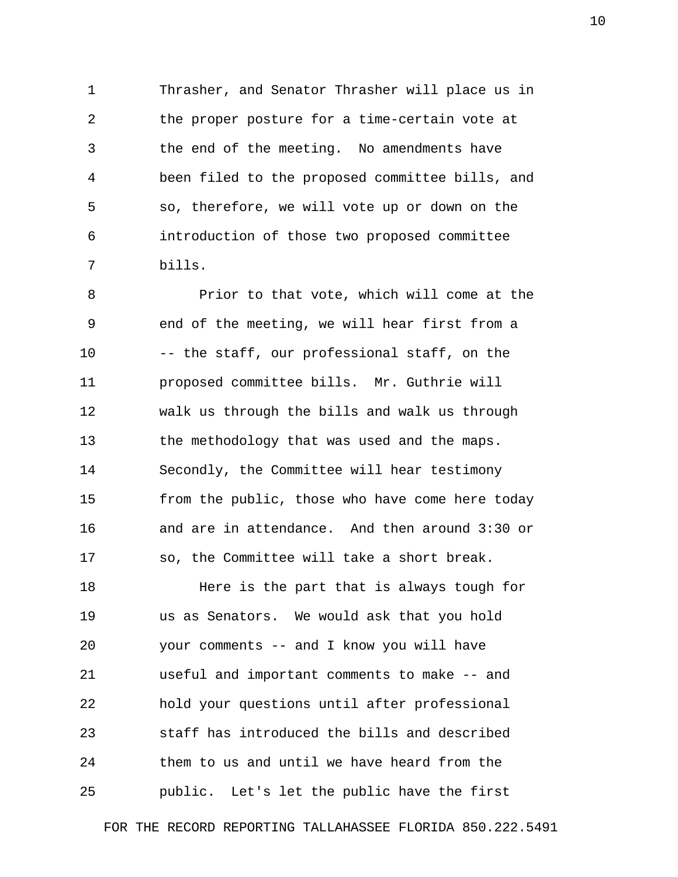1 Thrasher, and Senator Thrasher will place us in 2 the proper posture for a time-certain vote at 3 the end of the meeting. No amendments have 4 been filed to the proposed committee bills, and 5 so, therefore, we will vote up or down on the 6 introduction of those two proposed committee 7 bills.

 8 Prior to that vote, which will come at the 9 end of the meeting, we will hear first from a 10 -- the staff, our professional staff, on the 11 proposed committee bills. Mr. Guthrie will 12 walk us through the bills and walk us through 13 the methodology that was used and the maps. 14 Secondly, the Committee will hear testimony 15 from the public, those who have come here today 16 and are in attendance. And then around 3:30 or 17 so, the Committee will take a short break.

18 **Here is the part that is always tough for** 19 us as Senators. We would ask that you hold 20 your comments -- and I know you will have 21 useful and important comments to make -- and 22 hold your questions until after professional 23 staff has introduced the bills and described 24 them to us and until we have heard from the 25 public. Let's let the public have the first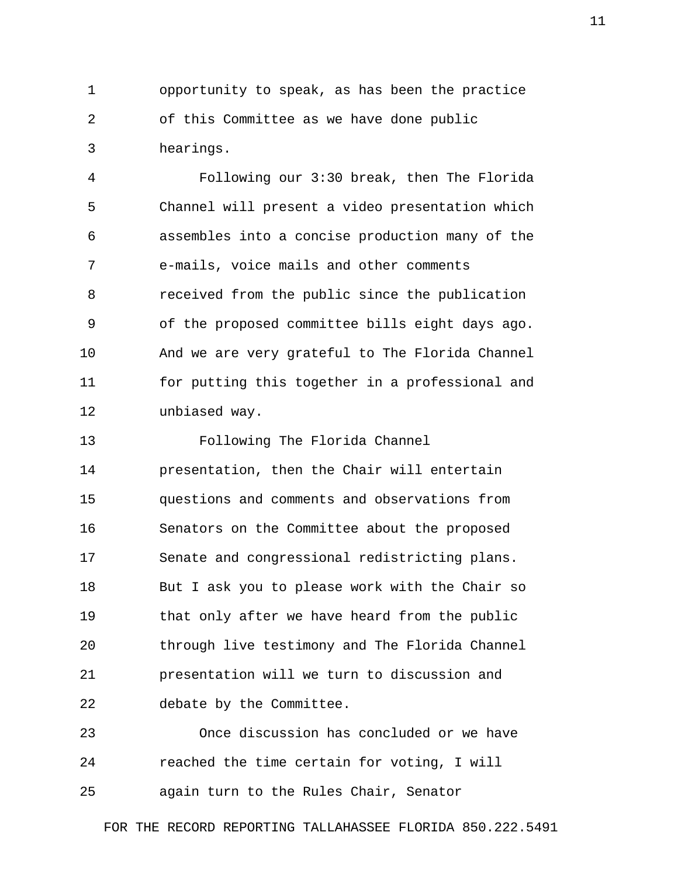1 opportunity to speak, as has been the practice 2 of this Committee as we have done public 3 hearings.

 4 Following our 3:30 break, then The Florida 5 Channel will present a video presentation which 6 assembles into a concise production many of the 7 e-mails, voice mails and other comments 8 received from the public since the publication 9 of the proposed committee bills eight days ago. 10 And we are very grateful to The Florida Channel 11 for putting this together in a professional and 12 unbiased way.

13 Following The Florida Channel 14 presentation, then the Chair will entertain 15 questions and comments and observations from 16 Senators on the Committee about the proposed 17 Senate and congressional redistricting plans. 18 But I ask you to please work with the Chair so 19 that only after we have heard from the public 20 through live testimony and The Florida Channel 21 presentation will we turn to discussion and 22 debate by the Committee.

23 Once discussion has concluded or we have 24 reached the time certain for voting, I will 25 again turn to the Rules Chair, Senator

FOR THE RECORD REPORTING TALLAHASSEE FLORIDA 850.222.5491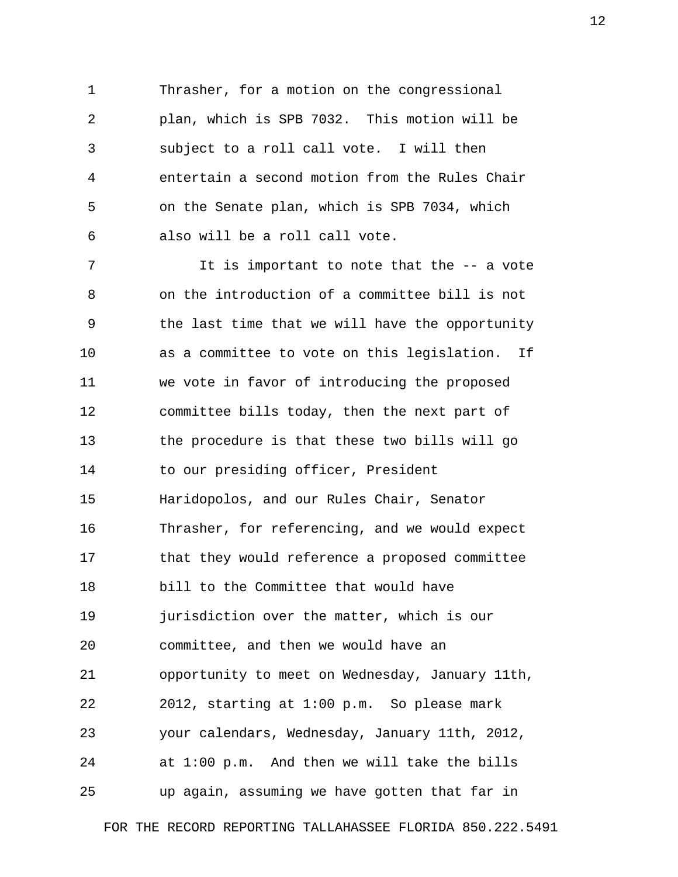1 Thrasher, for a motion on the congressional 2 plan, which is SPB 7032. This motion will be 3 subject to a roll call vote. I will then 4 entertain a second motion from the Rules Chair 5 on the Senate plan, which is SPB 7034, which 6 also will be a roll call vote.

 7 It is important to note that the -- a vote 8 on the introduction of a committee bill is not 9 the last time that we will have the opportunity 10 as a committee to vote on this legislation. If 11 we vote in favor of introducing the proposed 12 committee bills today, then the next part of 13 the procedure is that these two bills will go 14 to our presiding officer, President 15 Haridopolos, and our Rules Chair, Senator 16 Thrasher, for referencing, and we would expect 17 that they would reference a proposed committee 18 bill to the Committee that would have 19 jurisdiction over the matter, which is our 20 committee, and then we would have an 21 opportunity to meet on Wednesday, January 11th, 22 2012, starting at 1:00 p.m. So please mark 23 your calendars, Wednesday, January 11th, 2012, 24 at 1:00 p.m. And then we will take the bills 25 up again, assuming we have gotten that far in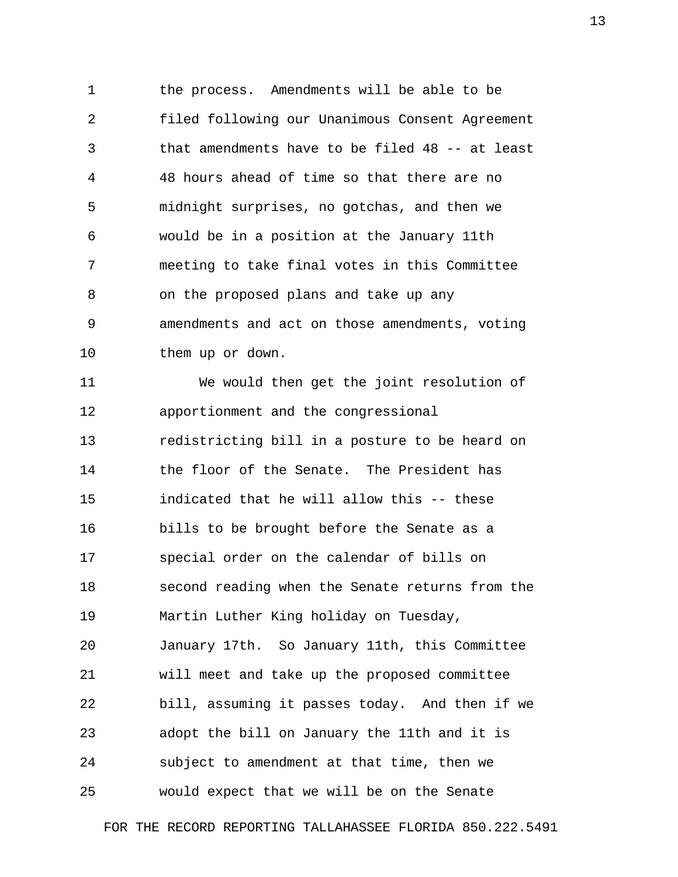1 the process. Amendments will be able to be 2 filed following our Unanimous Consent Agreement 3 that amendments have to be filed 48 -- at least 4 48 hours ahead of time so that there are no 5 midnight surprises, no gotchas, and then we 6 would be in a position at the January 11th 7 meeting to take final votes in this Committee 8 on the proposed plans and take up any 9 amendments and act on those amendments, voting 10 them up or down.

11 We would then get the joint resolution of 12 apportionment and the congressional 13 redistricting bill in a posture to be heard on 14 the floor of the Senate. The President has 15 indicated that he will allow this -- these 16 bills to be brought before the Senate as a 17 special order on the calendar of bills on 18 second reading when the Senate returns from the 19 Martin Luther King holiday on Tuesday, 20 January 17th. So January 11th, this Committee 21 will meet and take up the proposed committee 22 bill, assuming it passes today. And then if we 23 adopt the bill on January the 11th and it is 24 subject to amendment at that time, then we 25 would expect that we will be on the Senate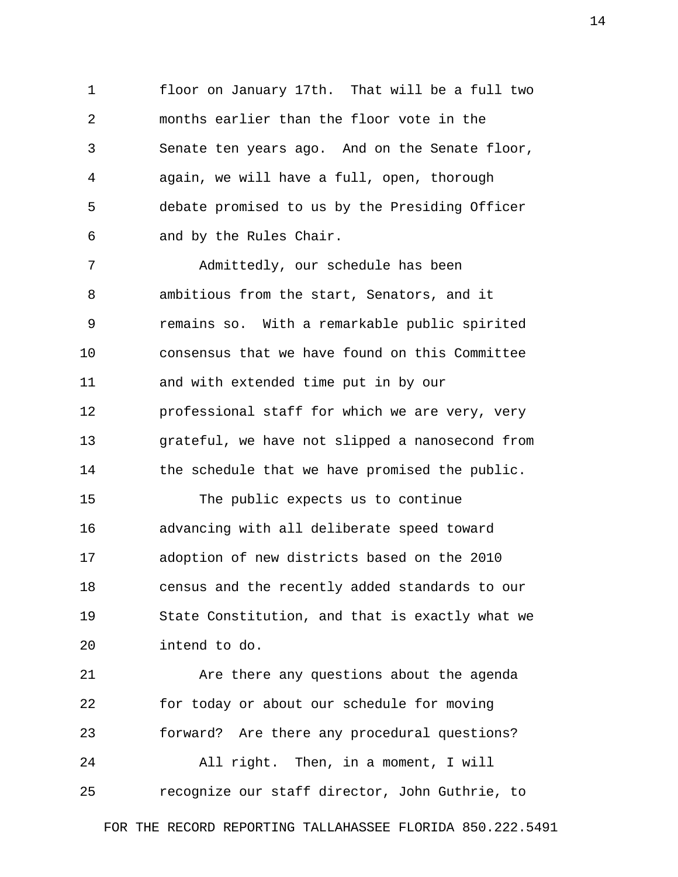1 floor on January 17th. That will be a full two 2 months earlier than the floor vote in the 3 Senate ten years ago. And on the Senate floor, 4 again, we will have a full, open, thorough 5 debate promised to us by the Presiding Officer 6 and by the Rules Chair.

 7 Admittedly, our schedule has been 8 ambitious from the start, Senators, and it 9 remains so. With a remarkable public spirited 10 consensus that we have found on this Committee 11 and with extended time put in by our 12 professional staff for which we are very, very 13 grateful, we have not slipped a nanosecond from 14 the schedule that we have promised the public.

15 The public expects us to continue 16 advancing with all deliberate speed toward 17 adoption of new districts based on the 2010 18 census and the recently added standards to our 19 State Constitution, and that is exactly what we 20 intend to do.

21 Are there any questions about the agenda 22 for today or about our schedule for moving 23 forward? Are there any procedural questions? 24 All right. Then, in a moment, I will 25 recognize our staff director, John Guthrie, to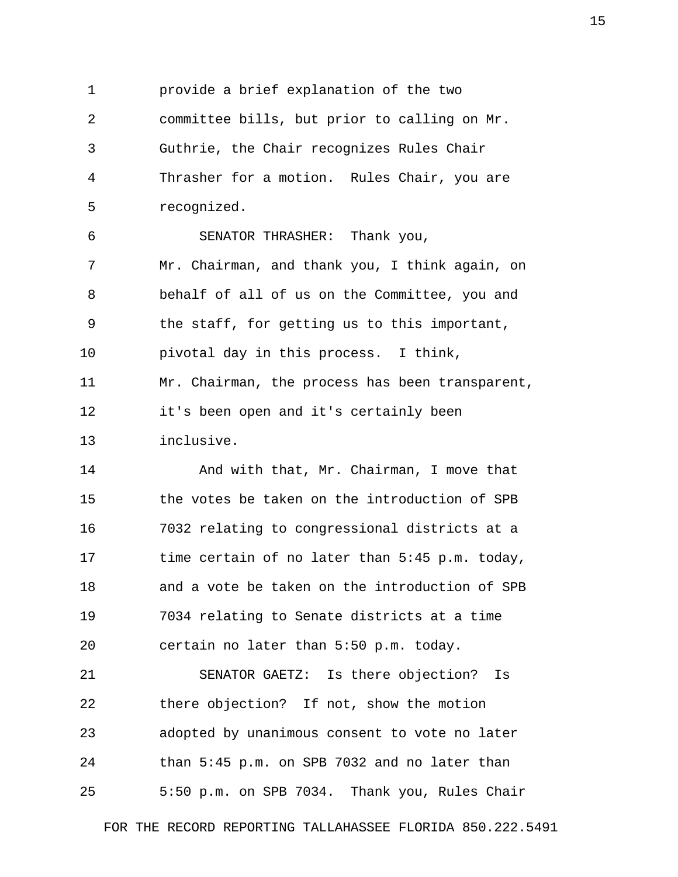1 provide a brief explanation of the two 2 committee bills, but prior to calling on Mr. 3 Guthrie, the Chair recognizes Rules Chair 4 Thrasher for a motion. Rules Chair, you are 5 recognized.

 6 SENATOR THRASHER: Thank you, 7 Mr. Chairman, and thank you, I think again, on 8 behalf of all of us on the Committee, you and 9 the staff, for getting us to this important, 10 pivotal day in this process. I think, 11 Mr. Chairman, the process has been transparent, 12 it's been open and it's certainly been 13 inclusive.

14 And with that, Mr. Chairman, I move that 15 the votes be taken on the introduction of SPB 16 7032 relating to congressional districts at a 17 time certain of no later than 5:45 p.m. today, 18 and a vote be taken on the introduction of SPB 19 7034 relating to Senate districts at a time 20 certain no later than 5:50 p.m. today.

21 SENATOR GAETZ: Is there objection? Is 22 there objection? If not, show the motion 23 adopted by unanimous consent to vote no later 24 than 5:45 p.m. on SPB 7032 and no later than 25 5:50 p.m. on SPB 7034. Thank you, Rules Chair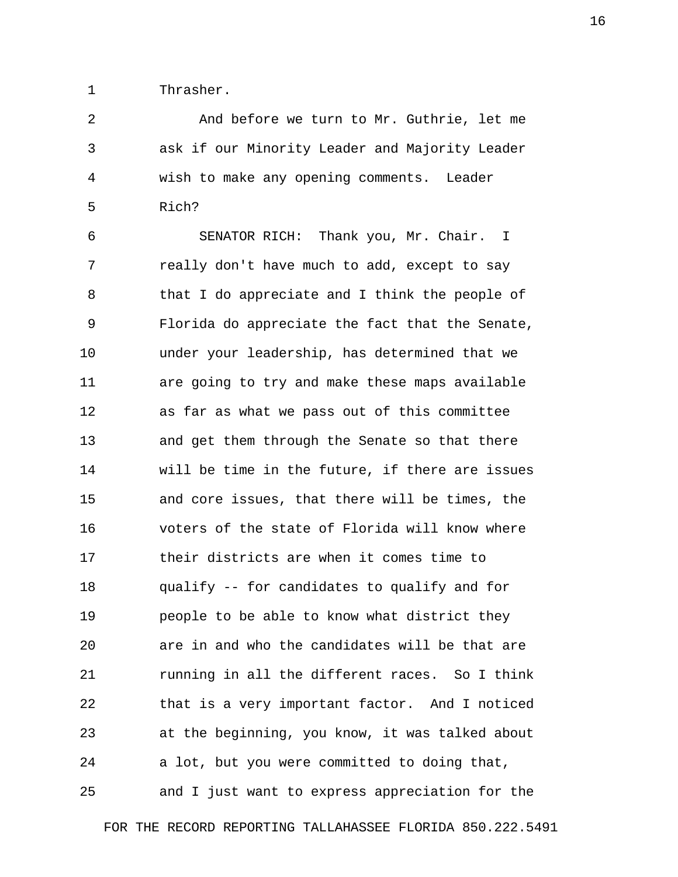1 Thrasher.

 2 And before we turn to Mr. Guthrie, let me 3 ask if our Minority Leader and Majority Leader 4 wish to make any opening comments. Leader 5 Rich?

 6 SENATOR RICH: Thank you, Mr. Chair. I 7 really don't have much to add, except to say 8 that I do appreciate and I think the people of 9 Florida do appreciate the fact that the Senate, 10 under your leadership, has determined that we 11 are going to try and make these maps available 12 as far as what we pass out of this committee 13 and get them through the Senate so that there 14 will be time in the future, if there are issues 15 and core issues, that there will be times, the 16 voters of the state of Florida will know where 17 their districts are when it comes time to 18 qualify -- for candidates to qualify and for 19 people to be able to know what district they 20 are in and who the candidates will be that are 21 running in all the different races. So I think 22 that is a very important factor. And I noticed 23 at the beginning, you know, it was talked about 24 a lot, but you were committed to doing that, 25 and I just want to express appreciation for the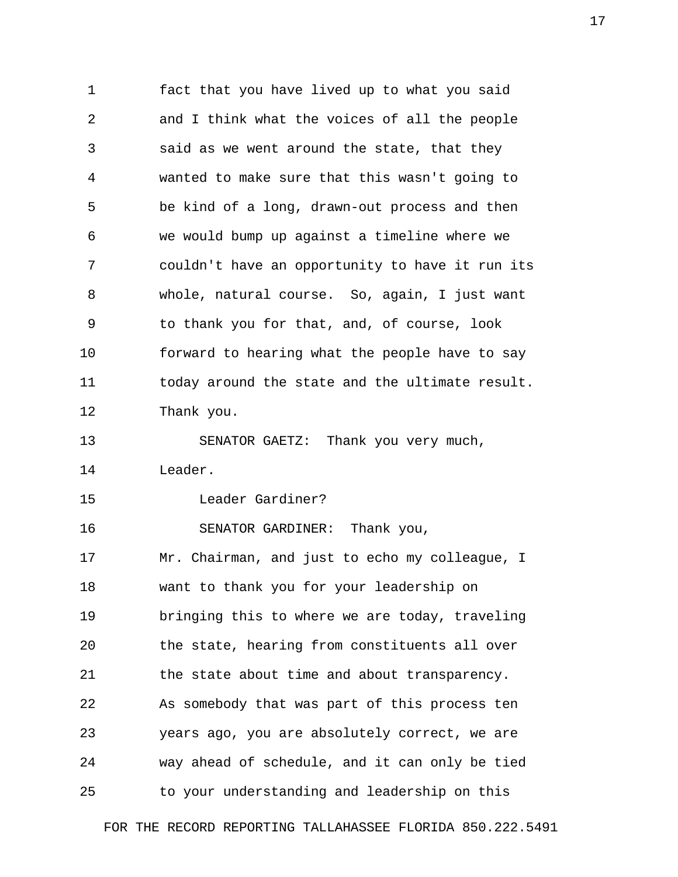1 fact that you have lived up to what you said 2 and I think what the voices of all the people 3 said as we went around the state, that they 4 wanted to make sure that this wasn't going to 5 be kind of a long, drawn-out process and then 6 we would bump up against a timeline where we 7 couldn't have an opportunity to have it run its 8 whole, natural course. So, again, I just want 9 to thank you for that, and, of course, look 10 forward to hearing what the people have to say 11 today around the state and the ultimate result. 12 Thank you. 13 SENATOR GAETZ: Thank you very much, 14 Leader.

15 Leader Gardiner?

16 SENATOR GARDINER: Thank you, 17 Mr. Chairman, and just to echo my colleague, I 18 want to thank you for your leadership on 19 bringing this to where we are today, traveling 20 the state, hearing from constituents all over 21 the state about time and about transparency. 22 As somebody that was part of this process ten 23 years ago, you are absolutely correct, we are 24 way ahead of schedule, and it can only be tied 25 to your understanding and leadership on this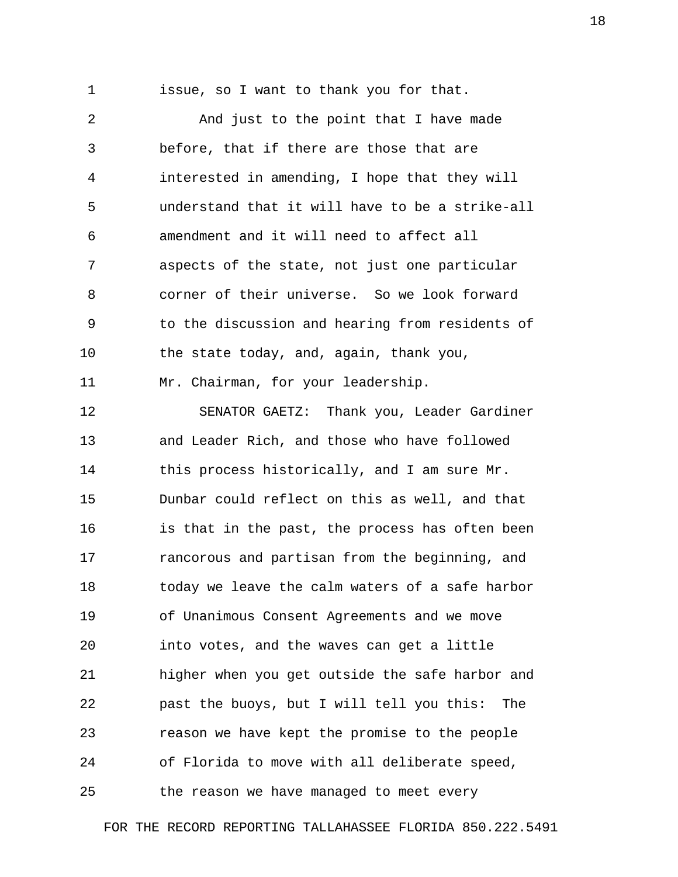1 issue, so I want to thank you for that.

 2 And just to the point that I have made 3 before, that if there are those that are 4 interested in amending, I hope that they will 5 understand that it will have to be a strike-all 6 amendment and it will need to affect all 7 aspects of the state, not just one particular 8 corner of their universe. So we look forward 9 to the discussion and hearing from residents of 10 the state today, and, again, thank you, 11 Mr. Chairman, for your leadership. 12 SENATOR GAETZ: Thank you, Leader Gardiner 13 and Leader Rich, and those who have followed 14 this process historically, and I am sure Mr. 15 Dunbar could reflect on this as well, and that 16 is that in the past, the process has often been 17 rancorous and partisan from the beginning, and 18 today we leave the calm waters of a safe harbor 19 of Unanimous Consent Agreements and we move 20 into votes, and the waves can get a little 21 higher when you get outside the safe harbor and 22 past the buoys, but I will tell you this: The 23 reason we have kept the promise to the people 24 of Florida to move with all deliberate speed, 25 the reason we have managed to meet every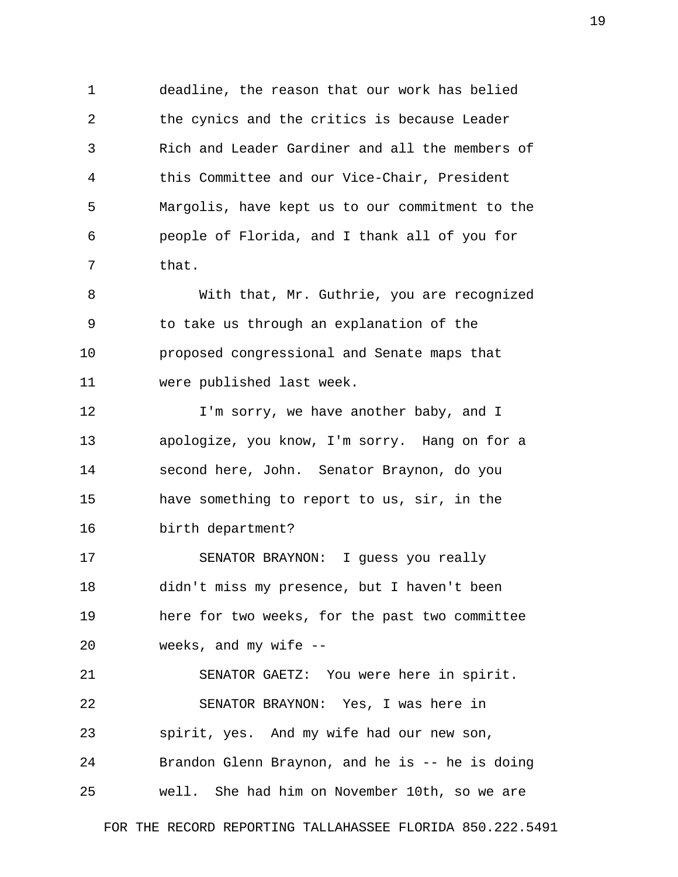1 deadline, the reason that our work has belied 2 the cynics and the critics is because Leader 3 Rich and Leader Gardiner and all the members of 4 this Committee and our Vice-Chair, President 5 Margolis, have kept us to our commitment to the 6 people of Florida, and I thank all of you for 7 that.

 8 With that, Mr. Guthrie, you are recognized 9 to take us through an explanation of the 10 proposed congressional and Senate maps that 11 were published last week.

12 **I'm sorry, we have another baby, and I** 13 apologize, you know, I'm sorry. Hang on for a 14 second here, John. Senator Braynon, do you 15 have something to report to us, sir, in the 16 birth department?

17 SENATOR BRAYNON: I guess you really 18 didn't miss my presence, but I haven't been 19 here for two weeks, for the past two committee 20 weeks, and my wife --

21 SENATOR GAETZ: You were here in spirit. 22 SENATOR BRAYNON: Yes, I was here in 23 spirit, yes. And my wife had our new son, 24 Brandon Glenn Braynon, and he is -- he is doing 25 well. She had him on November 10th, so we are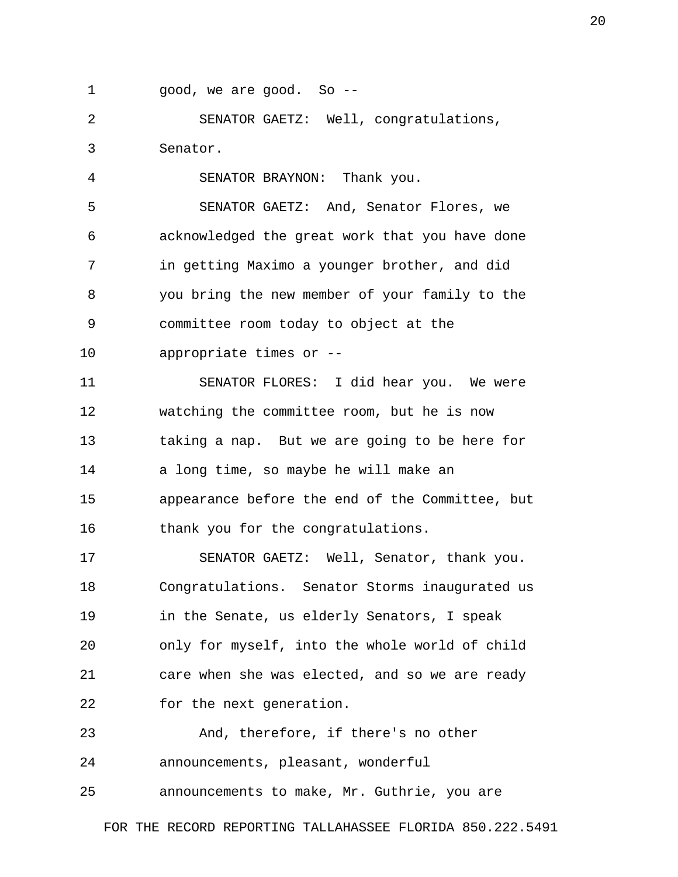1 good, we are good. So --

 2 SENATOR GAETZ: Well, congratulations, 3 Senator.

 4 SENATOR BRAYNON: Thank you. 5 SENATOR GAETZ: And, Senator Flores, we 6 acknowledged the great work that you have done 7 in getting Maximo a younger brother, and did 8 you bring the new member of your family to the 9 committee room today to object at the 10 appropriate times or --

11 SENATOR FLORES: I did hear you. We were 12 watching the committee room, but he is now 13 taking a nap. But we are going to be here for 14 a long time, so maybe he will make an 15 appearance before the end of the Committee, but 16 thank you for the congratulations.

17 SENATOR GAETZ: Well, Senator, thank you. 18 Congratulations. Senator Storms inaugurated us 19 in the Senate, us elderly Senators, I speak 20 only for myself, into the whole world of child 21 care when she was elected, and so we are ready 22 for the next generation.

23 And, therefore, if there's no other 24 announcements, pleasant, wonderful 25 announcements to make, Mr. Guthrie, you are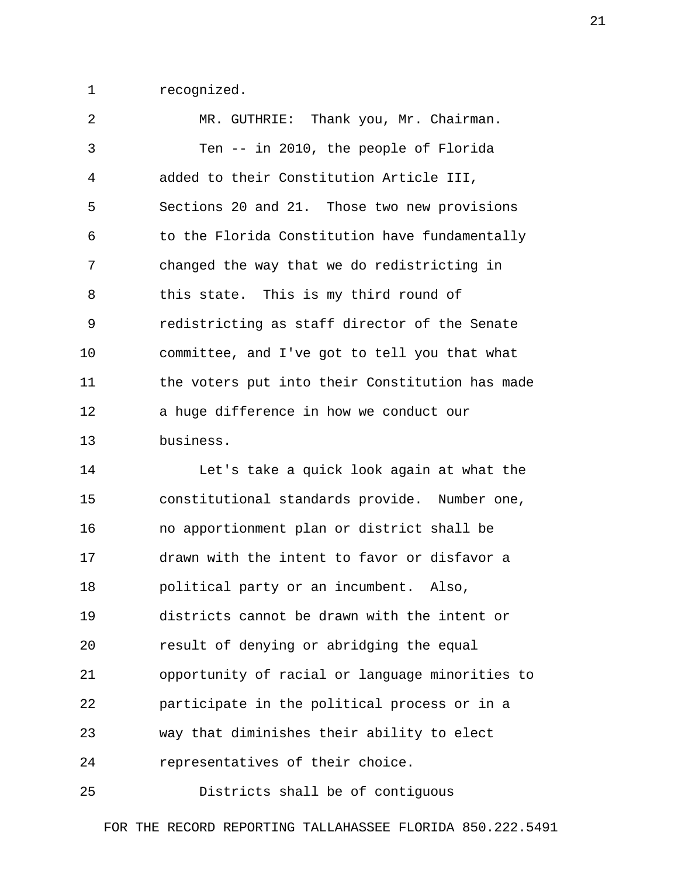1 recognized.

 2 MR. GUTHRIE: Thank you, Mr. Chairman. 3 Ten -- in 2010, the people of Florida 4 added to their Constitution Article III, 5 Sections 20 and 21. Those two new provisions 6 to the Florida Constitution have fundamentally 7 changed the way that we do redistricting in 8 this state. This is my third round of 9 redistricting as staff director of the Senate 10 committee, and I've got to tell you that what 11 the voters put into their Constitution has made 12 a huge difference in how we conduct our 13 business.

14 Let's take a quick look again at what the 15 constitutional standards provide. Number one, 16 no apportionment plan or district shall be 17 drawn with the intent to favor or disfavor a 18 political party or an incumbent. Also, 19 districts cannot be drawn with the intent or 20 result of denying or abridging the equal 21 opportunity of racial or language minorities to 22 participate in the political process or in a 23 way that diminishes their ability to elect 24 representatives of their choice.

25 Districts shall be of contiguous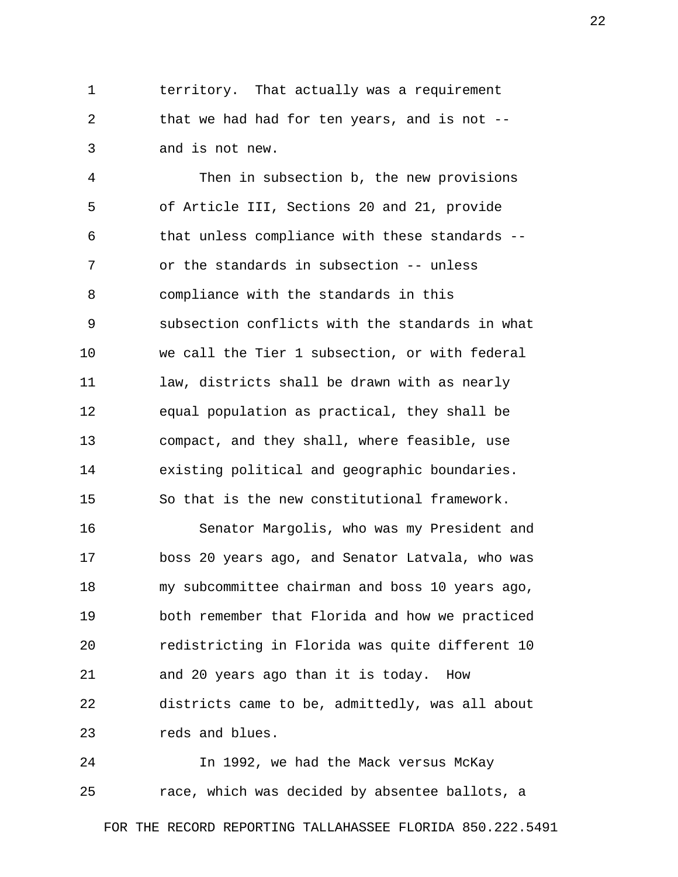1 territory. That actually was a requirement 2 that we had had for ten years, and is not -- 3 and is not new.

 4 Then in subsection b, the new provisions 5 of Article III, Sections 20 and 21, provide 6 that unless compliance with these standards -- 7 or the standards in subsection -- unless 8 compliance with the standards in this 9 subsection conflicts with the standards in what 10 we call the Tier 1 subsection, or with federal 11 law, districts shall be drawn with as nearly 12 equal population as practical, they shall be 13 compact, and they shall, where feasible, use 14 existing political and geographic boundaries. 15 So that is the new constitutional framework.

16 Senator Margolis, who was my President and 17 boss 20 years ago, and Senator Latvala, who was 18 my subcommittee chairman and boss 10 years ago, 19 both remember that Florida and how we practiced 20 redistricting in Florida was quite different 10 21 and 20 years ago than it is today. How 22 districts came to be, admittedly, was all about 23 reds and blues.

24 In 1992, we had the Mack versus McKay 25 race, which was decided by absentee ballots, a

FOR THE RECORD REPORTING TALLAHASSEE FLORIDA 850.222.5491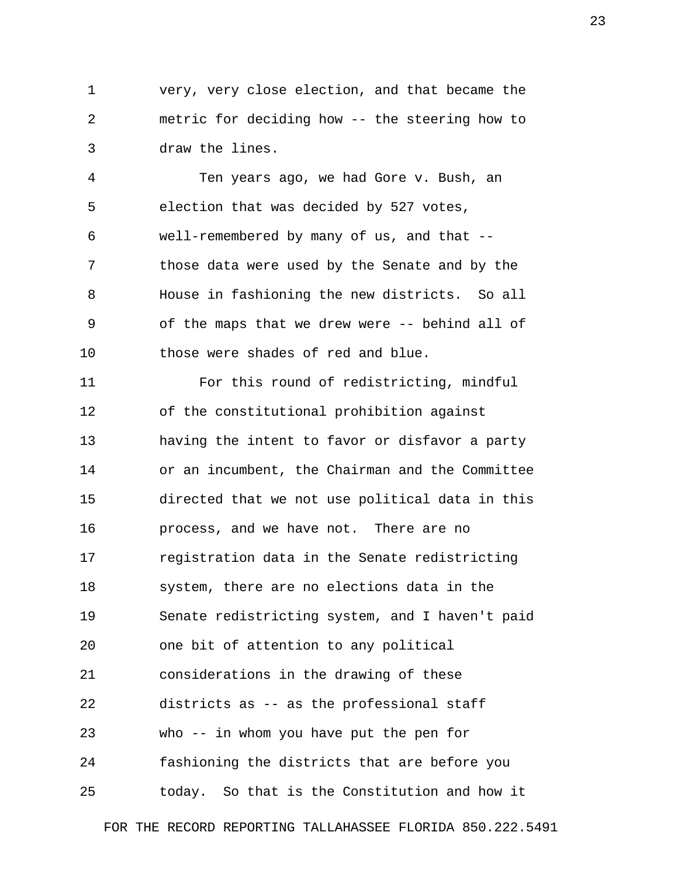1 very, very close election, and that became the 2 metric for deciding how -- the steering how to 3 draw the lines.

 4 Ten years ago, we had Gore v. Bush, an 5 election that was decided by 527 votes, 6 well-remembered by many of us, and that -- 7 those data were used by the Senate and by the 8 House in fashioning the new districts. So all 9 of the maps that we drew were -- behind all of 10 those were shades of red and blue.

11 For this round of redistricting, mindful 12 of the constitutional prohibition against 13 having the intent to favor or disfavor a party 14 or an incumbent, the Chairman and the Committee 15 directed that we not use political data in this 16 process, and we have not. There are no 17 registration data in the Senate redistricting 18 system, there are no elections data in the 19 Senate redistricting system, and I haven't paid 20 one bit of attention to any political 21 considerations in the drawing of these 22 districts as -- as the professional staff 23 who -- in whom you have put the pen for 24 fashioning the districts that are before you 25 today. So that is the Constitution and how it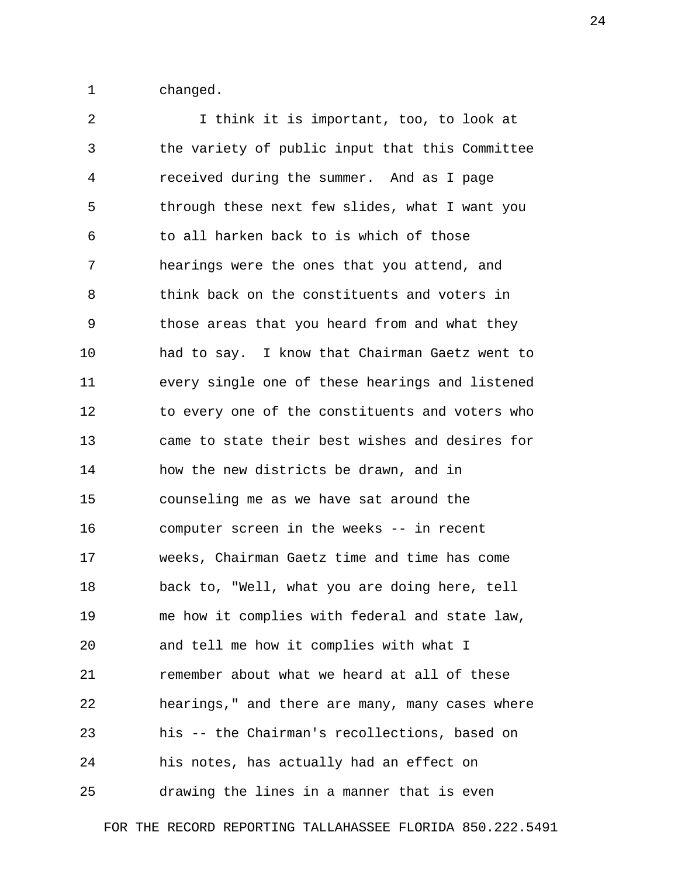1 changed.

 2 I think it is important, too, to look at 3 the variety of public input that this Committee 4 received during the summer. And as I page 5 through these next few slides, what I want you 6 to all harken back to is which of those 7 hearings were the ones that you attend, and 8 think back on the constituents and voters in 9 those areas that you heard from and what they 10 had to say. I know that Chairman Gaetz went to 11 every single one of these hearings and listened 12 to every one of the constituents and voters who 13 came to state their best wishes and desires for 14 how the new districts be drawn, and in 15 counseling me as we have sat around the 16 computer screen in the weeks -- in recent 17 weeks, Chairman Gaetz time and time has come 18 back to, "Well, what you are doing here, tell 19 me how it complies with federal and state law, 20 and tell me how it complies with what I 21 remember about what we heard at all of these 22 hearings," and there are many, many cases where 23 his -- the Chairman's recollections, based on 24 his notes, has actually had an effect on 25 drawing the lines in a manner that is even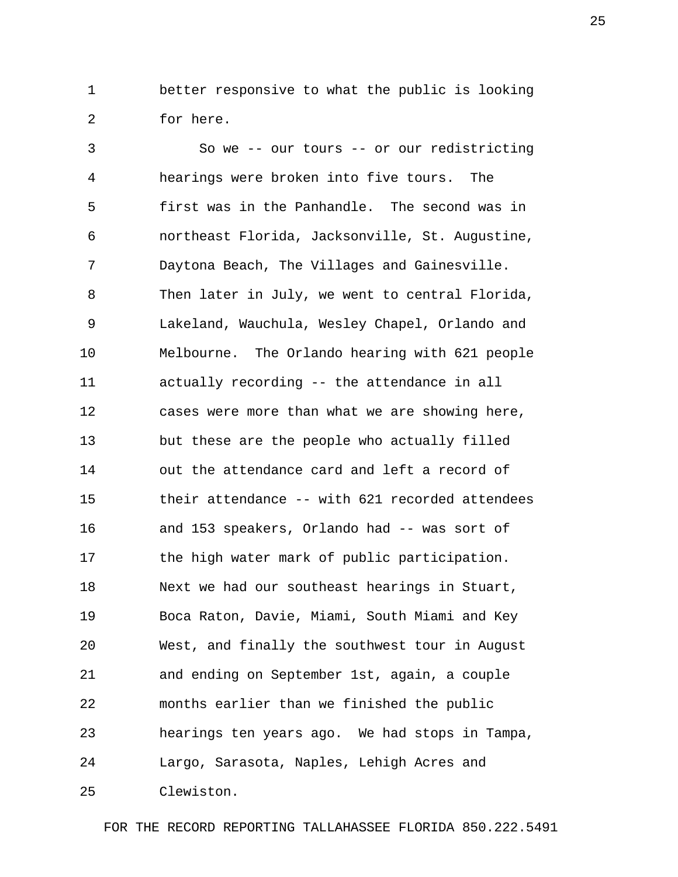1 better responsive to what the public is looking 2 for here.

 3 So we -- our tours -- or our redistricting 4 hearings were broken into five tours. The 5 first was in the Panhandle. The second was in 6 northeast Florida, Jacksonville, St. Augustine, 7 Daytona Beach, The Villages and Gainesville. 8 Then later in July, we went to central Florida, 9 Lakeland, Wauchula, Wesley Chapel, Orlando and 10 Melbourne. The Orlando hearing with 621 people 11 actually recording -- the attendance in all 12 cases were more than what we are showing here, 13 but these are the people who actually filled 14 out the attendance card and left a record of 15 their attendance -- with 621 recorded attendees 16 and 153 speakers, Orlando had -- was sort of 17 the high water mark of public participation. 18 Next we had our southeast hearings in Stuart, 19 Boca Raton, Davie, Miami, South Miami and Key 20 West, and finally the southwest tour in August 21 and ending on September 1st, again, a couple 22 months earlier than we finished the public 23 hearings ten years ago. We had stops in Tampa, 24 Largo, Sarasota, Naples, Lehigh Acres and 25 Clewiston.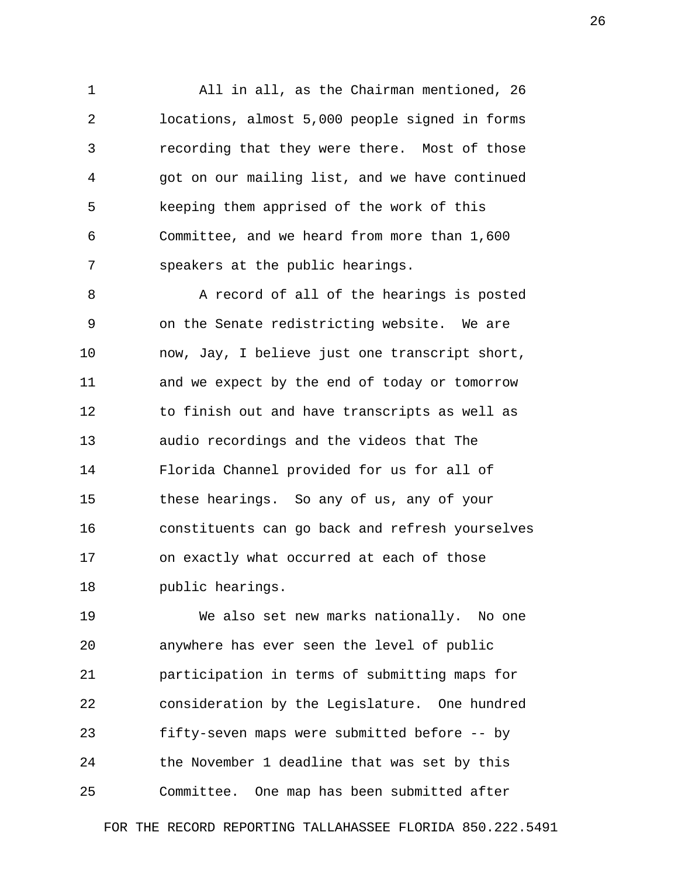1 All in all, as the Chairman mentioned, 26 2 locations, almost 5,000 people signed in forms 3 recording that they were there. Most of those 4 got on our mailing list, and we have continued 5 keeping them apprised of the work of this 6 Committee, and we heard from more than 1,600 7 speakers at the public hearings.

 8 A record of all of the hearings is posted 9 on the Senate redistricting website. We are 10 now, Jay, I believe just one transcript short, 11 and we expect by the end of today or tomorrow 12 to finish out and have transcripts as well as 13 audio recordings and the videos that The 14 Florida Channel provided for us for all of 15 these hearings. So any of us, any of your 16 constituents can go back and refresh yourselves 17 on exactly what occurred at each of those 18 public hearings.

19 We also set new marks nationally. No one 20 anywhere has ever seen the level of public 21 participation in terms of submitting maps for 22 consideration by the Legislature. One hundred 23 fifty-seven maps were submitted before -- by 24 the November 1 deadline that was set by this 25 Committee. One map has been submitted after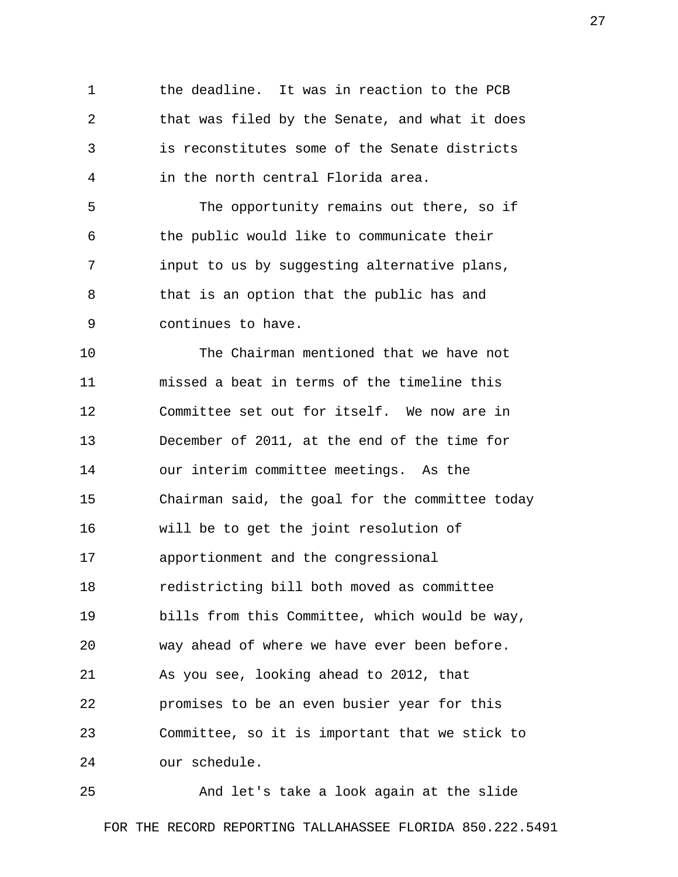1 the deadline. It was in reaction to the PCB 2 that was filed by the Senate, and what it does 3 is reconstitutes some of the Senate districts 4 in the north central Florida area.

 5 The opportunity remains out there, so if 6 the public would like to communicate their 7 input to us by suggesting alternative plans, 8 that is an option that the public has and 9 continues to have.

10 The Chairman mentioned that we have not 11 missed a beat in terms of the timeline this 12 Committee set out for itself. We now are in 13 December of 2011, at the end of the time for 14 our interim committee meetings. As the 15 Chairman said, the goal for the committee today 16 will be to get the joint resolution of 17 apportionment and the congressional 18 redistricting bill both moved as committee 19 bills from this Committee, which would be way, 20 way ahead of where we have ever been before. 21 As you see, looking ahead to 2012, that 22 promises to be an even busier year for this 23 Committee, so it is important that we stick to 24 our schedule.

25 And let's take a look again at the slide FOR THE RECORD REPORTING TALLAHASSEE FLORIDA 850.222.5491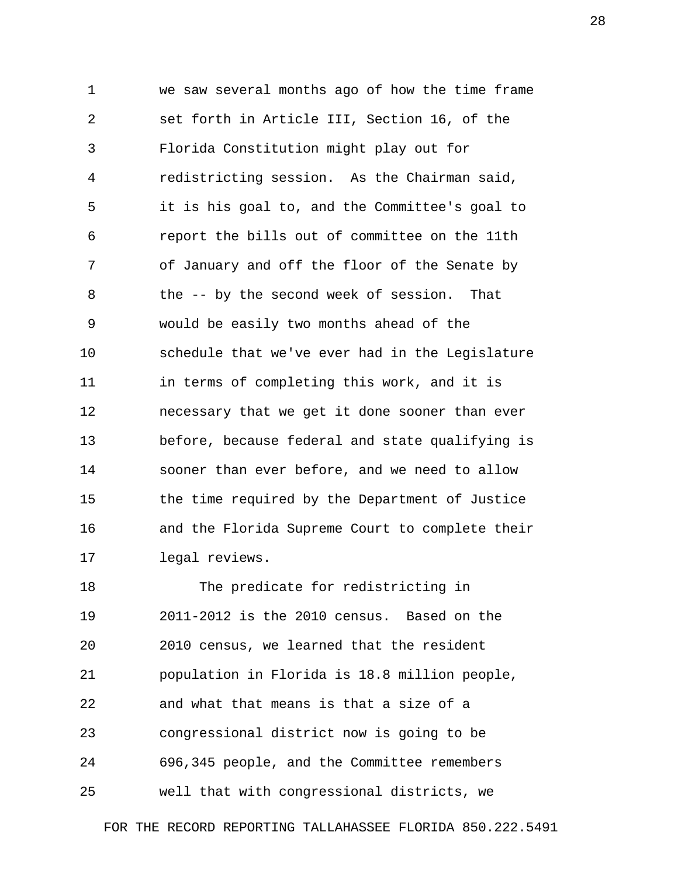1 we saw several months ago of how the time frame 2 set forth in Article III, Section 16, of the 3 Florida Constitution might play out for 4 redistricting session. As the Chairman said, 5 it is his goal to, and the Committee's goal to 6 report the bills out of committee on the 11th 7 of January and off the floor of the Senate by 8 the -- by the second week of session. That 9 would be easily two months ahead of the 10 schedule that we've ever had in the Legislature 11 in terms of completing this work, and it is 12 necessary that we get it done sooner than ever 13 before, because federal and state qualifying is 14 sooner than ever before, and we need to allow 15 the time required by the Department of Justice 16 and the Florida Supreme Court to complete their 17 legal reviews.

18 The predicate for redistricting in 19 2011-2012 is the 2010 census. Based on the 20 2010 census, we learned that the resident 21 population in Florida is 18.8 million people, 22 and what that means is that a size of a 23 congressional district now is going to be 24 696,345 people, and the Committee remembers 25 well that with congressional districts, we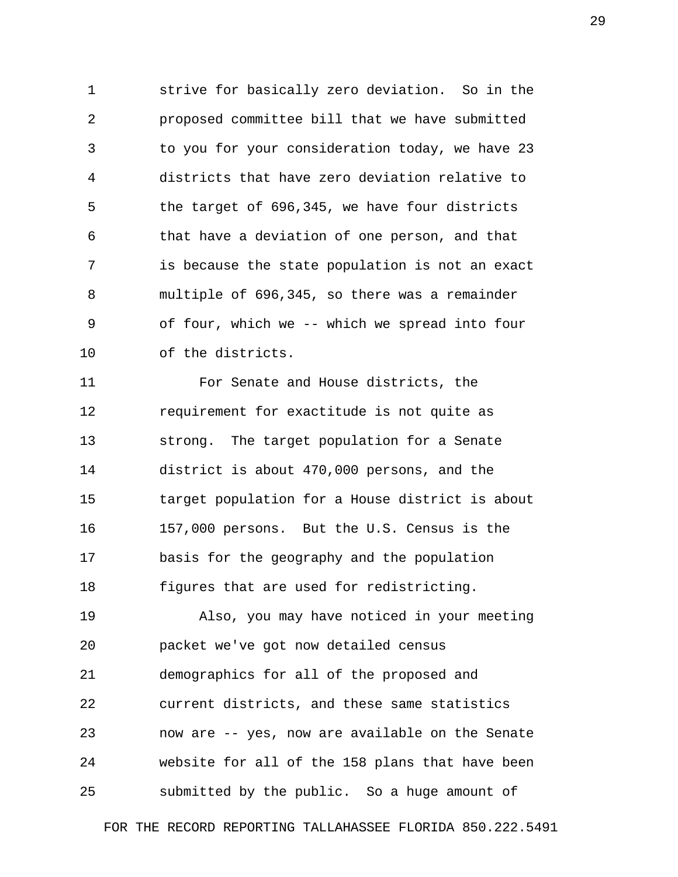1 strive for basically zero deviation. So in the 2 proposed committee bill that we have submitted 3 to you for your consideration today, we have 23 4 districts that have zero deviation relative to 5 the target of 696,345, we have four districts 6 that have a deviation of one person, and that 7 is because the state population is not an exact 8 multiple of 696,345, so there was a remainder 9 of four, which we -- which we spread into four 10 of the districts.

11 For Senate and House districts, the 12 requirement for exactitude is not quite as 13 strong. The target population for a Senate 14 district is about 470,000 persons, and the 15 target population for a House district is about 16 157,000 persons. But the U.S. Census is the 17 basis for the geography and the population 18 figures that are used for redistricting.

19 Also, you may have noticed in your meeting 20 packet we've got now detailed census 21 demographics for all of the proposed and 22 current districts, and these same statistics 23 now are -- yes, now are available on the Senate 24 website for all of the 158 plans that have been 25 submitted by the public. So a huge amount of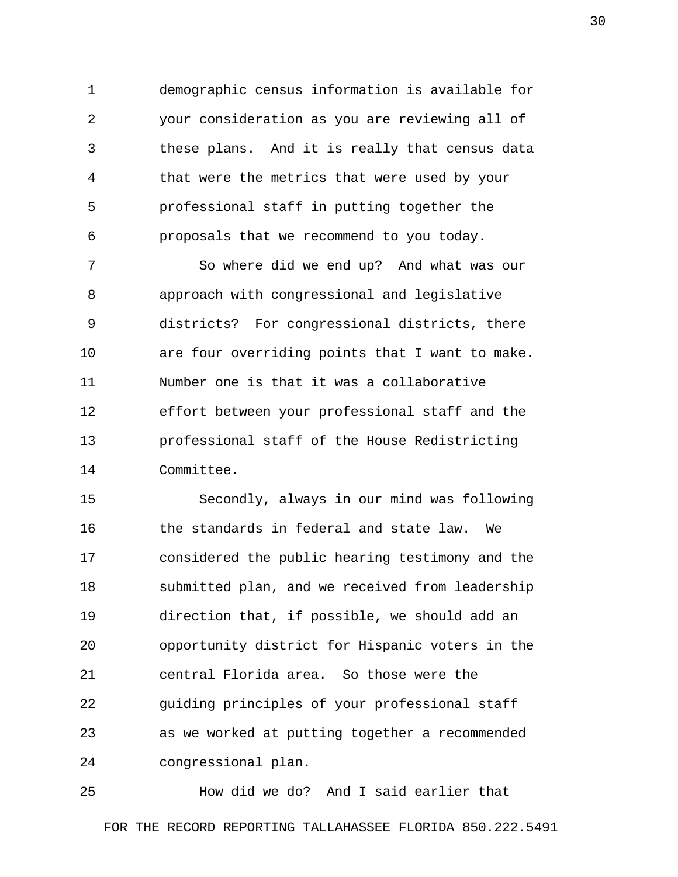1 demographic census information is available for 2 your consideration as you are reviewing all of 3 these plans. And it is really that census data 4 that were the metrics that were used by your 5 professional staff in putting together the 6 proposals that we recommend to you today.

 7 So where did we end up? And what was our 8 approach with congressional and legislative 9 districts? For congressional districts, there 10 are four overriding points that I want to make. 11 Number one is that it was a collaborative 12 effort between your professional staff and the 13 professional staff of the House Redistricting 14 Committee.

15 Secondly, always in our mind was following 16 the standards in federal and state law. We 17 considered the public hearing testimony and the 18 submitted plan, and we received from leadership 19 direction that, if possible, we should add an 20 opportunity district for Hispanic voters in the 21 central Florida area. So those were the 22 guiding principles of your professional staff 23 as we worked at putting together a recommended 24 congressional plan.

25 How did we do? And I said earlier that FOR THE RECORD REPORTING TALLAHASSEE FLORIDA 850.222.5491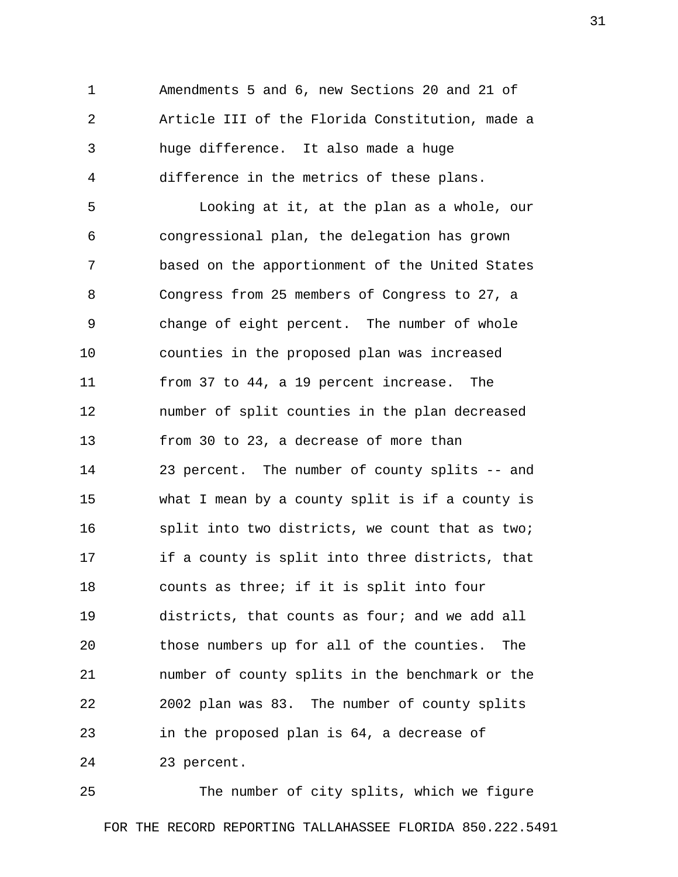1 Amendments 5 and 6, new Sections 20 and 21 of 2 Article III of the Florida Constitution, made a 3 huge difference. It also made a huge 4 difference in the metrics of these plans.

 5 Looking at it, at the plan as a whole, our 6 congressional plan, the delegation has grown 7 based on the apportionment of the United States 8 Congress from 25 members of Congress to 27, a 9 change of eight percent. The number of whole 10 counties in the proposed plan was increased 11 from 37 to 44, a 19 percent increase. The 12 number of split counties in the plan decreased 13 from 30 to 23, a decrease of more than 14 23 percent. The number of county splits -- and 15 what I mean by a county split is if a county is 16 split into two districts, we count that as two; 17 if a county is split into three districts, that 18 counts as three; if it is split into four 19 districts, that counts as four; and we add all 20 those numbers up for all of the counties. The 21 number of county splits in the benchmark or the 22 2002 plan was 83. The number of county splits 23 in the proposed plan is 64, a decrease of 24 23 percent.

25 The number of city splits, which we figure FOR THE RECORD REPORTING TALLAHASSEE FLORIDA 850.222.5491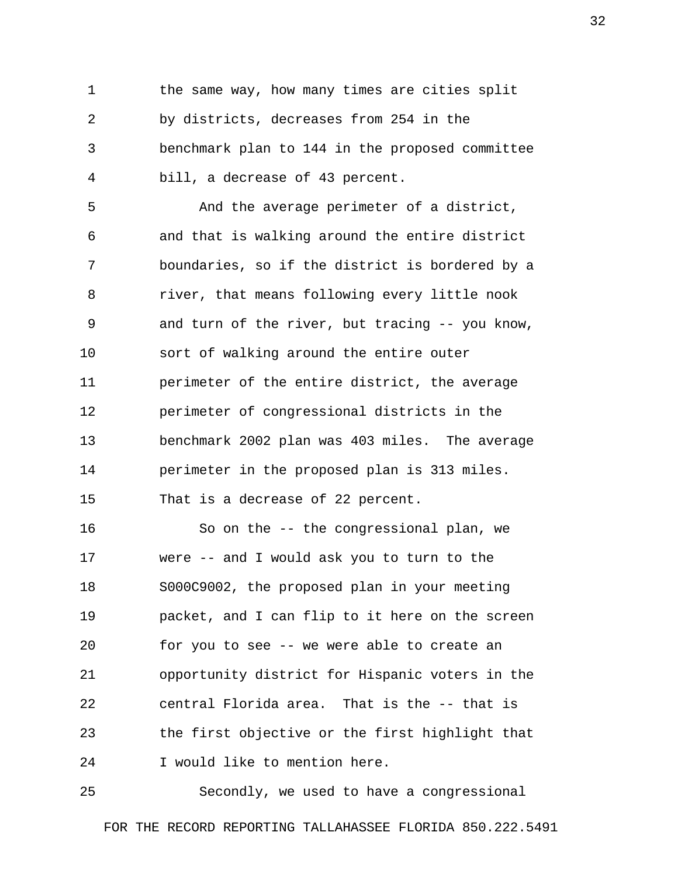1 the same way, how many times are cities split 2 by districts, decreases from 254 in the 3 benchmark plan to 144 in the proposed committee 4 bill, a decrease of 43 percent.

 5 And the average perimeter of a district, 6 and that is walking around the entire district 7 boundaries, so if the district is bordered by a 8 river, that means following every little nook 9 and turn of the river, but tracing -- you know, 10 sort of walking around the entire outer 11 perimeter of the entire district, the average 12 perimeter of congressional districts in the 13 benchmark 2002 plan was 403 miles. The average 14 perimeter in the proposed plan is 313 miles. 15 That is a decrease of 22 percent.

16 So on the -- the congressional plan, we 17 were -- and I would ask you to turn to the 18 S000C9002, the proposed plan in your meeting 19 packet, and I can flip to it here on the screen 20 for you to see -- we were able to create an 21 opportunity district for Hispanic voters in the 22 central Florida area. That is the -- that is 23 the first objective or the first highlight that 24 I would like to mention here.

25 Secondly, we used to have a congressional FOR THE RECORD REPORTING TALLAHASSEE FLORIDA 850.222.5491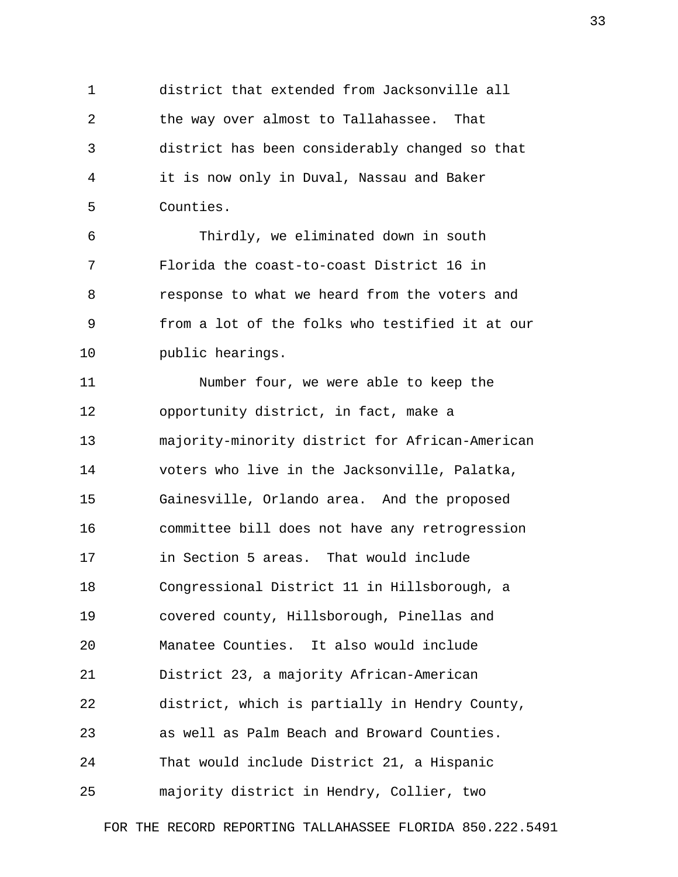1 district that extended from Jacksonville all 2 the way over almost to Tallahassee. That 3 district has been considerably changed so that 4 it is now only in Duval, Nassau and Baker 5 Counties.

 6 Thirdly, we eliminated down in south 7 Florida the coast-to-coast District 16 in 8 response to what we heard from the voters and 9 from a lot of the folks who testified it at our 10 public hearings.

11 Number four, we were able to keep the 12 opportunity district, in fact, make a 13 majority-minority district for African-American 14 voters who live in the Jacksonville, Palatka, 15 Gainesville, Orlando area. And the proposed 16 committee bill does not have any retrogression 17 in Section 5 areas. That would include 18 Congressional District 11 in Hillsborough, a 19 covered county, Hillsborough, Pinellas and 20 Manatee Counties. It also would include 21 District 23, a majority African-American 22 district, which is partially in Hendry County, 23 as well as Palm Beach and Broward Counties. 24 That would include District 21, a Hispanic 25 majority district in Hendry, Collier, two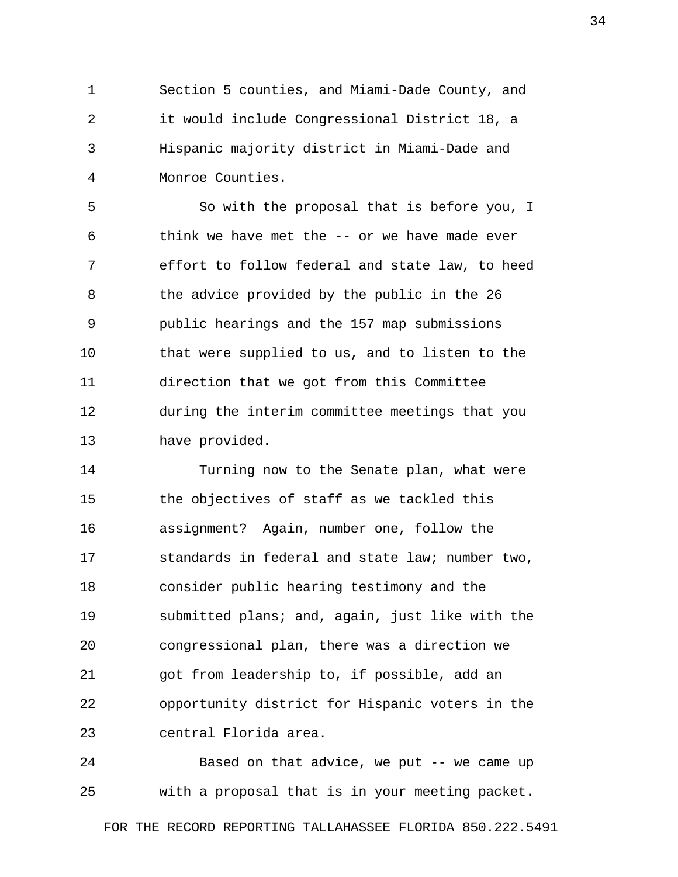1 Section 5 counties, and Miami-Dade County, and 2 it would include Congressional District 18, a 3 Hispanic majority district in Miami-Dade and 4 Monroe Counties.

 5 So with the proposal that is before you, I 6 think we have met the -- or we have made ever 7 effort to follow federal and state law, to heed 8 the advice provided by the public in the 26 9 public hearings and the 157 map submissions 10 that were supplied to us, and to listen to the 11 direction that we got from this Committee 12 during the interim committee meetings that you 13 have provided.

14 Turning now to the Senate plan, what were 15 the objectives of staff as we tackled this 16 assignment? Again, number one, follow the 17 standards in federal and state law; number two, 18 consider public hearing testimony and the 19 submitted plans; and, again, just like with the 20 congressional plan, there was a direction we 21 got from leadership to, if possible, add an 22 opportunity district for Hispanic voters in the 23 central Florida area.

24 Based on that advice, we put -- we came up 25 with a proposal that is in your meeting packet.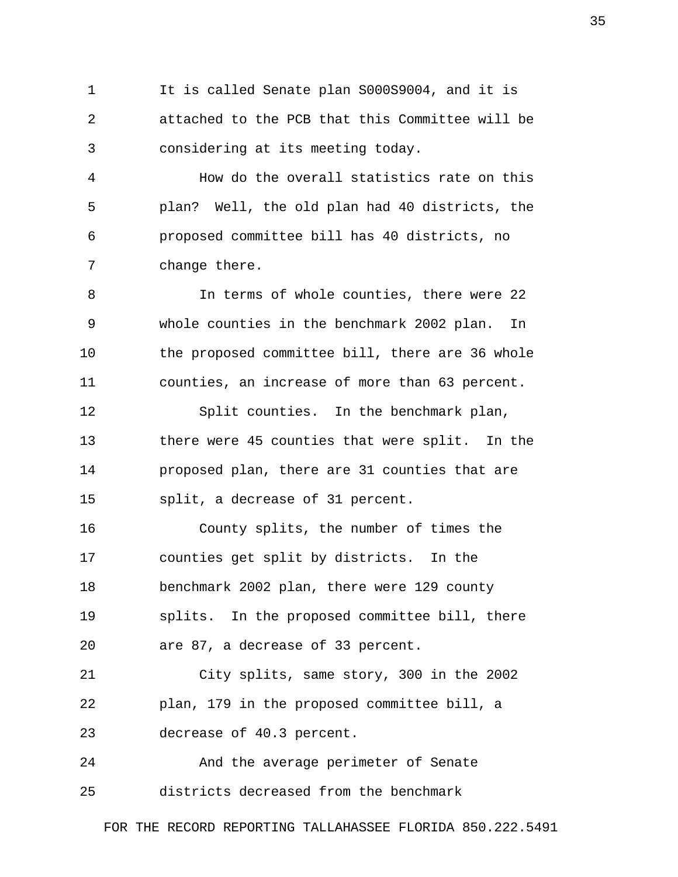1 It is called Senate plan S000S9004, and it is 2 attached to the PCB that this Committee will be 3 considering at its meeting today.

 4 How do the overall statistics rate on this 5 plan? Well, the old plan had 40 districts, the 6 proposed committee bill has 40 districts, no 7 change there.

 8 In terms of whole counties, there were 22 9 whole counties in the benchmark 2002 plan. In 10 the proposed committee bill, there are 36 whole 11 counties, an increase of more than 63 percent.

12 Split counties. In the benchmark plan, 13 there were 45 counties that were split. In the 14 proposed plan, there are 31 counties that are 15 split, a decrease of 31 percent.

16 County splits, the number of times the 17 counties get split by districts. In the 18 benchmark 2002 plan, there were 129 county 19 splits. In the proposed committee bill, there 20 are 87, a decrease of 33 percent.

21 City splits, same story, 300 in the 2002 22 plan, 179 in the proposed committee bill, a 23 decrease of 40.3 percent.

24 And the average perimeter of Senate 25 districts decreased from the benchmark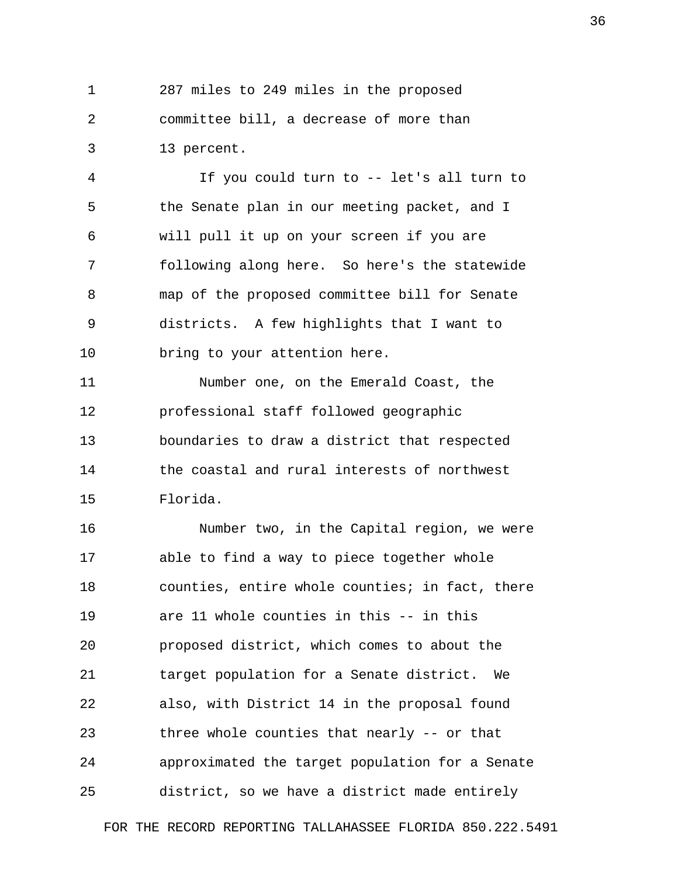1 287 miles to 249 miles in the proposed 2 committee bill, a decrease of more than 3 13 percent.

 4 If you could turn to -- let's all turn to 5 the Senate plan in our meeting packet, and I 6 will pull it up on your screen if you are 7 following along here. So here's the statewide 8 map of the proposed committee bill for Senate 9 districts. A few highlights that I want to 10 bring to your attention here.

11 Number one, on the Emerald Coast, the 12 professional staff followed geographic 13 boundaries to draw a district that respected 14 the coastal and rural interests of northwest 15 Florida.

16 Number two, in the Capital region, we were 17 able to find a way to piece together whole 18 counties, entire whole counties; in fact, there 19 are 11 whole counties in this -- in this 20 proposed district, which comes to about the 21 target population for a Senate district. We 22 also, with District 14 in the proposal found 23 three whole counties that nearly -- or that 24 approximated the target population for a Senate 25 district, so we have a district made entirely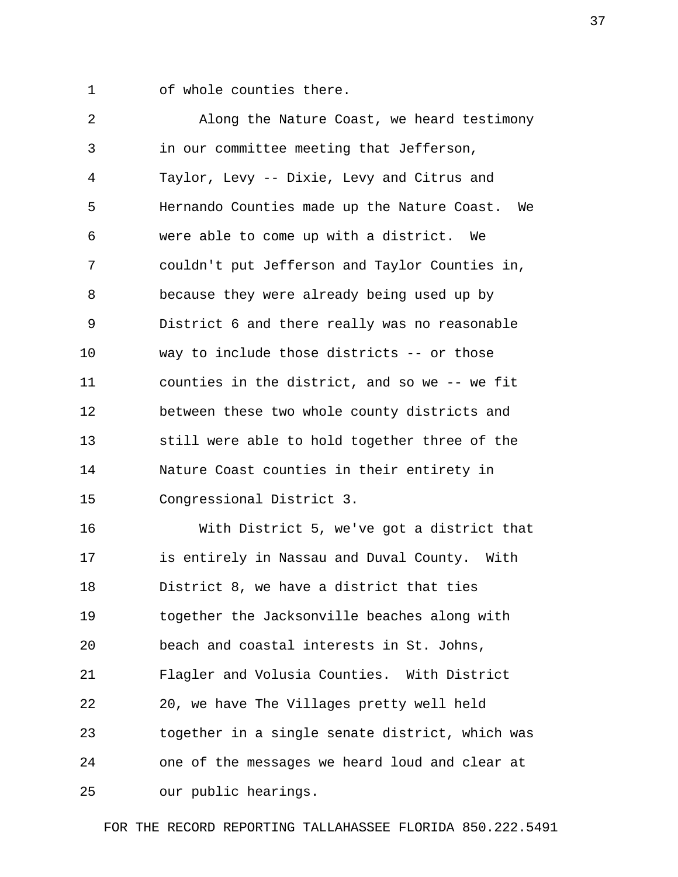1 of whole counties there.

 2 Along the Nature Coast, we heard testimony 3 in our committee meeting that Jefferson, 4 Taylor, Levy -- Dixie, Levy and Citrus and 5 Hernando Counties made up the Nature Coast. We 6 were able to come up with a district. We 7 couldn't put Jefferson and Taylor Counties in, 8 because they were already being used up by 9 District 6 and there really was no reasonable 10 way to include those districts -- or those 11 counties in the district, and so we -- we fit 12 between these two whole county districts and 13 still were able to hold together three of the 14 Nature Coast counties in their entirety in 15 Congressional District 3.

16 With District 5, we've got a district that 17 is entirely in Nassau and Duval County. With 18 District 8, we have a district that ties 19 together the Jacksonville beaches along with 20 beach and coastal interests in St. Johns, 21 Flagler and Volusia Counties. With District 22 20, we have The Villages pretty well held 23 together in a single senate district, which was 24 one of the messages we heard loud and clear at 25 our public hearings.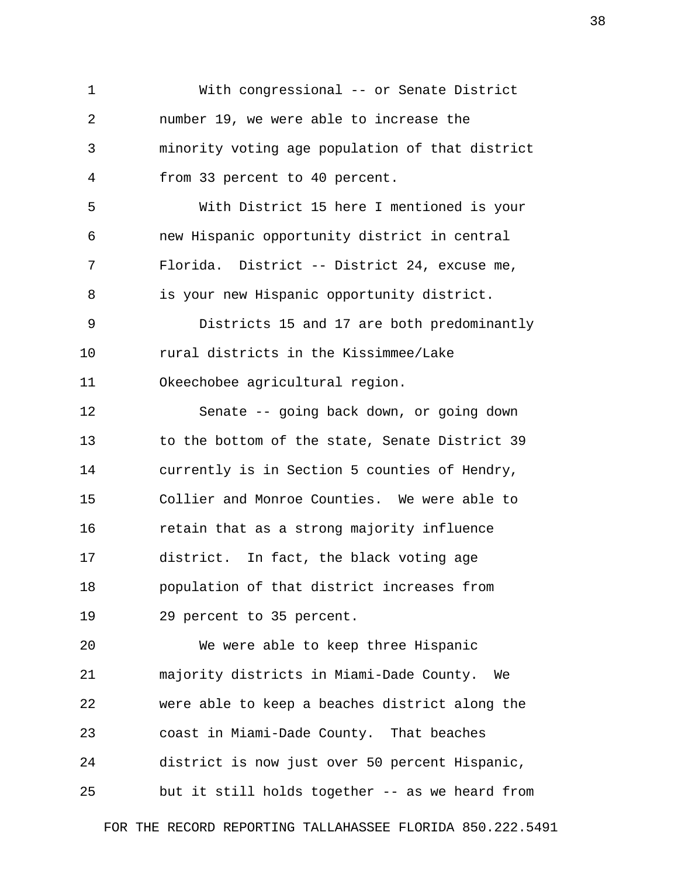1 With congressional -- or Senate District 2 number 19, we were able to increase the 3 minority voting age population of that district 4 from 33 percent to 40 percent. 5 With District 15 here I mentioned is your 6 new Hispanic opportunity district in central 7 Florida. District -- District 24, excuse me, 8 is your new Hispanic opportunity district. 9 Districts 15 and 17 are both predominantly 10 rural districts in the Kissimmee/Lake 11 Okeechobee agricultural region. 12 Senate -- going back down, or going down 13 to the bottom of the state, Senate District 39 14 currently is in Section 5 counties of Hendry, 15 Collier and Monroe Counties. We were able to 16 retain that as a strong majority influence 17 district. In fact, the black voting age 18 population of that district increases from 19 29 percent to 35 percent. 20 We were able to keep three Hispanic 21 majority districts in Miami-Dade County. We 22 were able to keep a beaches district along the 23 coast in Miami-Dade County. That beaches 24 district is now just over 50 percent Hispanic, 25 but it still holds together -- as we heard from

FOR THE RECORD REPORTING TALLAHASSEE FLORIDA 850.222.5491

38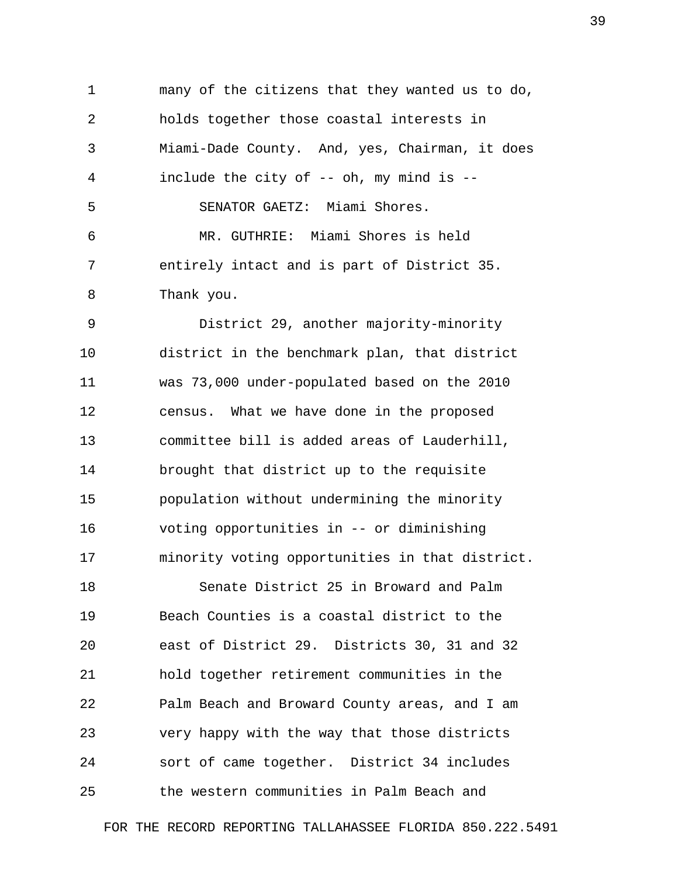1 many of the citizens that they wanted us to do, 2 holds together those coastal interests in 3 Miami-Dade County. And, yes, Chairman, it does 4 include the city of -- oh, my mind is -- 5 SENATOR GAETZ: Miami Shores. 6 MR. GUTHRIE: Miami Shores is held 7 entirely intact and is part of District 35. 8 Thank you.

 9 District 29, another majority-minority 10 district in the benchmark plan, that district 11 was 73,000 under-populated based on the 2010 12 census. What we have done in the proposed 13 committee bill is added areas of Lauderhill, 14 brought that district up to the requisite 15 population without undermining the minority 16 voting opportunities in -- or diminishing 17 minority voting opportunities in that district.

18 Senate District 25 in Broward and Palm 19 Beach Counties is a coastal district to the 20 east of District 29. Districts 30, 31 and 32 21 hold together retirement communities in the 22 Palm Beach and Broward County areas, and I am 23 very happy with the way that those districts 24 sort of came together. District 34 includes 25 the western communities in Palm Beach and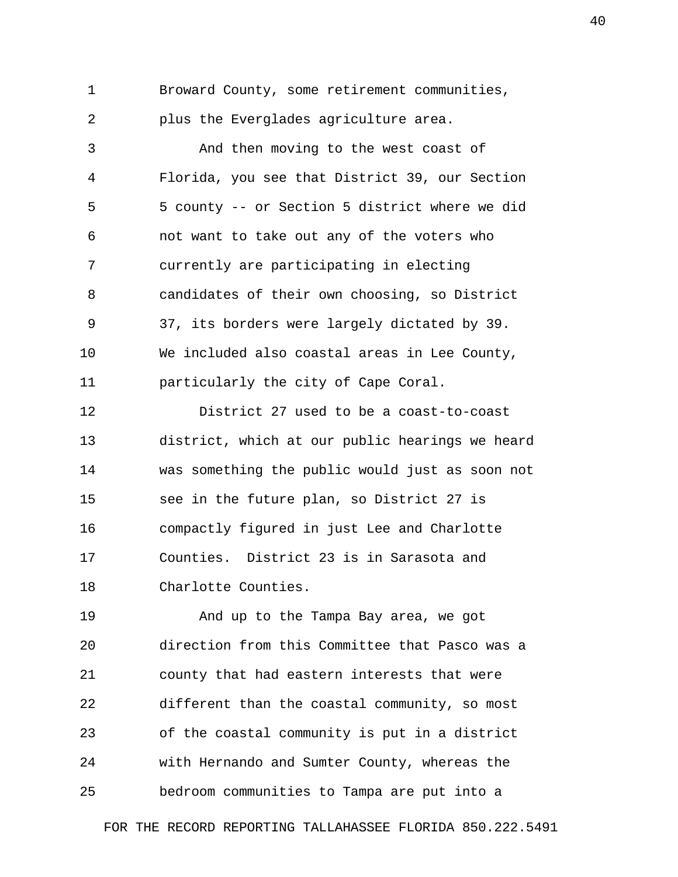1 Broward County, some retirement communities, 2 plus the Everglades agriculture area.

 3 And then moving to the west coast of 4 Florida, you see that District 39, our Section 5 5 county -- or Section 5 district where we did 6 not want to take out any of the voters who 7 currently are participating in electing 8 candidates of their own choosing, so District 9 37, its borders were largely dictated by 39. 10 We included also coastal areas in Lee County, 11 particularly the city of Cape Coral.

12 District 27 used to be a coast-to-coast 13 district, which at our public hearings we heard 14 was something the public would just as soon not 15 see in the future plan, so District 27 is 16 compactly figured in just Lee and Charlotte 17 Counties. District 23 is in Sarasota and 18 Charlotte Counties.

19 And up to the Tampa Bay area, we got 20 direction from this Committee that Pasco was a 21 county that had eastern interests that were 22 different than the coastal community, so most 23 of the coastal community is put in a district 24 with Hernando and Sumter County, whereas the 25 bedroom communities to Tampa are put into a

FOR THE RECORD REPORTING TALLAHASSEE FLORIDA 850.222.5491

40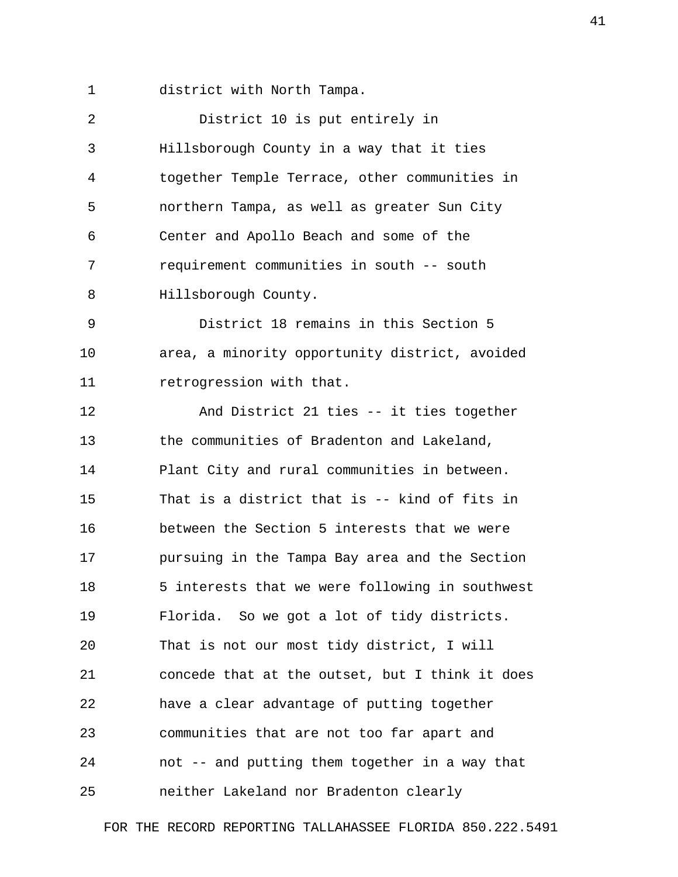1 district with North Tampa.

| 2  | District 10 is put entirely in                  |
|----|-------------------------------------------------|
| 3  | Hillsborough County in a way that it ties       |
| 4  | together Temple Terrace, other communities in   |
| 5  | northern Tampa, as well as greater Sun City     |
| 6  | Center and Apollo Beach and some of the         |
| 7  | requirement communities in south -- south       |
| 8  | Hillsborough County.                            |
| 9  | District 18 remains in this Section 5           |
| 10 | area, a minority opportunity district, avoided  |
| 11 | retrogression with that.                        |
| 12 | And District 21 ties -- it ties together        |
| 13 | the communities of Bradenton and Lakeland,      |
| 14 | Plant City and rural communities in between.    |
| 15 | That is a district that is -- kind of fits in   |
| 16 | between the Section 5 interests that we were    |
| 17 | pursuing in the Tampa Bay area and the Section  |
| 18 | 5 interests that we were following in southwest |
| 19 | Florida. So we got a lot of tidy districts.     |
| 20 | That is not our most tidy district, I will      |
| 21 | concede that at the outset, but I think it does |
| 22 | have a clear advantage of putting together      |
| 23 | communities that are not too far apart and      |
| 24 | not -- and putting them together in a way that  |
| 25 | neither Lakeland nor Bradenton clearly          |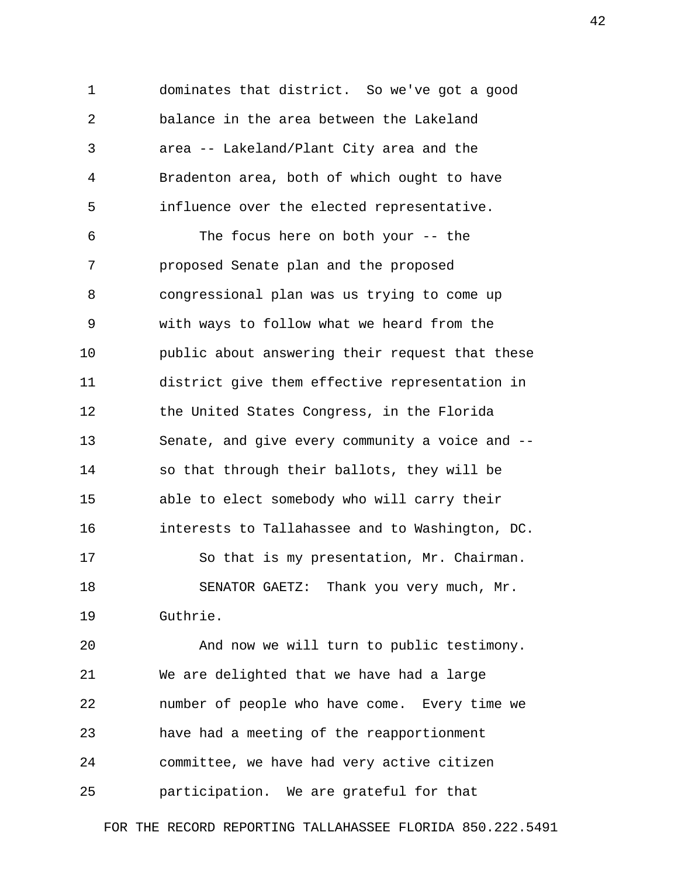1 dominates that district. So we've got a good 2 balance in the area between the Lakeland 3 area -- Lakeland/Plant City area and the 4 Bradenton area, both of which ought to have 5 influence over the elected representative.

 6 The focus here on both your -- the 7 proposed Senate plan and the proposed 8 congressional plan was us trying to come up 9 with ways to follow what we heard from the 10 public about answering their request that these 11 district give them effective representation in 12 the United States Congress, in the Florida 13 Senate, and give every community a voice and -- 14 so that through their ballots, they will be 15 able to elect somebody who will carry their 16 interests to Tallahassee and to Washington, DC. 17 So that is my presentation, Mr. Chairman. 18 SENATOR GAETZ: Thank you very much, Mr. 19 Guthrie.

20 And now we will turn to public testimony. 21 We are delighted that we have had a large 22 number of people who have come. Every time we 23 have had a meeting of the reapportionment 24 committee, we have had very active citizen 25 participation. We are grateful for that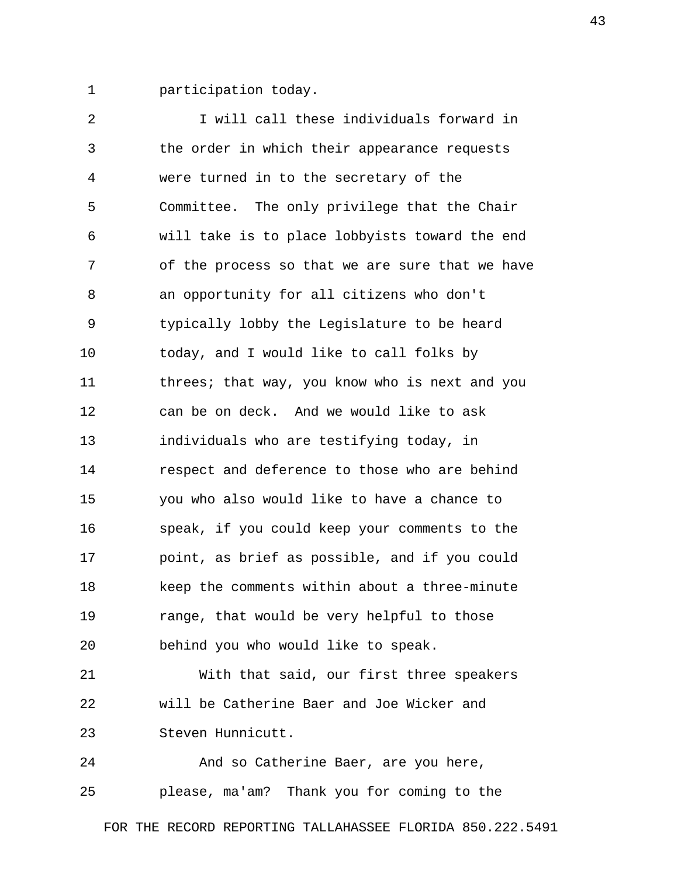1 participation today.

 2 I will call these individuals forward in 3 the order in which their appearance requests 4 were turned in to the secretary of the 5 Committee. The only privilege that the Chair 6 will take is to place lobbyists toward the end 7 of the process so that we are sure that we have 8 an opportunity for all citizens who don't 9 typically lobby the Legislature to be heard 10 today, and I would like to call folks by 11 threes; that way, you know who is next and you 12 can be on deck. And we would like to ask 13 individuals who are testifying today, in 14 respect and deference to those who are behind 15 you who also would like to have a chance to 16 speak, if you could keep your comments to the 17 point, as brief as possible, and if you could 18 keep the comments within about a three-minute 19 range, that would be very helpful to those 20 behind you who would like to speak. 21 With that said, our first three speakers 22 will be Catherine Baer and Joe Wicker and 23 Steven Hunnicutt.

24 And so Catherine Baer, are you here, 25 please, ma'am? Thank you for coming to the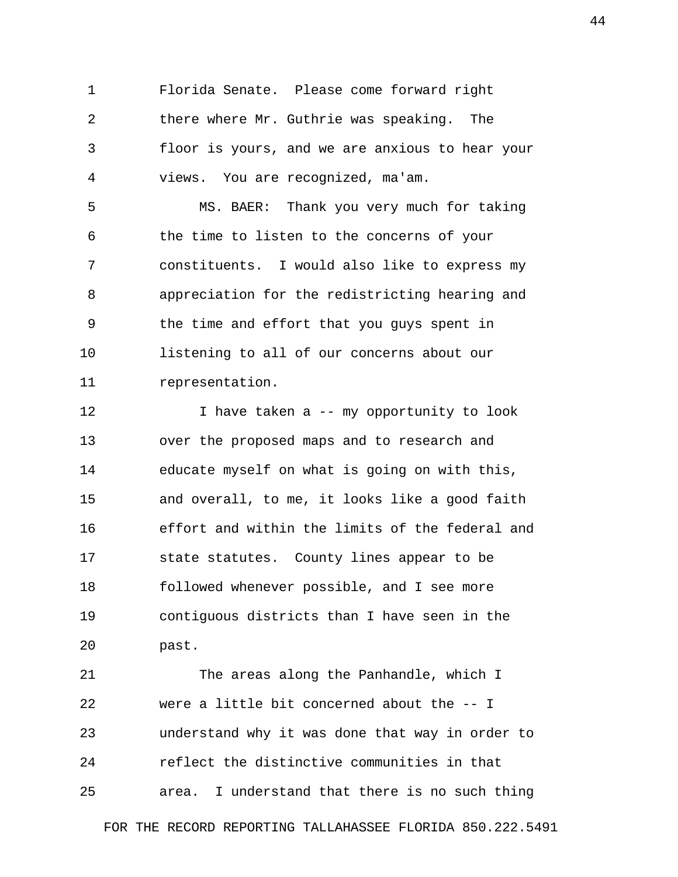1 Florida Senate. Please come forward right 2 there where Mr. Guthrie was speaking. The 3 floor is yours, and we are anxious to hear your 4 views. You are recognized, ma'am.

 5 MS. BAER: Thank you very much for taking 6 the time to listen to the concerns of your 7 constituents. I would also like to express my 8 appreciation for the redistricting hearing and 9 the time and effort that you guys spent in 10 listening to all of our concerns about our 11 representation.

12 12 I have taken a -- my opportunity to look 13 over the proposed maps and to research and 14 educate myself on what is going on with this, 15 and overall, to me, it looks like a good faith 16 effort and within the limits of the federal and 17 state statutes. County lines appear to be 18 followed whenever possible, and I see more 19 contiguous districts than I have seen in the 20 past.

21 The areas along the Panhandle, which I 22 were a little bit concerned about the -- I 23 understand why it was done that way in order to 24 reflect the distinctive communities in that 25 area. I understand that there is no such thing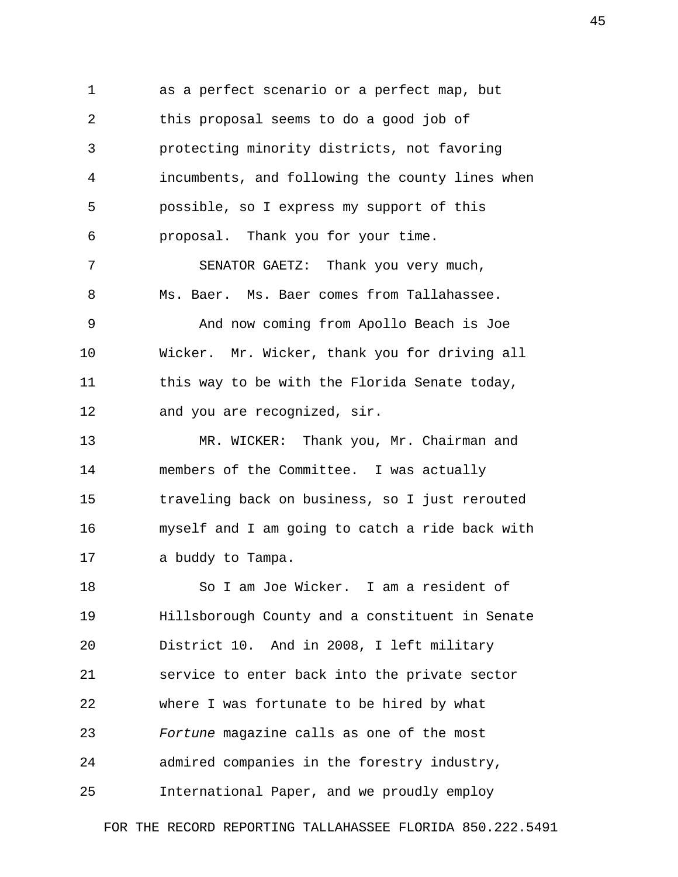1 as a perfect scenario or a perfect map, but 2 this proposal seems to do a good job of 3 protecting minority districts, not favoring 4 incumbents, and following the county lines when 5 possible, so I express my support of this 6 proposal. Thank you for your time. 7 SENATOR GAETZ: Thank you very much, 8 Ms. Baer. Ms. Baer comes from Tallahassee. 9 And now coming from Apollo Beach is Joe 10 Wicker. Mr. Wicker, thank you for driving all 11 this way to be with the Florida Senate today, 12 and you are recognized, sir. 13 MR. WICKER: Thank you, Mr. Chairman and 14 members of the Committee. I was actually 15 traveling back on business, so I just rerouted 16 myself and I am going to catch a ride back with 17 a buddy to Tampa. 18 So I am Joe Wicker. I am a resident of 19 Hillsborough County and a constituent in Senate 20 District 10. And in 2008, I left military 21 service to enter back into the private sector 22 where I was fortunate to be hired by what 23 *Fortune* magazine calls as one of the most

24 admired companies in the forestry industry,

25 International Paper, and we proudly employ

FOR THE RECORD REPORTING TALLAHASSEE FLORIDA 850.222.5491

45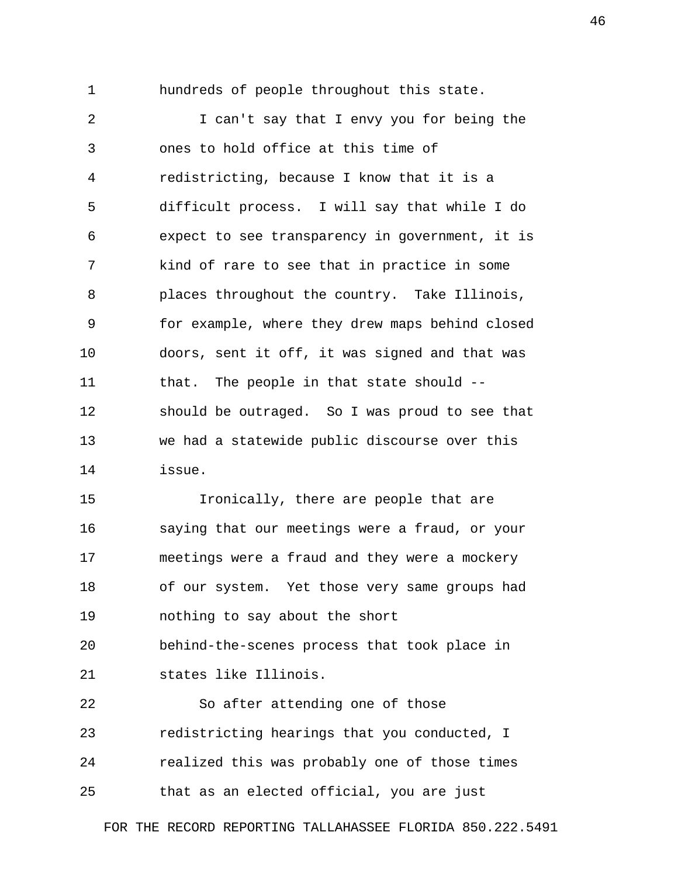1 hundreds of people throughout this state.

 2 I can't say that I envy you for being the 3 ones to hold office at this time of 4 redistricting, because I know that it is a 5 difficult process. I will say that while I do 6 expect to see transparency in government, it is 7 kind of rare to see that in practice in some 8 places throughout the country. Take Illinois, 9 for example, where they drew maps behind closed 10 doors, sent it off, it was signed and that was 11 that. The people in that state should --12 should be outraged. So I was proud to see that 13 we had a statewide public discourse over this 14 issue.

15 Ironically, there are people that are 16 saying that our meetings were a fraud, or your 17 meetings were a fraud and they were a mockery 18 of our system. Yet those very same groups had 19 nothing to say about the short 20 behind-the-scenes process that took place in 21 states like Illinois. 22 So after attending one of those 23 redistricting hearings that you conducted, I 24 realized this was probably one of those times

25 that as an elected official, you are just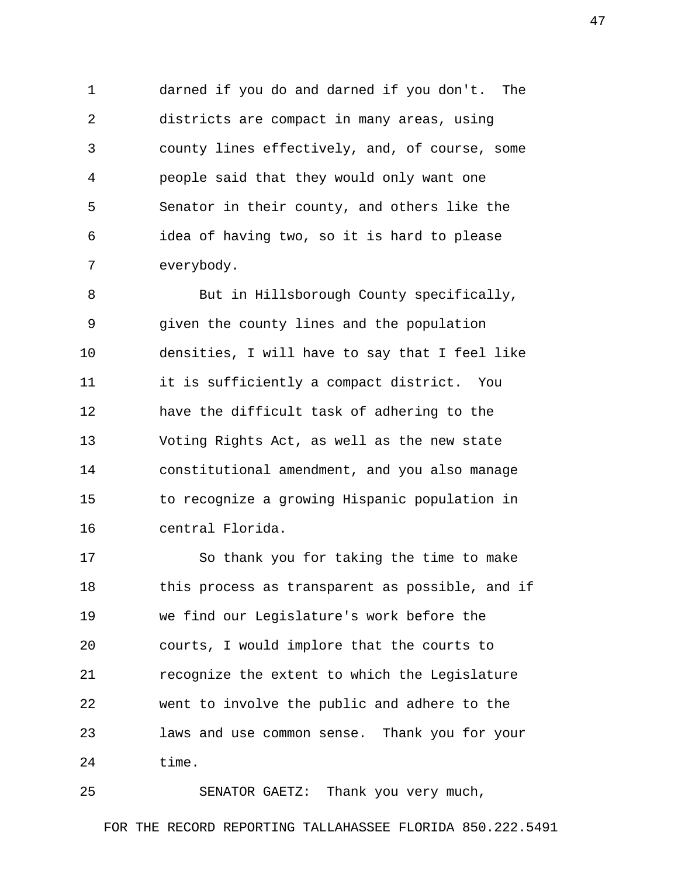1 darned if you do and darned if you don't. The 2 districts are compact in many areas, using 3 county lines effectively, and, of course, some 4 people said that they would only want one 5 Senator in their county, and others like the 6 idea of having two, so it is hard to please 7 everybody.

 8 But in Hillsborough County specifically, 9 given the county lines and the population 10 densities, I will have to say that I feel like 11 it is sufficiently a compact district. You 12 have the difficult task of adhering to the 13 Voting Rights Act, as well as the new state 14 constitutional amendment, and you also manage 15 to recognize a growing Hispanic population in 16 central Florida.

17 So thank you for taking the time to make 18 this process as transparent as possible, and if 19 we find our Legislature's work before the 20 courts, I would implore that the courts to 21 recognize the extent to which the Legislature 22 went to involve the public and adhere to the 23 laws and use common sense. Thank you for your 24 time.

25 SENATOR GAETZ: Thank you very much,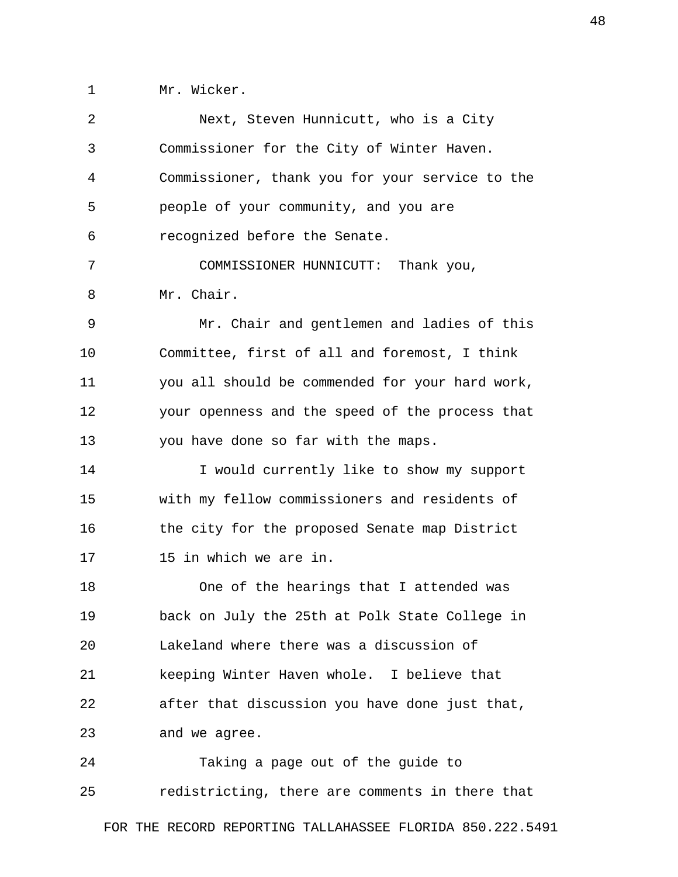1 Mr. Wicker.

| 2  | Next, Steven Hunnicutt, who is a City           |
|----|-------------------------------------------------|
| 3  | Commissioner for the City of Winter Haven.      |
| 4  | Commissioner, thank you for your service to the |
| 5  | people of your community, and you are           |
| 6  | recognized before the Senate.                   |
| 7  | COMMISSIONER HUNNICUTT: Thank you,              |
| 8  | Mr. Chair.                                      |
| 9  | Mr. Chair and gentlemen and ladies of this      |
| 10 | Committee, first of all and foremost, I think   |
| 11 | you all should be commended for your hard work, |
| 12 | your openness and the speed of the process that |
| 13 | you have done so far with the maps.             |
| 14 | I would currently like to show my support       |
| 15 | with my fellow commissioners and residents of   |
| 16 | the city for the proposed Senate map District   |
| 17 | 15 in which we are in.                          |
| 18 | One of the hearings that I attended was         |
| 19 | back on July the 25th at Polk State College in  |
| 20 | Lakeland where there was a discussion of        |
| 21 | keeping Winter Haven whole. I believe that      |
| 22 | after that discussion you have done just that,  |
| 23 | and we agree.                                   |
| 24 | Taking a page out of the guide to               |
| 25 | redistricting, there are comments in there that |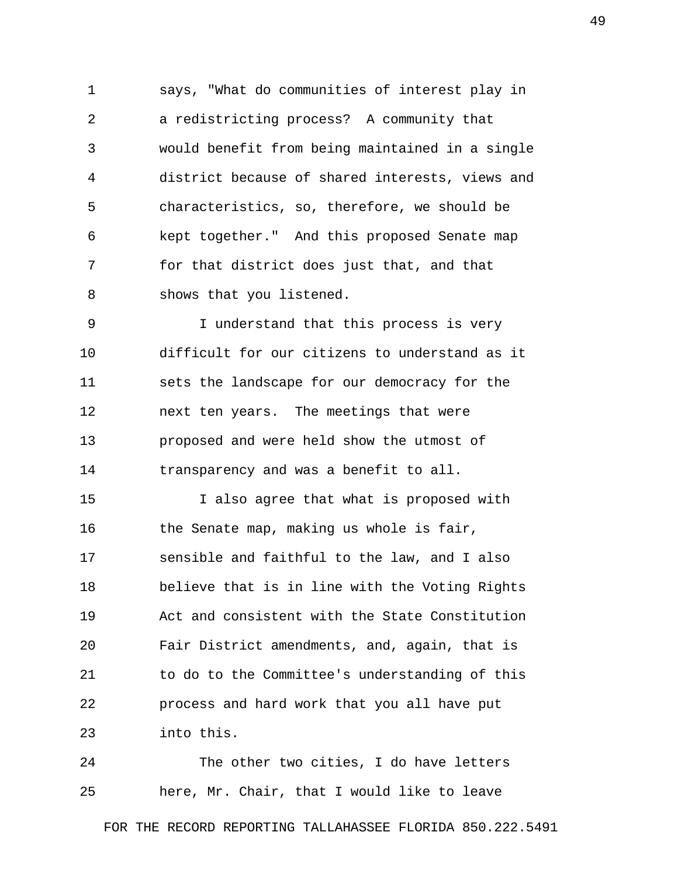1 says, "What do communities of interest play in 2 a redistricting process? A community that 3 would benefit from being maintained in a single 4 district because of shared interests, views and 5 characteristics, so, therefore, we should be 6 kept together." And this proposed Senate map 7 for that district does just that, and that 8 shows that you listened.

 9 I understand that this process is very 10 difficult for our citizens to understand as it 11 sets the landscape for our democracy for the 12 next ten years. The meetings that were 13 proposed and were held show the utmost of 14 transparency and was a benefit to all.

15 I also agree that what is proposed with 16 the Senate map, making us whole is fair, 17 sensible and faithful to the law, and I also 18 believe that is in line with the Voting Rights 19 Act and consistent with the State Constitution 20 Fair District amendments, and, again, that is 21 to do to the Committee's understanding of this 22 process and hard work that you all have put 23 into this.

24 The other two cities, I do have letters 25 here, Mr. Chair, that I would like to leave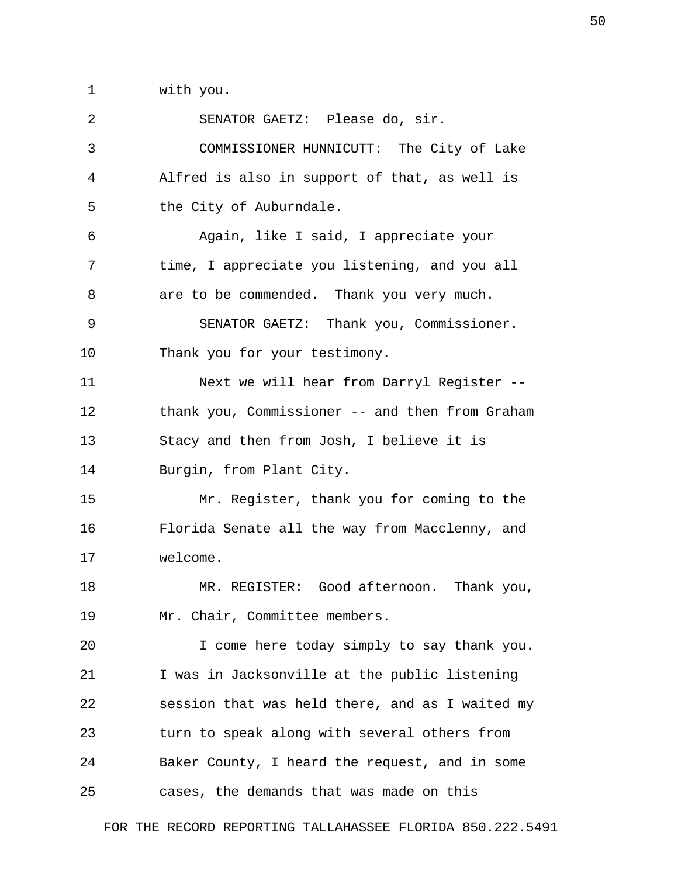1 with you.

| 2  | SENATOR GAETZ: Please do, sir.                  |
|----|-------------------------------------------------|
| 3  | COMMISSIONER HUNNICUTT: The City of Lake        |
| 4  | Alfred is also in support of that, as well is   |
| 5  | the City of Auburndale.                         |
| 6  | Again, like I said, I appreciate your           |
| 7  | time, I appreciate you listening, and you all   |
| 8  | are to be commended. Thank you very much.       |
| 9  | SENATOR GAETZ: Thank you, Commissioner.         |
| 10 | Thank you for your testimony.                   |
| 11 | Next we will hear from Darryl Register --       |
| 12 | thank you, Commissioner -- and then from Graham |
| 13 | Stacy and then from Josh, I believe it is       |
| 14 | Burgin, from Plant City.                        |
| 15 | Mr. Register, thank you for coming to the       |
| 16 | Florida Senate all the way from Macclenny, and  |
| 17 | welcome.                                        |
| 18 | MR. REGISTER: Good afternoon. Thank you,        |
| 19 | Mr. Chair, Committee members.                   |
| 20 | I come here today simply to say thank you.      |
| 21 | I was in Jacksonville at the public listening   |
| 22 | session that was held there, and as I waited my |
| 23 | turn to speak along with several others from    |
| 24 | Baker County, I heard the request, and in some  |
| 25 | cases, the demands that was made on this        |
|    |                                                 |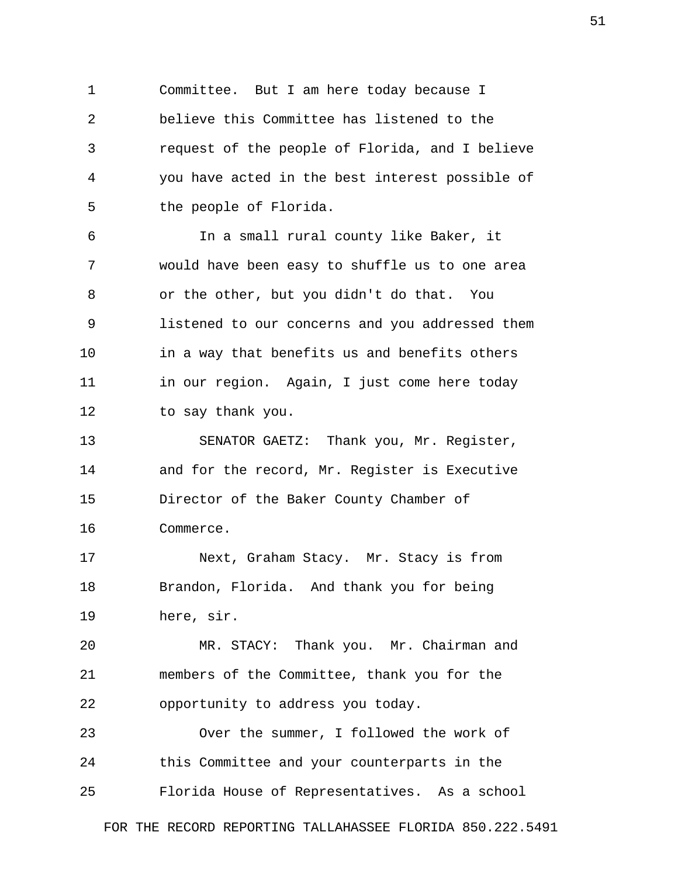1 Committee. But I am here today because I 2 believe this Committee has listened to the 3 request of the people of Florida, and I believe 4 you have acted in the best interest possible of 5 the people of Florida.

 6 In a small rural county like Baker, it 7 would have been easy to shuffle us to one area 8 or the other, but you didn't do that. You 9 listened to our concerns and you addressed them 10 in a way that benefits us and benefits others 11 in our region. Again, I just come here today 12 to say thank you.

13 SENATOR GAETZ: Thank you, Mr. Register, 14 and for the record, Mr. Register is Executive 15 Director of the Baker County Chamber of 16 Commerce.

17 Next, Graham Stacy. Mr. Stacy is from 18 Brandon, Florida. And thank you for being 19 here, sir.

20 MR. STACY: Thank you. Mr. Chairman and 21 members of the Committee, thank you for the 22 opportunity to address you today.

23 Over the summer, I followed the work of 24 this Committee and your counterparts in the 25 Florida House of Representatives. As a school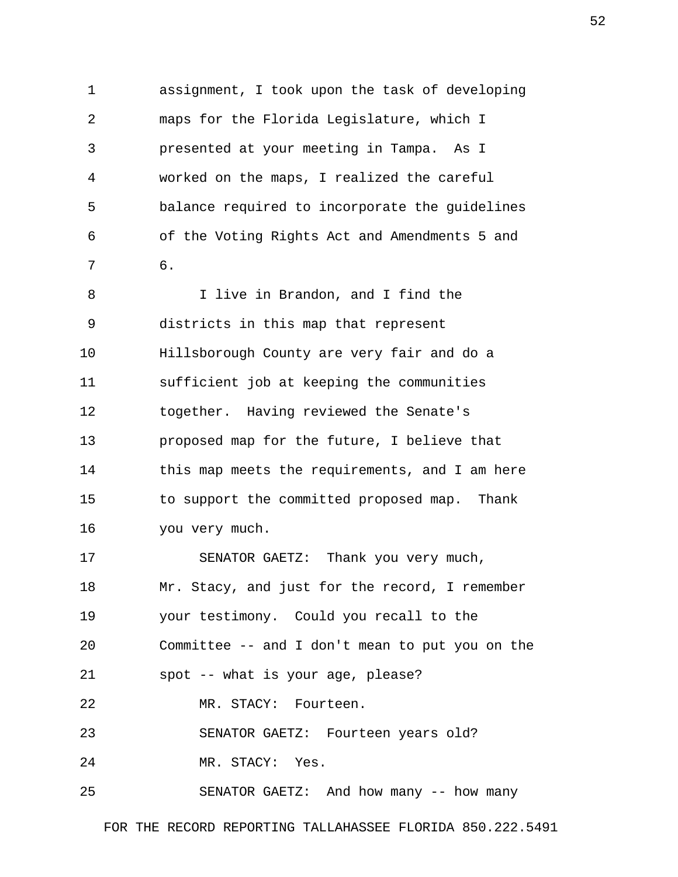1 assignment, I took upon the task of developing 2 maps for the Florida Legislature, which I 3 presented at your meeting in Tampa. As I 4 worked on the maps, I realized the careful 5 balance required to incorporate the guidelines 6 of the Voting Rights Act and Amendments 5 and 7 6. 8 I live in Brandon, and I find the

 9 districts in this map that represent 10 Hillsborough County are very fair and do a 11 sufficient job at keeping the communities 12 together. Having reviewed the Senate's 13 proposed map for the future, I believe that 14 this map meets the requirements, and I am here 15 to support the committed proposed map. Thank 16 you very much.

17 SENATOR GAETZ: Thank you very much, 18 Mr. Stacy, and just for the record, I remember 19 your testimony. Could you recall to the 20 Committee -- and I don't mean to put you on the 21 spot -- what is your age, please? 22 MR. STACY: Fourteen. 23 SENATOR GAETZ: Fourteen years old? 24 MR. STACY: Yes.

25 SENATOR GAETZ: And how many -- how many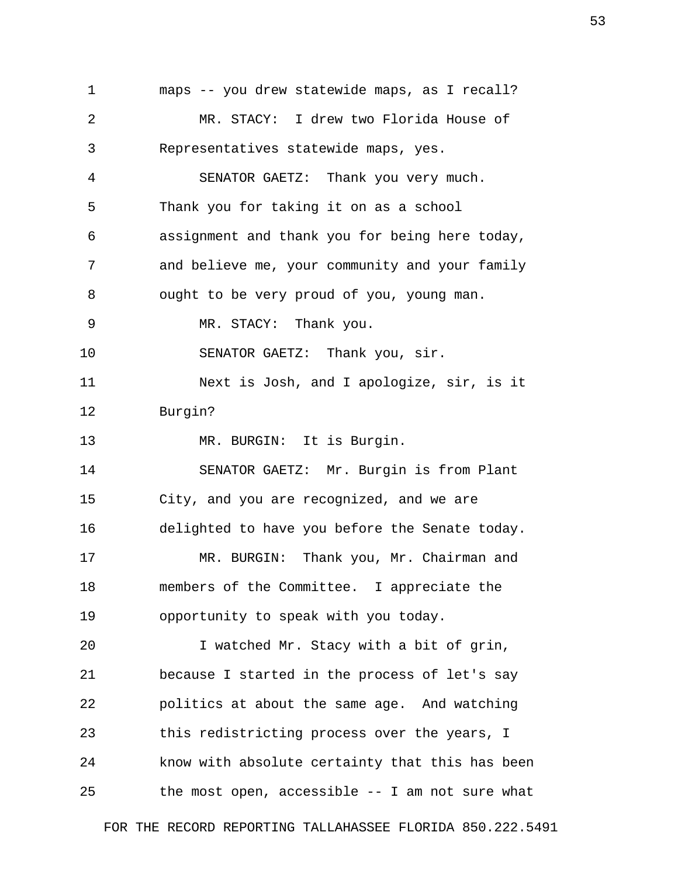1 maps -- you drew statewide maps, as I recall? 2 MR. STACY: I drew two Florida House of 3 Representatives statewide maps, yes. 4 SENATOR GAETZ: Thank you very much. 5 Thank you for taking it on as a school 6 assignment and thank you for being here today, 7 and believe me, your community and your family 8 ought to be very proud of you, young man. 9 MR. STACY: Thank you. 10 SENATOR GAETZ: Thank you, sir. 11 Next is Josh, and I apologize, sir, is it 12 Burgin? 13 MR. BURGIN: It is Burgin. 14 SENATOR GAETZ: Mr. Burgin is from Plant 15 City, and you are recognized, and we are 16 delighted to have you before the Senate today. 17 MR. BURGIN: Thank you, Mr. Chairman and 18 members of the Committee. I appreciate the 19 opportunity to speak with you today. 20 I watched Mr. Stacy with a bit of grin, 21 because I started in the process of let's say 22 politics at about the same age. And watching 23 this redistricting process over the years, I 24 know with absolute certainty that this has been 25 the most open, accessible -- I am not sure what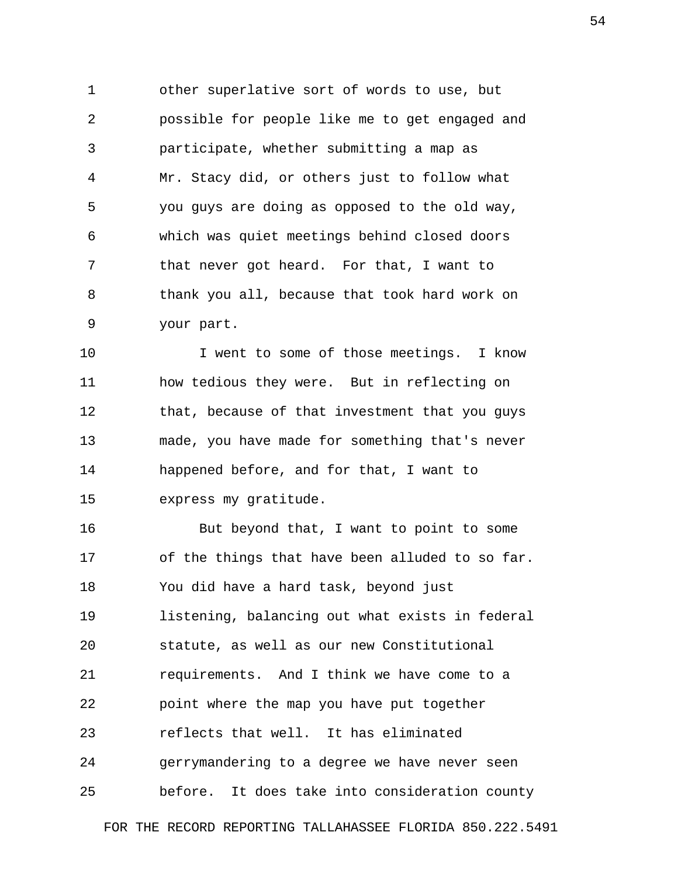1 other superlative sort of words to use, but 2 possible for people like me to get engaged and 3 participate, whether submitting a map as 4 Mr. Stacy did, or others just to follow what 5 you guys are doing as opposed to the old way, 6 which was quiet meetings behind closed doors 7 that never got heard. For that, I want to 8 thank you all, because that took hard work on 9 your part.

10 **I** went to some of those meetings. I know 11 how tedious they were. But in reflecting on 12 that, because of that investment that you quys 13 made, you have made for something that's never 14 happened before, and for that, I want to 15 express my gratitude.

16 But beyond that, I want to point to some 17 of the things that have been alluded to so far. 18 You did have a hard task, beyond just 19 listening, balancing out what exists in federal 20 statute, as well as our new Constitutional 21 requirements. And I think we have come to a 22 point where the map you have put together 23 reflects that well. It has eliminated 24 gerrymandering to a degree we have never seen 25 before. It does take into consideration county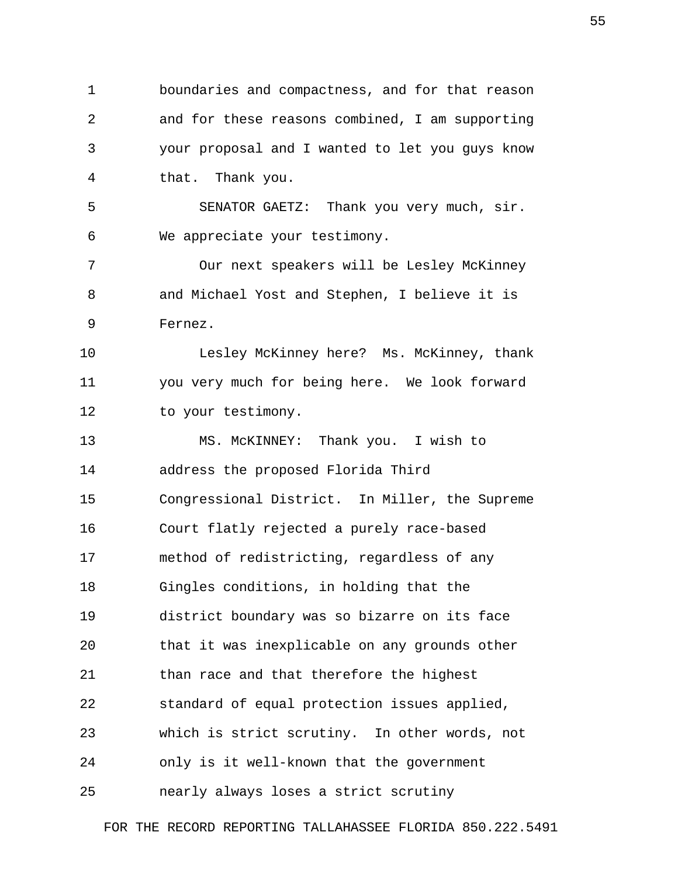1 boundaries and compactness, and for that reason 2 and for these reasons combined, I am supporting 3 your proposal and I wanted to let you guys know 4 that. Thank you.

 5 SENATOR GAETZ: Thank you very much, sir. 6 We appreciate your testimony.

 7 Our next speakers will be Lesley McKinney 8 and Michael Yost and Stephen, I believe it is 9 Fernez.

10 Lesley McKinney here? Ms. McKinney, thank 11 you very much for being here. We look forward 12 to your testimony.

13 MS. McKINNEY: Thank you. I wish to 14 address the proposed Florida Third 15 Congressional District. In Miller, the Supreme 16 Court flatly rejected a purely race-based 17 method of redistricting, regardless of any 18 Gingles conditions, in holding that the 19 district boundary was so bizarre on its face 20 that it was inexplicable on any grounds other 21 than race and that therefore the highest 22 standard of equal protection issues applied, 23 which is strict scrutiny. In other words, not 24 only is it well-known that the government 25 nearly always loses a strict scrutiny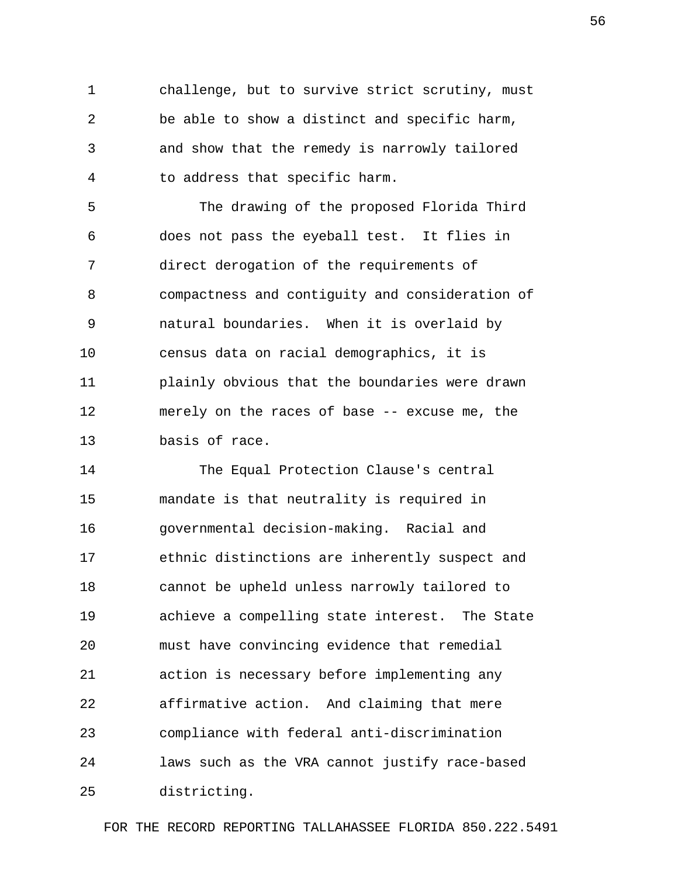1 challenge, but to survive strict scrutiny, must 2 be able to show a distinct and specific harm, 3 and show that the remedy is narrowly tailored 4 to address that specific harm.

 5 The drawing of the proposed Florida Third 6 does not pass the eyeball test. It flies in 7 direct derogation of the requirements of 8 compactness and contiguity and consideration of 9 natural boundaries. When it is overlaid by 10 census data on racial demographics, it is 11 plainly obvious that the boundaries were drawn 12 merely on the races of base -- excuse me, the 13 basis of race.

14 The Equal Protection Clause's central 15 mandate is that neutrality is required in 16 governmental decision-making. Racial and 17 ethnic distinctions are inherently suspect and 18 cannot be upheld unless narrowly tailored to 19 achieve a compelling state interest. The State 20 must have convincing evidence that remedial 21 action is necessary before implementing any 22 affirmative action. And claiming that mere 23 compliance with federal anti-discrimination 24 laws such as the VRA cannot justify race-based 25 districting.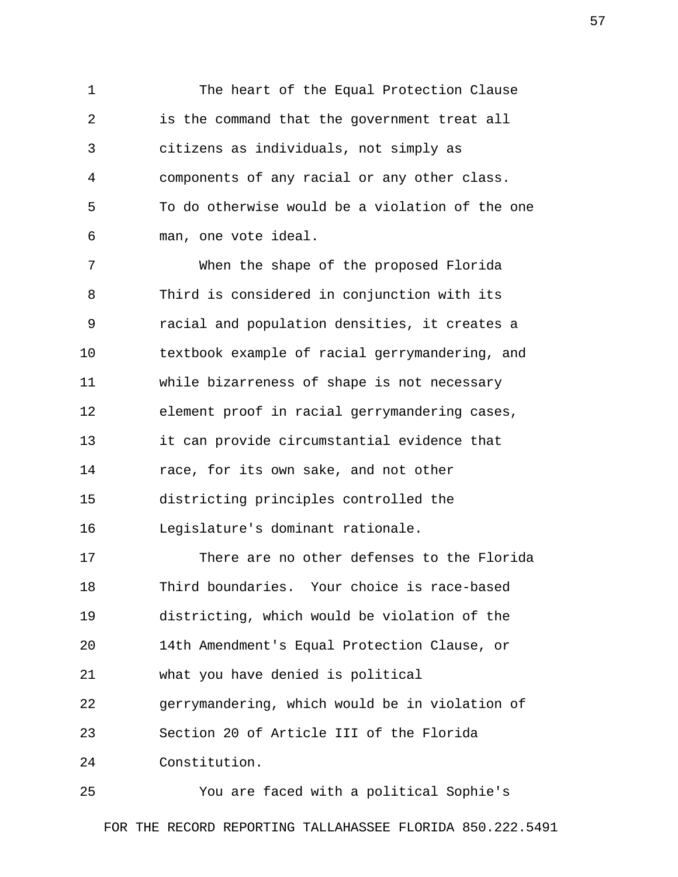1 The heart of the Equal Protection Clause 2 is the command that the government treat all 3 citizens as individuals, not simply as 4 components of any racial or any other class. 5 To do otherwise would be a violation of the one 6 man, one vote ideal.

 7 When the shape of the proposed Florida 8 Third is considered in conjunction with its 9 racial and population densities, it creates a 10 textbook example of racial gerrymandering, and 11 while bizarreness of shape is not necessary 12 element proof in racial gerrymandering cases, 13 it can provide circumstantial evidence that 14 race, for its own sake, and not other 15 districting principles controlled the 16 Legislature's dominant rationale.

17 There are no other defenses to the Florida 18 Third boundaries. Your choice is race-based 19 districting, which would be violation of the 20 14th Amendment's Equal Protection Clause, or 21 what you have denied is political 22 gerrymandering, which would be in violation of 23 Section 20 of Article III of the Florida 24 Constitution.

25 You are faced with a political Sophie's FOR THE RECORD REPORTING TALLAHASSEE FLORIDA 850.222.5491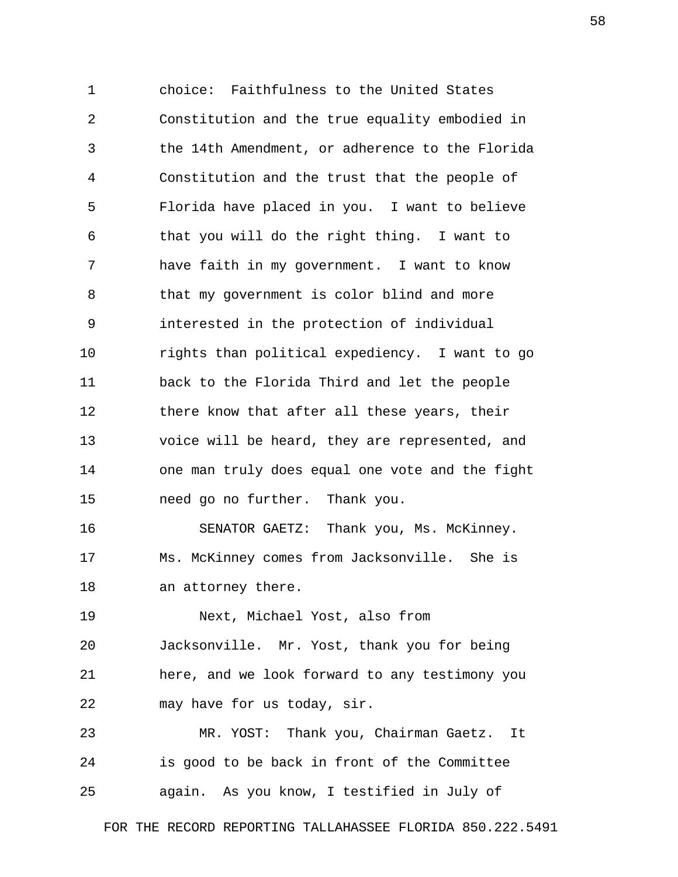1 choice: Faithfulness to the United States 2 Constitution and the true equality embodied in 3 the 14th Amendment, or adherence to the Florida 4 Constitution and the trust that the people of 5 Florida have placed in you. I want to believe 6 that you will do the right thing. I want to 7 have faith in my government. I want to know 8 that my government is color blind and more 9 interested in the protection of individual 10 rights than political expediency. I want to go 11 back to the Florida Third and let the people 12 there know that after all these years, their 13 voice will be heard, they are represented, and 14 one man truly does equal one vote and the fight 15 need go no further. Thank you. 16 SENATOR GAETZ: Thank you, Ms. McKinney.

17 Ms. McKinney comes from Jacksonville. She is 18 an attorney there.

19 Next, Michael Yost, also from 20 Jacksonville. Mr. Yost, thank you for being 21 here, and we look forward to any testimony you 22 may have for us today, sir.

23 MR. YOST: Thank you, Chairman Gaetz. It 24 is good to be back in front of the Committee 25 again. As you know, I testified in July of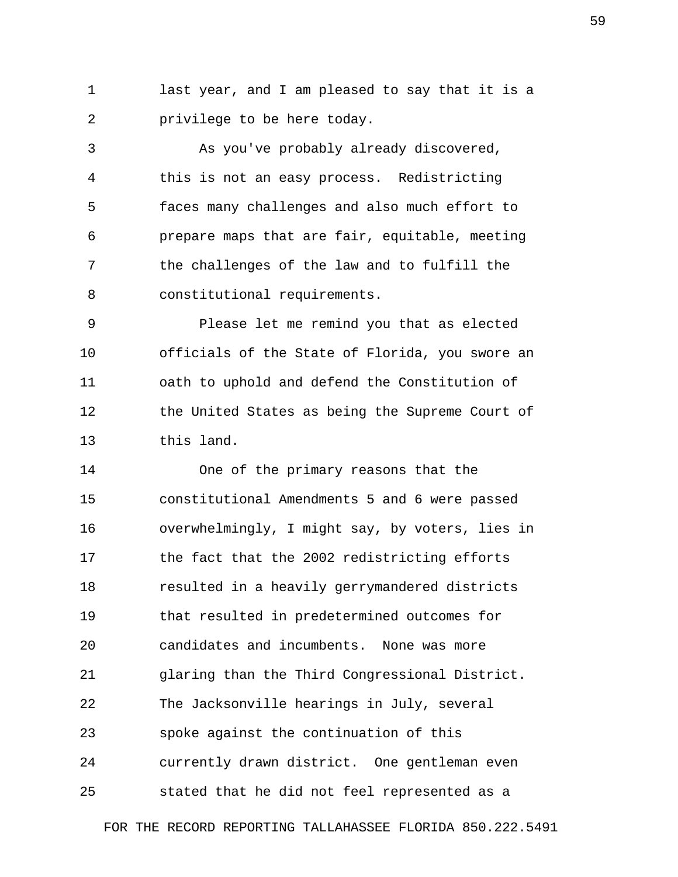1 last year, and I am pleased to say that it is a 2 privilege to be here today.

 3 As you've probably already discovered, 4 this is not an easy process. Redistricting 5 faces many challenges and also much effort to 6 prepare maps that are fair, equitable, meeting 7 the challenges of the law and to fulfill the 8 constitutional requirements.

 9 Please let me remind you that as elected 10 officials of the State of Florida, you swore an 11 oath to uphold and defend the Constitution of 12 the United States as being the Supreme Court of 13 this land.

14 One of the primary reasons that the 15 constitutional Amendments 5 and 6 were passed 16 overwhelmingly, I might say, by voters, lies in 17 the fact that the 2002 redistricting efforts 18 resulted in a heavily gerrymandered districts 19 that resulted in predetermined outcomes for 20 candidates and incumbents. None was more 21 glaring than the Third Congressional District. 22 The Jacksonville hearings in July, several 23 spoke against the continuation of this 24 currently drawn district. One gentleman even 25 stated that he did not feel represented as a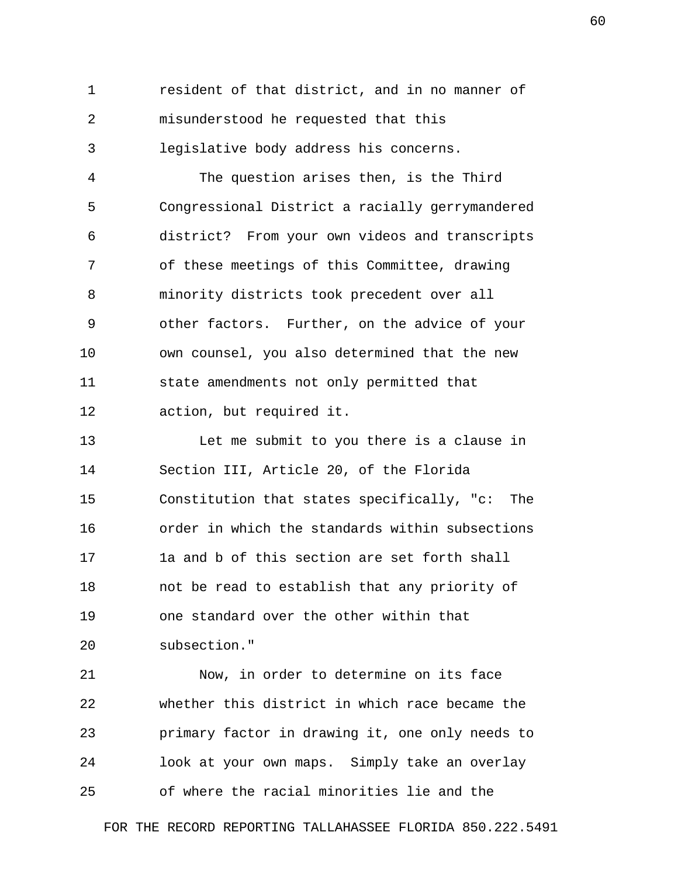1 resident of that district, and in no manner of 2 misunderstood he requested that this 3 legislative body address his concerns.

 4 The question arises then, is the Third 5 Congressional District a racially gerrymandered 6 district? From your own videos and transcripts 7 of these meetings of this Committee, drawing 8 minority districts took precedent over all 9 other factors. Further, on the advice of your 10 own counsel, you also determined that the new 11 state amendments not only permitted that 12 action, but required it.

13 Let me submit to you there is a clause in 14 Section III, Article 20, of the Florida 15 Constitution that states specifically, "c: The 16 order in which the standards within subsections 17 1a and b of this section are set forth shall 18 not be read to establish that any priority of 19 one standard over the other within that 20 subsection."

21 Now, in order to determine on its face 22 whether this district in which race became the 23 primary factor in drawing it, one only needs to 24 look at your own maps. Simply take an overlay 25 of where the racial minorities lie and the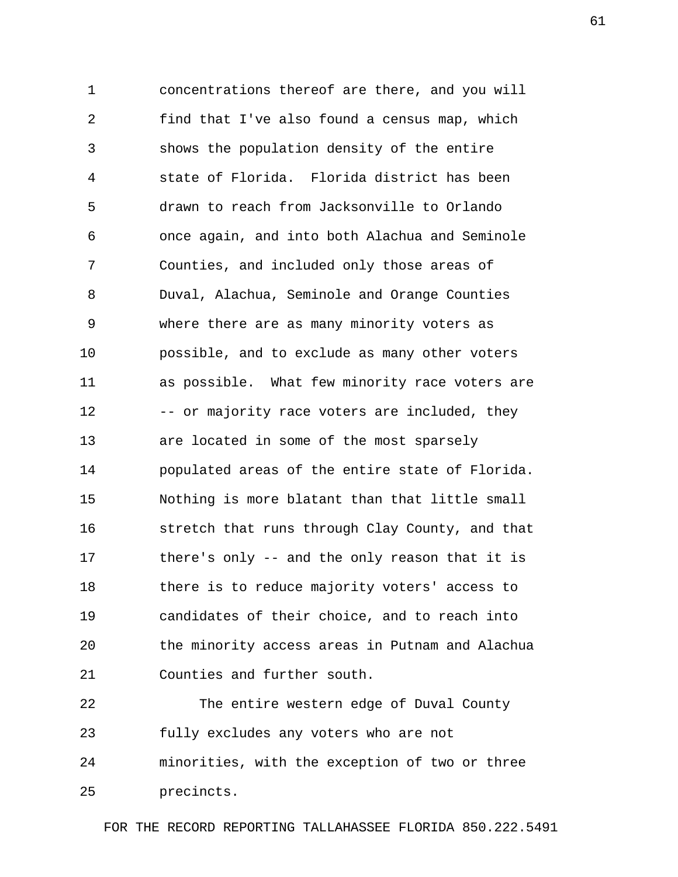1 concentrations thereof are there, and you will 2 find that I've also found a census map, which 3 shows the population density of the entire 4 state of Florida. Florida district has been 5 drawn to reach from Jacksonville to Orlando 6 once again, and into both Alachua and Seminole 7 Counties, and included only those areas of 8 Duval, Alachua, Seminole and Orange Counties 9 where there are as many minority voters as 10 possible, and to exclude as many other voters 11 as possible. What few minority race voters are 12 -- or majority race voters are included, they 13 are located in some of the most sparsely 14 populated areas of the entire state of Florida. 15 Nothing is more blatant than that little small 16 stretch that runs through Clay County, and that 17 there's only -- and the only reason that it is 18 there is to reduce majority voters' access to 19 candidates of their choice, and to reach into 20 the minority access areas in Putnam and Alachua 21 Counties and further south.

22 The entire western edge of Duval County 23 fully excludes any voters who are not 24 minorities, with the exception of two or three 25 precincts.

FOR THE RECORD REPORTING TALLAHASSEE FLORIDA 850.222.5491

61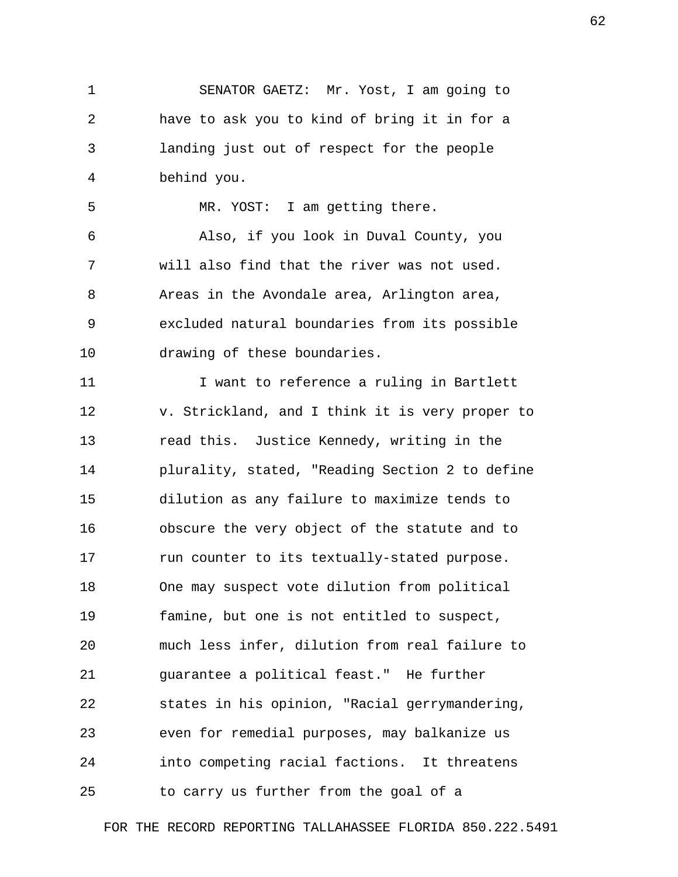1 SENATOR GAETZ: Mr. Yost, I am going to 2 have to ask you to kind of bring it in for a 3 landing just out of respect for the people 4 behind you.

5 MR. YOST: I am getting there.

 6 Also, if you look in Duval County, you 7 will also find that the river was not used. 8 Areas in the Avondale area, Arlington area, 9 excluded natural boundaries from its possible 10 drawing of these boundaries.

11 I want to reference a ruling in Bartlett 12 v. Strickland, and I think it is very proper to 13 read this. Justice Kennedy, writing in the 14 plurality, stated, "Reading Section 2 to define 15 dilution as any failure to maximize tends to 16 obscure the very object of the statute and to 17 run counter to its textually-stated purpose. 18 One may suspect vote dilution from political 19 famine, but one is not entitled to suspect, 20 much less infer, dilution from real failure to 21 guarantee a political feast." He further 22 states in his opinion, "Racial gerrymandering, 23 even for remedial purposes, may balkanize us 24 into competing racial factions. It threatens 25 to carry us further from the goal of a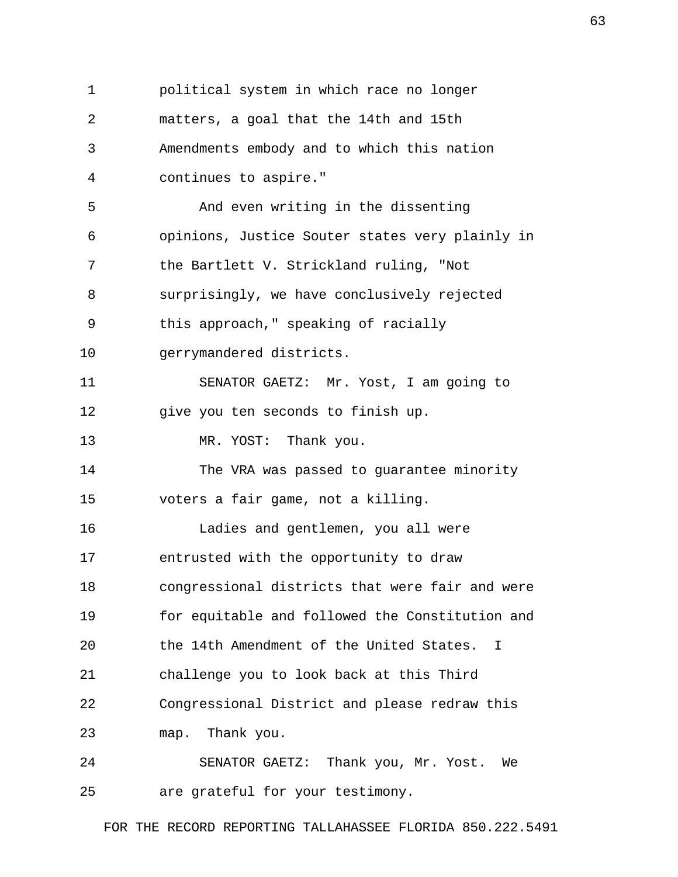1 political system in which race no longer 2 matters, a goal that the 14th and 15th 3 Amendments embody and to which this nation 4 continues to aspire." 5 And even writing in the dissenting 6 opinions, Justice Souter states very plainly in 7 the Bartlett V. Strickland ruling, "Not 8 surprisingly, we have conclusively rejected 9 this approach," speaking of racially 10 gerrymandered districts. 11 SENATOR GAETZ: Mr. Yost, I am going to 12 give you ten seconds to finish up. 13 MR. YOST: Thank you. 14 The VRA was passed to guarantee minority 15 voters a fair game, not a killing. 16 Ladies and gentlemen, you all were 17 entrusted with the opportunity to draw 18 congressional districts that were fair and were 19 for equitable and followed the Constitution and 20 the 14th Amendment of the United States. I 21 challenge you to look back at this Third 22 Congressional District and please redraw this 23 map. Thank you. 24 SENATOR GAETZ: Thank you, Mr. Yost. We 25 are grateful for your testimony.

FOR THE RECORD REPORTING TALLAHASSEE FLORIDA 850.222.5491

63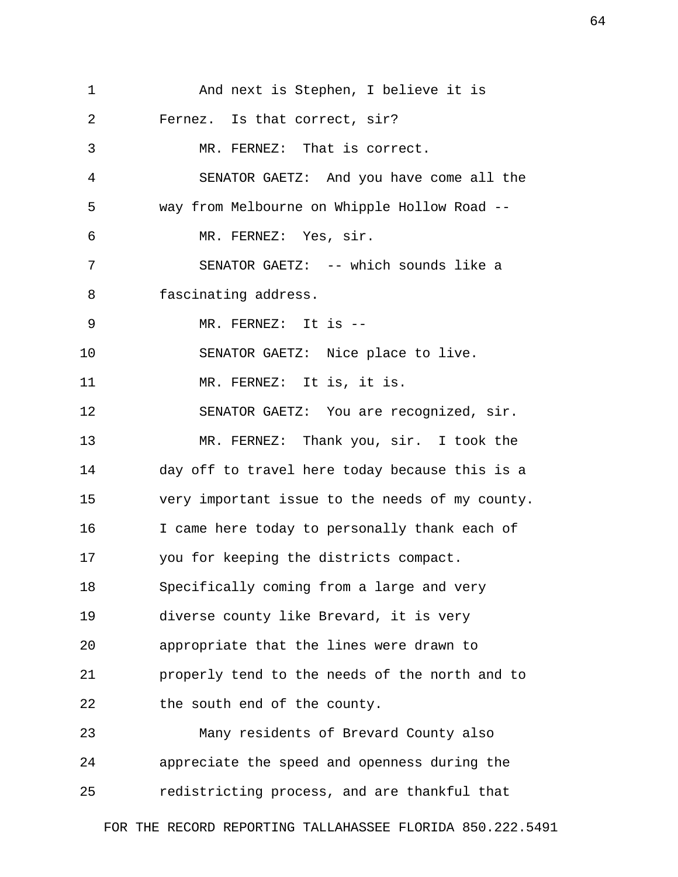| 1  | And next is Stephen, I believe it is            |
|----|-------------------------------------------------|
| 2  | Fernez. Is that correct, sir?                   |
| 3  | MR. FERNEZ: That is correct.                    |
| 4  | SENATOR GAETZ: And you have come all the        |
| 5  | way from Melbourne on Whipple Hollow Road --    |
| 6  | MR. FERNEZ: Yes, sir.                           |
| 7  | SENATOR GAETZ: -- which sounds like a           |
| 8  | fascinating address.                            |
| 9  | MR. FERNEZ: It is --                            |
| 10 | SENATOR GAETZ: Nice place to live.              |
| 11 | MR. FERNEZ: It is, it is.                       |
| 12 | SENATOR GAETZ: You are recognized, sir.         |
| 13 | MR. FERNEZ: Thank you, sir. I took the          |
| 14 | day off to travel here today because this is a  |
| 15 | very important issue to the needs of my county. |
| 16 | I came here today to personally thank each of   |
| 17 | you for keeping the districts compact.          |
| 18 | Specifically coming from a large and very       |
| 19 | diverse county like Brevard, it is very         |
| 20 | appropriate that the lines were drawn to        |
| 21 | properly tend to the needs of the north and to  |
| 22 | the south end of the county.                    |
| 23 | Many residents of Brevard County also           |
| 24 | appreciate the speed and openness during the    |
| 25 | redistricting process, and are thankful that    |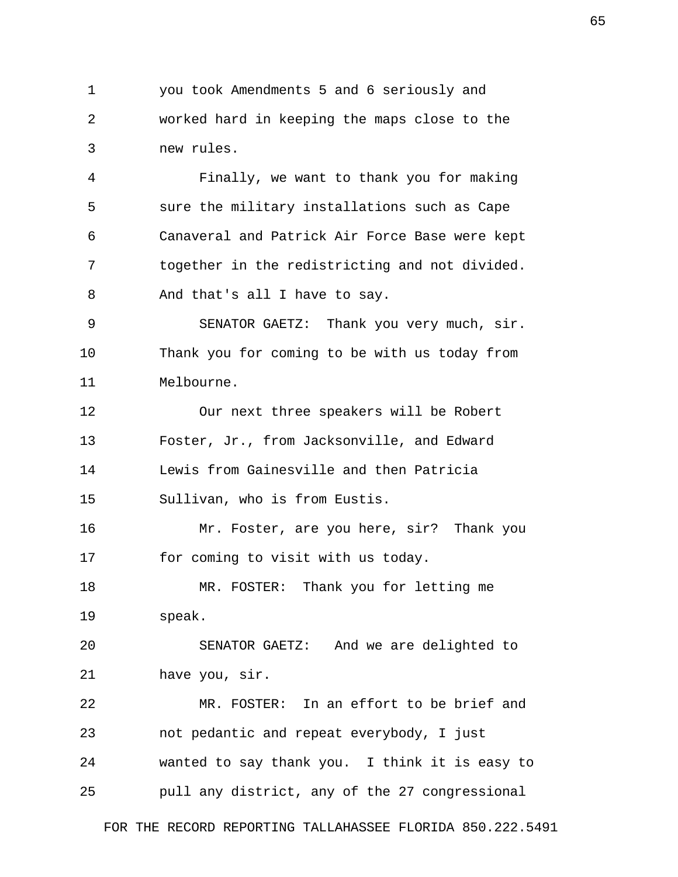1 you took Amendments 5 and 6 seriously and 2 worked hard in keeping the maps close to the 3 new rules.

 4 Finally, we want to thank you for making 5 sure the military installations such as Cape 6 Canaveral and Patrick Air Force Base were kept 7 together in the redistricting and not divided. 8 And that's all I have to say.

 9 SENATOR GAETZ: Thank you very much, sir. 10 Thank you for coming to be with us today from 11 Melbourne.

12 Our next three speakers will be Robert 13 Foster, Jr., from Jacksonville, and Edward 14 Lewis from Gainesville and then Patricia 15 Sullivan, who is from Eustis.

16 Mr. Foster, are you here, sir? Thank you 17 for coming to visit with us today.

18 MR. FOSTER: Thank you for letting me 19 speak.

20 SENATOR GAETZ: And we are delighted to 21 have you, sir.

22 MR. FOSTER: In an effort to be brief and 23 not pedantic and repeat everybody, I just 24 wanted to say thank you. I think it is easy to 25 pull any district, any of the 27 congressional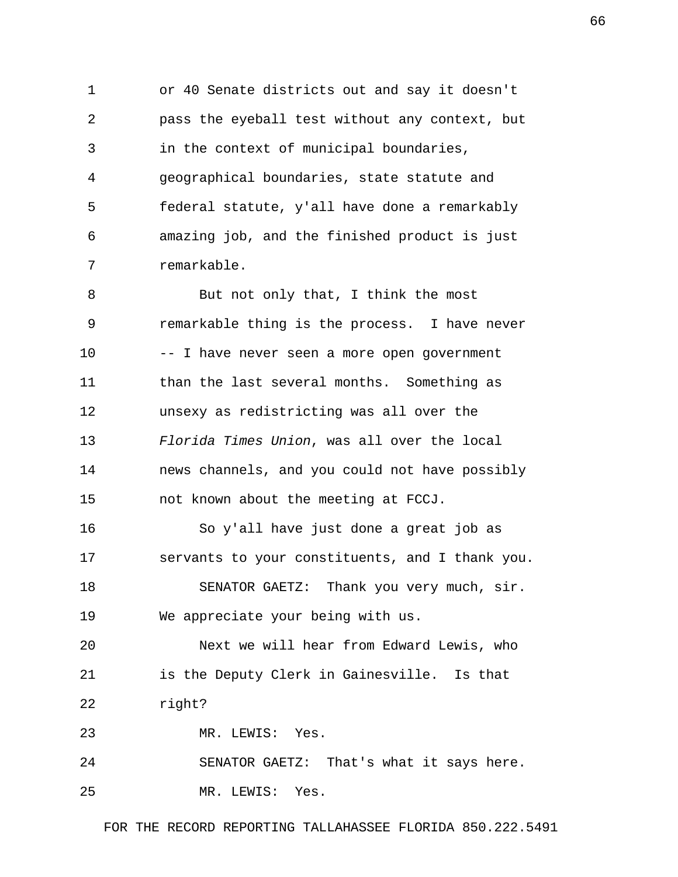1 or 40 Senate districts out and say it doesn't 2 pass the eyeball test without any context, but 3 in the context of municipal boundaries, 4 geographical boundaries, state statute and 5 federal statute, y'all have done a remarkably 6 amazing job, and the finished product is just 7 remarkable.

 8 But not only that, I think the most 9 remarkable thing is the process. I have never 10 -- I have never seen a more open government 11 than the last several months. Something as 12 unsexy as redistricting was all over the 13 *Florida Times Union*, was all over the local 14 news channels, and you could not have possibly 15 not known about the meeting at FCCJ.

16 So y'all have just done a great job as 17 servants to your constituents, and I thank you. 18 SENATOR GAETZ: Thank you very much, sir.

19 We appreciate your being with us.

20 Next we will hear from Edward Lewis, who 21 is the Deputy Clerk in Gainesville. Is that 22 right?

23 MR. LEWIS: Yes.

24 SENATOR GAETZ: That's what it says here. 25 MR. LEWIS: Yes.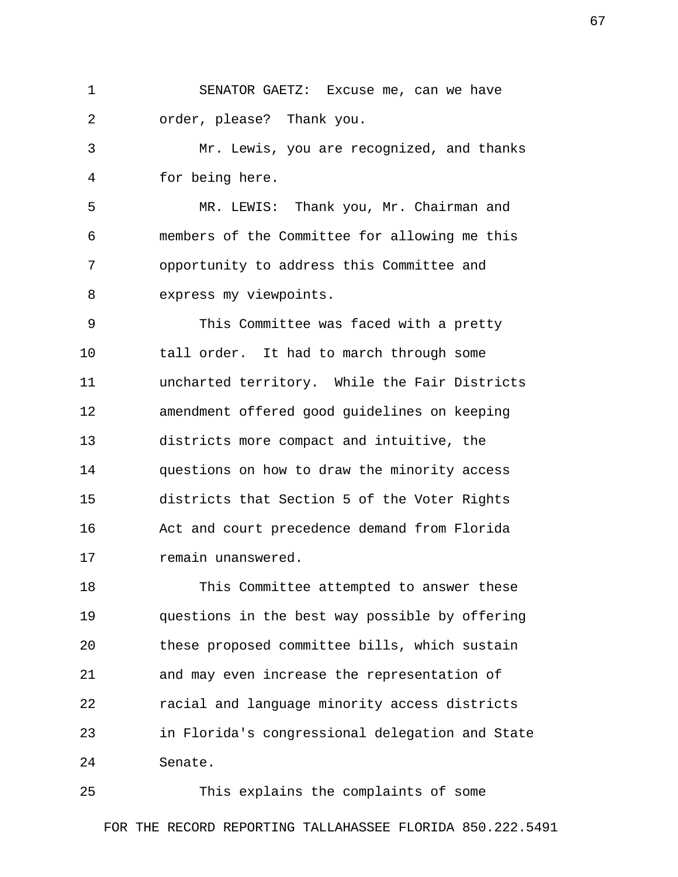1 SENATOR GAETZ: Excuse me, can we have 2 order, please? Thank you.

 3 Mr. Lewis, you are recognized, and thanks 4 for being here.

 5 MR. LEWIS: Thank you, Mr. Chairman and 6 members of the Committee for allowing me this 7 opportunity to address this Committee and 8 express my viewpoints.

 9 This Committee was faced with a pretty 10 tall order. It had to march through some 11 uncharted territory. While the Fair Districts 12 amendment offered good guidelines on keeping 13 districts more compact and intuitive, the 14 questions on how to draw the minority access 15 districts that Section 5 of the Voter Rights 16 Act and court precedence demand from Florida 17 remain unanswered.

18 This Committee attempted to answer these 19 questions in the best way possible by offering 20 these proposed committee bills, which sustain 21 and may even increase the representation of 22 racial and language minority access districts 23 in Florida's congressional delegation and State 24 Senate.

25 This explains the complaints of some FOR THE RECORD REPORTING TALLAHASSEE FLORIDA 850.222.5491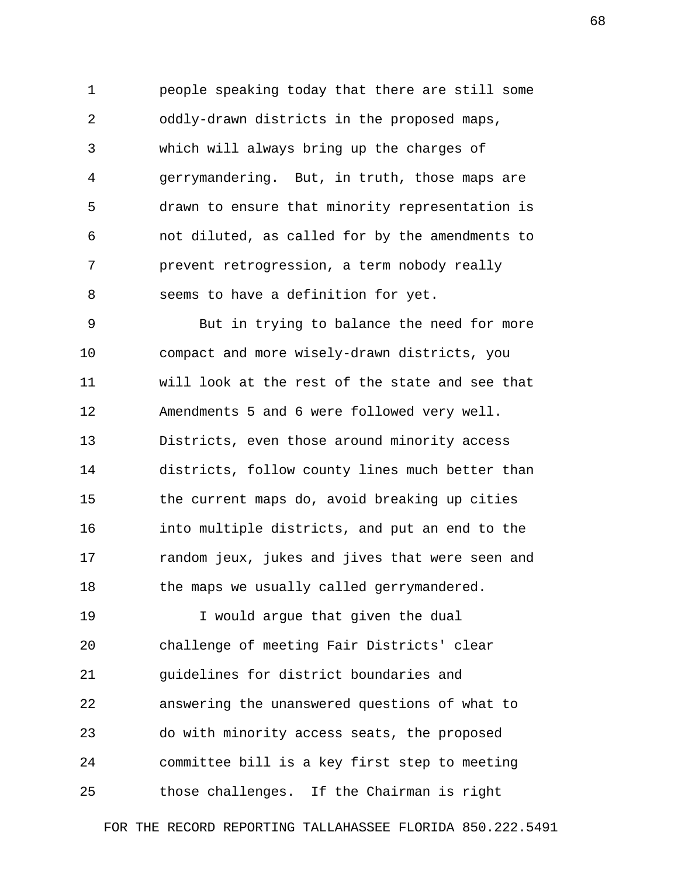1 people speaking today that there are still some 2 oddly-drawn districts in the proposed maps, 3 which will always bring up the charges of 4 gerrymandering. But, in truth, those maps are 5 drawn to ensure that minority representation is 6 not diluted, as called for by the amendments to 7 prevent retrogression, a term nobody really 8 seems to have a definition for yet.

 9 But in trying to balance the need for more 10 compact and more wisely-drawn districts, you 11 will look at the rest of the state and see that 12 Amendments 5 and 6 were followed very well. 13 Districts, even those around minority access 14 districts, follow county lines much better than 15 the current maps do, avoid breaking up cities 16 into multiple districts, and put an end to the 17 random jeux, jukes and jives that were seen and 18 the maps we usually called gerrymandered.

19 I would arque that given the dual 20 challenge of meeting Fair Districts' clear 21 guidelines for district boundaries and 22 answering the unanswered questions of what to 23 do with minority access seats, the proposed 24 committee bill is a key first step to meeting 25 those challenges. If the Chairman is right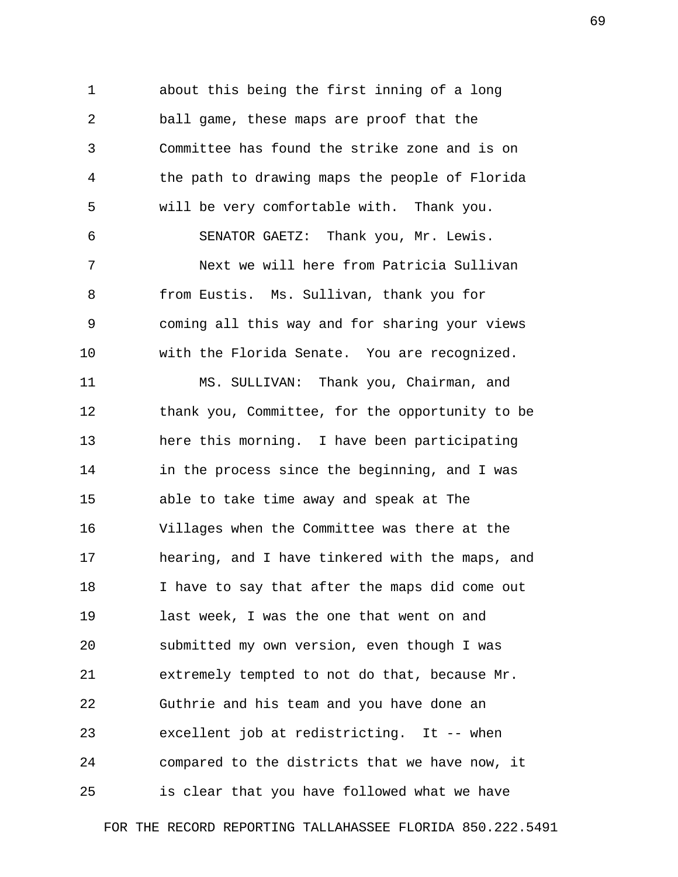1 about this being the first inning of a long 2 ball game, these maps are proof that the 3 Committee has found the strike zone and is on 4 the path to drawing maps the people of Florida 5 will be very comfortable with. Thank you. 6 SENATOR GAETZ: Thank you, Mr. Lewis. 7 Next we will here from Patricia Sullivan 8 from Eustis. Ms. Sullivan, thank you for 9 coming all this way and for sharing your views 10 with the Florida Senate. You are recognized. 11 MS. SULLIVAN: Thank you, Chairman, and 12 thank you, Committee, for the opportunity to be 13 here this morning. I have been participating 14 in the process since the beginning, and I was

15 able to take time away and speak at The 16 Villages when the Committee was there at the 17 hearing, and I have tinkered with the maps, and 18 I have to say that after the maps did come out 19 last week, I was the one that went on and 20 submitted my own version, even though I was 21 extremely tempted to not do that, because Mr. 22 Guthrie and his team and you have done an 23 excellent job at redistricting. It -- when 24 compared to the districts that we have now, it 25 is clear that you have followed what we have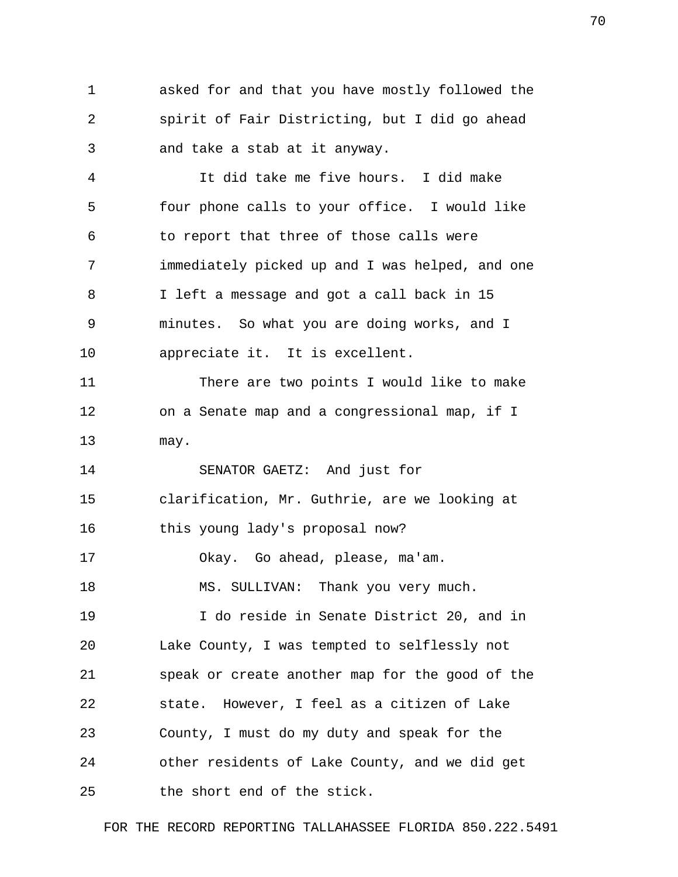1 asked for and that you have mostly followed the 2 spirit of Fair Districting, but I did go ahead 3 and take a stab at it anyway.

 4 It did take me five hours. I did make 5 four phone calls to your office. I would like 6 to report that three of those calls were 7 immediately picked up and I was helped, and one 8 I left a message and got a call back in 15 9 minutes. So what you are doing works, and I 10 appreciate it. It is excellent.

11 There are two points I would like to make 12 on a Senate map and a congressional map, if I 13 may.

14 SENATOR GAETZ: And just for 15 clarification, Mr. Guthrie, are we looking at

16 this young lady's proposal now?

17 Okay. Go ahead, please, ma'am.

18 MS. SULLIVAN: Thank you very much.

19 I do reside in Senate District 20, and in 20 Lake County, I was tempted to selflessly not 21 speak or create another map for the good of the 22 state. However, I feel as a citizen of Lake 23 County, I must do my duty and speak for the 24 other residents of Lake County, and we did get 25 the short end of the stick.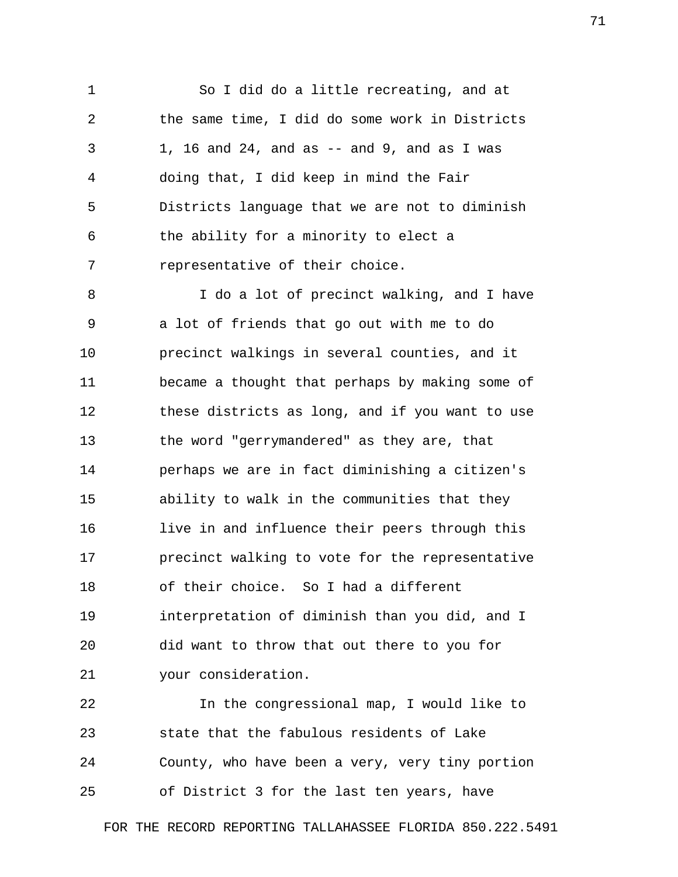1 So I did do a little recreating, and at 2 the same time, I did do some work in Districts 3 1, 16 and 24, and as -- and 9, and as I was 4 doing that, I did keep in mind the Fair 5 Districts language that we are not to diminish 6 the ability for a minority to elect a 7 representative of their choice.

 8 I do a lot of precinct walking, and I have 9 a lot of friends that go out with me to do 10 precinct walkings in several counties, and it 11 became a thought that perhaps by making some of 12 these districts as long, and if you want to use 13 the word "gerrymandered" as they are, that 14 perhaps we are in fact diminishing a citizen's 15 ability to walk in the communities that they 16 live in and influence their peers through this 17 precinct walking to vote for the representative 18 of their choice. So I had a different 19 interpretation of diminish than you did, and I 20 did want to throw that out there to you for 21 your consideration.

22 In the congressional map, I would like to 23 state that the fabulous residents of Lake 24 County, who have been a very, very tiny portion 25 of District 3 for the last ten years, have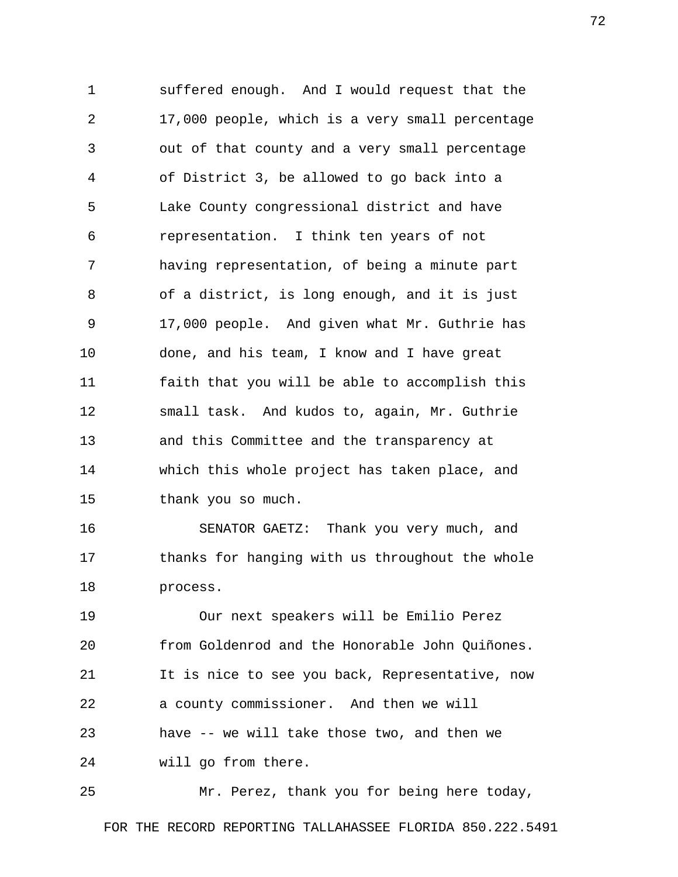1 suffered enough. And I would request that the 2 17,000 people, which is a very small percentage 3 out of that county and a very small percentage 4 of District 3, be allowed to go back into a 5 Lake County congressional district and have 6 representation. I think ten years of not 7 having representation, of being a minute part 8 of a district, is long enough, and it is just 9 17,000 people. And given what Mr. Guthrie has 10 done, and his team, I know and I have great 11 faith that you will be able to accomplish this 12 small task. And kudos to, again, Mr. Guthrie 13 and this Committee and the transparency at 14 which this whole project has taken place, and 15 thank you so much.

16 SENATOR GAETZ: Thank you very much, and 17 thanks for hanging with us throughout the whole 18 process.

19 Our next speakers will be Emilio Perez 20 from Goldenrod and the Honorable John Quiñones. 21 It is nice to see you back, Representative, now 22 a county commissioner. And then we will 23 have -- we will take those two, and then we 24 will go from there.

25 Mr. Perez, thank you for being here today,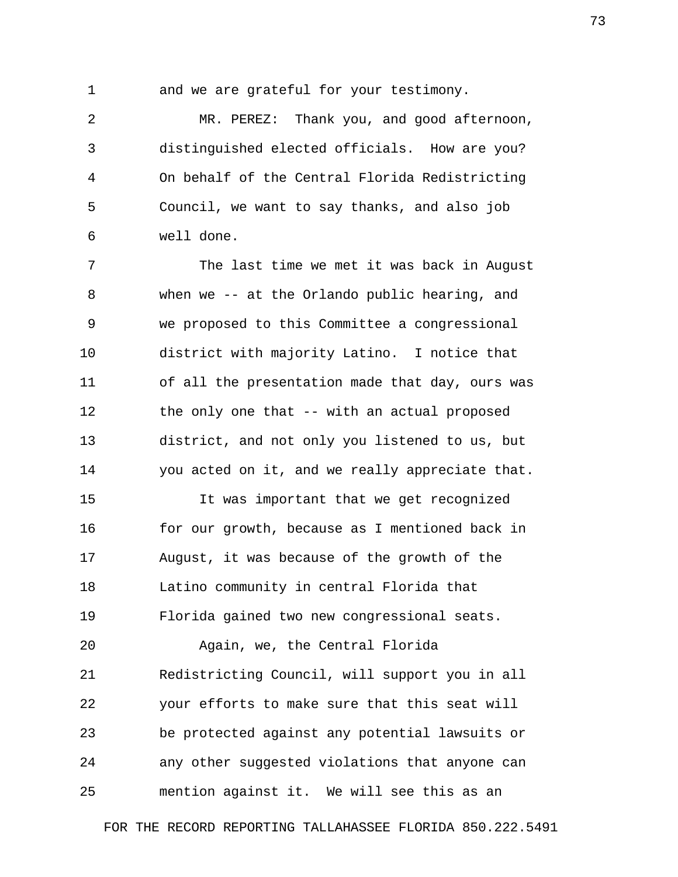1 and we are grateful for your testimony.

 2 MR. PEREZ: Thank you, and good afternoon, 3 distinguished elected officials. How are you? 4 On behalf of the Central Florida Redistricting 5 Council, we want to say thanks, and also job 6 well done.

 7 The last time we met it was back in August 8 when we -- at the Orlando public hearing, and 9 we proposed to this Committee a congressional 10 district with majority Latino. I notice that 11 of all the presentation made that day, ours was 12 the only one that -- with an actual proposed 13 district, and not only you listened to us, but 14 you acted on it, and we really appreciate that.

15 It was important that we get recognized 16 for our growth, because as I mentioned back in 17 August, it was because of the growth of the 18 Latino community in central Florida that 19 Florida gained two new congressional seats.

20 Again, we, the Central Florida 21 Redistricting Council, will support you in all 22 your efforts to make sure that this seat will 23 be protected against any potential lawsuits or 24 any other suggested violations that anyone can 25 mention against it. We will see this as an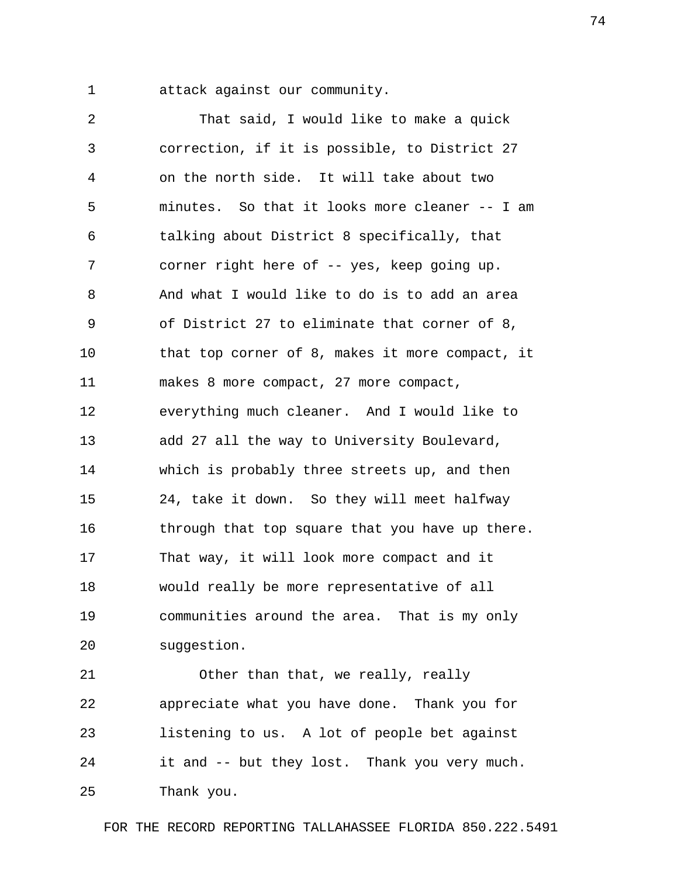1 attack against our community.

 2 That said, I would like to make a quick 3 correction, if it is possible, to District 27 4 on the north side. It will take about two 5 minutes. So that it looks more cleaner -- I am 6 talking about District 8 specifically, that 7 corner right here of -- yes, keep going up. 8 And what I would like to do is to add an area 9 of District 27 to eliminate that corner of 8, 10 that top corner of 8, makes it more compact, it 11 makes 8 more compact, 27 more compact, 12 everything much cleaner. And I would like to 13 add 27 all the way to University Boulevard, 14 which is probably three streets up, and then 15 24, take it down. So they will meet halfway 16 through that top square that you have up there. 17 That way, it will look more compact and it 18 would really be more representative of all 19 communities around the area. That is my only 20 suggestion.

21 Other than that, we really, really 22 appreciate what you have done. Thank you for 23 listening to us. A lot of people bet against 24 it and -- but they lost. Thank you very much. 25 Thank you.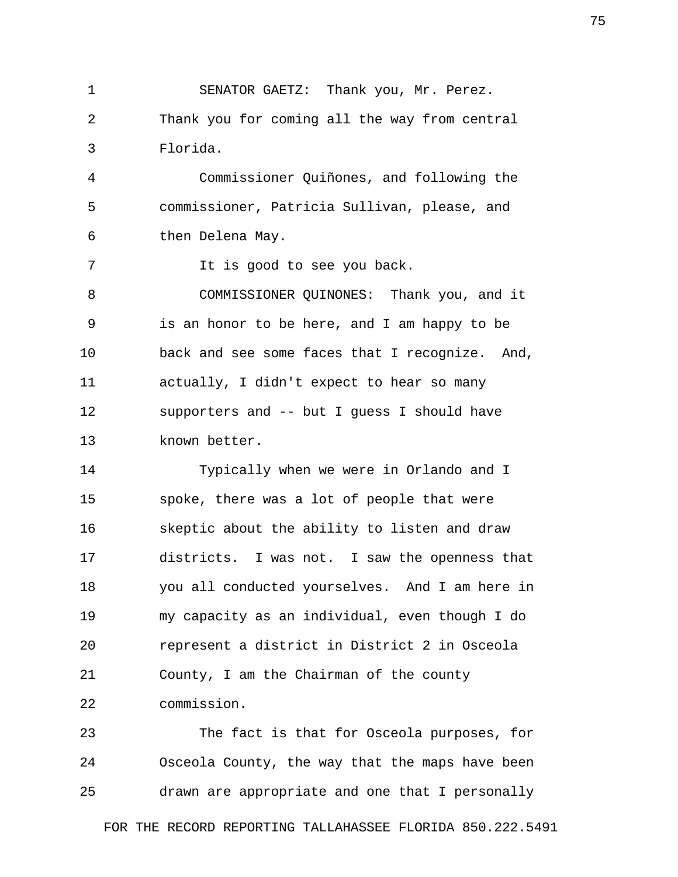1 SENATOR GAETZ: Thank you, Mr. Perez. 2 Thank you for coming all the way from central 3 Florida.

 4 Commissioner Quiñones, and following the 5 commissioner, Patricia Sullivan, please, and 6 then Delena May.

7 The is good to see you back.

 8 COMMISSIONER QUINONES: Thank you, and it 9 is an honor to be here, and I am happy to be 10 back and see some faces that I recognize. And, 11 actually, I didn't expect to hear so many 12 supporters and -- but I guess I should have 13 known better.

14 Typically when we were in Orlando and I 15 spoke, there was a lot of people that were 16 skeptic about the ability to listen and draw 17 districts. I was not. I saw the openness that 18 you all conducted yourselves. And I am here in 19 my capacity as an individual, even though I do 20 represent a district in District 2 in Osceola 21 County, I am the Chairman of the county 22 commission.

23 The fact is that for Osceola purposes, for 24 Osceola County, the way that the maps have been 25 drawn are appropriate and one that I personally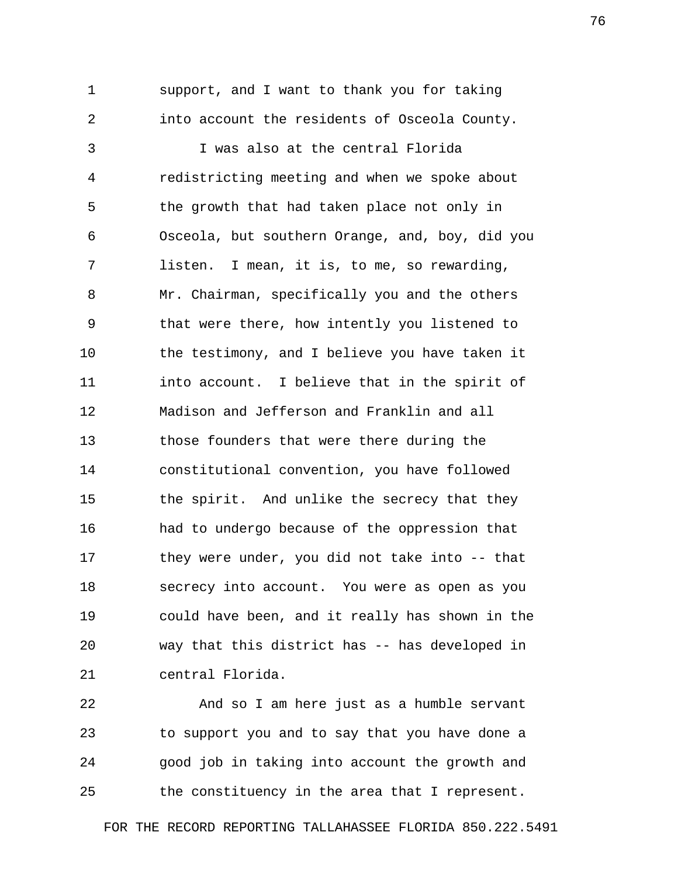1 support, and I want to thank you for taking 2 into account the residents of Osceola County.

 3 I was also at the central Florida 4 redistricting meeting and when we spoke about 5 the growth that had taken place not only in 6 Osceola, but southern Orange, and, boy, did you 7 listen. I mean, it is, to me, so rewarding, 8 Mr. Chairman, specifically you and the others 9 that were there, how intently you listened to 10 the testimony, and I believe you have taken it 11 into account. I believe that in the spirit of 12 Madison and Jefferson and Franklin and all 13 those founders that were there during the 14 constitutional convention, you have followed 15 the spirit. And unlike the secrecy that they 16 had to undergo because of the oppression that 17 they were under, you did not take into -- that 18 secrecy into account. You were as open as you 19 could have been, and it really has shown in the 20 way that this district has -- has developed in 21 central Florida.

22 And so I am here just as a humble servant 23 to support you and to say that you have done a 24 good job in taking into account the growth and 25 the constituency in the area that I represent.

FOR THE RECORD REPORTING TALLAHASSEE FLORIDA 850.222.5491

76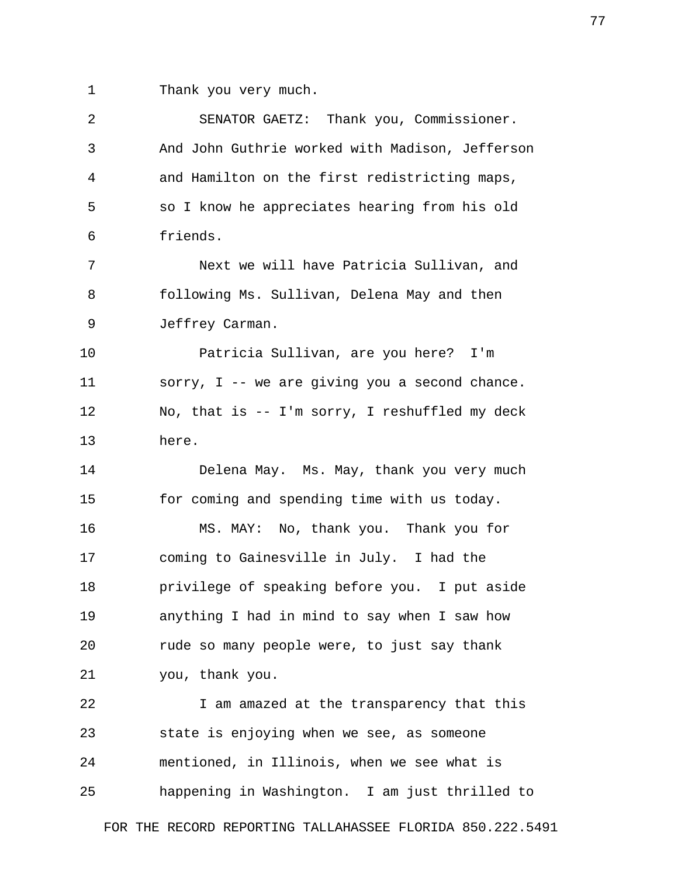1 Thank you very much.

| 2  | SENATOR GAETZ: Thank you, Commissioner.         |
|----|-------------------------------------------------|
| 3  | And John Guthrie worked with Madison, Jefferson |
| 4  | and Hamilton on the first redistricting maps,   |
| 5  | so I know he appreciates hearing from his old   |
| 6  | friends.                                        |
| 7  | Next we will have Patricia Sullivan, and        |
| 8  | following Ms. Sullivan, Delena May and then     |
| 9  | Jeffrey Carman.                                 |
| 10 | Patricia Sullivan, are you here? I'm            |
| 11 | sorry, I -- we are giving you a second chance.  |
| 12 | No, that is -- I'm sorry, I reshuffled my deck  |
| 13 | here.                                           |
| 14 | Delena May. Ms. May, thank you very much        |
| 15 | for coming and spending time with us today.     |
| 16 | MS. MAY: No, thank you. Thank you for           |
| 17 | coming to Gainesville in July. I had the        |
| 18 | privilege of speaking before you. I put aside   |
| 19 | anything I had in mind to say when I saw how    |
| 20 | rude so many people were, to just say thank     |
| 21 | you, thank you.                                 |
| 22 | I am amazed at the transparency that this       |
| 23 | state is enjoying when we see, as someone       |
| 24 | mentioned, in Illinois, when we see what is     |
| 25 | happening in Washington. I am just thrilled to  |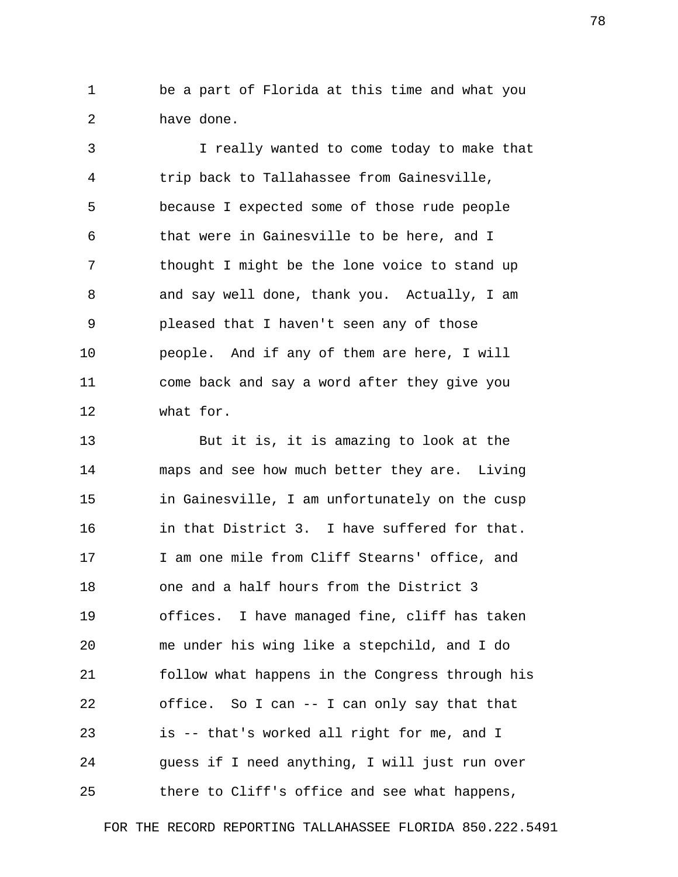1 be a part of Florida at this time and what you 2 have done.

 3 I really wanted to come today to make that 4 trip back to Tallahassee from Gainesville, 5 because I expected some of those rude people 6 that were in Gainesville to be here, and I 7 thought I might be the lone voice to stand up 8 and say well done, thank you. Actually, I am 9 pleased that I haven't seen any of those 10 people. And if any of them are here, I will 11 come back and say a word after they give you 12 what for.

13 But it is, it is amazing to look at the 14 maps and see how much better they are. Living 15 in Gainesville, I am unfortunately on the cusp 16 in that District 3. I have suffered for that. 17 I am one mile from Cliff Stearns' office, and 18 one and a half hours from the District 3 19 offices. I have managed fine, cliff has taken 20 me under his wing like a stepchild, and I do 21 follow what happens in the Congress through his 22 office. So I can -- I can only say that that 23 is -- that's worked all right for me, and I 24 guess if I need anything, I will just run over 25 there to Cliff's office and see what happens,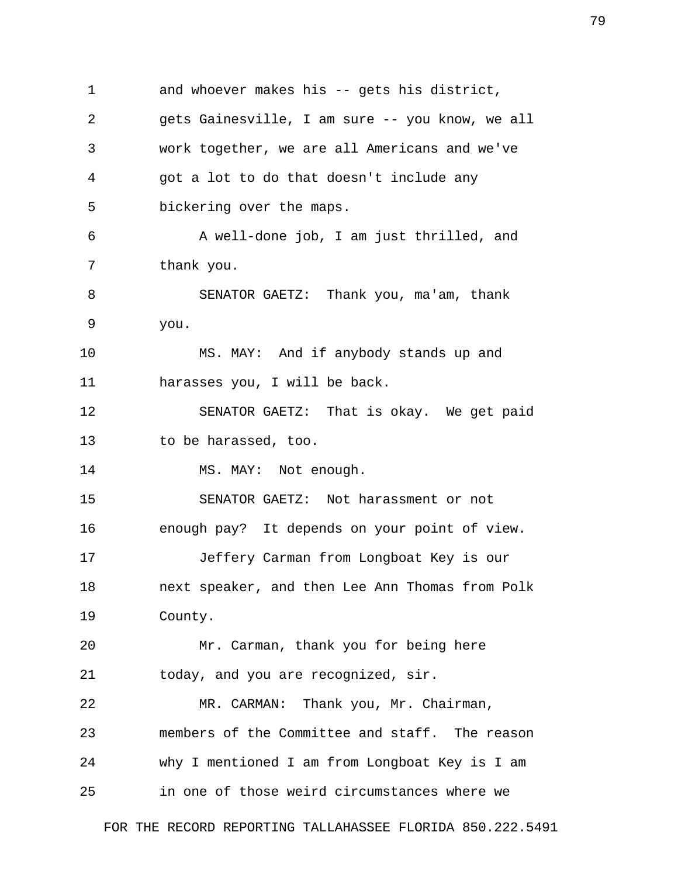1 and whoever makes his -- gets his district, 2 gets Gainesville, I am sure -- you know, we all 3 work together, we are all Americans and we've 4 got a lot to do that doesn't include any 5 bickering over the maps. 6 A well-done job, I am just thrilled, and 7 thank you. 8 SENATOR GAETZ: Thank you, ma'am, thank 9 you. 10 MS. MAY: And if anybody stands up and 11 harasses you, I will be back. 12 SENATOR GAETZ: That is okay. We get paid 13 to be harassed, too. 14 MS. MAY: Not enough. 15 SENATOR GAETZ: Not harassment or not 16 enough pay? It depends on your point of view. 17 Jeffery Carman from Longboat Key is our 18 next speaker, and then Lee Ann Thomas from Polk 19 County. 20 Mr. Carman, thank you for being here 21 today, and you are recognized, sir. 22 MR. CARMAN: Thank you, Mr. Chairman, 23 members of the Committee and staff. The reason 24 why I mentioned I am from Longboat Key is I am 25 in one of those weird circumstances where we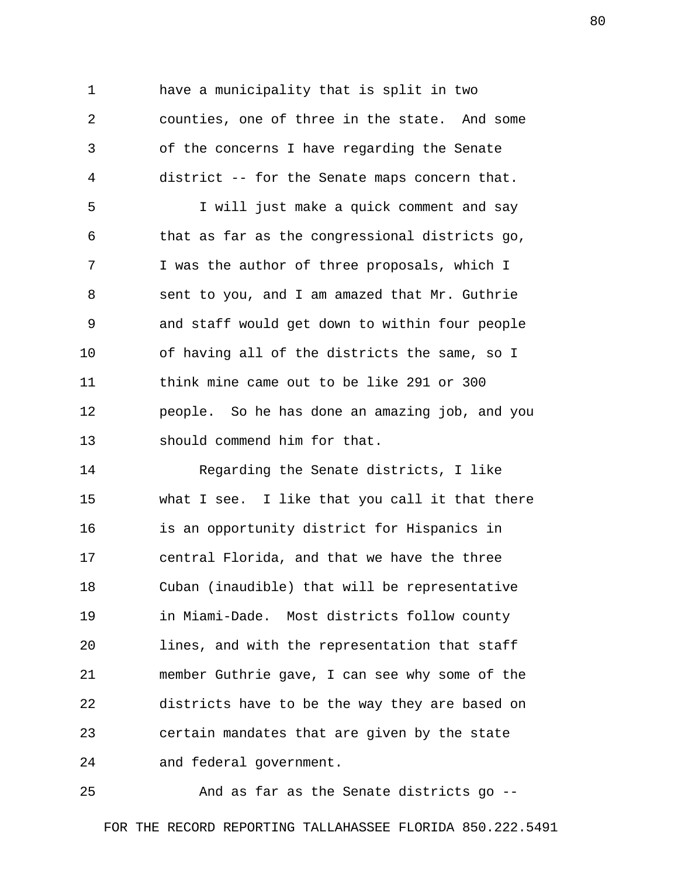1 have a municipality that is split in two 2 counties, one of three in the state. And some 3 of the concerns I have regarding the Senate 4 district -- for the Senate maps concern that.

 5 I will just make a quick comment and say 6 that as far as the congressional districts go, 7 I was the author of three proposals, which I 8 sent to you, and I am amazed that Mr. Guthrie 9 and staff would get down to within four people 10 of having all of the districts the same, so I 11 think mine came out to be like 291 or 300 12 people. So he has done an amazing job, and you 13 should commend him for that.

14 Regarding the Senate districts, I like 15 what I see. I like that you call it that there 16 is an opportunity district for Hispanics in 17 central Florida, and that we have the three 18 Cuban (inaudible) that will be representative 19 in Miami-Dade. Most districts follow county 20 lines, and with the representation that staff 21 member Guthrie gave, I can see why some of the 22 districts have to be the way they are based on 23 certain mandates that are given by the state 24 and federal government.

25 And as far as the Senate districts go -- FOR THE RECORD REPORTING TALLAHASSEE FLORIDA 850.222.5491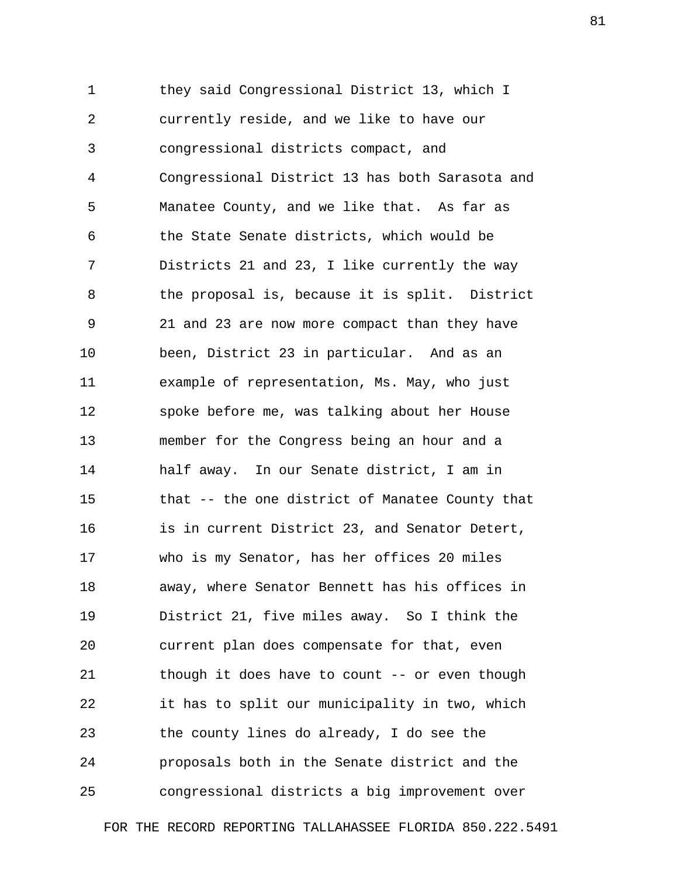1 they said Congressional District 13, which I 2 currently reside, and we like to have our 3 congressional districts compact, and 4 Congressional District 13 has both Sarasota and 5 Manatee County, and we like that. As far as 6 the State Senate districts, which would be 7 Districts 21 and 23, I like currently the way 8 the proposal is, because it is split. District 9 21 and 23 are now more compact than they have 10 been, District 23 in particular. And as an 11 example of representation, Ms. May, who just 12 spoke before me, was talking about her House 13 member for the Congress being an hour and a 14 half away. In our Senate district, I am in 15 that -- the one district of Manatee County that 16 is in current District 23, and Senator Detert, 17 who is my Senator, has her offices 20 miles 18 away, where Senator Bennett has his offices in 19 District 21, five miles away. So I think the 20 current plan does compensate for that, even 21 though it does have to count -- or even though 22 it has to split our municipality in two, which 23 the county lines do already, I do see the 24 proposals both in the Senate district and the 25 congressional districts a big improvement over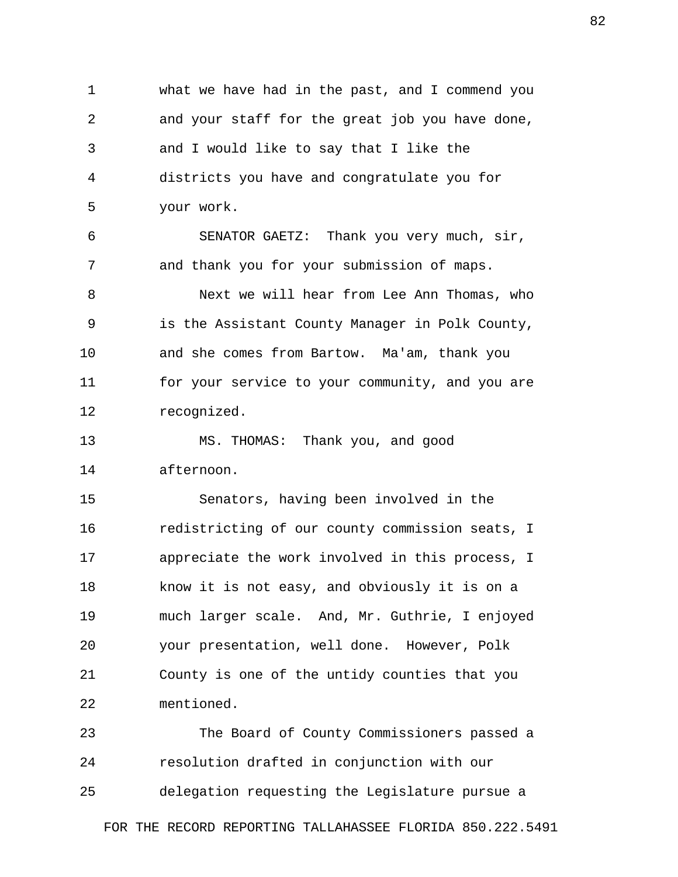1 what we have had in the past, and I commend you 2 and your staff for the great job you have done, 3 and I would like to say that I like the 4 districts you have and congratulate you for 5 your work.

 6 SENATOR GAETZ: Thank you very much, sir, 7 and thank you for your submission of maps.

 8 Next we will hear from Lee Ann Thomas, who 9 is the Assistant County Manager in Polk County, 10 and she comes from Bartow. Ma'am, thank you 11 for your service to your community, and you are 12 recognized.

13 MS. THOMAS: Thank you, and good 14 afternoon.

15 Senators, having been involved in the 16 redistricting of our county commission seats, I 17 appreciate the work involved in this process, I 18 know it is not easy, and obviously it is on a 19 much larger scale. And, Mr. Guthrie, I enjoyed 20 your presentation, well done. However, Polk 21 County is one of the untidy counties that you 22 mentioned.

23 The Board of County Commissioners passed a 24 resolution drafted in conjunction with our 25 delegation requesting the Legislature pursue a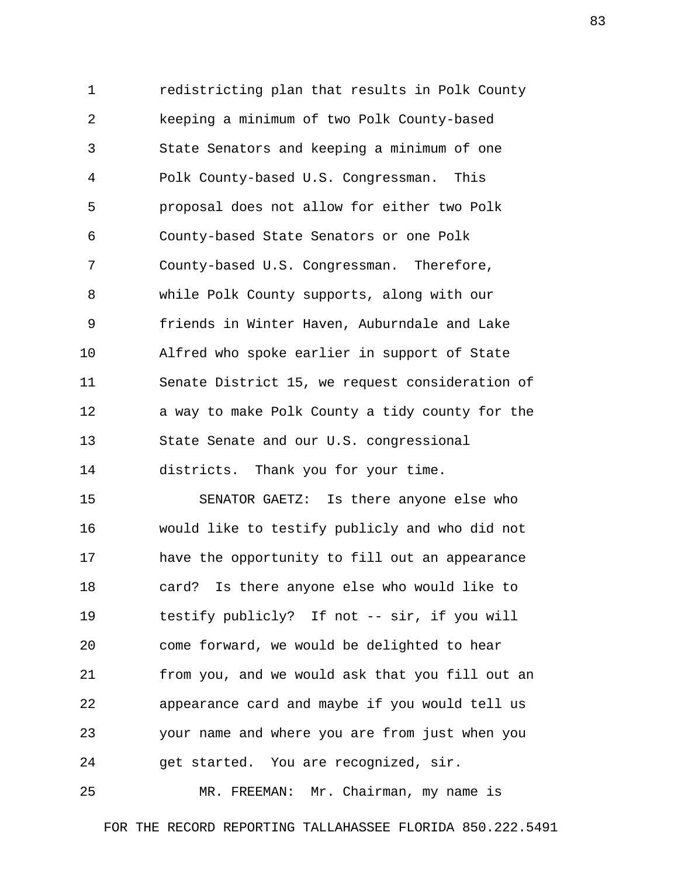1 redistricting plan that results in Polk County 2 keeping a minimum of two Polk County-based 3 State Senators and keeping a minimum of one 4 Polk County-based U.S. Congressman. This 5 proposal does not allow for either two Polk 6 County-based State Senators or one Polk 7 County-based U.S. Congressman. Therefore, 8 while Polk County supports, along with our 9 friends in Winter Haven, Auburndale and Lake 10 Alfred who spoke earlier in support of State 11 Senate District 15, we request consideration of 12 a way to make Polk County a tidy county for the 13 State Senate and our U.S. congressional 14 districts. Thank you for your time.

15 SENATOR GAETZ: Is there anyone else who 16 would like to testify publicly and who did not 17 have the opportunity to fill out an appearance 18 card? Is there anyone else who would like to 19 testify publicly? If not -- sir, if you will 20 come forward, we would be delighted to hear 21 from you, and we would ask that you fill out an 22 appearance card and maybe if you would tell us 23 your name and where you are from just when you 24 get started. You are recognized, sir.

25 MR. FREEMAN: Mr. Chairman, my name is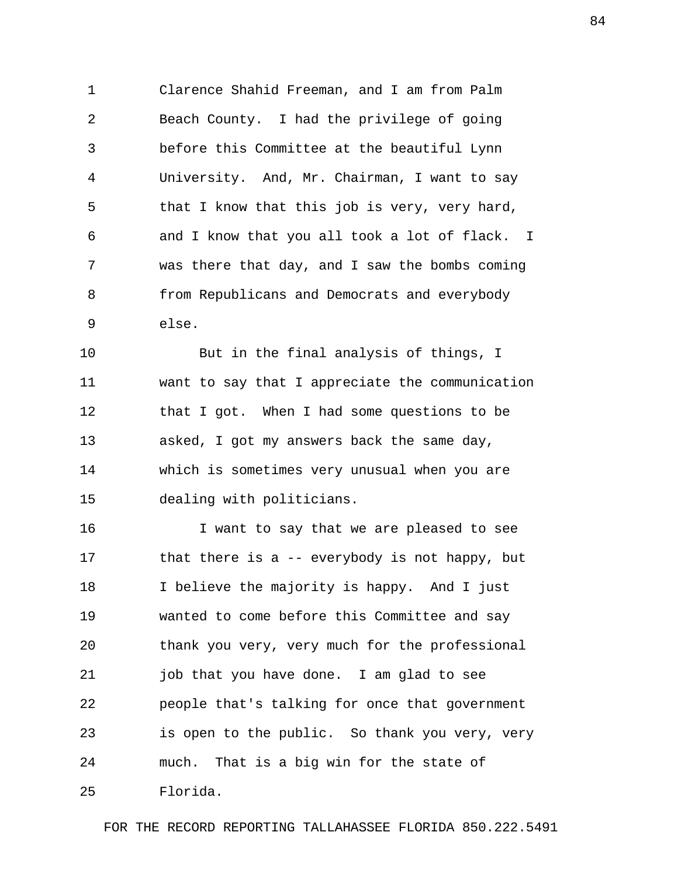1 Clarence Shahid Freeman, and I am from Palm 2 Beach County. I had the privilege of going 3 before this Committee at the beautiful Lynn 4 University. And, Mr. Chairman, I want to say 5 that I know that this job is very, very hard, 6 and I know that you all took a lot of flack. I 7 was there that day, and I saw the bombs coming 8 from Republicans and Democrats and everybody 9 else.

10 But in the final analysis of things, I 11 want to say that I appreciate the communication 12 that I got. When I had some questions to be 13 asked, I got my answers back the same day, 14 which is sometimes very unusual when you are 15 dealing with politicians.

16 I want to say that we are pleased to see 17 that there is a -- everybody is not happy, but 18 I believe the majority is happy. And I just 19 wanted to come before this Committee and say 20 thank you very, very much for the professional 21 job that you have done. I am glad to see 22 people that's talking for once that government 23 is open to the public. So thank you very, very 24 much. That is a big win for the state of 25 Florida.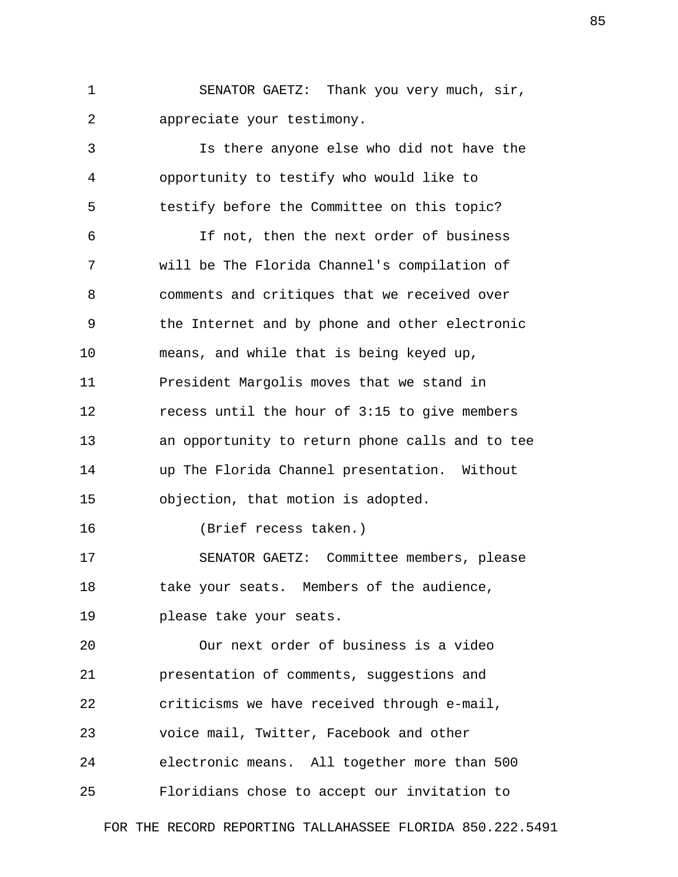1 SENATOR GAETZ: Thank you very much, sir, 2 appreciate your testimony.

 3 Is there anyone else who did not have the 4 opportunity to testify who would like to 5 testify before the Committee on this topic? 6 If not, then the next order of business 7 will be The Florida Channel's compilation of 8 comments and critiques that we received over 9 the Internet and by phone and other electronic 10 means, and while that is being keyed up, 11 President Margolis moves that we stand in 12 recess until the hour of 3:15 to give members 13 an opportunity to return phone calls and to tee 14 up The Florida Channel presentation. Without 15 objection, that motion is adopted. 16 (Brief recess taken.) 17 SENATOR GAETZ: Committee members, please 18 take your seats. Members of the audience, 19 please take your seats. 20 Our next order of business is a video 21 presentation of comments, suggestions and 22 criticisms we have received through e-mail, 23 voice mail, Twitter, Facebook and other

24 electronic means. All together more than 500

25 Floridians chose to accept our invitation to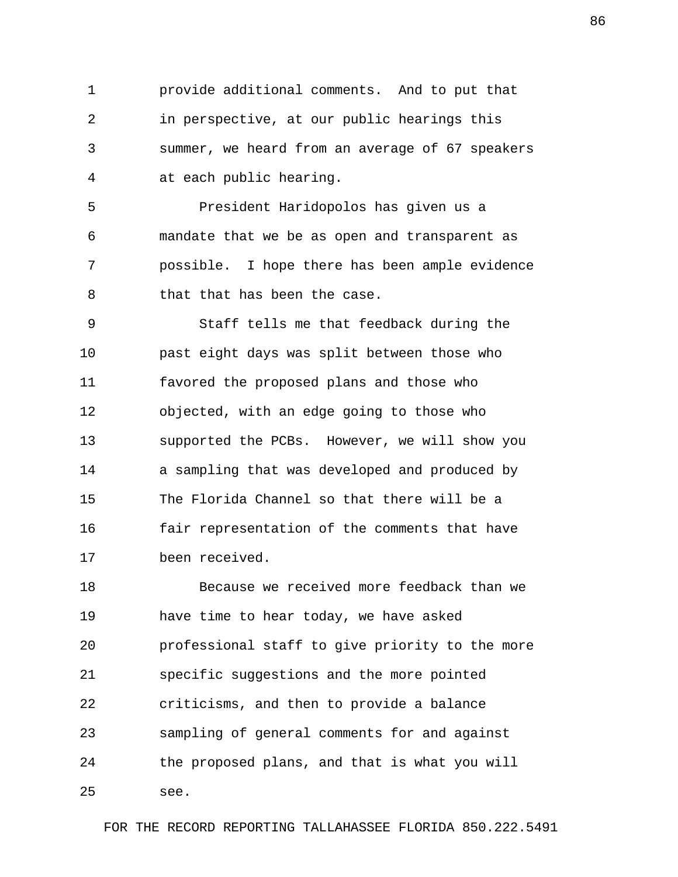1 provide additional comments. And to put that 2 in perspective, at our public hearings this 3 summer, we heard from an average of 67 speakers 4 at each public hearing.

 5 President Haridopolos has given us a 6 mandate that we be as open and transparent as 7 possible. I hope there has been ample evidence 8 that that has been the case.

 9 Staff tells me that feedback during the 10 past eight days was split between those who 11 favored the proposed plans and those who 12 objected, with an edge going to those who 13 supported the PCBs. However, we will show you 14 a sampling that was developed and produced by 15 The Florida Channel so that there will be a 16 fair representation of the comments that have 17 been received.

18 Because we received more feedback than we 19 have time to hear today, we have asked 20 professional staff to give priority to the more 21 specific suggestions and the more pointed 22 criticisms, and then to provide a balance 23 sampling of general comments for and against 24 the proposed plans, and that is what you will 25 see.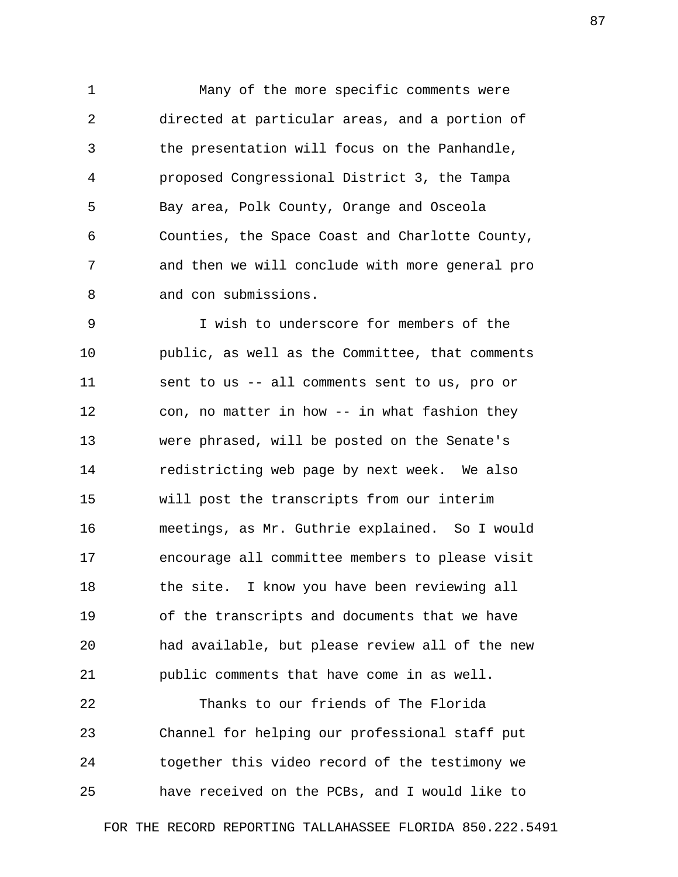1 Many of the more specific comments were 2 directed at particular areas, and a portion of 3 the presentation will focus on the Panhandle, 4 proposed Congressional District 3, the Tampa 5 Bay area, Polk County, Orange and Osceola 6 Counties, the Space Coast and Charlotte County, 7 and then we will conclude with more general pro 8 and con submissions.

 9 I wish to underscore for members of the 10 public, as well as the Committee, that comments 11 sent to us -- all comments sent to us, pro or 12 con, no matter in how -- in what fashion they 13 were phrased, will be posted on the Senate's 14 redistricting web page by next week. We also 15 will post the transcripts from our interim 16 meetings, as Mr. Guthrie explained. So I would 17 encourage all committee members to please visit 18 the site. I know you have been reviewing all 19 of the transcripts and documents that we have 20 had available, but please review all of the new 21 public comments that have come in as well.

22 Thanks to our friends of The Florida 23 Channel for helping our professional staff put 24 together this video record of the testimony we 25 have received on the PCBs, and I would like to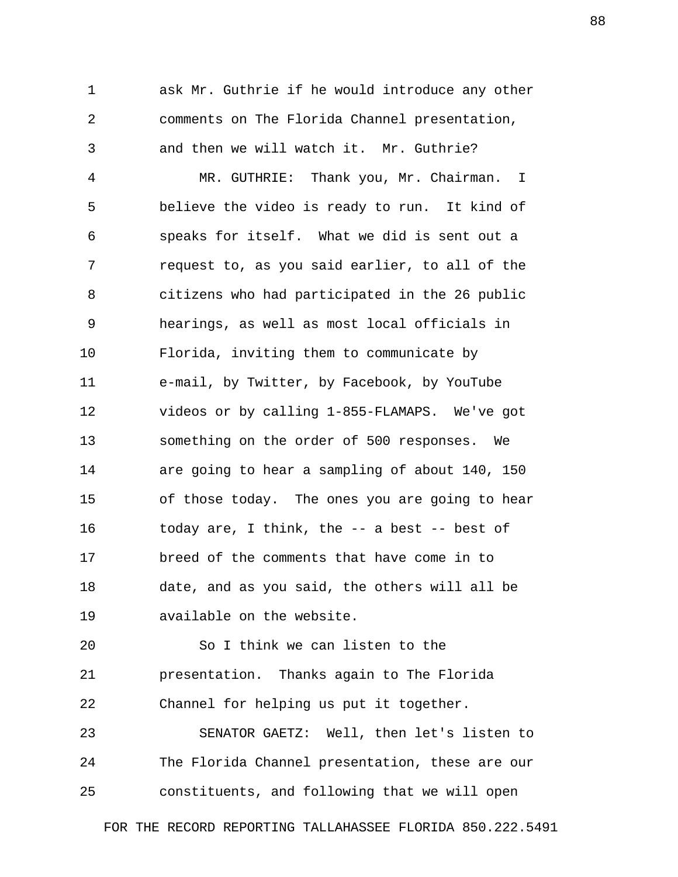1 ask Mr. Guthrie if he would introduce any other 2 comments on The Florida Channel presentation, 3 and then we will watch it. Mr. Guthrie? 4 MR. GUTHRIE: Thank you, Mr. Chairman. I 5 believe the video is ready to run. It kind of 6 speaks for itself. What we did is sent out a 7 request to, as you said earlier, to all of the 8 citizens who had participated in the 26 public 9 hearings, as well as most local officials in 10 Florida, inviting them to communicate by 11 e-mail, by Twitter, by Facebook, by YouTube 12 videos or by calling 1-855-FLAMAPS. We've got 13 something on the order of 500 responses. We 14 are going to hear a sampling of about 140, 150 15 of those today. The ones you are going to hear 16 today are, I think, the -- a best -- best of 17 breed of the comments that have come in to 18 date, and as you said, the others will all be 19 available on the website.

20 So I think we can listen to the 21 presentation. Thanks again to The Florida 22 Channel for helping us put it together.

23 SENATOR GAETZ: Well, then let's listen to 24 The Florida Channel presentation, these are our 25 constituents, and following that we will open

FOR THE RECORD REPORTING TALLAHASSEE FLORIDA 850.222.5491

88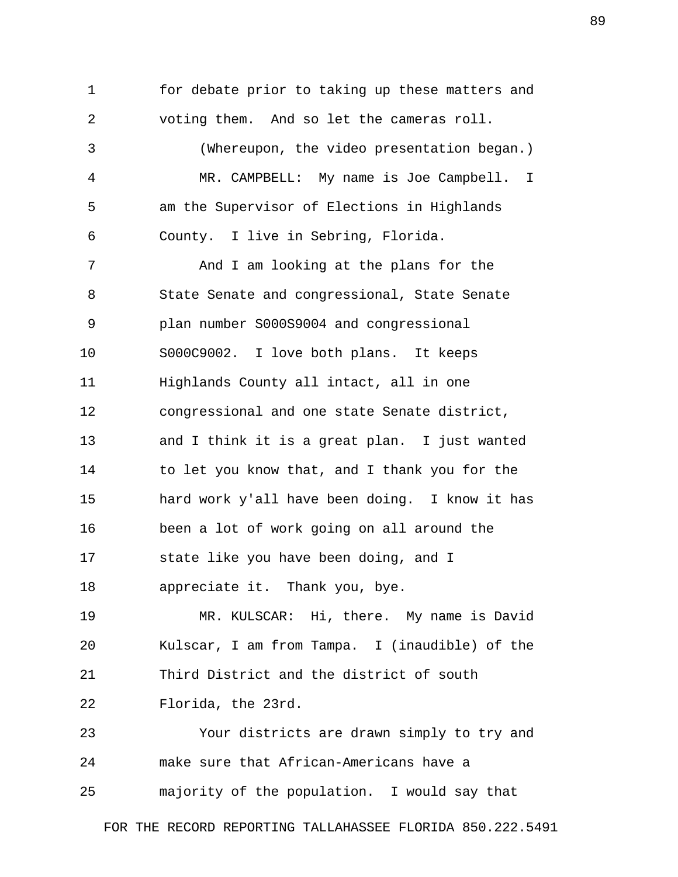1 for debate prior to taking up these matters and 2 voting them. And so let the cameras roll. 3 (Whereupon, the video presentation began.) 4 MR. CAMPBELL: My name is Joe Campbell. I 5 am the Supervisor of Elections in Highlands 6 County. I live in Sebring, Florida. 7 And I am looking at the plans for the 8 State Senate and congressional, State Senate 9 plan number S000S9004 and congressional 10 S000C9002. I love both plans. It keeps 11 Highlands County all intact, all in one 12 congressional and one state Senate district, 13 and I think it is a great plan. I just wanted 14 to let you know that, and I thank you for the 15 hard work y'all have been doing. I know it has 16 been a lot of work going on all around the 17 state like you have been doing, and I 18 appreciate it. Thank you, bye. 19 MR. KULSCAR: Hi, there. My name is David

20 Kulscar, I am from Tampa. I (inaudible) of the 21 Third District and the district of south 22 Florida, the 23rd.

23 Your districts are drawn simply to try and 24 make sure that African-Americans have a 25 majority of the population. I would say that

FOR THE RECORD REPORTING TALLAHASSEE FLORIDA 850.222.5491

89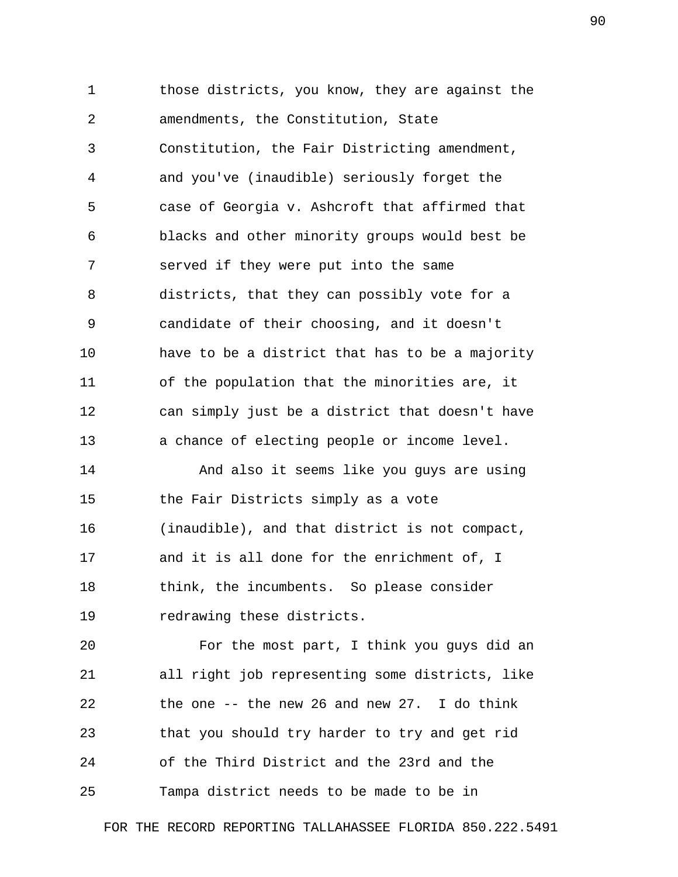1 those districts, you know, they are against the 2 amendments, the Constitution, State 3 Constitution, the Fair Districting amendment, 4 and you've (inaudible) seriously forget the 5 case of Georgia v. Ashcroft that affirmed that 6 blacks and other minority groups would best be 7 served if they were put into the same 8 districts, that they can possibly vote for a 9 candidate of their choosing, and it doesn't 10 have to be a district that has to be a majority 11 of the population that the minorities are, it 12 can simply just be a district that doesn't have 13 a chance of electing people or income level. 14 And also it seems like you guys are using 15 the Fair Districts simply as a vote 16 (inaudible), and that district is not compact, 17 and it is all done for the enrichment of, I 18 think, the incumbents. So please consider 19 redrawing these districts. 20 For the most part, I think you guys did an

21 all right job representing some districts, like 22 the one -- the new 26 and new 27. I do think 23 that you should try harder to try and get rid 24 of the Third District and the 23rd and the 25 Tampa district needs to be made to be in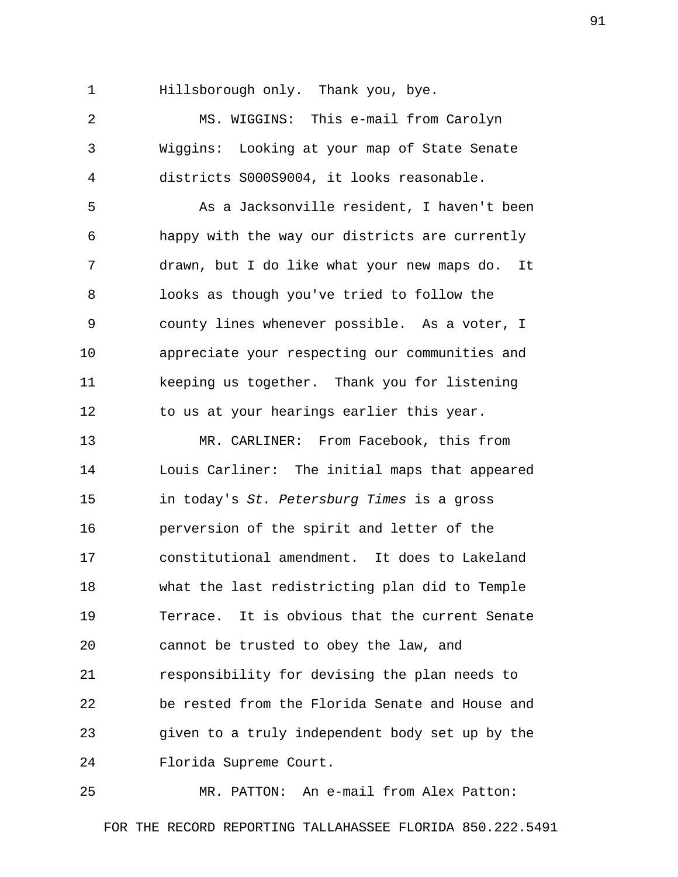1 Hillsborough only. Thank you, bye.

 2 MS. WIGGINS: This e-mail from Carolyn 3 Wiggins: Looking at your map of State Senate 4 districts S000S9004, it looks reasonable. 5 As a Jacksonville resident, I haven't been 6 happy with the way our districts are currently 7 drawn, but I do like what your new maps do. It 8 looks as though you've tried to follow the 9 county lines whenever possible. As a voter, I 10 appreciate your respecting our communities and 11 keeping us together. Thank you for listening 12 to us at your hearings earlier this year. 13 MR. CARLINER: From Facebook, this from 14 Louis Carliner: The initial maps that appeared 15 in today's *St. Petersburg Times* is a gross 16 perversion of the spirit and letter of the 17 constitutional amendment. It does to Lakeland 18 what the last redistricting plan did to Temple 19 Terrace. It is obvious that the current Senate 20 cannot be trusted to obey the law, and 21 responsibility for devising the plan needs to 22 be rested from the Florida Senate and House and 23 given to a truly independent body set up by the 24 Florida Supreme Court.

25 MR. PATTON: An e-mail from Alex Patton: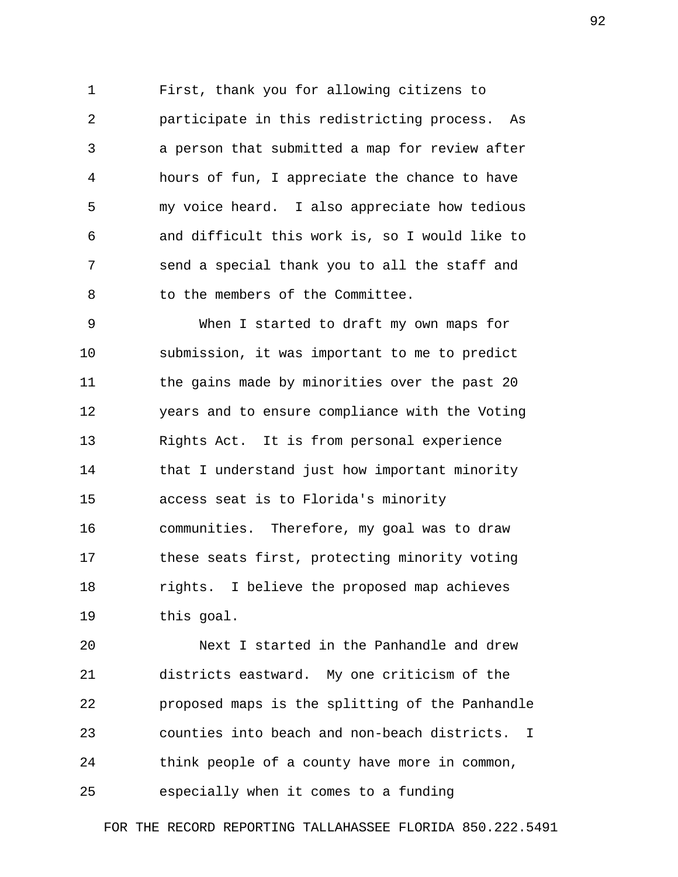1 First, thank you for allowing citizens to 2 participate in this redistricting process. As 3 a person that submitted a map for review after 4 hours of fun, I appreciate the chance to have 5 my voice heard. I also appreciate how tedious 6 and difficult this work is, so I would like to 7 send a special thank you to all the staff and 8 to the members of the Committee.

 9 When I started to draft my own maps for 10 submission, it was important to me to predict 11 the gains made by minorities over the past 20 12 years and to ensure compliance with the Voting 13 Rights Act. It is from personal experience 14 that I understand just how important minority 15 access seat is to Florida's minority 16 communities. Therefore, my goal was to draw 17 these seats first, protecting minority voting 18 rights. I believe the proposed map achieves 19 this goal.

20 Next I started in the Panhandle and drew 21 districts eastward. My one criticism of the 22 proposed maps is the splitting of the Panhandle 23 counties into beach and non-beach districts. I 24 think people of a county have more in common, 25 especially when it comes to a funding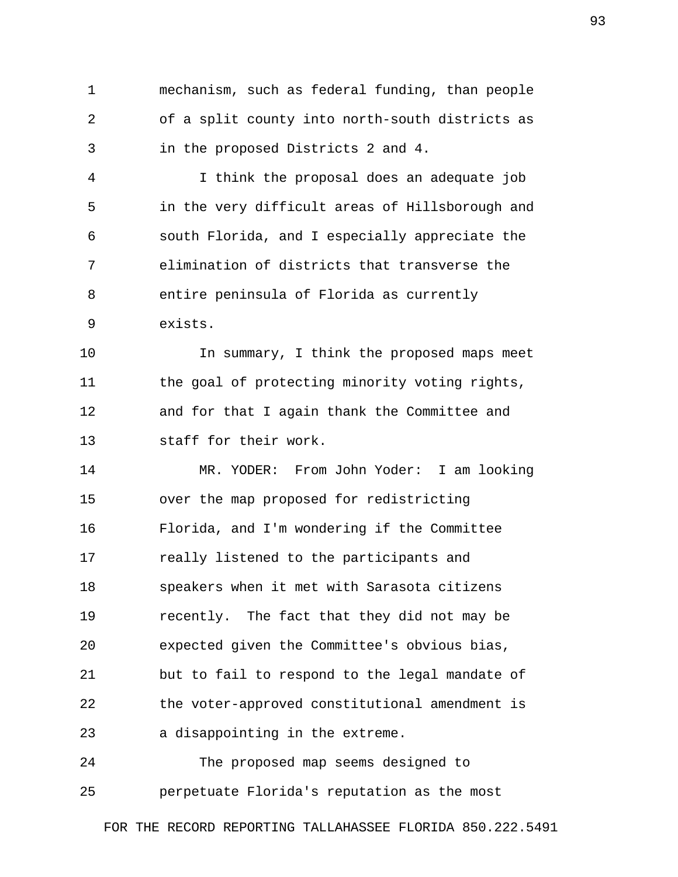1 mechanism, such as federal funding, than people 2 of a split county into north-south districts as 3 in the proposed Districts 2 and 4.

 4 I think the proposal does an adequate job 5 in the very difficult areas of Hillsborough and 6 south Florida, and I especially appreciate the 7 elimination of districts that transverse the 8 entire peninsula of Florida as currently 9 exists.

10 In summary, I think the proposed maps meet 11 the goal of protecting minority voting rights, 12 and for that I again thank the Committee and 13 staff for their work.

14 MR. YODER: From John Yoder: I am looking 15 over the map proposed for redistricting 16 Florida, and I'm wondering if the Committee 17 really listened to the participants and 18 speakers when it met with Sarasota citizens 19 recently. The fact that they did not may be 20 expected given the Committee's obvious bias, 21 but to fail to respond to the legal mandate of 22 the voter-approved constitutional amendment is 23 a disappointing in the extreme.

24 The proposed map seems designed to 25 perpetuate Florida's reputation as the most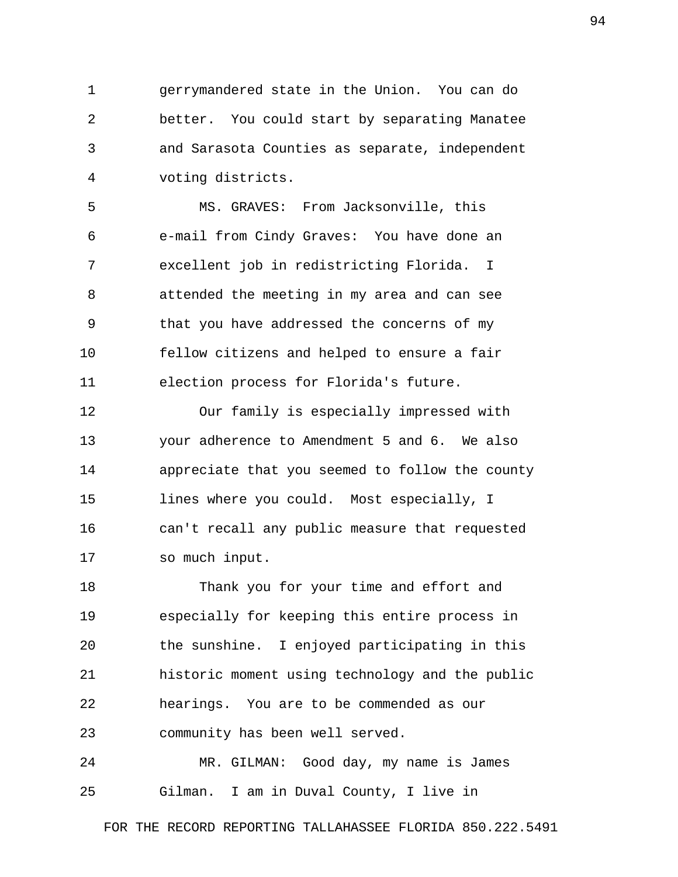1 gerrymandered state in the Union. You can do 2 better. You could start by separating Manatee 3 and Sarasota Counties as separate, independent 4 voting districts.

 5 MS. GRAVES: From Jacksonville, this 6 e-mail from Cindy Graves: You have done an 7 excellent job in redistricting Florida. I 8 attended the meeting in my area and can see 9 that you have addressed the concerns of my 10 fellow citizens and helped to ensure a fair 11 election process for Florida's future.

12 Our family is especially impressed with 13 your adherence to Amendment 5 and 6. We also 14 appreciate that you seemed to follow the county 15 lines where you could. Most especially, I 16 can't recall any public measure that requested 17 so much input.

18 Thank you for your time and effort and 19 especially for keeping this entire process in 20 the sunshine. I enjoyed participating in this 21 historic moment using technology and the public 22 hearings. You are to be commended as our 23 community has been well served.

24 MR. GILMAN: Good day, my name is James 25 Gilman. I am in Duval County, I live in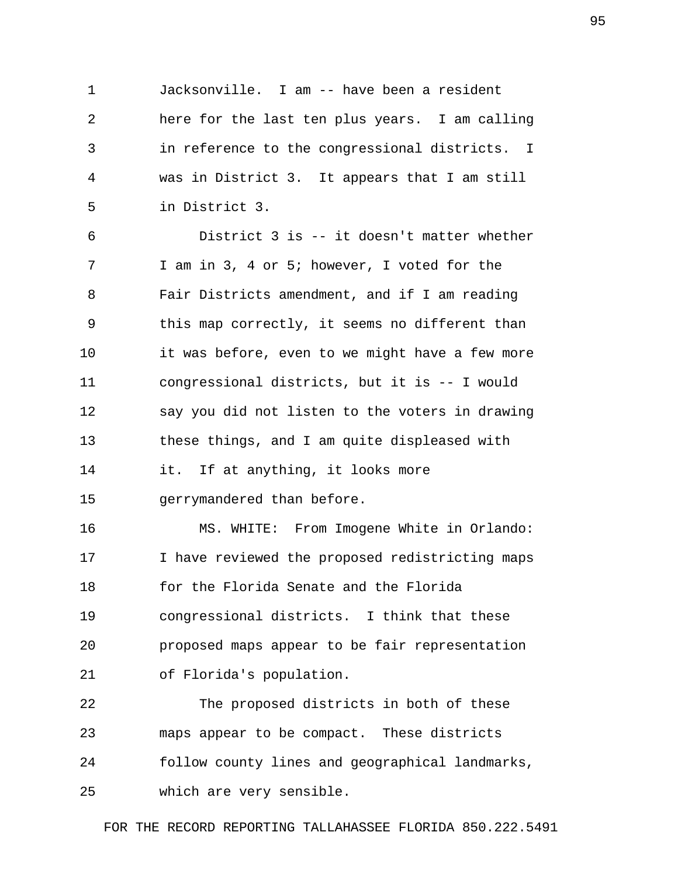1 Jacksonville. I am -- have been a resident 2 here for the last ten plus years. I am calling 3 in reference to the congressional districts. I 4 was in District 3. It appears that I am still 5 in District 3.

 6 District 3 is -- it doesn't matter whether 7 I am in 3, 4 or 5; however, I voted for the 8 Fair Districts amendment, and if I am reading 9 this map correctly, it seems no different than 10 it was before, even to we might have a few more 11 congressional districts, but it is -- I would 12 say you did not listen to the voters in drawing 13 these things, and I am quite displeased with 14 it. If at anything, it looks more 15 gerrymandered than before.

16 MS. WHITE: From Imogene White in Orlando: 17 I have reviewed the proposed redistricting maps 18 for the Florida Senate and the Florida 19 congressional districts. I think that these 20 proposed maps appear to be fair representation 21 of Florida's population.

22 The proposed districts in both of these 23 maps appear to be compact. These districts 24 follow county lines and geographical landmarks, 25 which are very sensible.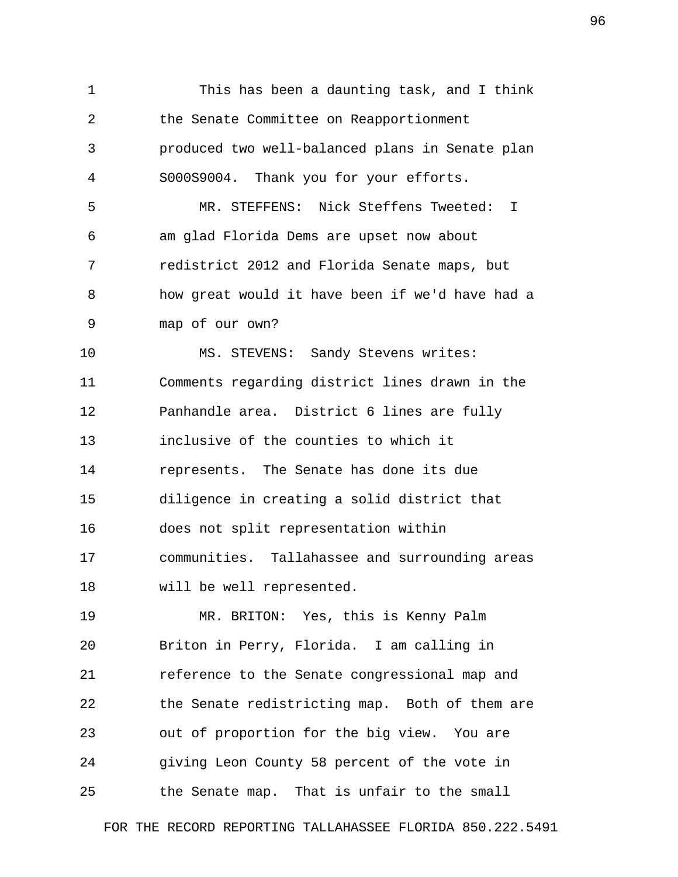1 This has been a daunting task, and I think 2 the Senate Committee on Reapportionment 3 produced two well-balanced plans in Senate plan 4 S000S9004. Thank you for your efforts. 5 MR. STEFFENS: Nick Steffens Tweeted: I 6 am glad Florida Dems are upset now about 7 redistrict 2012 and Florida Senate maps, but 8 how great would it have been if we'd have had a 9 map of our own? 10 MS. STEVENS: Sandy Stevens writes: 11 Comments regarding district lines drawn in the 12 Panhandle area. District 6 lines are fully 13 inclusive of the counties to which it 14 represents. The Senate has done its due 15 diligence in creating a solid district that 16 does not split representation within 17 communities. Tallahassee and surrounding areas 18 will be well represented. 19 MR. BRITON: Yes, this is Kenny Palm 20 Briton in Perry, Florida. I am calling in 21 reference to the Senate congressional map and 22 the Senate redistricting map. Both of them are 23 out of proportion for the big view. You are 24 giving Leon County 58 percent of the vote in 25 the Senate map. That is unfair to the small

FOR THE RECORD REPORTING TALLAHASSEE FLORIDA 850.222.5491

96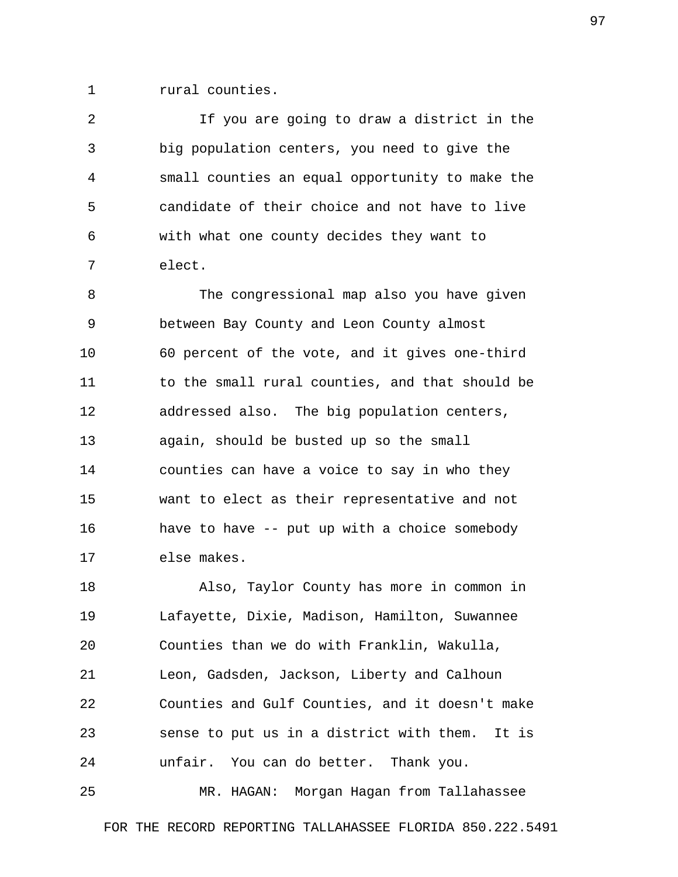1 rural counties.

 2 If you are going to draw a district in the 3 big population centers, you need to give the 4 small counties an equal opportunity to make the 5 candidate of their choice and not have to live 6 with what one county decides they want to 7 elect.

 8 The congressional map also you have given 9 between Bay County and Leon County almost 10 60 percent of the vote, and it gives one-third 11 to the small rural counties, and that should be 12 addressed also. The big population centers, 13 again, should be busted up so the small 14 counties can have a voice to say in who they 15 want to elect as their representative and not 16 have to have -- put up with a choice somebody 17 else makes.

18 Also, Taylor County has more in common in 19 Lafayette, Dixie, Madison, Hamilton, Suwannee 20 Counties than we do with Franklin, Wakulla, 21 Leon, Gadsden, Jackson, Liberty and Calhoun 22 Counties and Gulf Counties, and it doesn't make 23 sense to put us in a district with them. It is 24 unfair. You can do better. Thank you.

25 MR. HAGAN: Morgan Hagan from Tallahassee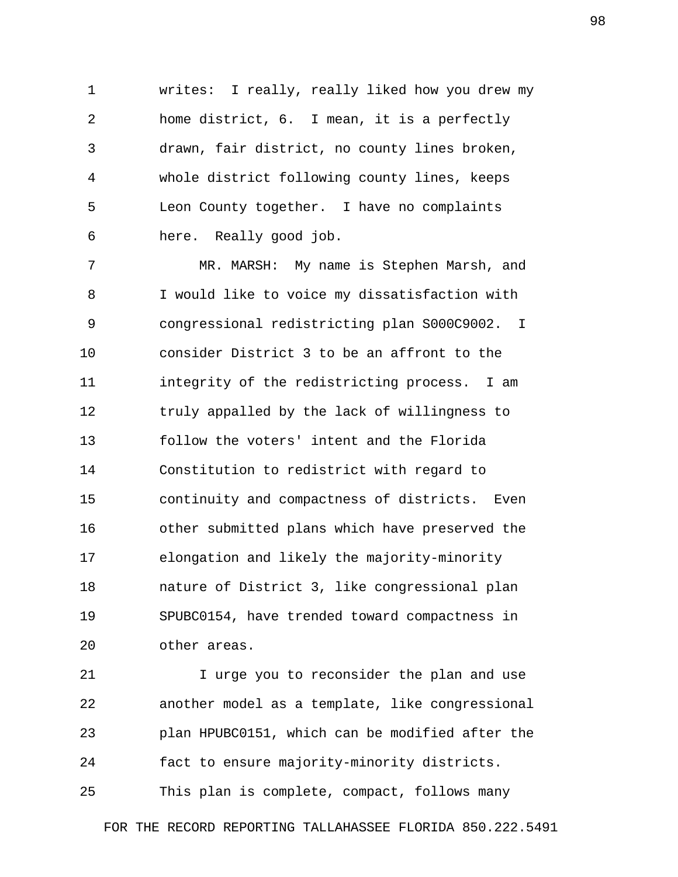1 writes: I really, really liked how you drew my 2 home district, 6. I mean, it is a perfectly 3 drawn, fair district, no county lines broken, 4 whole district following county lines, keeps 5 Leon County together. I have no complaints 6 here. Really good job.

 7 MR. MARSH: My name is Stephen Marsh, and 8 I would like to voice my dissatisfaction with 9 congressional redistricting plan S000C9002. I 10 consider District 3 to be an affront to the 11 integrity of the redistricting process. I am 12 truly appalled by the lack of willingness to 13 follow the voters' intent and the Florida 14 Constitution to redistrict with regard to 15 continuity and compactness of districts. Even 16 other submitted plans which have preserved the 17 elongation and likely the majority-minority 18 nature of District 3, like congressional plan 19 SPUBC0154, have trended toward compactness in 20 other areas.

21 I urge you to reconsider the plan and use 22 another model as a template, like congressional 23 plan HPUBC0151, which can be modified after the 24 fact to ensure majority-minority districts.

25 This plan is complete, compact, follows many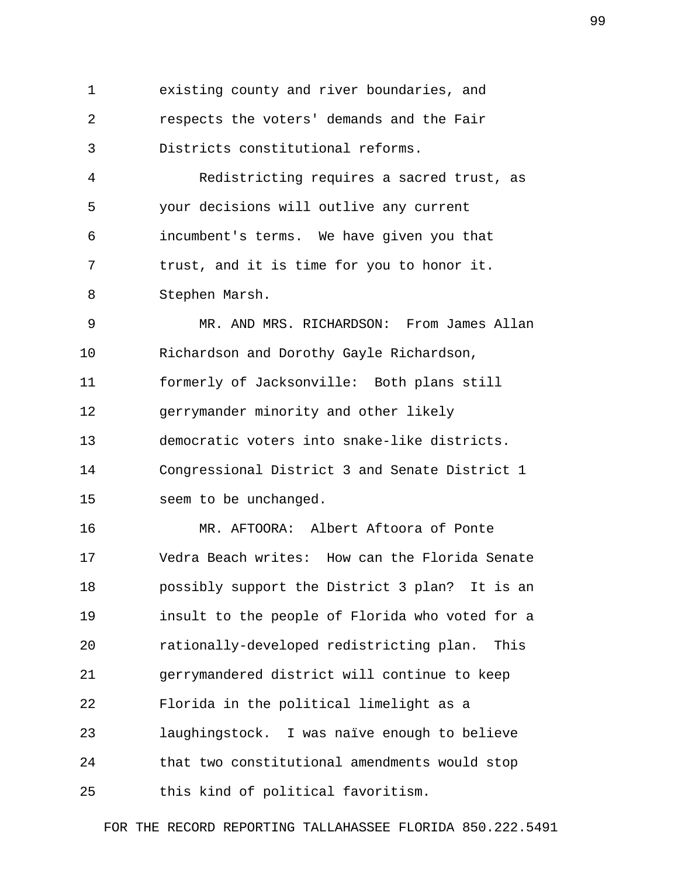1 existing county and river boundaries, and 2 respects the voters' demands and the Fair 3 Districts constitutional reforms.

 4 Redistricting requires a sacred trust, as 5 your decisions will outlive any current 6 incumbent's terms. We have given you that 7 trust, and it is time for you to honor it. 8 Stephen Marsh.

 9 MR. AND MRS. RICHARDSON: From James Allan 10 Richardson and Dorothy Gayle Richardson, 11 formerly of Jacksonville: Both plans still 12 gerrymander minority and other likely 13 democratic voters into snake-like districts. 14 Congressional District 3 and Senate District 1 15 seem to be unchanged.

16 MR. AFTOORA: Albert Aftoora of Ponte 17 Vedra Beach writes: How can the Florida Senate 18 possibly support the District 3 plan? It is an 19 insult to the people of Florida who voted for a 20 rationally-developed redistricting plan. This 21 gerrymandered district will continue to keep 22 Florida in the political limelight as a 23 laughingstock. I was naïve enough to believe 24 that two constitutional amendments would stop 25 this kind of political favoritism.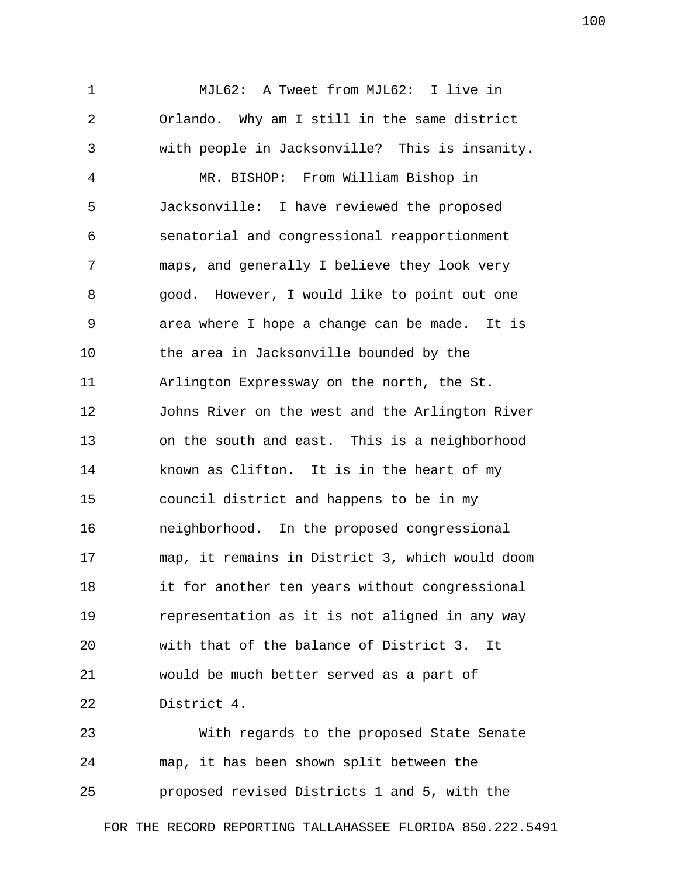1 MJL62: A Tweet from MJL62: I live in 2 Orlando. Why am I still in the same district 3 with people in Jacksonville? This is insanity. 4 MR. BISHOP: From William Bishop in 5 Jacksonville: I have reviewed the proposed 6 senatorial and congressional reapportionment 7 maps, and generally I believe they look very 8 good. However, I would like to point out one 9 area where I hope a change can be made. It is 10 the area in Jacksonville bounded by the 11 Arlington Expressway on the north, the St. 12 Johns River on the west and the Arlington River 13 on the south and east. This is a neighborhood 14 known as Clifton. It is in the heart of my 15 council district and happens to be in my 16 neighborhood. In the proposed congressional 17 map, it remains in District 3, which would doom 18 it for another ten years without congressional 19 representation as it is not aligned in any way 20 with that of the balance of District 3. It 21 would be much better served as a part of 22 District 4.

23 With regards to the proposed State Senate 24 map, it has been shown split between the 25 proposed revised Districts 1 and 5, with the

FOR THE RECORD REPORTING TALLAHASSEE FLORIDA 850.222.5491

100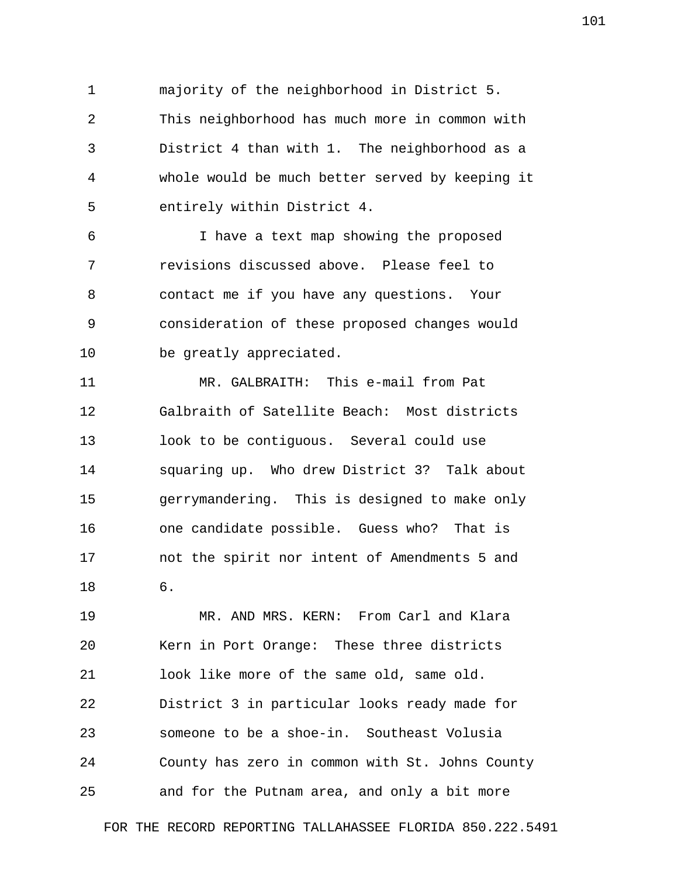1 majority of the neighborhood in District 5. 2 This neighborhood has much more in common with 3 District 4 than with 1. The neighborhood as a 4 whole would be much better served by keeping it 5 entirely within District 4.

 6 I have a text map showing the proposed 7 revisions discussed above. Please feel to 8 contact me if you have any questions. Your 9 consideration of these proposed changes would 10 be greatly appreciated.

11 MR. GALBRAITH: This e-mail from Pat 12 Galbraith of Satellite Beach: Most districts 13 look to be contiguous. Several could use 14 squaring up. Who drew District 3? Talk about 15 gerrymandering. This is designed to make only 16 one candidate possible. Guess who? That is 17 not the spirit nor intent of Amendments 5 and 18 6.

19 MR. AND MRS. KERN: From Carl and Klara 20 Kern in Port Orange: These three districts 21 look like more of the same old, same old. 22 District 3 in particular looks ready made for 23 someone to be a shoe-in. Southeast Volusia 24 County has zero in common with St. Johns County 25 and for the Putnam area, and only a bit more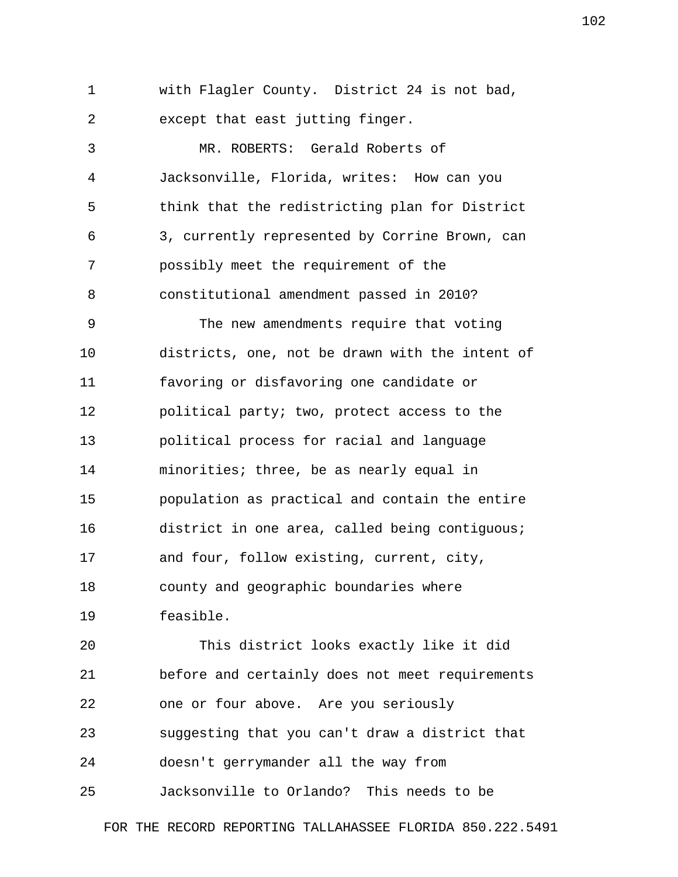1 with Flagler County. District 24 is not bad, 2 except that east jutting finger.

 3 MR. ROBERTS: Gerald Roberts of 4 Jacksonville, Florida, writes: How can you 5 think that the redistricting plan for District 6 3, currently represented by Corrine Brown, can 7 possibly meet the requirement of the 8 constitutional amendment passed in 2010? 9 The new amendments require that voting 10 districts, one, not be drawn with the intent of 11 favoring or disfavoring one candidate or 12 political party; two, protect access to the 13 political process for racial and language 14 minorities; three, be as nearly equal in 15 population as practical and contain the entire 16 district in one area, called being contiguous;

18 county and geographic boundaries where

17 and four, follow existing, current, city,

19 feasible.

20 This district looks exactly like it did 21 before and certainly does not meet requirements 22 one or four above. Are you seriously 23 suggesting that you can't draw a district that 24 doesn't gerrymander all the way from 25 Jacksonville to Orlando? This needs to be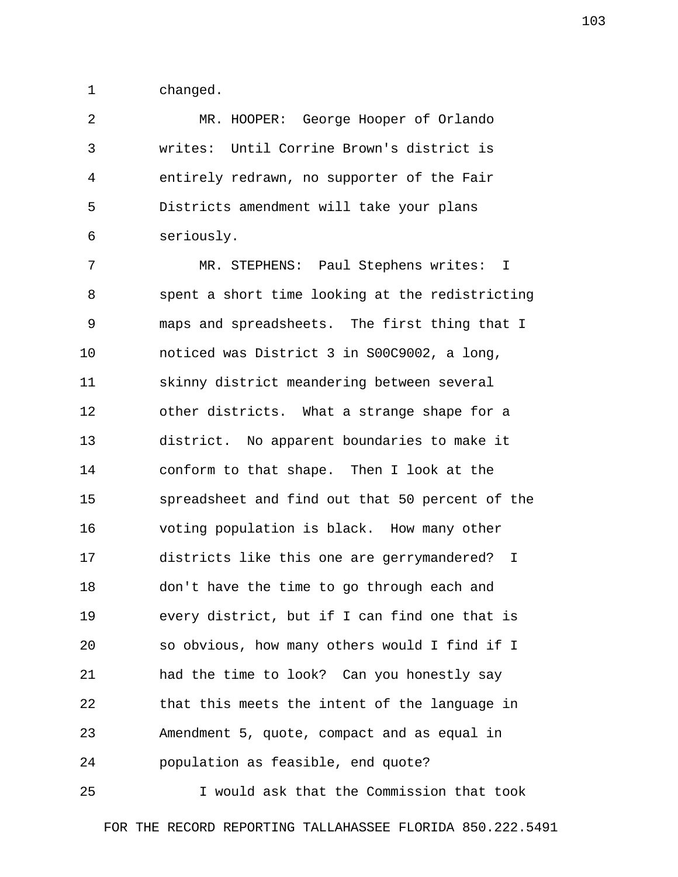1 changed.

 2 MR. HOOPER: George Hooper of Orlando 3 writes: Until Corrine Brown's district is 4 entirely redrawn, no supporter of the Fair 5 Districts amendment will take your plans 6 seriously.

 7 MR. STEPHENS: Paul Stephens writes: I 8 spent a short time looking at the redistricting 9 maps and spreadsheets. The first thing that I 10 noticed was District 3 in S00C9002, a long, 11 skinny district meandering between several 12 other districts. What a strange shape for a 13 district. No apparent boundaries to make it 14 conform to that shape. Then I look at the 15 spreadsheet and find out that 50 percent of the 16 voting population is black. How many other 17 districts like this one are gerrymandered? I 18 don't have the time to go through each and 19 every district, but if I can find one that is 20 so obvious, how many others would I find if I 21 had the time to look? Can you honestly say 22 that this meets the intent of the language in 23 Amendment 5, quote, compact and as equal in 24 population as feasible, end quote?

25 I would ask that the Commission that took FOR THE RECORD REPORTING TALLAHASSEE FLORIDA 850.222.5491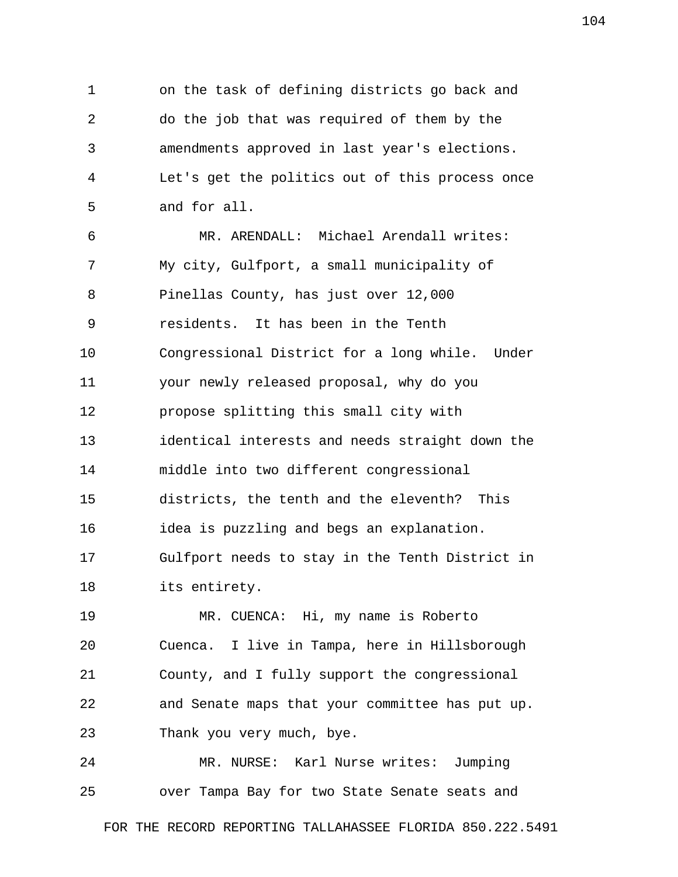1 on the task of defining districts go back and 2 do the job that was required of them by the 3 amendments approved in last year's elections. 4 Let's get the politics out of this process once 5 and for all. 6 MR. ARENDALL: Michael Arendall writes: 7 My city, Gulfport, a small municipality of 8 Pinellas County, has just over 12,000 9 residents. It has been in the Tenth 10 Congressional District for a long while. Under 11 your newly released proposal, why do you 12 propose splitting this small city with 13 identical interests and needs straight down the 14 middle into two different congressional 15 districts, the tenth and the eleventh? This 16 idea is puzzling and begs an explanation. 17 Gulfport needs to stay in the Tenth District in 18 its entirety. 19 MR. CUENCA: Hi, my name is Roberto

20 Cuenca. I live in Tampa, here in Hillsborough 21 County, and I fully support the congressional 22 and Senate maps that your committee has put up. 23 Thank you very much, bye.

24 MR. NURSE: Karl Nurse writes: Jumping 25 over Tampa Bay for two State Senate seats and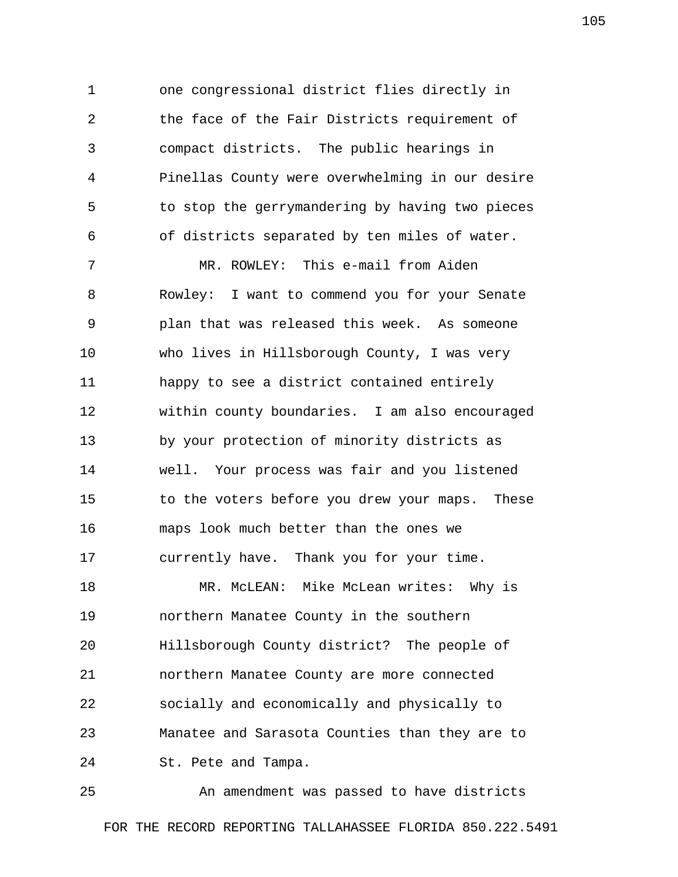1 one congressional district flies directly in 2 the face of the Fair Districts requirement of 3 compact districts. The public hearings in 4 Pinellas County were overwhelming in our desire 5 to stop the gerrymandering by having two pieces 6 of districts separated by ten miles of water.

 7 MR. ROWLEY: This e-mail from Aiden 8 Rowley: I want to commend you for your Senate 9 plan that was released this week. As someone 10 who lives in Hillsborough County, I was very 11 happy to see a district contained entirely 12 within county boundaries. I am also encouraged 13 by your protection of minority districts as 14 well. Your process was fair and you listened 15 to the voters before you drew your maps. These 16 maps look much better than the ones we 17 currently have. Thank you for your time.

18 MR. McLEAN: Mike McLean writes: Why is 19 northern Manatee County in the southern 20 Hillsborough County district? The people of 21 northern Manatee County are more connected 22 socially and economically and physically to 23 Manatee and Sarasota Counties than they are to 24 St. Pete and Tampa.

25 An amendment was passed to have districts FOR THE RECORD REPORTING TALLAHASSEE FLORIDA 850.222.5491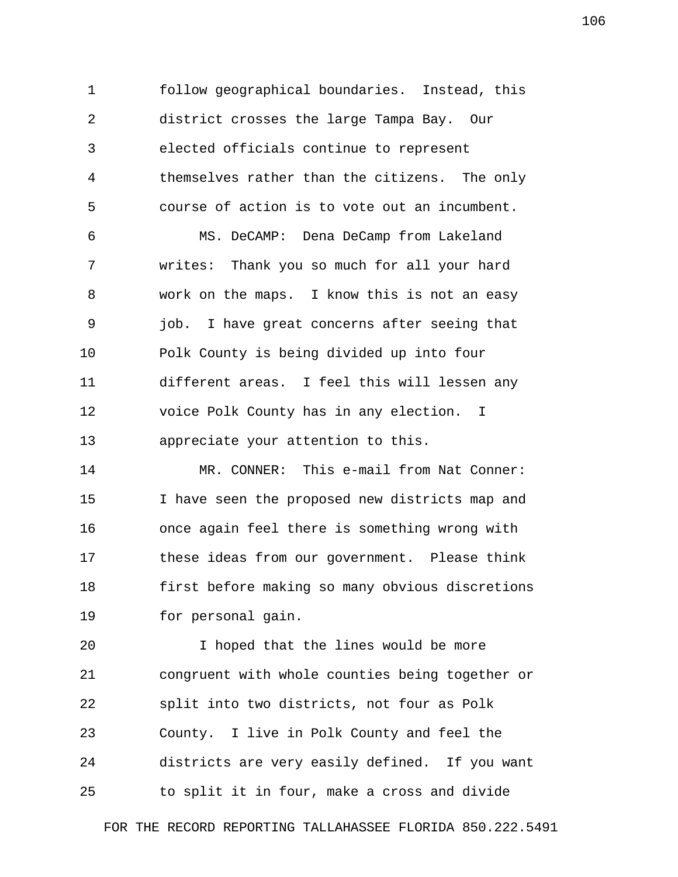1 follow geographical boundaries. Instead, this 2 district crosses the large Tampa Bay. Our 3 elected officials continue to represent 4 themselves rather than the citizens. The only 5 course of action is to vote out an incumbent.

 6 MS. DeCAMP: Dena DeCamp from Lakeland 7 writes: Thank you so much for all your hard 8 work on the maps. I know this is not an easy 9 job. I have great concerns after seeing that 10 Polk County is being divided up into four 11 different areas. I feel this will lessen any 12 voice Polk County has in any election. I 13 appreciate your attention to this.

14 MR. CONNER: This e-mail from Nat Conner: 15 I have seen the proposed new districts map and 16 once again feel there is something wrong with 17 these ideas from our government. Please think 18 first before making so many obvious discretions 19 for personal gain.

20 I hoped that the lines would be more 21 congruent with whole counties being together or 22 split into two districts, not four as Polk 23 County. I live in Polk County and feel the 24 districts are very easily defined. If you want 25 to split it in four, make a cross and divide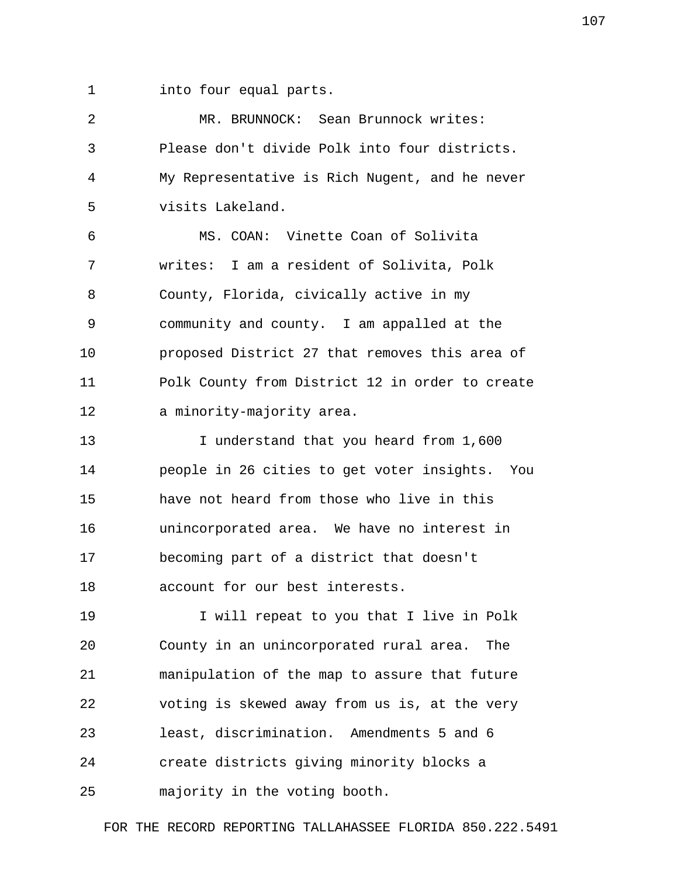1 into four equal parts.

| 2  | MR. BRUNNOCK: Sean Brunnock writes:             |
|----|-------------------------------------------------|
| 3  | Please don't divide Polk into four districts.   |
| 4  | My Representative is Rich Nugent, and he never  |
| 5  | visits Lakeland.                                |
| 6  | MS. COAN: Vinette Coan of Solivita              |
| 7  | writes: I am a resident of Solivita, Polk       |
| 8  | County, Florida, civically active in my         |
| 9  | community and county. I am appalled at the      |
| 10 | proposed District 27 that removes this area of  |
| 11 | Polk County from District 12 in order to create |
| 12 | a minority-majority area.                       |
| 13 | I understand that you heard from 1,600          |
| 14 | people in 26 cities to get voter insights. You  |
| 15 | have not heard from those who live in this      |
| 16 | unincorporated area. We have no interest in     |
| 17 | becoming part of a district that doesn't        |
| 18 | account for our best interests.                 |
| 19 | I will repeat to you that I live in Polk        |
| 20 | County in an unincorporated rural area.<br>The  |
| 21 | manipulation of the map to assure that future   |
| 22 | voting is skewed away from us is, at the very   |
| 23 | least, discrimination. Amendments 5 and 6       |
| 24 | create districts giving minority blocks a       |
| 25 | majority in the voting booth.                   |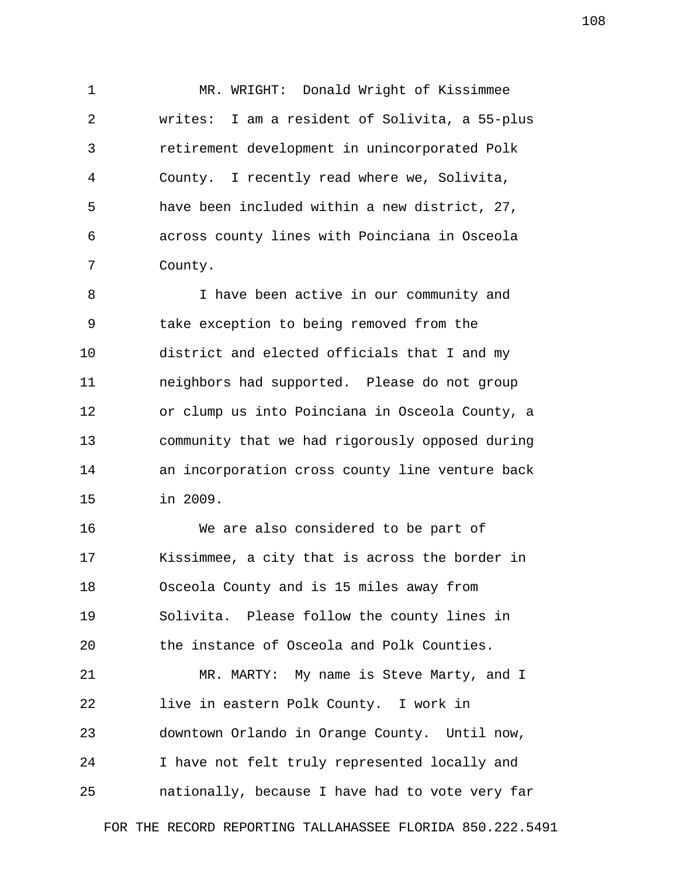1 MR. WRIGHT: Donald Wright of Kissimmee 2 writes: I am a resident of Solivita, a 55-plus 3 retirement development in unincorporated Polk 4 County. I recently read where we, Solivita, 5 have been included within a new district, 27, 6 across county lines with Poinciana in Osceola 7 County.

 8 I have been active in our community and 9 take exception to being removed from the 10 district and elected officials that I and my 11 neighbors had supported. Please do not group 12 or clump us into Poinciana in Osceola County, a 13 community that we had rigorously opposed during 14 an incorporation cross county line venture back 15 in 2009.

16 We are also considered to be part of 17 Kissimmee, a city that is across the border in 18 Osceola County and is 15 miles away from 19 Solivita. Please follow the county lines in 20 the instance of Osceola and Polk Counties. 21 MR. MARTY: My name is Steve Marty, and I 22 live in eastern Polk County. I work in 23 downtown Orlando in Orange County. Until now, 24 I have not felt truly represented locally and 25 nationally, because I have had to vote very far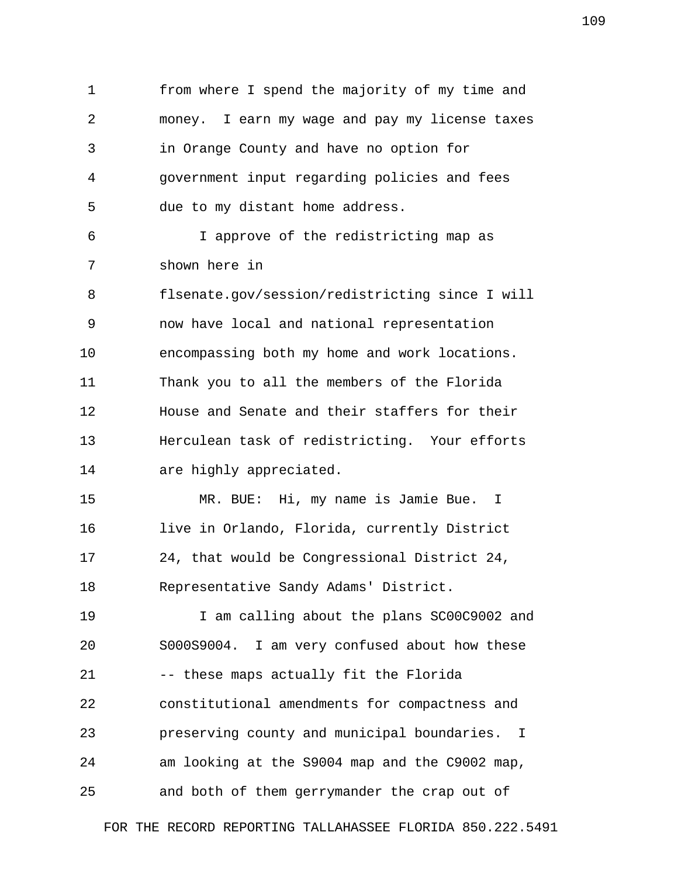1 from where I spend the majority of my time and 2 money. I earn my wage and pay my license taxes 3 in Orange County and have no option for 4 government input regarding policies and fees 5 due to my distant home address. 6 I approve of the redistricting map as 7 shown here in 8 flsenate.gov/session/redistricting since I will 9 now have local and national representation 10 encompassing both my home and work locations. 11 Thank you to all the members of the Florida 12 House and Senate and their staffers for their 13 Herculean task of redistricting. Your efforts 14 are highly appreciated. 15 MR. BUE: Hi, my name is Jamie Bue. I 16 live in Orlando, Florida, currently District 17 24, that would be Congressional District 24, 18 Representative Sandy Adams' District. 19 I am calling about the plans SC00C9002 and 20 S000S9004. I am very confused about how these 21 -- these maps actually fit the Florida 22 constitutional amendments for compactness and 23 preserving county and municipal boundaries. I 24 am looking at the S9004 map and the C9002 map, 25 and both of them gerrymander the crap out of

FOR THE RECORD REPORTING TALLAHASSEE FLORIDA 850.222.5491

109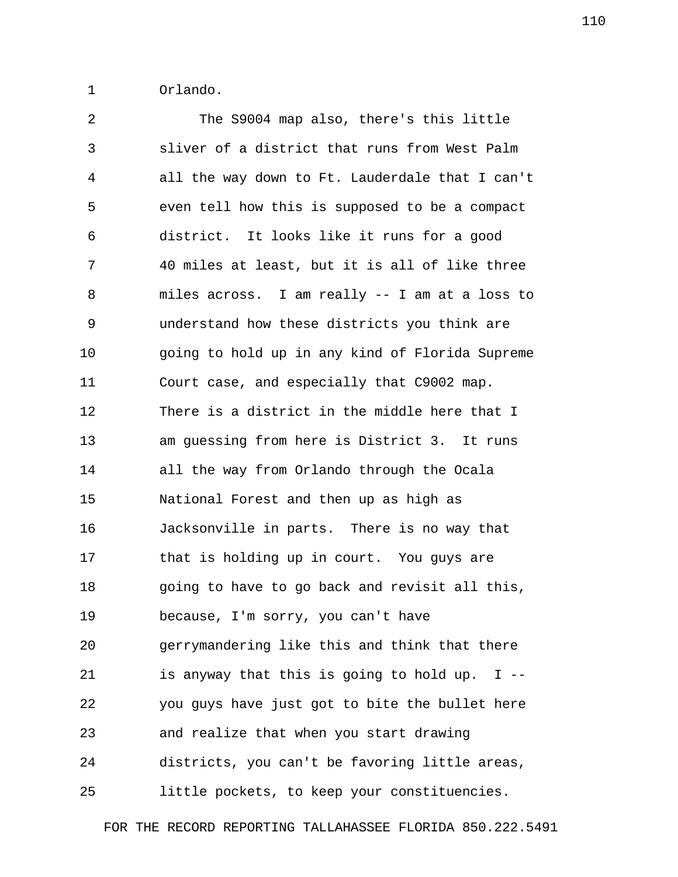1 Orlando.

 2 The S9004 map also, there's this little 3 sliver of a district that runs from West Palm 4 all the way down to Ft. Lauderdale that I can't 5 even tell how this is supposed to be a compact 6 district. It looks like it runs for a good 7 40 miles at least, but it is all of like three 8 miles across. I am really -- I am at a loss to 9 understand how these districts you think are 10 going to hold up in any kind of Florida Supreme 11 Court case, and especially that C9002 map. 12 There is a district in the middle here that I 13 am guessing from here is District 3. It runs 14 all the way from Orlando through the Ocala 15 National Forest and then up as high as 16 Jacksonville in parts. There is no way that 17 that is holding up in court. You guys are 18 going to have to go back and revisit all this, 19 because, I'm sorry, you can't have 20 gerrymandering like this and think that there 21 is anyway that this is going to hold up. I -- 22 you guys have just got to bite the bullet here 23 and realize that when you start drawing 24 districts, you can't be favoring little areas, 25 little pockets, to keep your constituencies.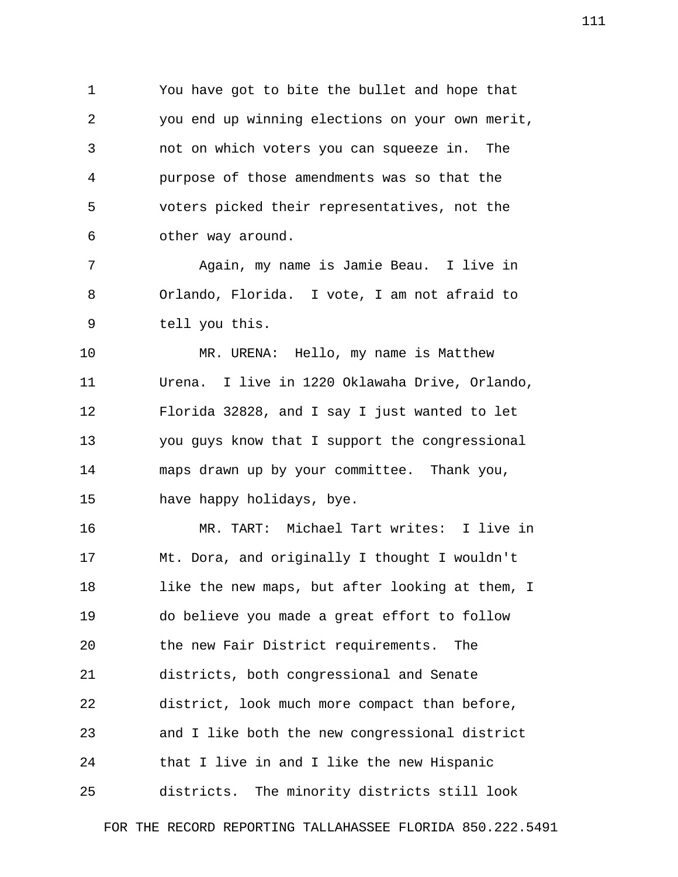1 You have got to bite the bullet and hope that 2 you end up winning elections on your own merit, 3 not on which voters you can squeeze in. The 4 purpose of those amendments was so that the 5 voters picked their representatives, not the 6 other way around.

 7 Again, my name is Jamie Beau. I live in 8 Orlando, Florida. I vote, I am not afraid to 9 tell you this.

10 MR. URENA: Hello, my name is Matthew 11 Urena. I live in 1220 Oklawaha Drive, Orlando, 12 Florida 32828, and I say I just wanted to let 13 you guys know that I support the congressional 14 maps drawn up by your committee. Thank you, 15 have happy holidays, bye.

16 MR. TART: Michael Tart writes: I live in 17 Mt. Dora, and originally I thought I wouldn't 18 like the new maps, but after looking at them, I 19 do believe you made a great effort to follow 20 the new Fair District requirements. The 21 districts, both congressional and Senate 22 district, look much more compact than before, 23 and I like both the new congressional district 24 that I live in and I like the new Hispanic 25 districts. The minority districts still look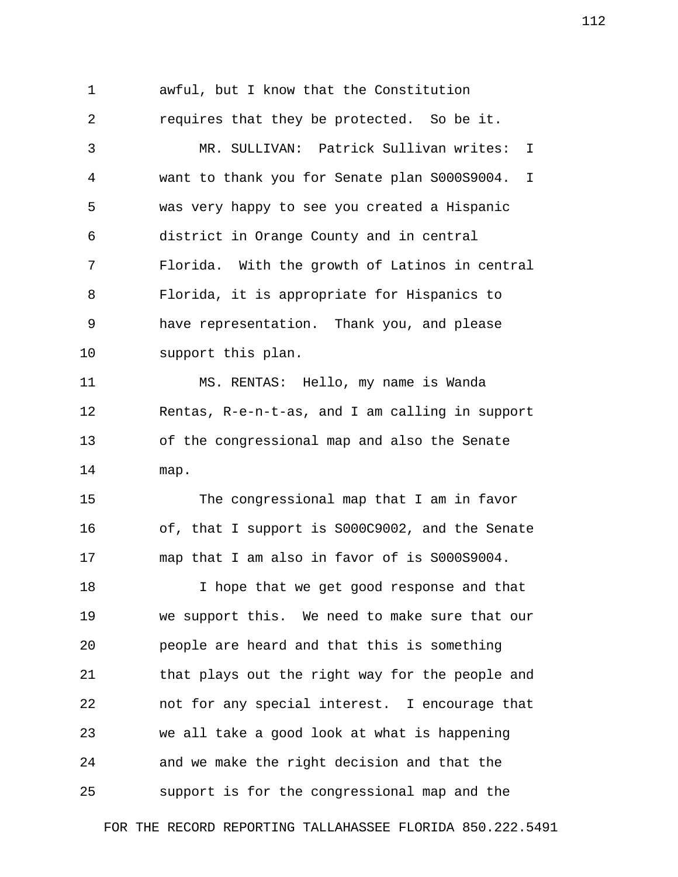1 awful, but I know that the Constitution 2 requires that they be protected. So be it. 3 MR. SULLIVAN: Patrick Sullivan writes: I 4 want to thank you for Senate plan S000S9004. I 5 was very happy to see you created a Hispanic 6 district in Orange County and in central 7 Florida. With the growth of Latinos in central 8 Florida, it is appropriate for Hispanics to 9 have representation. Thank you, and please 10 support this plan. 11 MS. RENTAS: Hello, my name is Wanda 12 Rentas, R-e-n-t-as, and I am calling in support 13 of the congressional map and also the Senate 14 map. 15 The congressional map that I am in favor 16 of, that I support is S000C9002, and the Senate 17 map that I am also in favor of is S000S9004. 18 I hope that we get good response and that 19 we support this. We need to make sure that our 20 people are heard and that this is something 21 that plays out the right way for the people and 22 not for any special interest. I encourage that 23 we all take a good look at what is happening 24 and we make the right decision and that the 25 support is for the congressional map and the

FOR THE RECORD REPORTING TALLAHASSEE FLORIDA 850.222.5491

112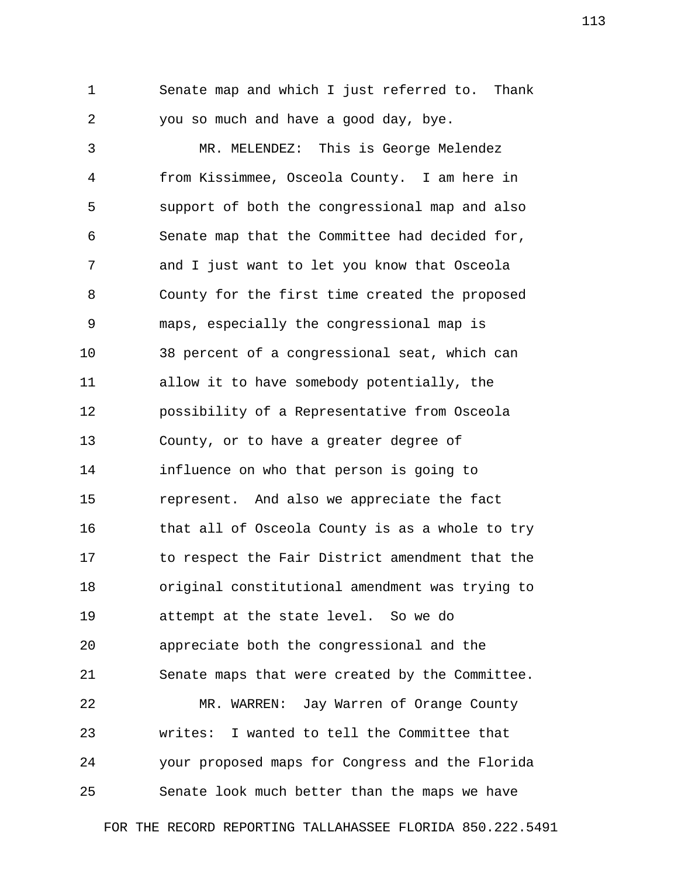1 Senate map and which I just referred to. Thank 2 you so much and have a good day, bye.

 3 MR. MELENDEZ: This is George Melendez 4 from Kissimmee, Osceola County. I am here in 5 support of both the congressional map and also 6 Senate map that the Committee had decided for, 7 and I just want to let you know that Osceola 8 County for the first time created the proposed 9 maps, especially the congressional map is 10 38 percent of a congressional seat, which can 11 allow it to have somebody potentially, the 12 possibility of a Representative from Osceola 13 County, or to have a greater degree of 14 influence on who that person is going to 15 represent. And also we appreciate the fact 16 that all of Osceola County is as a whole to try 17 to respect the Fair District amendment that the 18 original constitutional amendment was trying to 19 attempt at the state level. So we do 20 appreciate both the congressional and the 21 Senate maps that were created by the Committee. 22 MR. WARREN: Jay Warren of Orange County 23 writes: I wanted to tell the Committee that 24 your proposed maps for Congress and the Florida 25 Senate look much better than the maps we have

FOR THE RECORD REPORTING TALLAHASSEE FLORIDA 850.222.5491

113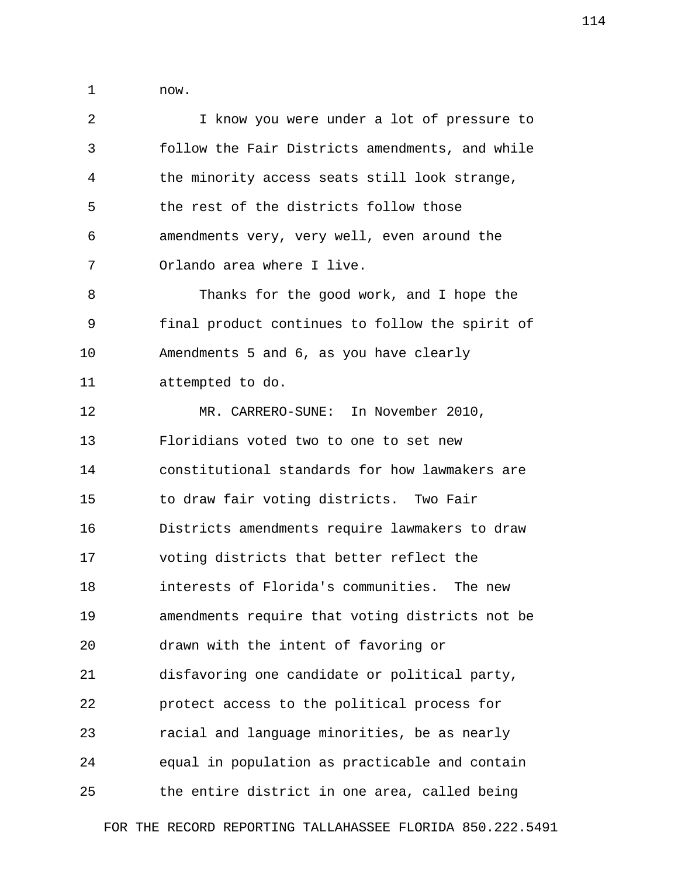1 now.

| 2  | I know you were under a lot of pressure to      |
|----|-------------------------------------------------|
| 3  | follow the Fair Districts amendments, and while |
| 4  | the minority access seats still look strange,   |
| 5  | the rest of the districts follow those          |
| 6  | amendments very, very well, even around the     |
| 7  | Orlando area where I live.                      |
| 8  | Thanks for the good work, and I hope the        |
| 9  | final product continues to follow the spirit of |
| 10 | Amendments 5 and 6, as you have clearly         |
| 11 | attempted to do.                                |
| 12 | MR. CARRERO-SUNE: In November 2010,             |
| 13 | Floridians voted two to one to set new          |
| 14 | constitutional standards for how lawmakers are  |
| 15 | to draw fair voting districts. Two Fair         |
| 16 | Districts amendments require lawmakers to draw  |
| 17 | voting districts that better reflect the        |
| 18 | interests of Florida's communities. The new     |
| 19 | amendments require that voting districts not be |
| 20 | drawn with the intent of favoring or            |
| 21 | disfavoring one candidate or political party,   |
| 22 | protect access to the political process for     |
| 23 | racial and language minorities, be as nearly    |
| 24 | equal in population as practicable and contain  |
| 25 | the entire district in one area, called being   |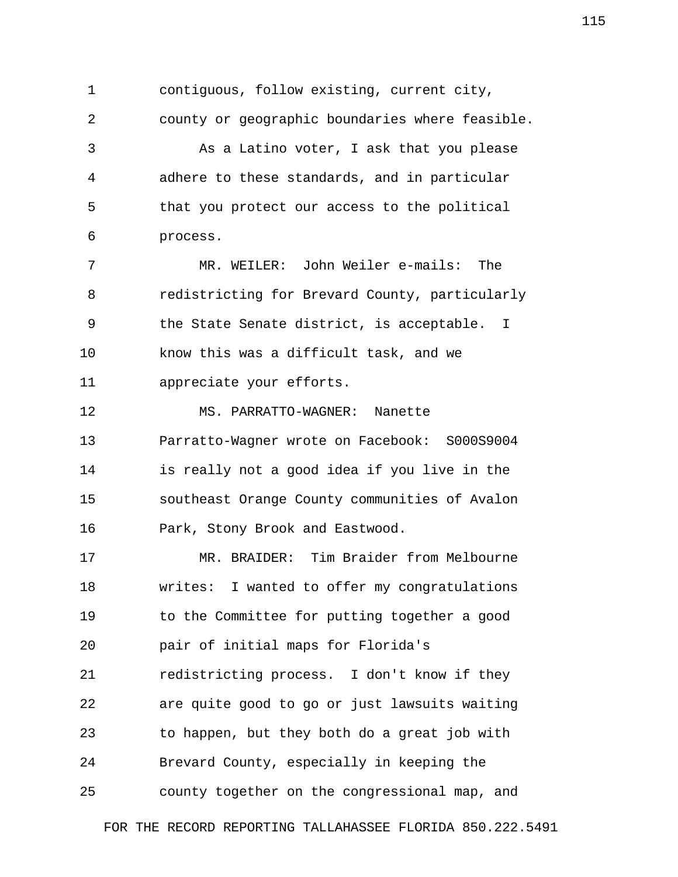1 contiguous, follow existing, current city, 2 county or geographic boundaries where feasible. 3 As a Latino voter, I ask that you please 4 adhere to these standards, and in particular 5 that you protect our access to the political 6 process. 7 MR. WEILER: John Weiler e-mails: The 8 redistricting for Brevard County, particularly 9 the State Senate district, is acceptable. I 10 know this was a difficult task, and we 11 appreciate your efforts. 12 MS. PARRATTO-WAGNER: Nanette 13 Parratto-Wagner wrote on Facebook: S000S9004 14 is really not a good idea if you live in the 15 southeast Orange County communities of Avalon 16 Park, Stony Brook and Eastwood. 17 MR. BRAIDER: Tim Braider from Melbourne 18 writes: I wanted to offer my congratulations 19 to the Committee for putting together a good 20 pair of initial maps for Florida's 21 redistricting process. I don't know if they 22 are quite good to go or just lawsuits waiting

23 to happen, but they both do a great job with

24 Brevard County, especially in keeping the

25 county together on the congressional map, and

FOR THE RECORD REPORTING TALLAHASSEE FLORIDA 850.222.5491

115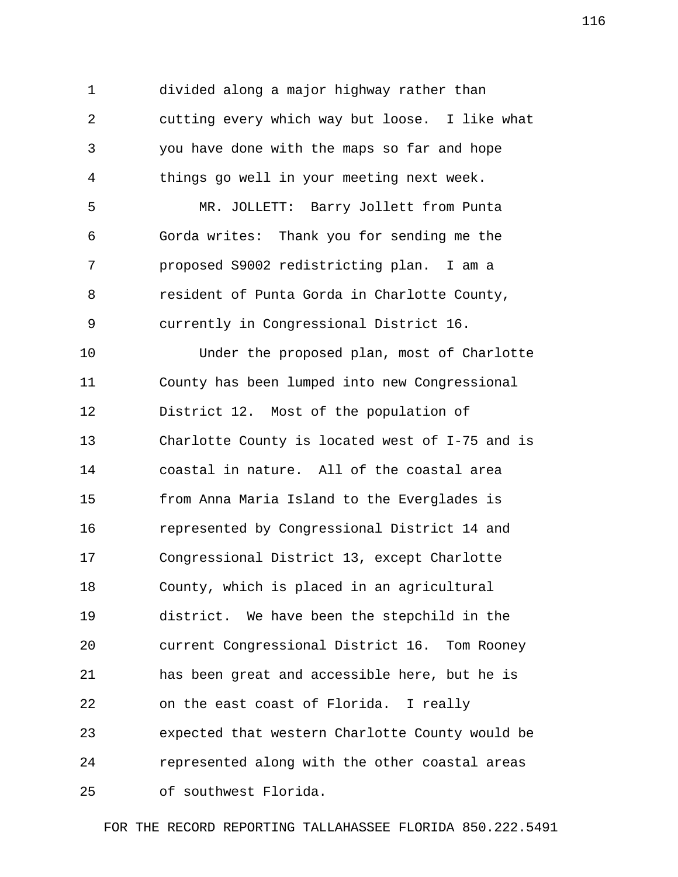1 divided along a major highway rather than 2 cutting every which way but loose. I like what 3 you have done with the maps so far and hope 4 things go well in your meeting next week. 5 MR. JOLLETT: Barry Jollett from Punta 6 Gorda writes: Thank you for sending me the 7 proposed S9002 redistricting plan. I am a 8 resident of Punta Gorda in Charlotte County, 9 currently in Congressional District 16. 10 Under the proposed plan, most of Charlotte 11 County has been lumped into new Congressional 12 District 12. Most of the population of 13 Charlotte County is located west of I-75 and is 14 coastal in nature. All of the coastal area 15 from Anna Maria Island to the Everglades is 16 represented by Congressional District 14 and 17 Congressional District 13, except Charlotte 18 County, which is placed in an agricultural 19 district. We have been the stepchild in the 20 current Congressional District 16. Tom Rooney 21 has been great and accessible here, but he is 22 on the east coast of Florida. I really 23 expected that western Charlotte County would be 24 represented along with the other coastal areas 25 of southwest Florida.

FOR THE RECORD REPORTING TALLAHASSEE FLORIDA 850.222.5491

116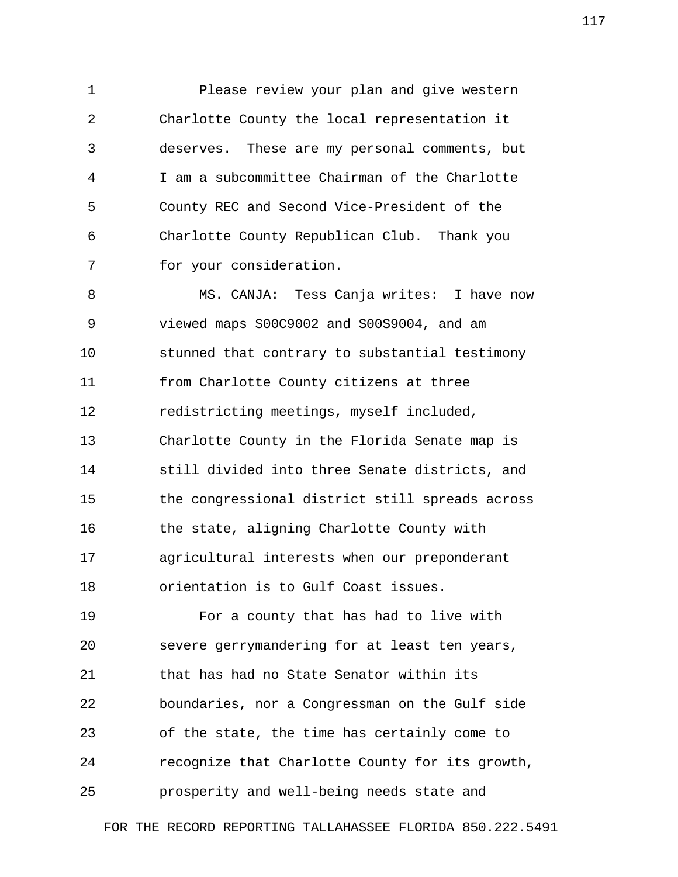1 Please review your plan and give western 2 Charlotte County the local representation it 3 deserves. These are my personal comments, but 4 I am a subcommittee Chairman of the Charlotte 5 County REC and Second Vice-President of the 6 Charlotte County Republican Club. Thank you 7 for your consideration.

 8 MS. CANJA: Tess Canja writes: I have now 9 viewed maps S00C9002 and S00S9004, and am 10 stunned that contrary to substantial testimony 11 from Charlotte County citizens at three 12 redistricting meetings, myself included, 13 Charlotte County in the Florida Senate map is 14 still divided into three Senate districts, and 15 the congressional district still spreads across 16 the state, aligning Charlotte County with 17 agricultural interests when our preponderant 18 orientation is to Gulf Coast issues.

19 For a county that has had to live with 20 severe gerrymandering for at least ten years, 21 that has had no State Senator within its 22 boundaries, nor a Congressman on the Gulf side 23 of the state, the time has certainly come to 24 recognize that Charlotte County for its growth, 25 prosperity and well-being needs state and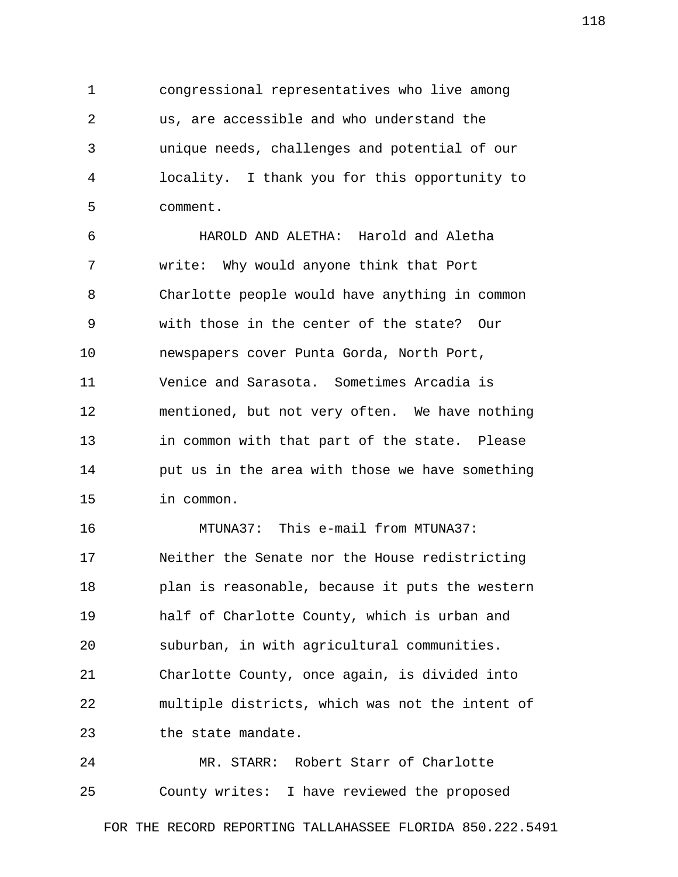1 congressional representatives who live among 2 us, are accessible and who understand the 3 unique needs, challenges and potential of our 4 locality. I thank you for this opportunity to 5 comment.

 6 HAROLD AND ALETHA: Harold and Aletha 7 write: Why would anyone think that Port 8 Charlotte people would have anything in common 9 with those in the center of the state? Our 10 newspapers cover Punta Gorda, North Port, 11 Venice and Sarasota. Sometimes Arcadia is 12 mentioned, but not very often. We have nothing 13 in common with that part of the state. Please 14 put us in the area with those we have something 15 in common.

16 MTUNA37: This e-mail from MTUNA37: 17 Neither the Senate nor the House redistricting 18 plan is reasonable, because it puts the western 19 half of Charlotte County, which is urban and 20 suburban, in with agricultural communities. 21 Charlotte County, once again, is divided into 22 multiple districts, which was not the intent of 23 the state mandate.

24 MR. STARR: Robert Starr of Charlotte 25 County writes: I have reviewed the proposed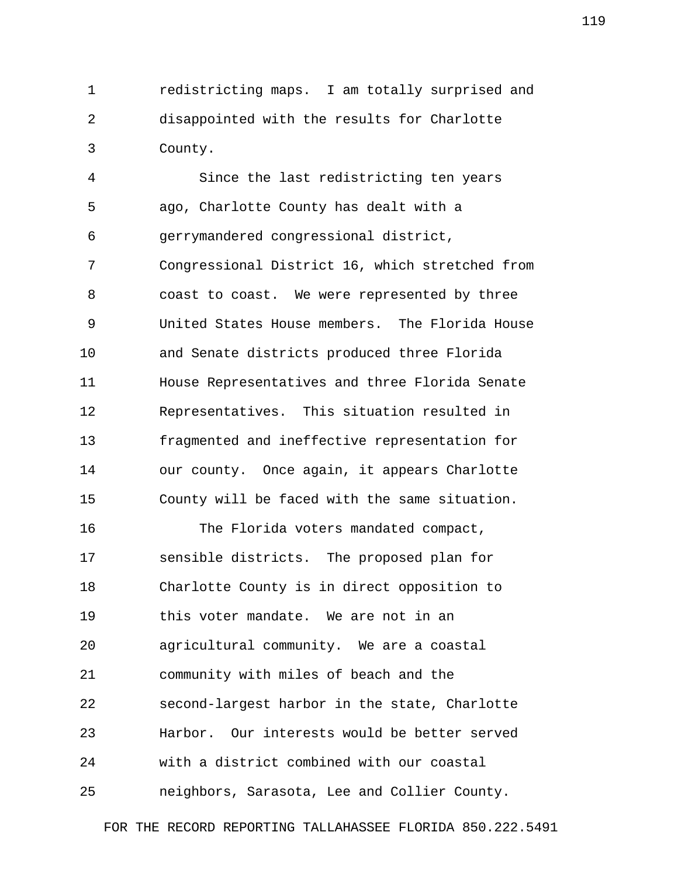1 redistricting maps. I am totally surprised and 2 disappointed with the results for Charlotte 3 County.

 4 Since the last redistricting ten years 5 ago, Charlotte County has dealt with a 6 gerrymandered congressional district, 7 Congressional District 16, which stretched from 8 coast to coast. We were represented by three 9 United States House members. The Florida House 10 and Senate districts produced three Florida 11 House Representatives and three Florida Senate 12 Representatives. This situation resulted in 13 fragmented and ineffective representation for 14 our county. Once again, it appears Charlotte 15 County will be faced with the same situation.

16 The Florida voters mandated compact, 17 sensible districts. The proposed plan for 18 Charlotte County is in direct opposition to 19 this voter mandate. We are not in an 20 agricultural community. We are a coastal 21 community with miles of beach and the 22 second-largest harbor in the state, Charlotte 23 Harbor. Our interests would be better served 24 with a district combined with our coastal 25 neighbors, Sarasota, Lee and Collier County.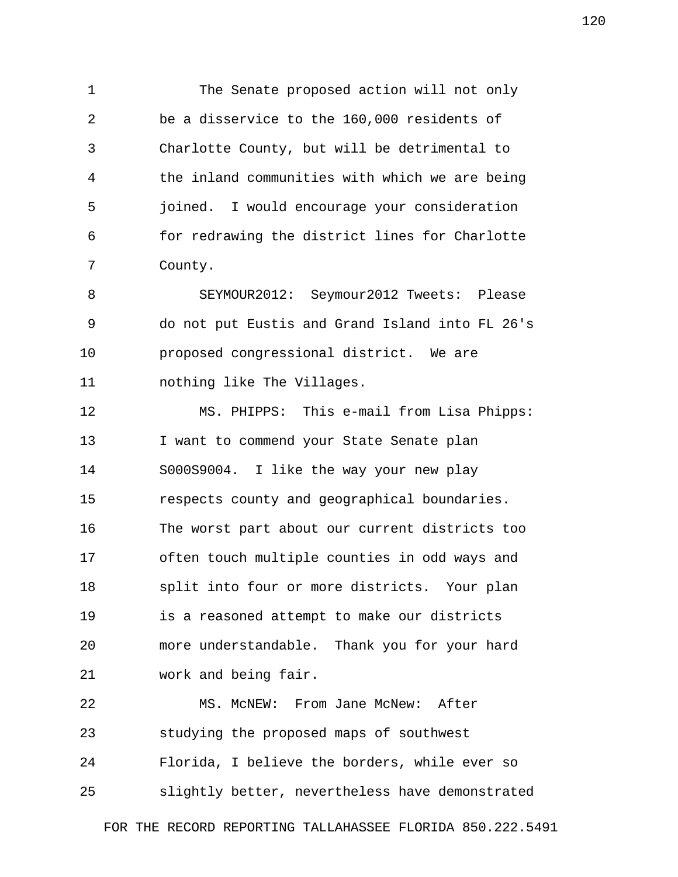1 The Senate proposed action will not only 2 be a disservice to the 160,000 residents of 3 Charlotte County, but will be detrimental to 4 the inland communities with which we are being 5 joined. I would encourage your consideration 6 for redrawing the district lines for Charlotte 7 County.

 8 SEYMOUR2012: Seymour2012 Tweets: Please 9 do not put Eustis and Grand Island into FL 26's 10 proposed congressional district. We are 11 nothing like The Villages.

12 MS. PHIPPS: This e-mail from Lisa Phipps: 13 I want to commend your State Senate plan 14 S000S9004. I like the way your new play 15 respects county and geographical boundaries. 16 The worst part about our current districts too 17 often touch multiple counties in odd ways and 18 split into four or more districts. Your plan 19 is a reasoned attempt to make our districts 20 more understandable. Thank you for your hard 21 work and being fair.

22 MS. McNEW: From Jane McNew: After 23 studying the proposed maps of southwest 24 Florida, I believe the borders, while ever so 25 slightly better, nevertheless have demonstrated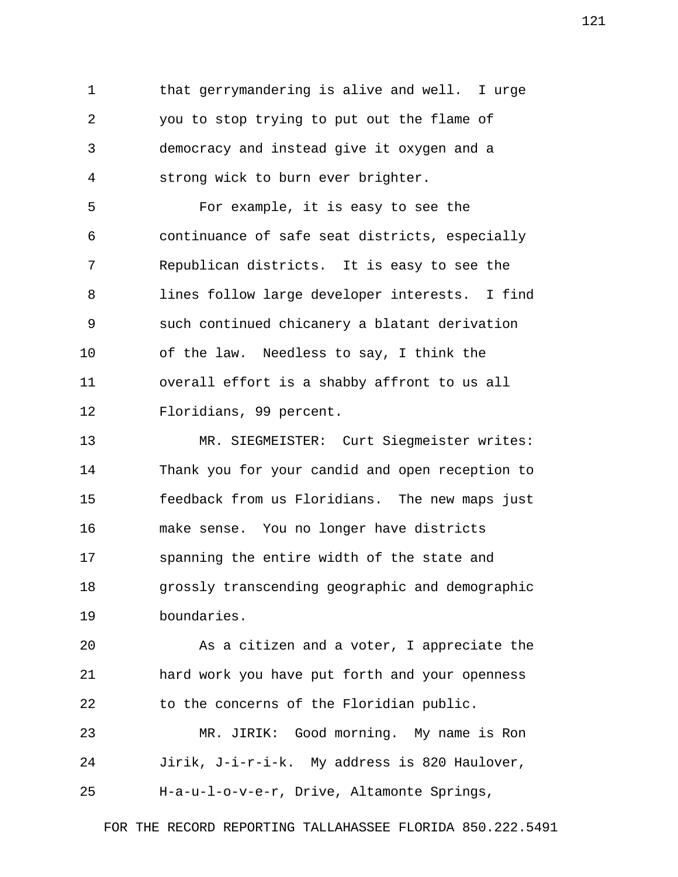1 that gerrymandering is alive and well. I urge 2 you to stop trying to put out the flame of 3 democracy and instead give it oxygen and a 4 strong wick to burn ever brighter.

 5 For example, it is easy to see the 6 continuance of safe seat districts, especially 7 Republican districts. It is easy to see the 8 lines follow large developer interests. I find 9 such continued chicanery a blatant derivation 10 of the law. Needless to say, I think the 11 overall effort is a shabby affront to us all 12 Floridians, 99 percent.

13 MR. SIEGMEISTER: Curt Siegmeister writes: 14 Thank you for your candid and open reception to 15 feedback from us Floridians. The new maps just 16 make sense. You no longer have districts 17 spanning the entire width of the state and 18 grossly transcending geographic and demographic 19 boundaries.

20 As a citizen and a voter, I appreciate the 21 hard work you have put forth and your openness 22 to the concerns of the Floridian public.

23 MR. JIRIK: Good morning. My name is Ron 24 Jirik, J-i-r-i-k. My address is 820 Haulover, 25 H-a-u-l-o-v-e-r, Drive, Altamonte Springs,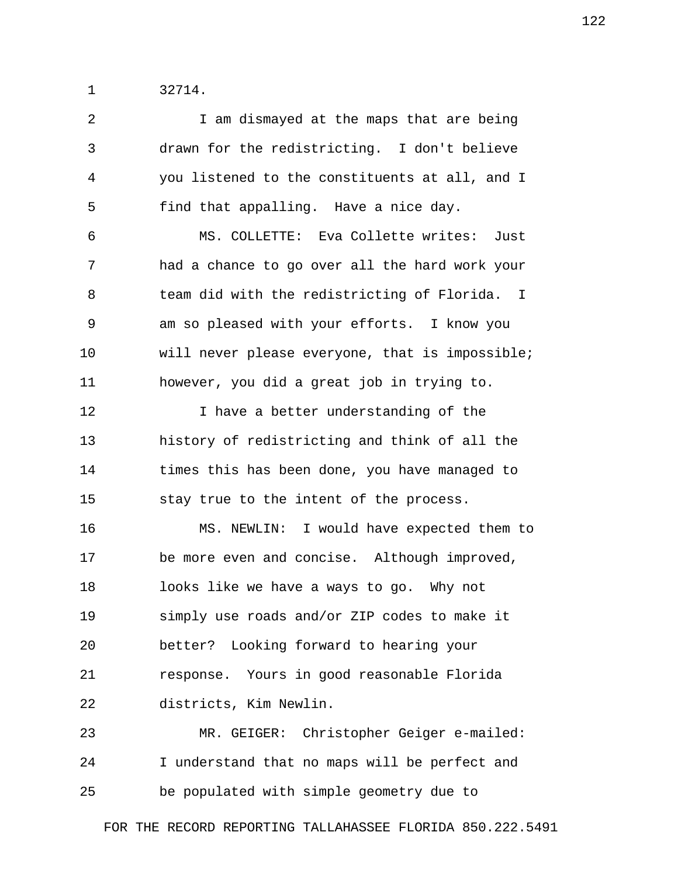1 32714.

| $\overline{2}$ | I am dismayed at the maps that are being        |
|----------------|-------------------------------------------------|
| 3              | drawn for the redistricting. I don't believe    |
| 4              | you listened to the constituents at all, and I  |
| 5              | find that appalling. Have a nice day.           |
| 6              | MS. COLLETTE: Eva Collette writes: Just         |
| 7              | had a chance to go over all the hard work your  |
| 8              | team did with the redistricting of Florida. I   |
| 9              | am so pleased with your efforts. I know you     |
| 10             | will never please everyone, that is impossible; |
| 11             | however, you did a great job in trying to.      |
| 12             | I have a better understanding of the            |
| 13             | history of redistricting and think of all the   |
| 14             | times this has been done, you have managed to   |
| 15             | stay true to the intent of the process.         |
| 16             | MS. NEWLIN: I would have expected them to       |
| 17             | be more even and concise. Although improved,    |
| 18             | looks like we have a ways to go. Why not        |
| 19             | simply use roads and/or ZIP codes to make it    |
| 20             | better? Looking forward to hearing your         |
| 21             | response. Yours in good reasonable Florida      |
| 22             | districts, Kim Newlin.                          |
| 23             | MR. GEIGER: Christopher Geiger e-mailed:        |
| 24             | I understand that no maps will be perfect and   |
| 25             | be populated with simple geometry due to        |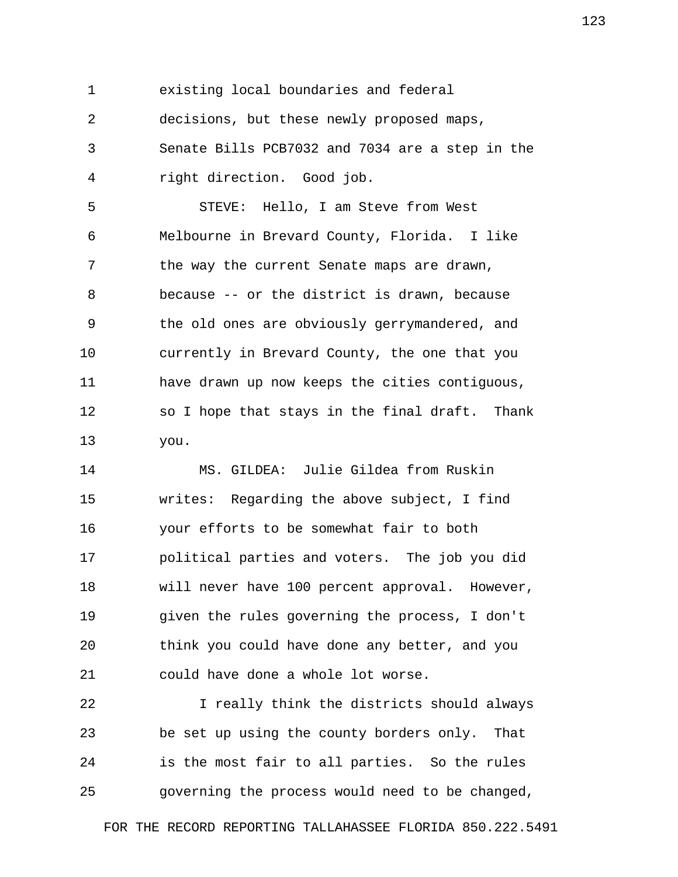1 existing local boundaries and federal

 2 decisions, but these newly proposed maps, 3 Senate Bills PCB7032 and 7034 are a step in the

4 right direction. Good job.

 5 STEVE: Hello, I am Steve from West 6 Melbourne in Brevard County, Florida. I like 7 the way the current Senate maps are drawn, 8 because -- or the district is drawn, because 9 the old ones are obviously gerrymandered, and 10 currently in Brevard County, the one that you 11 have drawn up now keeps the cities contiguous, 12 so I hope that stays in the final draft. Thank 13 you.

14 MS. GILDEA: Julie Gildea from Ruskin 15 writes: Regarding the above subject, I find 16 your efforts to be somewhat fair to both 17 political parties and voters. The job you did 18 will never have 100 percent approval. However, 19 given the rules governing the process, I don't 20 think you could have done any better, and you 21 could have done a whole lot worse.

22 I really think the districts should always 23 be set up using the county borders only. That 24 is the most fair to all parties. So the rules 25 governing the process would need to be changed,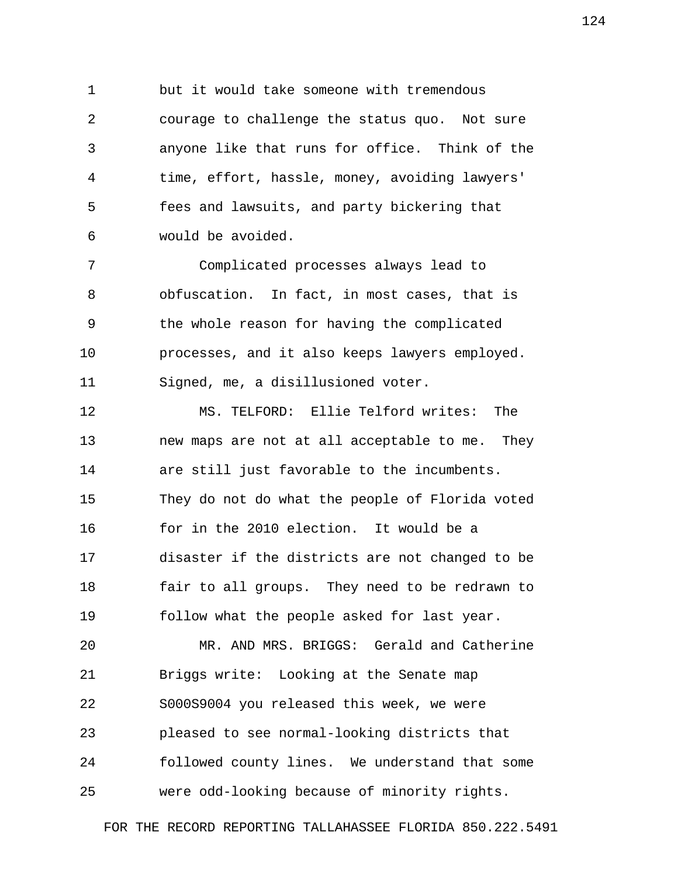1 but it would take someone with tremendous 2 courage to challenge the status quo. Not sure 3 anyone like that runs for office. Think of the 4 time, effort, hassle, money, avoiding lawyers' 5 fees and lawsuits, and party bickering that 6 would be avoided.

 7 Complicated processes always lead to 8 obfuscation. In fact, in most cases, that is 9 the whole reason for having the complicated 10 processes, and it also keeps lawyers employed. 11 Signed, me, a disillusioned voter.

12 MS. TELFORD: Ellie Telford writes: The 13 new maps are not at all acceptable to me. They 14 are still just favorable to the incumbents. 15 They do not do what the people of Florida voted 16 for in the 2010 election. It would be a 17 disaster if the districts are not changed to be 18 fair to all groups. They need to be redrawn to 19 follow what the people asked for last year.

20 MR. AND MRS. BRIGGS: Gerald and Catherine 21 Briggs write: Looking at the Senate map 22 S000S9004 you released this week, we were 23 pleased to see normal-looking districts that 24 followed county lines. We understand that some 25 were odd-looking because of minority rights.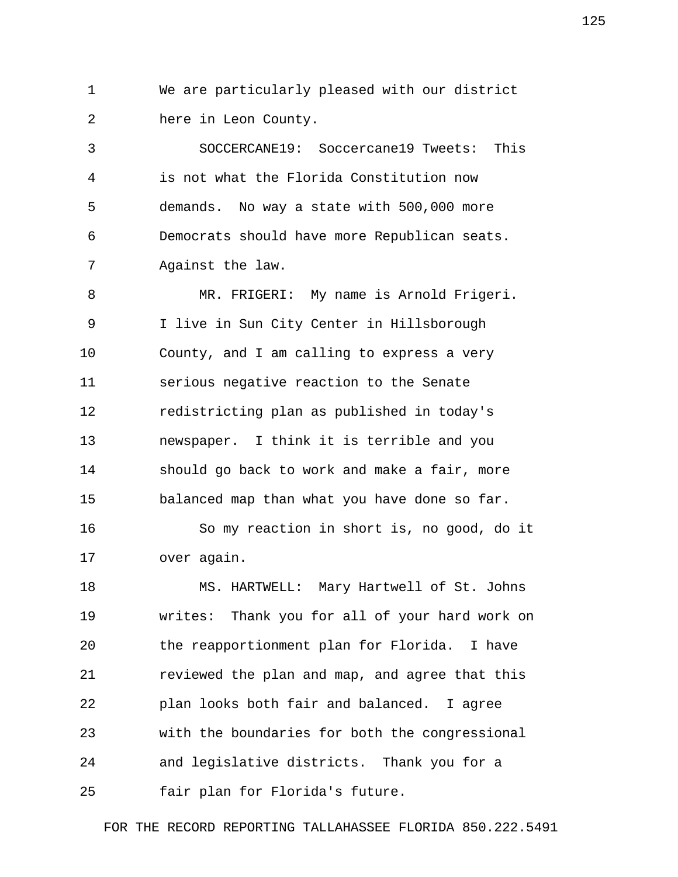1 We are particularly pleased with our district 2 here in Leon County.

 3 SOCCERCANE19: Soccercane19 Tweets: This 4 is not what the Florida Constitution now 5 demands. No way a state with 500,000 more 6 Democrats should have more Republican seats. 7 Against the law.

 8 MR. FRIGERI: My name is Arnold Frigeri. 9 I live in Sun City Center in Hillsborough 10 County, and I am calling to express a very 11 serious negative reaction to the Senate 12 redistricting plan as published in today's 13 newspaper. I think it is terrible and you 14 should go back to work and make a fair, more 15 balanced map than what you have done so far.

16 So my reaction in short is, no good, do it 17 over again.

18 MS. HARTWELL: Mary Hartwell of St. Johns 19 writes: Thank you for all of your hard work on 20 the reapportionment plan for Florida. I have 21 reviewed the plan and map, and agree that this 22 plan looks both fair and balanced. I agree 23 with the boundaries for both the congressional 24 and legislative districts. Thank you for a 25 fair plan for Florida's future.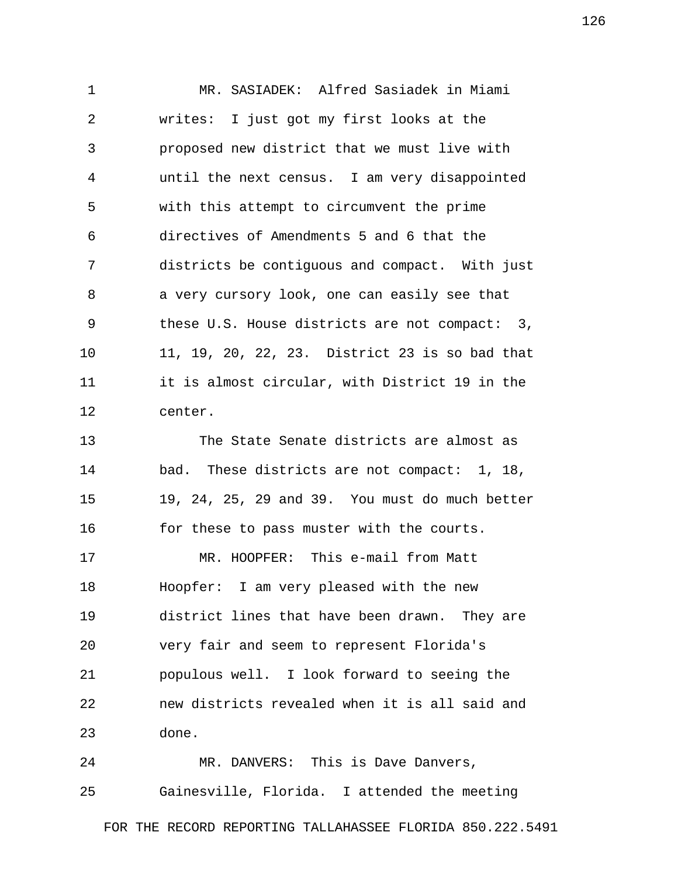1 MR. SASIADEK: Alfred Sasiadek in Miami 2 writes: I just got my first looks at the 3 proposed new district that we must live with 4 until the next census. I am very disappointed 5 with this attempt to circumvent the prime 6 directives of Amendments 5 and 6 that the 7 districts be contiguous and compact. With just 8 a very cursory look, one can easily see that 9 these U.S. House districts are not compact: 3, 10 11, 19, 20, 22, 23. District 23 is so bad that 11 it is almost circular, with District 19 in the 12 center. 13 The State Senate districts are almost as 14 bad. These districts are not compact: 1, 18,

15 19, 24, 25, 29 and 39. You must do much better 16 for these to pass muster with the courts. 17 MR. HOOPFER: This e-mail from Matt 18 Hoopfer: I am very pleased with the new 19 district lines that have been drawn. They are 20 very fair and seem to represent Florida's 21 populous well. I look forward to seeing the 22 new districts revealed when it is all said and 23 done.

24 MR. DANVERS: This is Dave Danvers, 25 Gainesville, Florida. I attended the meeting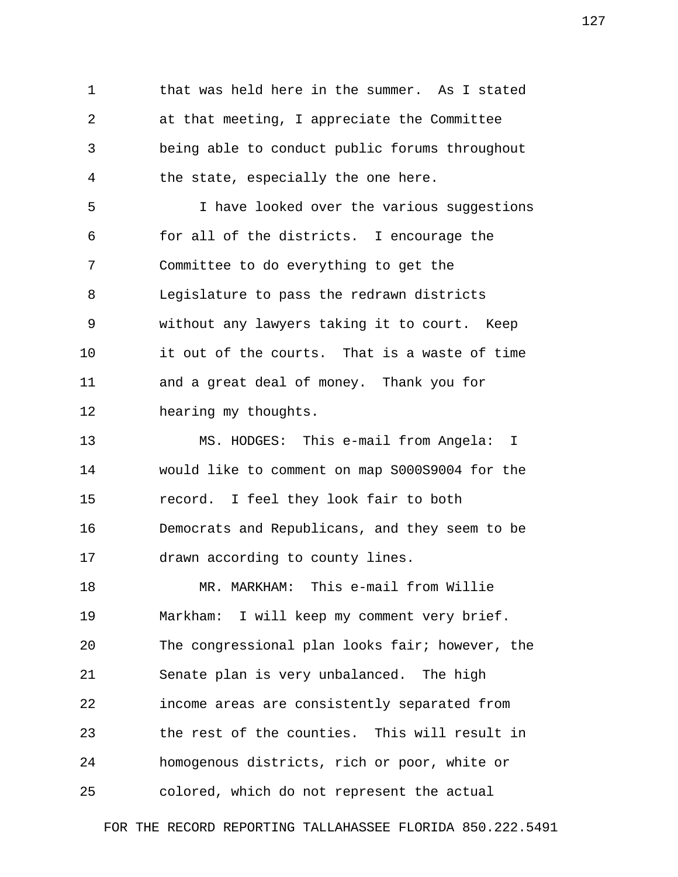1 that was held here in the summer. As I stated 2 at that meeting, I appreciate the Committee 3 being able to conduct public forums throughout 4 the state, especially the one here.

 5 I have looked over the various suggestions 6 for all of the districts. I encourage the 7 Committee to do everything to get the 8 Legislature to pass the redrawn districts 9 without any lawyers taking it to court. Keep 10 it out of the courts. That is a waste of time 11 and a great deal of money. Thank you for 12 hearing my thoughts.

13 MS. HODGES: This e-mail from Angela: I 14 would like to comment on map S000S9004 for the 15 record. I feel they look fair to both 16 Democrats and Republicans, and they seem to be 17 drawn according to county lines.

18 MR. MARKHAM: This e-mail from Willie 19 Markham: I will keep my comment very brief. 20 The congressional plan looks fair; however, the 21 Senate plan is very unbalanced. The high 22 income areas are consistently separated from 23 the rest of the counties. This will result in 24 homogenous districts, rich or poor, white or 25 colored, which do not represent the actual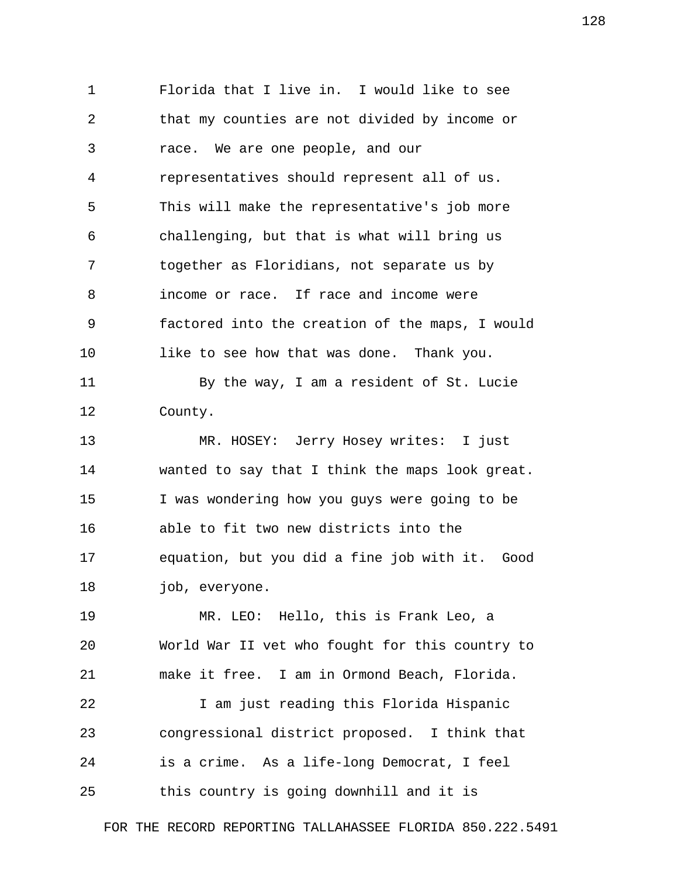1 Florida that I live in. I would like to see 2 that my counties are not divided by income or 3 race. We are one people, and our 4 representatives should represent all of us. 5 This will make the representative's job more 6 challenging, but that is what will bring us 7 together as Floridians, not separate us by 8 income or race. If race and income were 9 factored into the creation of the maps, I would 10 like to see how that was done. Thank you. 11 By the way, I am a resident of St. Lucie 12 County. 13 MR. HOSEY: Jerry Hosey writes: I just 14 wanted to say that I think the maps look great. 15 I was wondering how you guys were going to be 16 able to fit two new districts into the 17 equation, but you did a fine job with it. Good 18 *job*, everyone. 19 MR. LEO: Hello, this is Frank Leo, a 20 World War II vet who fought for this country to 21 make it free. I am in Ormond Beach, Florida. 22 I am just reading this Florida Hispanic 23 congressional district proposed. I think that 24 is a crime. As a life-long Democrat, I feel 25 this country is going downhill and it is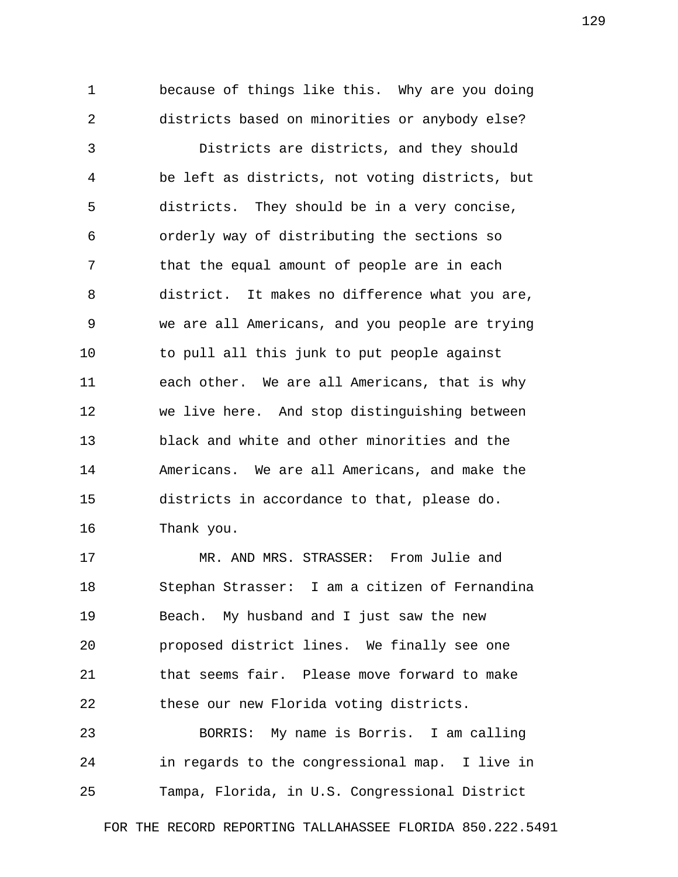1 because of things like this. Why are you doing 2 districts based on minorities or anybody else?

 3 Districts are districts, and they should 4 be left as districts, not voting districts, but 5 districts. They should be in a very concise, 6 orderly way of distributing the sections so 7 that the equal amount of people are in each 8 district. It makes no difference what you are, 9 we are all Americans, and you people are trying 10 to pull all this junk to put people against 11 each other. We are all Americans, that is why 12 we live here. And stop distinguishing between 13 black and white and other minorities and the 14 Americans. We are all Americans, and make the 15 districts in accordance to that, please do. 16 Thank you.

17 MR. AND MRS. STRASSER: From Julie and 18 Stephan Strasser: I am a citizen of Fernandina 19 Beach. My husband and I just saw the new 20 proposed district lines. We finally see one 21 that seems fair. Please move forward to make 22 these our new Florida voting districts.

23 BORRIS: My name is Borris. I am calling 24 in regards to the congressional map. I live in 25 Tampa, Florida, in U.S. Congressional District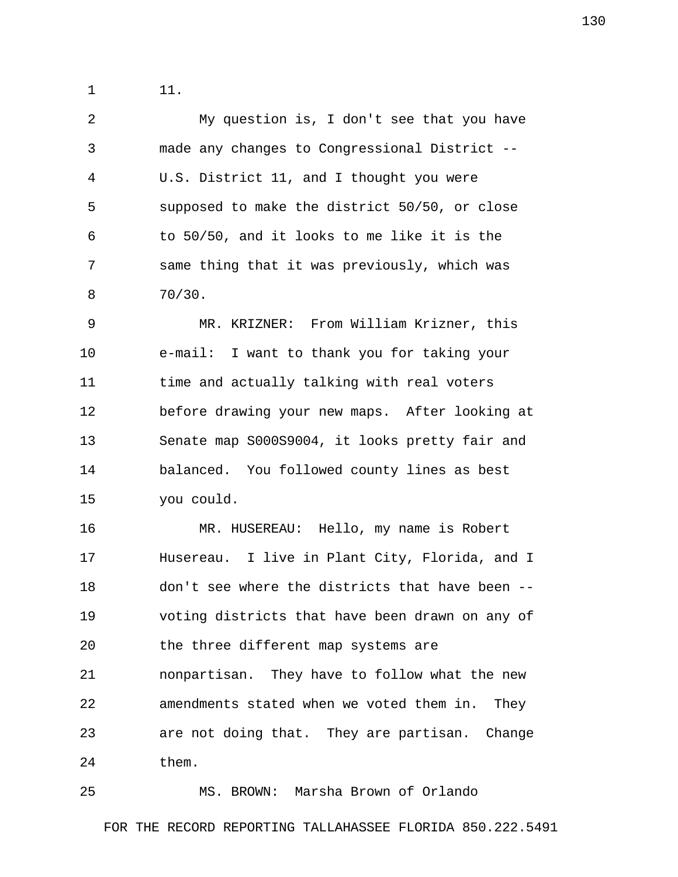1 11.

 2 My question is, I don't see that you have 3 made any changes to Congressional District -- 4 U.S. District 11, and I thought you were 5 supposed to make the district 50/50, or close 6 to 50/50, and it looks to me like it is the 7 same thing that it was previously, which was 8 70/30.

 9 MR. KRIZNER: From William Krizner, this 10 e-mail: I want to thank you for taking your 11 time and actually talking with real voters 12 before drawing your new maps. After looking at 13 Senate map S000S9004, it looks pretty fair and 14 balanced. You followed county lines as best 15 you could.

16 MR. HUSEREAU: Hello, my name is Robert 17 Husereau. I live in Plant City, Florida, and I 18 don't see where the districts that have been -- 19 voting districts that have been drawn on any of 20 the three different map systems are 21 nonpartisan. They have to follow what the new 22 amendments stated when we voted them in. They 23 are not doing that. They are partisan. Change 24 them.

25 MS. BROWN: Marsha Brown of Orlando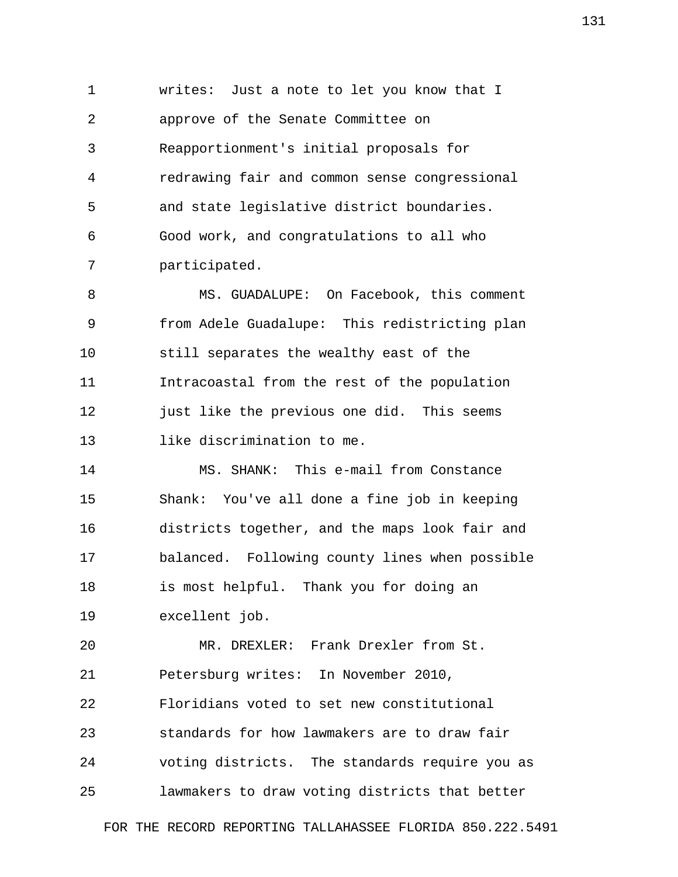1 writes: Just a note to let you know that I 2 approve of the Senate Committee on 3 Reapportionment's initial proposals for 4 redrawing fair and common sense congressional 5 and state legislative district boundaries. 6 Good work, and congratulations to all who 7 participated.

 8 MS. GUADALUPE: On Facebook, this comment 9 from Adele Guadalupe: This redistricting plan 10 still separates the wealthy east of the 11 Intracoastal from the rest of the population 12 just like the previous one did. This seems 13 like discrimination to me.

14 MS. SHANK: This e-mail from Constance 15 Shank: You've all done a fine job in keeping 16 districts together, and the maps look fair and 17 balanced. Following county lines when possible 18 is most helpful. Thank you for doing an 19 excellent job.

20 MR. DREXLER: Frank Drexler from St. 21 Petersburg writes: In November 2010, 22 Floridians voted to set new constitutional 23 standards for how lawmakers are to draw fair 24 voting districts. The standards require you as 25 lawmakers to draw voting districts that better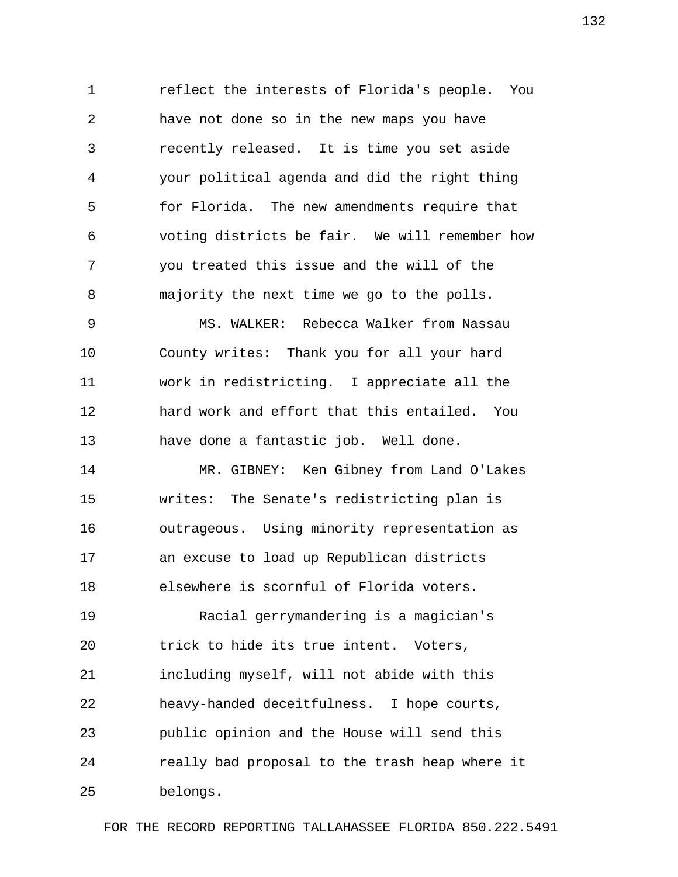1 reflect the interests of Florida's people. You 2 have not done so in the new maps you have 3 recently released. It is time you set aside 4 your political agenda and did the right thing 5 for Florida. The new amendments require that 6 voting districts be fair. We will remember how 7 you treated this issue and the will of the 8 majority the next time we go to the polls.

 9 MS. WALKER: Rebecca Walker from Nassau 10 County writes: Thank you for all your hard 11 work in redistricting. I appreciate all the 12 hard work and effort that this entailed. You 13 have done a fantastic job. Well done.

14 MR. GIBNEY: Ken Gibney from Land O'Lakes 15 writes: The Senate's redistricting plan is 16 outrageous. Using minority representation as 17 an excuse to load up Republican districts 18 elsewhere is scornful of Florida voters.

19 Racial gerrymandering is a magician's 20 trick to hide its true intent. Voters, 21 including myself, will not abide with this 22 heavy-handed deceitfulness. I hope courts, 23 public opinion and the House will send this 24 really bad proposal to the trash heap where it 25 belongs.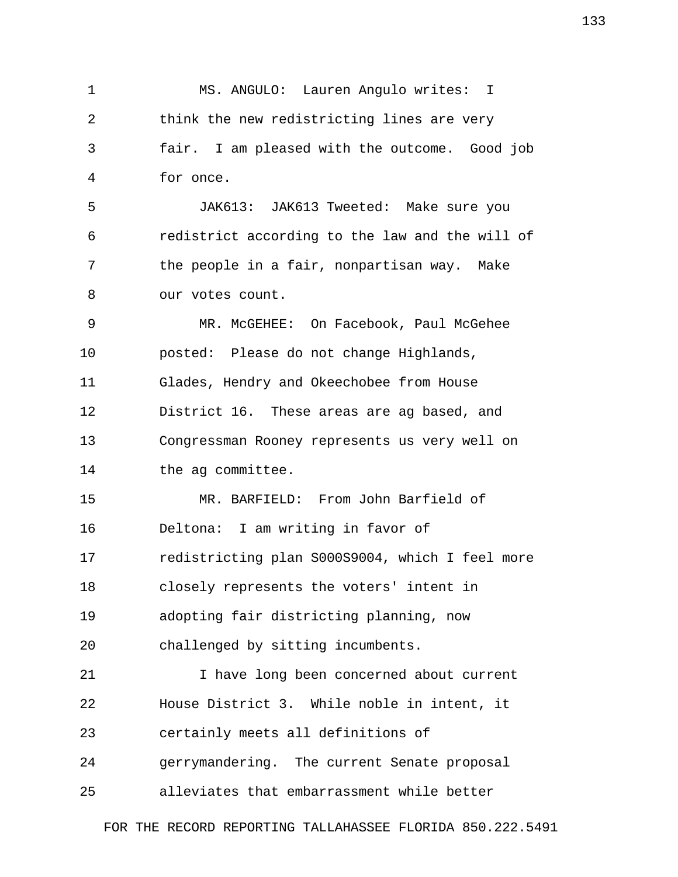1 MS. ANGULO: Lauren Angulo writes: I 2 think the new redistricting lines are very 3 fair. I am pleased with the outcome. Good job 4 for once. 5 JAK613: JAK613 Tweeted: Make sure you 6 redistrict according to the law and the will of 7 the people in a fair, nonpartisan way. Make 8 our votes count. 9 MR. McGEHEE: On Facebook, Paul McGehee 10 posted: Please do not change Highlands, 11 Glades, Hendry and Okeechobee from House 12 District 16. These areas are ag based, and 13 Congressman Rooney represents us very well on 14 the ag committee. 15 MR. BARFIELD: From John Barfield of 16 Deltona: I am writing in favor of 17 redistricting plan S000S9004, which I feel more 18 closely represents the voters' intent in 19 adopting fair districting planning, now 20 challenged by sitting incumbents. 21 I have long been concerned about current 22 House District 3. While noble in intent, it 23 certainly meets all definitions of

24 gerrymandering. The current Senate proposal

25 alleviates that embarrassment while better

FOR THE RECORD REPORTING TALLAHASSEE FLORIDA 850.222.5491

133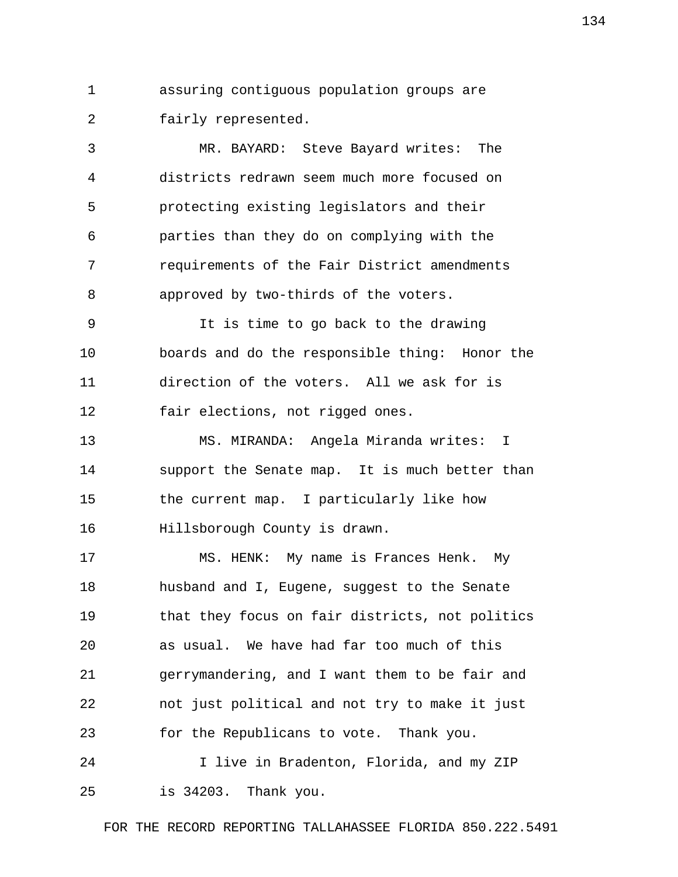1 assuring contiguous population groups are 2 fairly represented.

 3 MR. BAYARD: Steve Bayard writes: The 4 districts redrawn seem much more focused on 5 protecting existing legislators and their 6 parties than they do on complying with the 7 requirements of the Fair District amendments 8 approved by two-thirds of the voters.

 9 It is time to go back to the drawing 10 boards and do the responsible thing: Honor the 11 direction of the voters. All we ask for is 12 fair elections, not rigged ones.

13 MS. MIRANDA: Angela Miranda writes: I 14 support the Senate map. It is much better than 15 the current map. I particularly like how 16 Hillsborough County is drawn.

17 MS. HENK: My name is Frances Henk. My 18 husband and I, Eugene, suggest to the Senate 19 that they focus on fair districts, not politics 20 as usual. We have had far too much of this 21 gerrymandering, and I want them to be fair and 22 not just political and not try to make it just 23 for the Republicans to vote. Thank you.

24 I live in Bradenton, Florida, and my ZIP 25 is 34203. Thank you.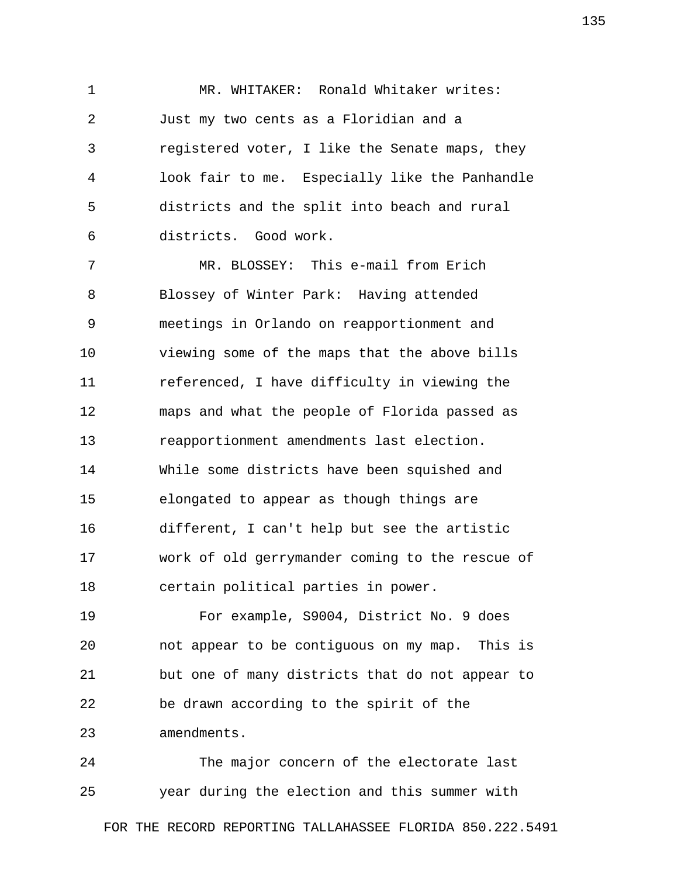1 MR. WHITAKER: Ronald Whitaker writes: 2 Just my two cents as a Floridian and a 3 registered voter, I like the Senate maps, they 4 look fair to me. Especially like the Panhandle 5 districts and the split into beach and rural 6 districts. Good work.

 7 MR. BLOSSEY: This e-mail from Erich 8 Blossey of Winter Park: Having attended 9 meetings in Orlando on reapportionment and 10 viewing some of the maps that the above bills 11 referenced, I have difficulty in viewing the 12 maps and what the people of Florida passed as 13 reapportionment amendments last election. 14 While some districts have been squished and 15 elongated to appear as though things are 16 different, I can't help but see the artistic 17 work of old gerrymander coming to the rescue of 18 certain political parties in power.

19 For example, S9004, District No. 9 does 20 not appear to be contiguous on my map. This is 21 but one of many districts that do not appear to 22 be drawn according to the spirit of the 23 amendments.

24 The major concern of the electorate last 25 year during the election and this summer with

FOR THE RECORD REPORTING TALLAHASSEE FLORIDA 850.222.5491

135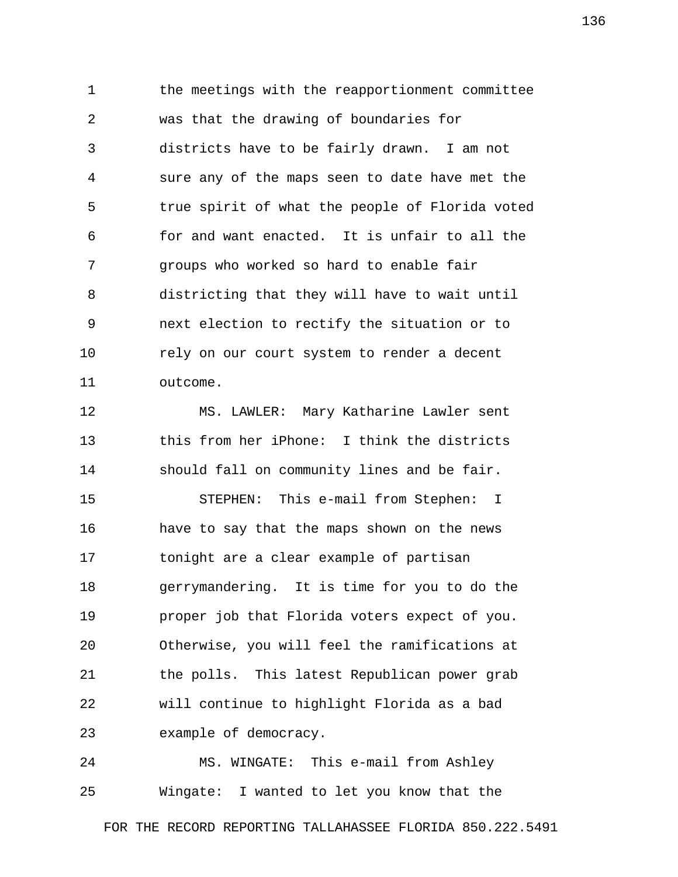1 the meetings with the reapportionment committee 2 was that the drawing of boundaries for 3 districts have to be fairly drawn. I am not 4 sure any of the maps seen to date have met the 5 true spirit of what the people of Florida voted 6 for and want enacted. It is unfair to all the 7 groups who worked so hard to enable fair 8 districting that they will have to wait until 9 next election to rectify the situation or to 10 rely on our court system to render a decent 11 outcome.

12 MS. LAWLER: Mary Katharine Lawler sent 13 this from her iPhone: I think the districts 14 should fall on community lines and be fair.

15 STEPHEN: This e-mail from Stephen: I 16 have to say that the maps shown on the news 17 tonight are a clear example of partisan 18 gerrymandering. It is time for you to do the 19 proper job that Florida voters expect of you. 20 Otherwise, you will feel the ramifications at 21 the polls. This latest Republican power grab 22 will continue to highlight Florida as a bad 23 example of democracy.

24 MS. WINGATE: This e-mail from Ashley 25 Wingate: I wanted to let you know that the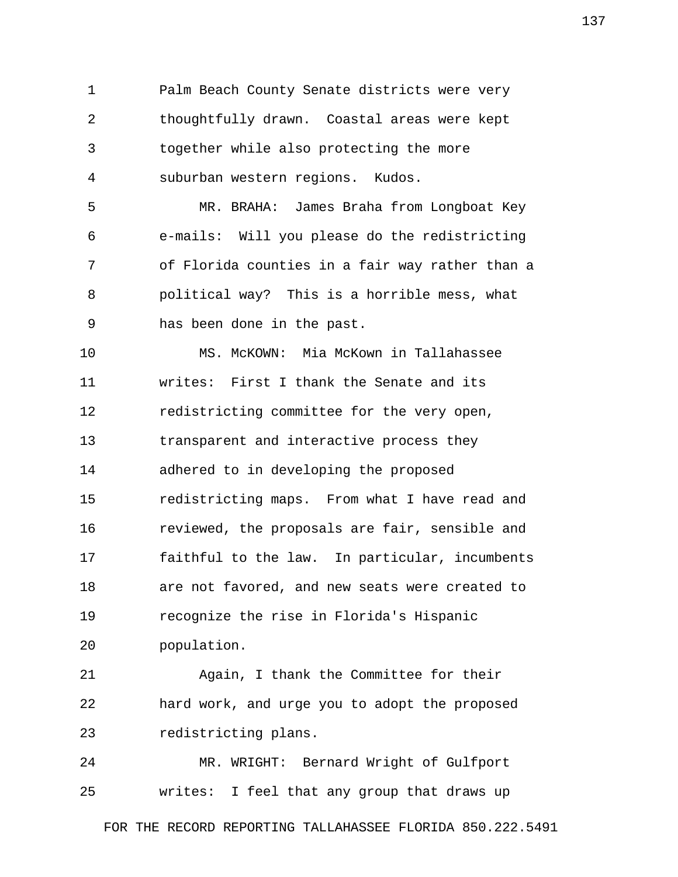1 Palm Beach County Senate districts were very 2 thoughtfully drawn. Coastal areas were kept 3 together while also protecting the more 4 suburban western regions. Kudos.

 5 MR. BRAHA: James Braha from Longboat Key 6 e-mails: Will you please do the redistricting 7 of Florida counties in a fair way rather than a 8 political way? This is a horrible mess, what 9 has been done in the past.

10 MS. McKOWN: Mia McKown in Tallahassee 11 writes: First I thank the Senate and its 12 redistricting committee for the very open, 13 transparent and interactive process they 14 adhered to in developing the proposed 15 redistricting maps. From what I have read and 16 reviewed, the proposals are fair, sensible and 17 faithful to the law. In particular, incumbents 18 are not favored, and new seats were created to 19 recognize the rise in Florida's Hispanic 20 population.

21 Again, I thank the Committee for their 22 hard work, and urge you to adopt the proposed 23 redistricting plans.

24 MR. WRIGHT: Bernard Wright of Gulfport 25 writes: I feel that any group that draws up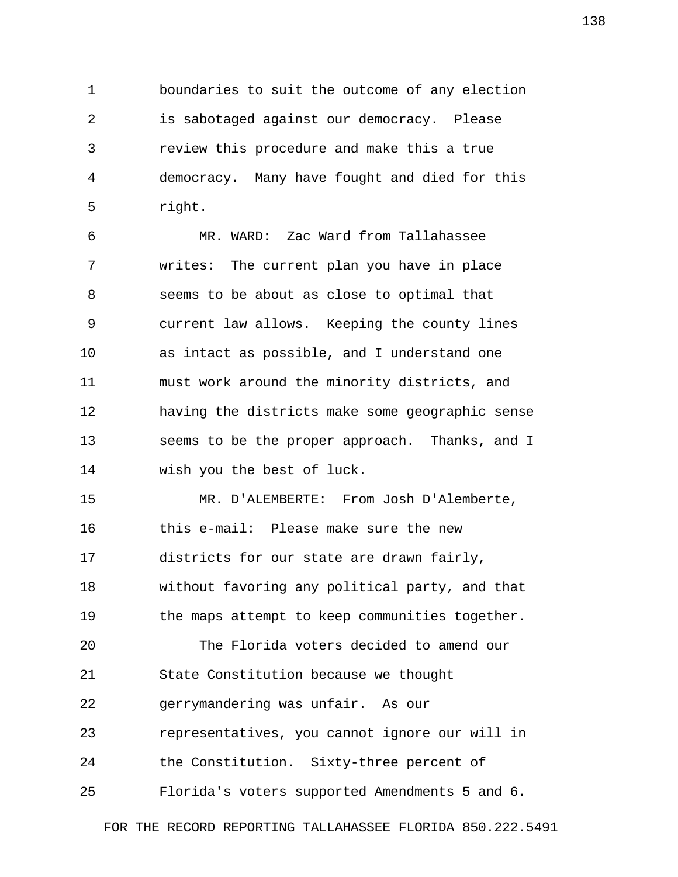1 boundaries to suit the outcome of any election 2 is sabotaged against our democracy. Please 3 review this procedure and make this a true 4 democracy. Many have fought and died for this 5 right.

 6 MR. WARD: Zac Ward from Tallahassee 7 writes: The current plan you have in place 8 seems to be about as close to optimal that 9 current law allows. Keeping the county lines 10 as intact as possible, and I understand one 11 must work around the minority districts, and 12 having the districts make some geographic sense 13 seems to be the proper approach. Thanks, and I 14 wish you the best of luck.

15 MR. D'ALEMBERTE: From Josh D'Alemberte, 16 this e-mail: Please make sure the new 17 districts for our state are drawn fairly, 18 without favoring any political party, and that 19 the maps attempt to keep communities together. 20 The Florida voters decided to amend our 21 State Constitution because we thought

22 gerrymandering was unfair. As our

23 representatives, you cannot ignore our will in

24 the Constitution. Sixty-three percent of

25 Florida's voters supported Amendments 5 and 6.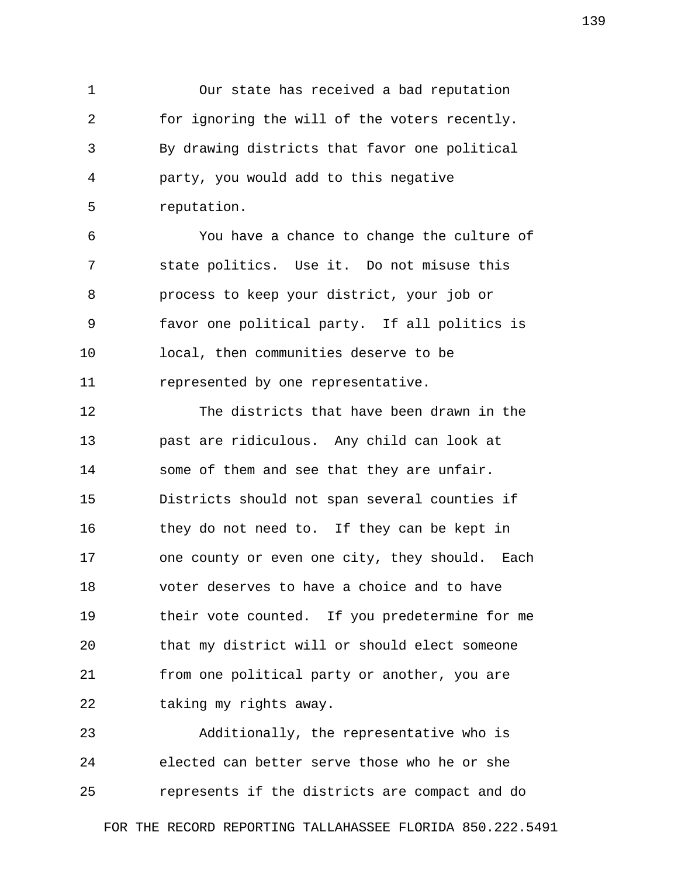1 Our state has received a bad reputation 2 for ignoring the will of the voters recently. 3 By drawing districts that favor one political 4 party, you would add to this negative 5 reputation.

 6 You have a chance to change the culture of 7 state politics. Use it. Do not misuse this 8 process to keep your district, your job or 9 favor one political party. If all politics is 10 local, then communities deserve to be 11 represented by one representative.

12 The districts that have been drawn in the 13 past are ridiculous. Any child can look at 14 some of them and see that they are unfair. 15 Districts should not span several counties if 16 they do not need to. If they can be kept in 17 one county or even one city, they should. Each 18 voter deserves to have a choice and to have 19 their vote counted. If you predetermine for me 20 that my district will or should elect someone 21 from one political party or another, you are 22 taking my rights away.

23 Additionally, the representative who is 24 elected can better serve those who he or she 25 represents if the districts are compact and do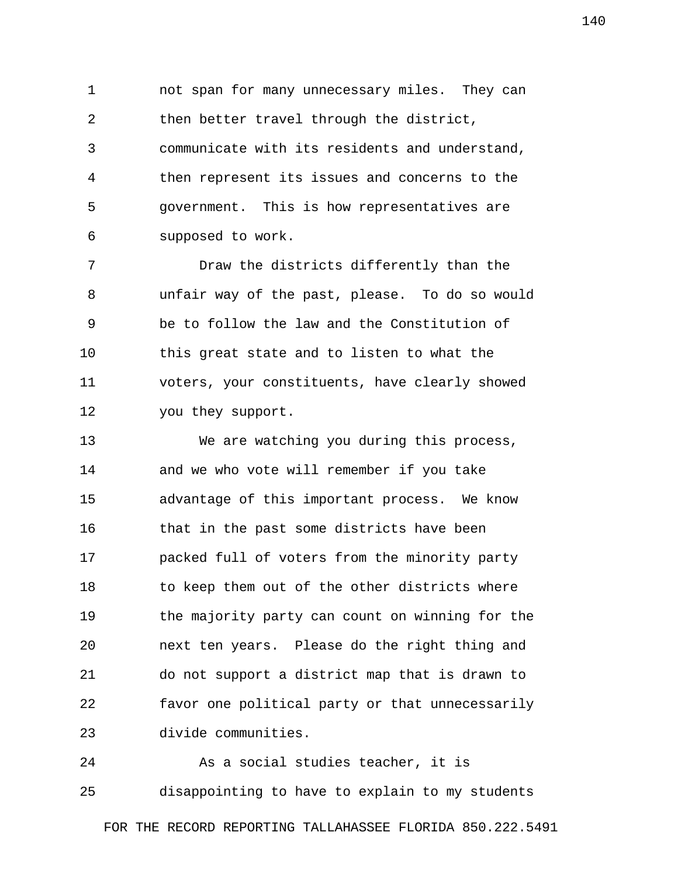1 not span for many unnecessary miles. They can 2 then better travel through the district, 3 communicate with its residents and understand, 4 then represent its issues and concerns to the 5 government. This is how representatives are 6 supposed to work.

 7 Draw the districts differently than the 8 unfair way of the past, please. To do so would 9 be to follow the law and the Constitution of 10 this great state and to listen to what the 11 voters, your constituents, have clearly showed 12 you they support.

13 We are watching you during this process, 14 and we who vote will remember if you take 15 advantage of this important process. We know 16 that in the past some districts have been 17 packed full of voters from the minority party 18 to keep them out of the other districts where 19 the majority party can count on winning for the 20 next ten years. Please do the right thing and 21 do not support a district map that is drawn to 22 favor one political party or that unnecessarily 23 divide communities.

24 As a social studies teacher, it is 25 disappointing to have to explain to my students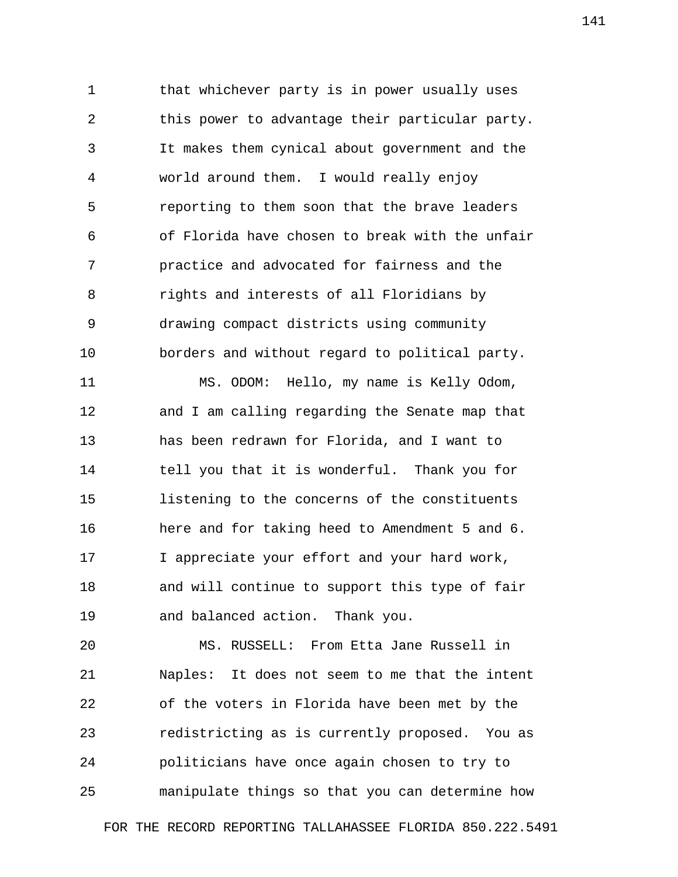1 that whichever party is in power usually uses 2 this power to advantage their particular party. 3 It makes them cynical about government and the 4 world around them. I would really enjoy 5 reporting to them soon that the brave leaders 6 of Florida have chosen to break with the unfair 7 practice and advocated for fairness and the 8 rights and interests of all Floridians by 9 drawing compact districts using community 10 borders and without regard to political party.

11 MS. ODOM: Hello, my name is Kelly Odom, 12 and I am calling regarding the Senate map that 13 has been redrawn for Florida, and I want to 14 tell you that it is wonderful. Thank you for 15 listening to the concerns of the constituents 16 here and for taking heed to Amendment 5 and 6. 17 I appreciate your effort and your hard work, 18 and will continue to support this type of fair 19 and balanced action. Thank you.

20 MS. RUSSELL: From Etta Jane Russell in 21 Naples: It does not seem to me that the intent 22 of the voters in Florida have been met by the 23 redistricting as is currently proposed. You as 24 politicians have once again chosen to try to 25 manipulate things so that you can determine how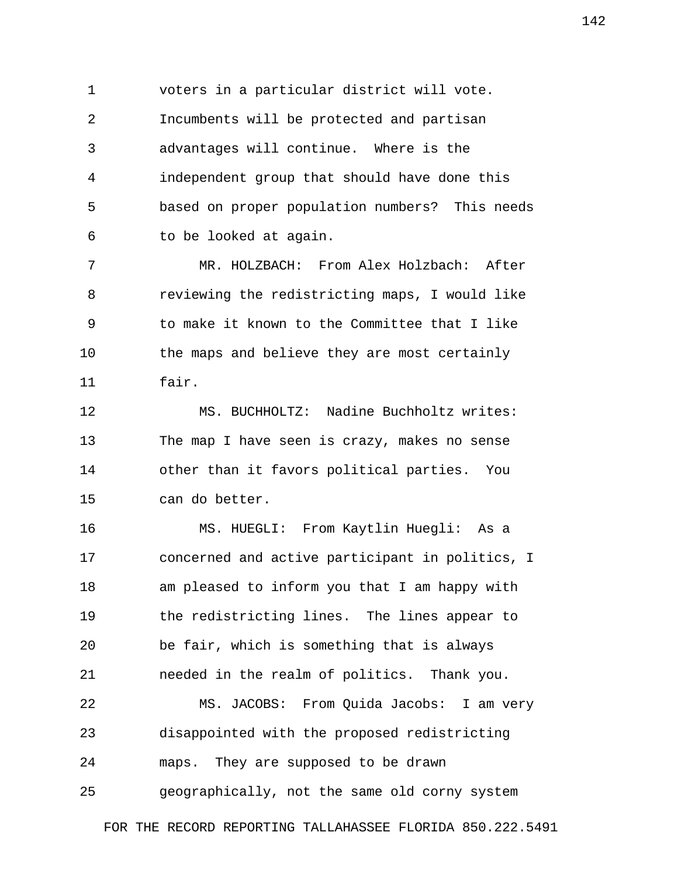1 voters in a particular district will vote. 2 Incumbents will be protected and partisan 3 advantages will continue. Where is the 4 independent group that should have done this 5 based on proper population numbers? This needs 6 to be looked at again.

 7 MR. HOLZBACH: From Alex Holzbach: After 8 reviewing the redistricting maps, I would like 9 to make it known to the Committee that I like 10 the maps and believe they are most certainly 11 fair.

12 MS. BUCHHOLTZ: Nadine Buchholtz writes: 13 The map I have seen is crazy, makes no sense 14 other than it favors political parties. You 15 can do better.

16 MS. HUEGLI: From Kaytlin Huegli: As a 17 concerned and active participant in politics, I 18 am pleased to inform you that I am happy with 19 the redistricting lines. The lines appear to 20 be fair, which is something that is always 21 needed in the realm of politics. Thank you. 22 MS. JACOBS: From Quida Jacobs: I am very 23 disappointed with the proposed redistricting 24 maps. They are supposed to be drawn

25 geographically, not the same old corny system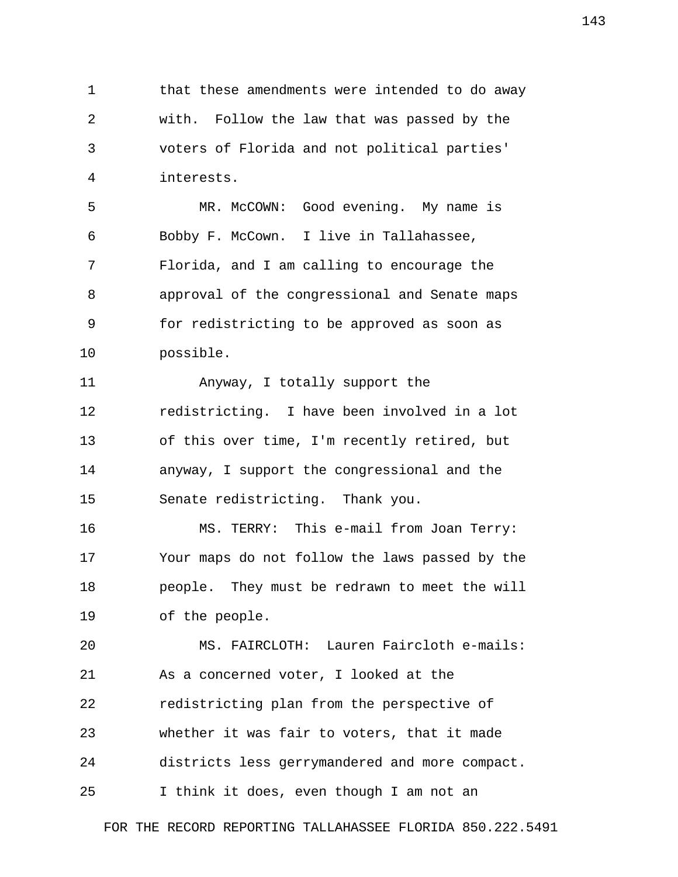1 that these amendments were intended to do away 2 with. Follow the law that was passed by the 3 voters of Florida and not political parties' 4 interests.

 5 MR. McCOWN: Good evening. My name is 6 Bobby F. McCown. I live in Tallahassee, 7 Florida, and I am calling to encourage the 8 approval of the congressional and Senate maps 9 for redistricting to be approved as soon as 10 possible.

11 Anyway, I totally support the 12 redistricting. I have been involved in a lot 13 of this over time, I'm recently retired, but 14 anyway, I support the congressional and the 15 Senate redistricting. Thank you.

16 MS. TERRY: This e-mail from Joan Terry: 17 Your maps do not follow the laws passed by the 18 people. They must be redrawn to meet the will 19 of the people.

20 MS. FAIRCLOTH: Lauren Faircloth e-mails: 21 As a concerned voter, I looked at the 22 redistricting plan from the perspective of 23 whether it was fair to voters, that it made 24 districts less gerrymandered and more compact. 25 I think it does, even though I am not an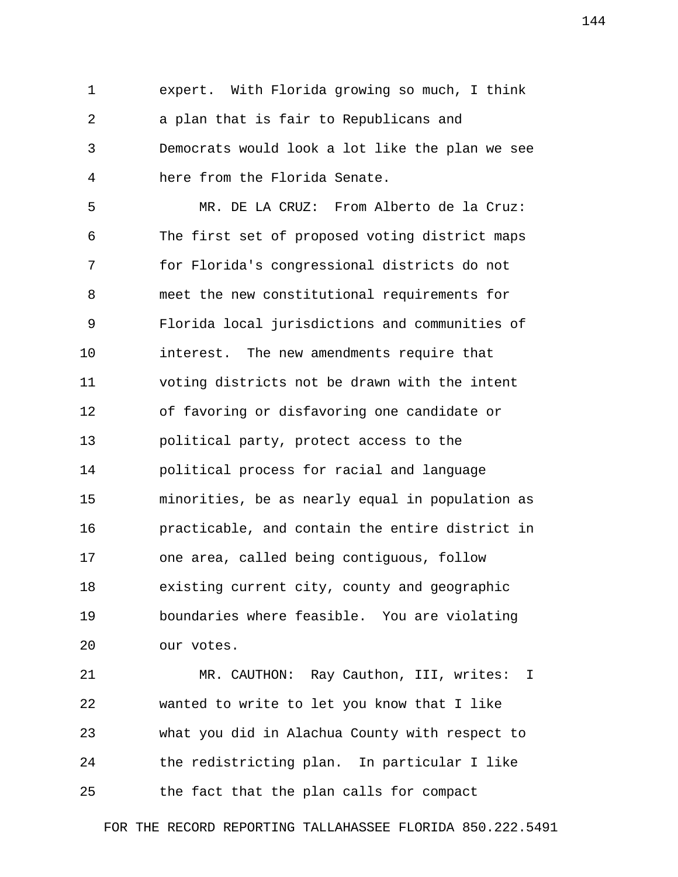1 expert. With Florida growing so much, I think 2 a plan that is fair to Republicans and 3 Democrats would look a lot like the plan we see 4 here from the Florida Senate.

 5 MR. DE LA CRUZ: From Alberto de la Cruz: 6 The first set of proposed voting district maps 7 for Florida's congressional districts do not 8 meet the new constitutional requirements for 9 Florida local jurisdictions and communities of 10 interest. The new amendments require that 11 voting districts not be drawn with the intent 12 of favoring or disfavoring one candidate or 13 political party, protect access to the 14 political process for racial and language 15 minorities, be as nearly equal in population as 16 practicable, and contain the entire district in 17 one area, called being contiguous, follow 18 existing current city, county and geographic 19 boundaries where feasible. You are violating 20 our votes.

21 MR. CAUTHON: Ray Cauthon, III, writes: I 22 wanted to write to let you know that I like 23 what you did in Alachua County with respect to 24 the redistricting plan. In particular I like 25 the fact that the plan calls for compact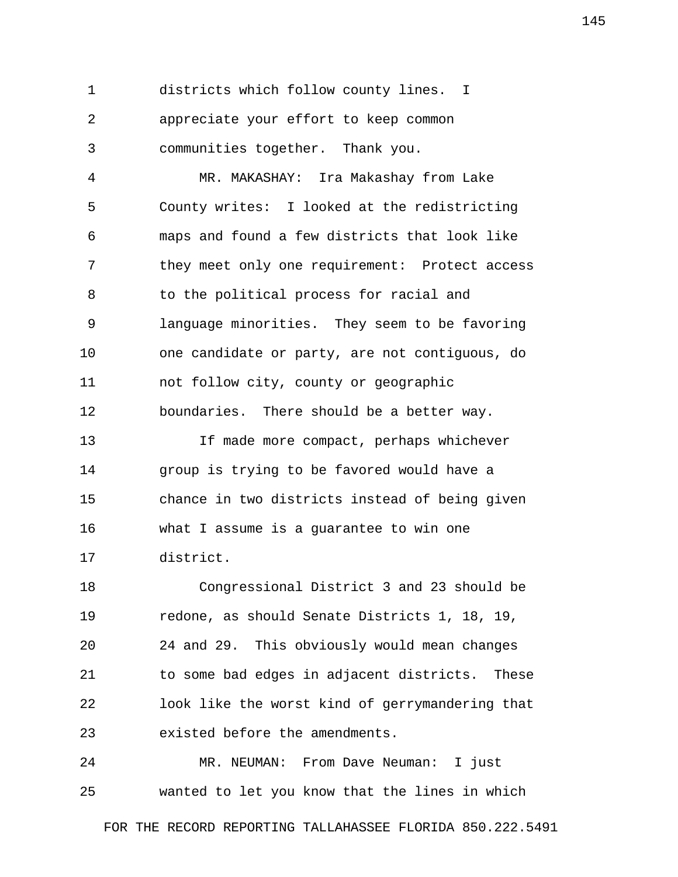1 districts which follow county lines. I 2 appreciate your effort to keep common 3 communities together. Thank you.

 4 MR. MAKASHAY: Ira Makashay from Lake 5 County writes: I looked at the redistricting 6 maps and found a few districts that look like 7 they meet only one requirement: Protect access 8 to the political process for racial and 9 language minorities. They seem to be favoring 10 one candidate or party, are not contiguous, do 11 not follow city, county or geographic 12 boundaries. There should be a better way.

13 If made more compact, perhaps whichever 14 group is trying to be favored would have a 15 chance in two districts instead of being given 16 what I assume is a guarantee to win one 17 district.

18 Congressional District 3 and 23 should be 19 redone, as should Senate Districts 1, 18, 19, 20 24 and 29. This obviously would mean changes 21 to some bad edges in adjacent districts. These 22 look like the worst kind of gerrymandering that 23 existed before the amendments.

24 MR. NEUMAN: From Dave Neuman: I just 25 wanted to let you know that the lines in which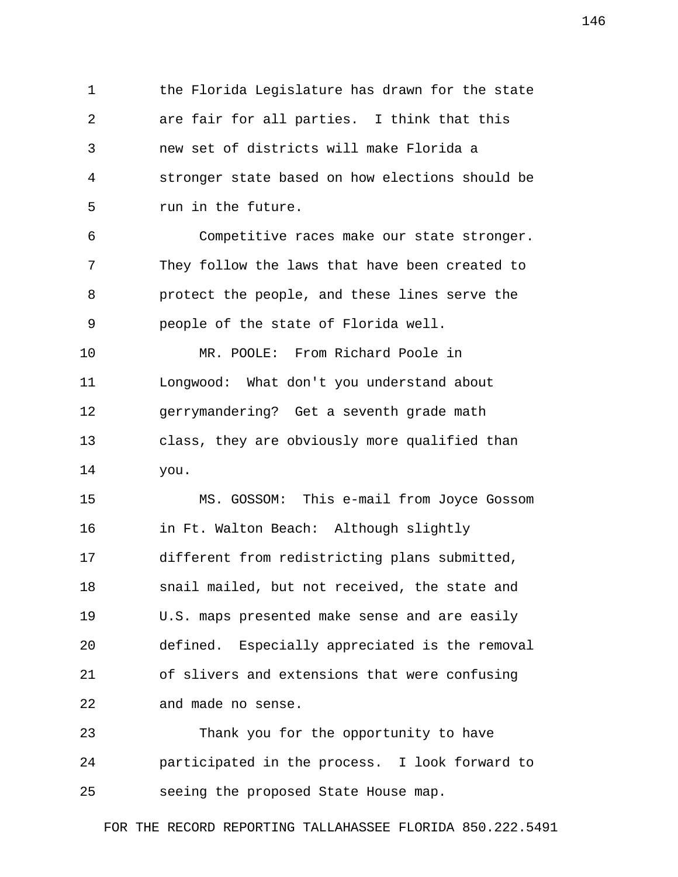1 the Florida Legislature has drawn for the state 2 are fair for all parties. I think that this 3 new set of districts will make Florida a 4 stronger state based on how elections should be 5 run in the future.

 6 Competitive races make our state stronger. 7 They follow the laws that have been created to 8 protect the people, and these lines serve the 9 people of the state of Florida well.

10 MR. POOLE: From Richard Poole in 11 Longwood: What don't you understand about 12 gerrymandering? Get a seventh grade math 13 class, they are obviously more qualified than 14 you.

15 MS. GOSSOM: This e-mail from Joyce Gossom 16 in Ft. Walton Beach: Although slightly 17 different from redistricting plans submitted, 18 snail mailed, but not received, the state and 19 U.S. maps presented make sense and are easily 20 defined. Especially appreciated is the removal 21 of slivers and extensions that were confusing 22 and made no sense.

23 Thank you for the opportunity to have 24 participated in the process. I look forward to 25 seeing the proposed State House map.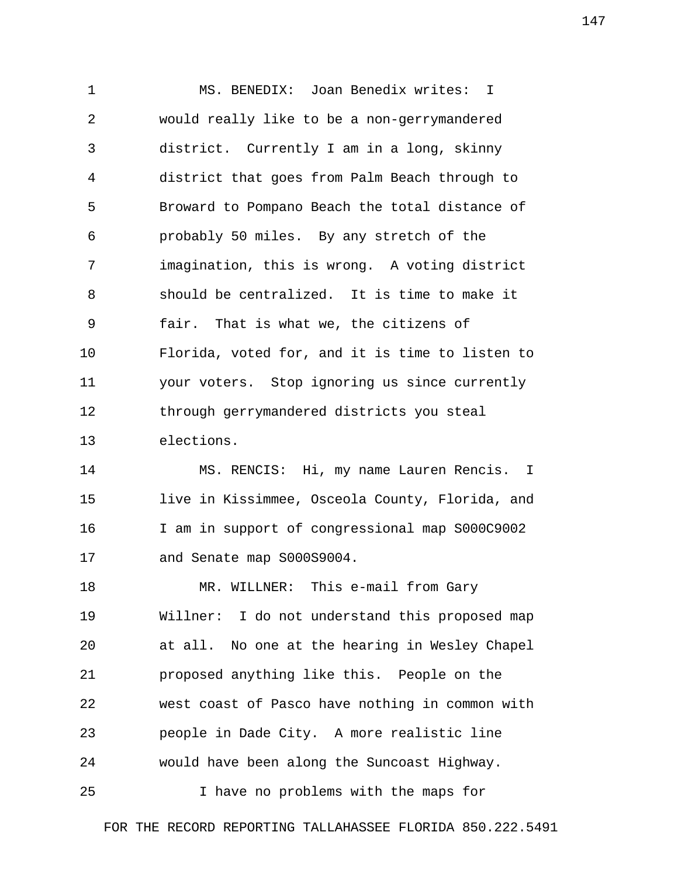1 MS. BENEDIX: Joan Benedix writes: I 2 would really like to be a non-gerrymandered 3 district. Currently I am in a long, skinny 4 district that goes from Palm Beach through to 5 Broward to Pompano Beach the total distance of 6 probably 50 miles. By any stretch of the 7 imagination, this is wrong. A voting district 8 should be centralized. It is time to make it 9 fair. That is what we, the citizens of 10 Florida, voted for, and it is time to listen to 11 your voters. Stop ignoring us since currently 12 through gerrymandered districts you steal 13 elections.

14 MS. RENCIS: Hi, my name Lauren Rencis. I 15 live in Kissimmee, Osceola County, Florida, and 16 I am in support of congressional map S000C9002 17 and Senate map S000S9004.

18 MR. WILLNER: This e-mail from Gary 19 Willner: I do not understand this proposed map 20 at all. No one at the hearing in Wesley Chapel 21 proposed anything like this. People on the 22 west coast of Pasco have nothing in common with 23 people in Dade City. A more realistic line 24 would have been along the Suncoast Highway.

25 I have no problems with the maps for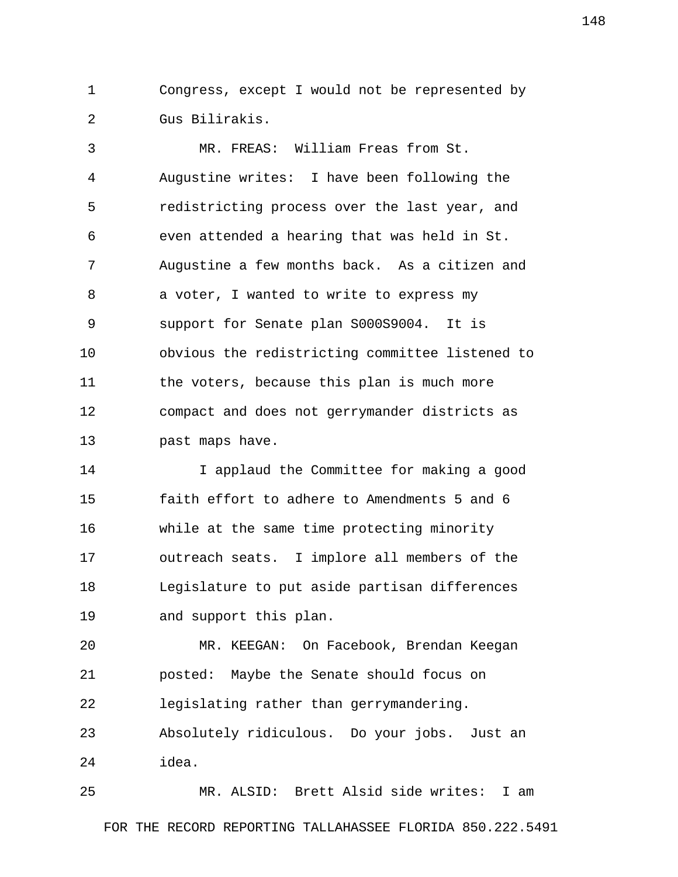1 Congress, except I would not be represented by 2 Gus Bilirakis.

 3 MR. FREAS: William Freas from St. 4 Augustine writes: I have been following the 5 redistricting process over the last year, and 6 even attended a hearing that was held in St. 7 Augustine a few months back. As a citizen and 8 a voter, I wanted to write to express my 9 support for Senate plan S000S9004. It is 10 obvious the redistricting committee listened to 11 the voters, because this plan is much more 12 compact and does not gerrymander districts as 13 past maps have.

14 I applaud the Committee for making a good 15 faith effort to adhere to Amendments 5 and 6 16 while at the same time protecting minority 17 outreach seats. I implore all members of the 18 Legislature to put aside partisan differences 19 and support this plan.

20 MR. KEEGAN: On Facebook, Brendan Keegan 21 posted: Maybe the Senate should focus on 22 legislating rather than gerrymandering.

23 Absolutely ridiculous. Do your jobs. Just an 24 idea.

25 MR. ALSID: Brett Alsid side writes: I am FOR THE RECORD REPORTING TALLAHASSEE FLORIDA 850.222.5491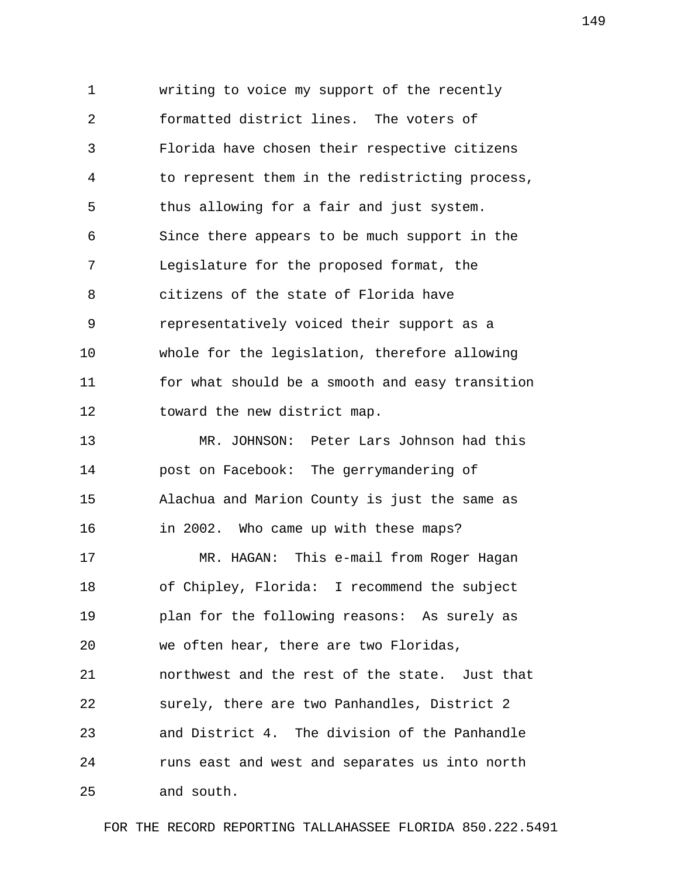1 writing to voice my support of the recently 2 formatted district lines. The voters of 3 Florida have chosen their respective citizens 4 to represent them in the redistricting process, 5 thus allowing for a fair and just system. 6 Since there appears to be much support in the 7 Legislature for the proposed format, the 8 citizens of the state of Florida have 9 representatively voiced their support as a 10 whole for the legislation, therefore allowing 11 for what should be a smooth and easy transition 12 toward the new district map. 13 MR. JOHNSON: Peter Lars Johnson had this

14 post on Facebook: The gerrymandering of 15 Alachua and Marion County is just the same as 16 in 2002. Who came up with these maps? 17 MR. HAGAN: This e-mail from Roger Hagan 18 of Chipley, Florida: I recommend the subject 19 plan for the following reasons: As surely as 20 we often hear, there are two Floridas, 21 northwest and the rest of the state. Just that 22 surely, there are two Panhandles, District 2 23 and District 4. The division of the Panhandle 24 runs east and west and separates us into north 25 and south.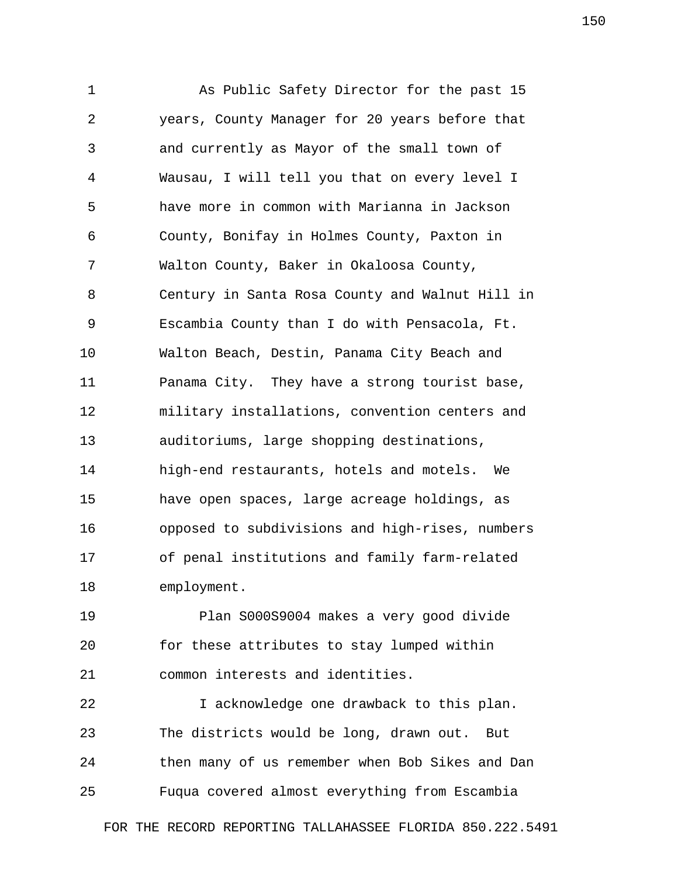1 As Public Safety Director for the past 15 2 years, County Manager for 20 years before that 3 and currently as Mayor of the small town of 4 Wausau, I will tell you that on every level I 5 have more in common with Marianna in Jackson 6 County, Bonifay in Holmes County, Paxton in 7 Walton County, Baker in Okaloosa County, 8 Century in Santa Rosa County and Walnut Hill in 9 Escambia County than I do with Pensacola, Ft. 10 Walton Beach, Destin, Panama City Beach and 11 Panama City. They have a strong tourist base, 12 military installations, convention centers and 13 auditoriums, large shopping destinations, 14 high-end restaurants, hotels and motels. We 15 have open spaces, large acreage holdings, as 16 opposed to subdivisions and high-rises, numbers 17 of penal institutions and family farm-related 18 employment.

19 Plan S000S9004 makes a very good divide 20 for these attributes to stay lumped within 21 common interests and identities.

22 I acknowledge one drawback to this plan. 23 The districts would be long, drawn out. But 24 then many of us remember when Bob Sikes and Dan 25 Fuqua covered almost everything from Escambia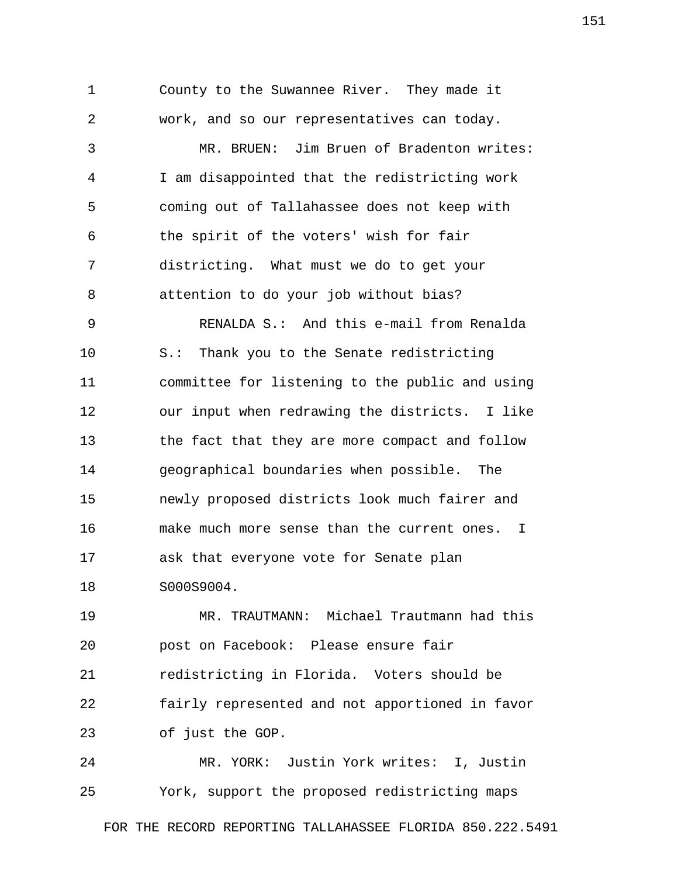1 County to the Suwannee River. They made it 2 work, and so our representatives can today. 3 MR. BRUEN: Jim Bruen of Bradenton writes: 4 I am disappointed that the redistricting work 5 coming out of Tallahassee does not keep with 6 the spirit of the voters' wish for fair 7 districting. What must we do to get your 8 attention to do your job without bias? 9 RENALDA S.: And this e-mail from Renalda 10 S.: Thank you to the Senate redistricting 11 committee for listening to the public and using 12 our input when redrawing the districts. I like 13 the fact that they are more compact and follow 14 geographical boundaries when possible. The 15 newly proposed districts look much fairer and 16 make much more sense than the current ones. I 17 ask that everyone vote for Senate plan 18 S000S9004.

19 MR. TRAUTMANN: Michael Trautmann had this 20 post on Facebook: Please ensure fair 21 redistricting in Florida. Voters should be 22 fairly represented and not apportioned in favor 23 of just the GOP.

24 MR. YORK: Justin York writes: I, Justin 25 York, support the proposed redistricting maps

FOR THE RECORD REPORTING TALLAHASSEE FLORIDA 850.222.5491

151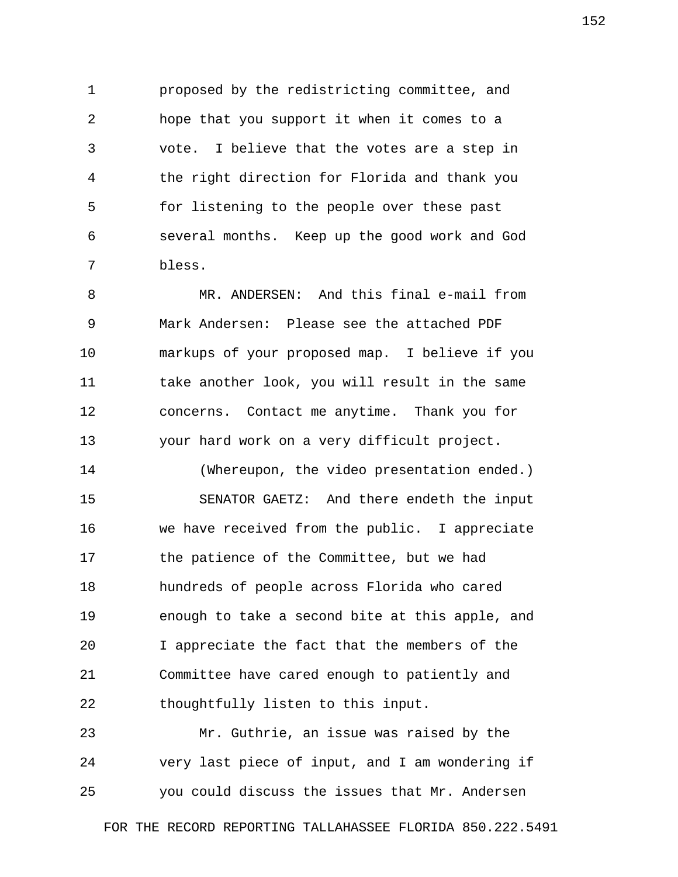1 proposed by the redistricting committee, and 2 hope that you support it when it comes to a 3 vote. I believe that the votes are a step in 4 the right direction for Florida and thank you 5 for listening to the people over these past 6 several months. Keep up the good work and God 7 bless.

 8 MR. ANDERSEN: And this final e-mail from 9 Mark Andersen: Please see the attached PDF 10 markups of your proposed map. I believe if you 11 take another look, you will result in the same 12 concerns. Contact me anytime. Thank you for 13 your hard work on a very difficult project.

14 (Whereupon, the video presentation ended.) 15 SENATOR GAETZ: And there endeth the input 16 we have received from the public. I appreciate 17 the patience of the Committee, but we had 18 hundreds of people across Florida who cared 19 enough to take a second bite at this apple, and 20 I appreciate the fact that the members of the 21 Committee have cared enough to patiently and 22 thoughtfully listen to this input.

23 Mr. Guthrie, an issue was raised by the 24 very last piece of input, and I am wondering if 25 you could discuss the issues that Mr. Andersen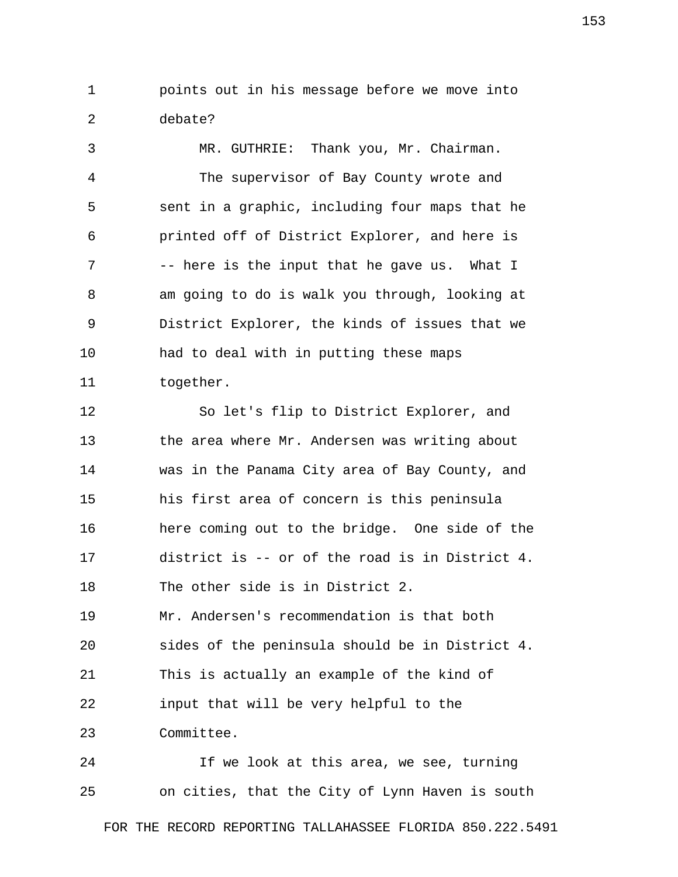1 points out in his message before we move into 2 debate?

 3 MR. GUTHRIE: Thank you, Mr. Chairman. 4 The supervisor of Bay County wrote and 5 sent in a graphic, including four maps that he 6 printed off of District Explorer, and here is 7 -- here is the input that he gave us. What I 8 am going to do is walk you through, looking at 9 District Explorer, the kinds of issues that we 10 had to deal with in putting these maps 11 together.

12 So let's flip to District Explorer, and 13 the area where Mr. Andersen was writing about 14 was in the Panama City area of Bay County, and 15 his first area of concern is this peninsula 16 here coming out to the bridge. One side of the 17 district is -- or of the road is in District 4. 18 The other side is in District 2. 19 Mr. Andersen's recommendation is that both 20 sides of the peninsula should be in District 4. 21 This is actually an example of the kind of 22 input that will be very helpful to the 23 Committee.

24 If we look at this area, we see, turning 25 on cities, that the City of Lynn Haven is south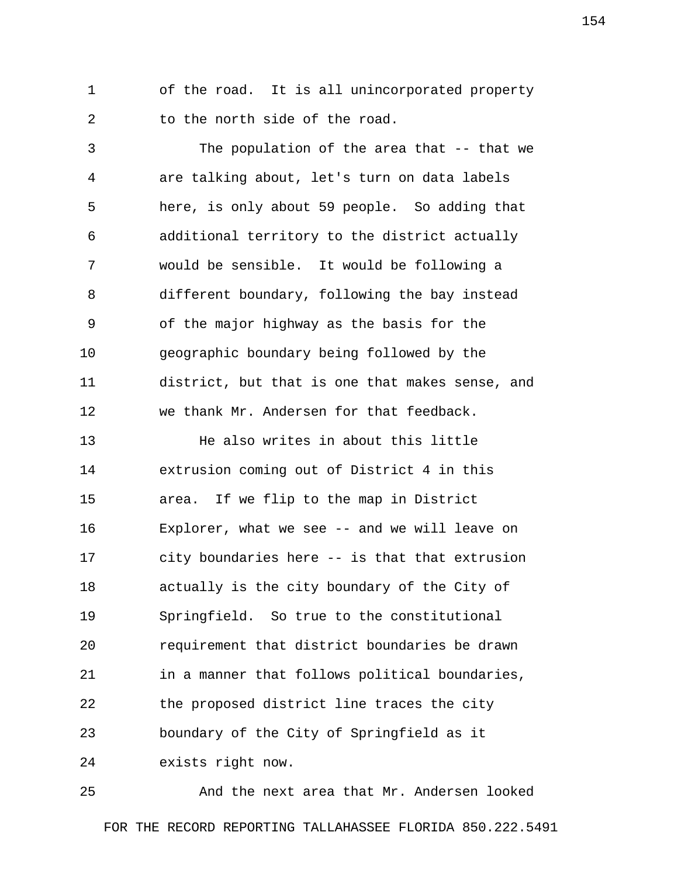1 of the road. It is all unincorporated property 2 to the north side of the road.

 3 The population of the area that -- that we 4 are talking about, let's turn on data labels 5 here, is only about 59 people. So adding that 6 additional territory to the district actually 7 would be sensible. It would be following a 8 different boundary, following the bay instead 9 of the major highway as the basis for the 10 geographic boundary being followed by the 11 district, but that is one that makes sense, and 12 we thank Mr. Andersen for that feedback.

13 He also writes in about this little 14 extrusion coming out of District 4 in this 15 area. If we flip to the map in District 16 Explorer, what we see -- and we will leave on 17 city boundaries here -- is that that extrusion 18 actually is the city boundary of the City of 19 Springfield. So true to the constitutional 20 requirement that district boundaries be drawn 21 in a manner that follows political boundaries, 22 the proposed district line traces the city 23 boundary of the City of Springfield as it 24 exists right now.

25 And the next area that Mr. Andersen looked FOR THE RECORD REPORTING TALLAHASSEE FLORIDA 850.222.5491 154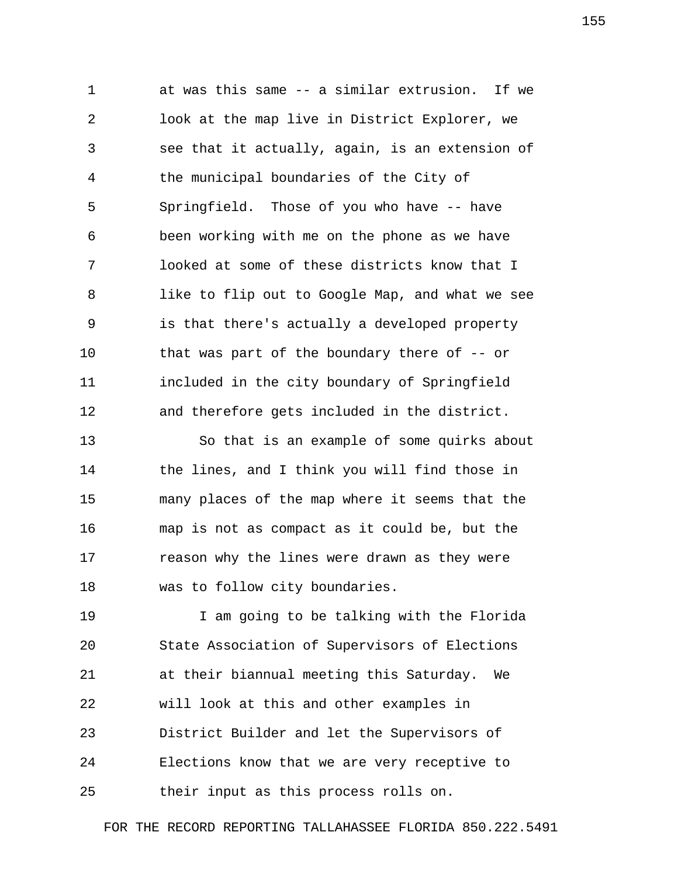1 at was this same -- a similar extrusion. If we 2 look at the map live in District Explorer, we 3 see that it actually, again, is an extension of 4 the municipal boundaries of the City of 5 Springfield. Those of you who have -- have 6 been working with me on the phone as we have 7 looked at some of these districts know that I 8 like to flip out to Google Map, and what we see 9 is that there's actually a developed property 10 that was part of the boundary there of -- or 11 included in the city boundary of Springfield 12 and therefore gets included in the district.

13 So that is an example of some quirks about 14 the lines, and I think you will find those in 15 many places of the map where it seems that the 16 map is not as compact as it could be, but the 17 reason why the lines were drawn as they were 18 was to follow city boundaries.

19 I am going to be talking with the Florida 20 State Association of Supervisors of Elections 21 at their biannual meeting this Saturday. We 22 will look at this and other examples in 23 District Builder and let the Supervisors of 24 Elections know that we are very receptive to 25 their input as this process rolls on.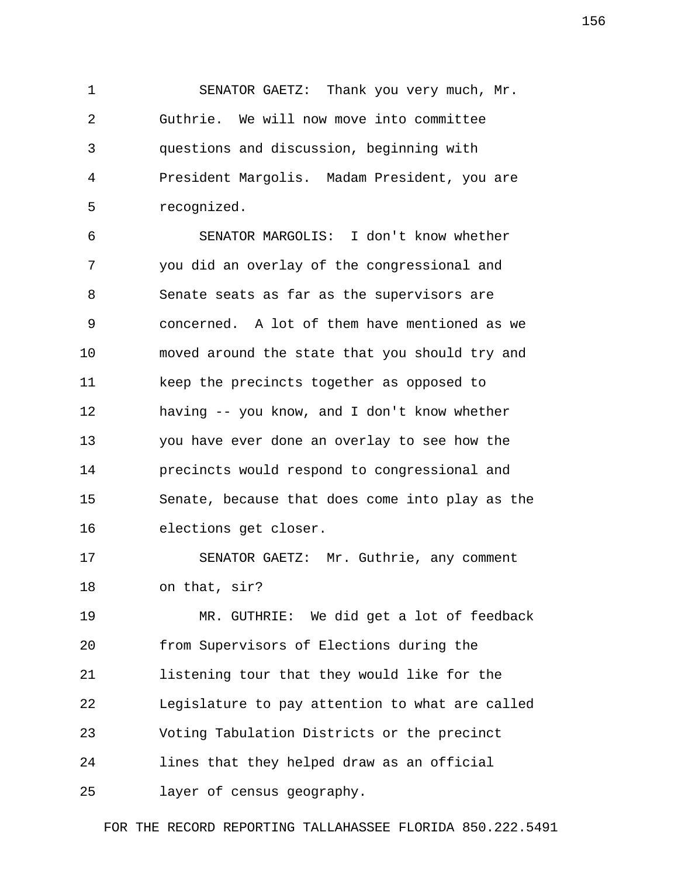1 SENATOR GAETZ: Thank you very much, Mr. 2 Guthrie. We will now move into committee 3 questions and discussion, beginning with 4 President Margolis. Madam President, you are 5 recognized.

 6 SENATOR MARGOLIS: I don't know whether 7 you did an overlay of the congressional and 8 Senate seats as far as the supervisors are 9 concerned. A lot of them have mentioned as we 10 moved around the state that you should try and 11 keep the precincts together as opposed to 12 having -- you know, and I don't know whether 13 you have ever done an overlay to see how the 14 precincts would respond to congressional and 15 Senate, because that does come into play as the 16 elections get closer.

17 SENATOR GAETZ: Mr. Guthrie, any comment 18 on that, sir?

19 MR. GUTHRIE: We did get a lot of feedback 20 from Supervisors of Elections during the 21 listening tour that they would like for the 22 Legislature to pay attention to what are called 23 Voting Tabulation Districts or the precinct 24 lines that they helped draw as an official 25 layer of census geography.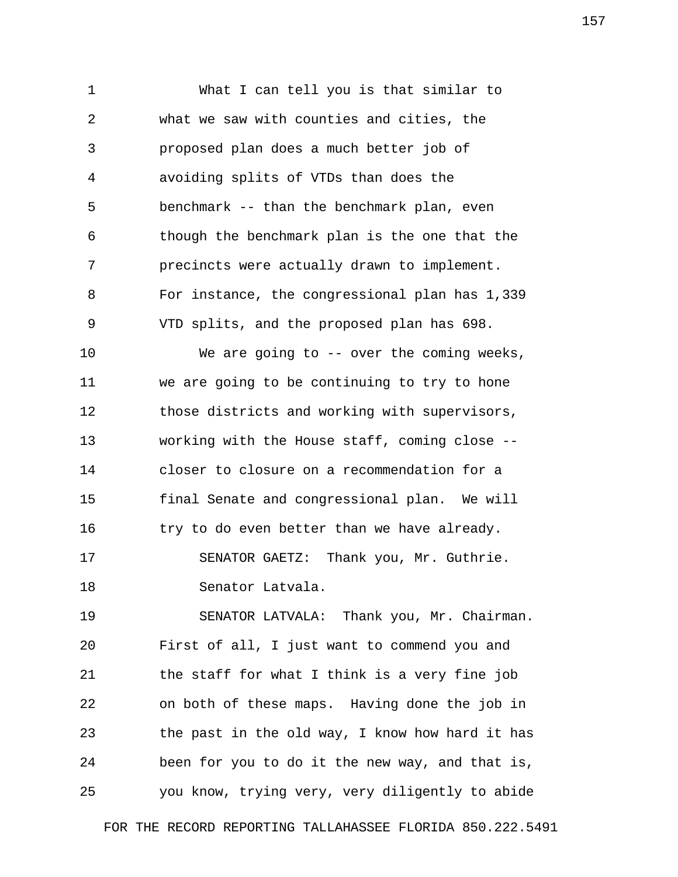1 What I can tell you is that similar to 2 what we saw with counties and cities, the 3 proposed plan does a much better job of 4 avoiding splits of VTDs than does the 5 benchmark -- than the benchmark plan, even 6 though the benchmark plan is the one that the 7 precincts were actually drawn to implement. 8 For instance, the congressional plan has 1,339 9 VTD splits, and the proposed plan has 698.

10 We are going to -- over the coming weeks, 11 we are going to be continuing to try to hone 12 those districts and working with supervisors, 13 working with the House staff, coming close -- 14 closer to closure on a recommendation for a 15 final Senate and congressional plan. We will 16 try to do even better than we have already. 17 SENATOR GAETZ: Thank you, Mr. Guthrie. 18 Senator Latvala.

19 SENATOR LATVALA: Thank you, Mr. Chairman. 20 First of all, I just want to commend you and 21 the staff for what I think is a very fine job 22 on both of these maps. Having done the job in 23 the past in the old way, I know how hard it has 24 been for you to do it the new way, and that is, 25 you know, trying very, very diligently to abide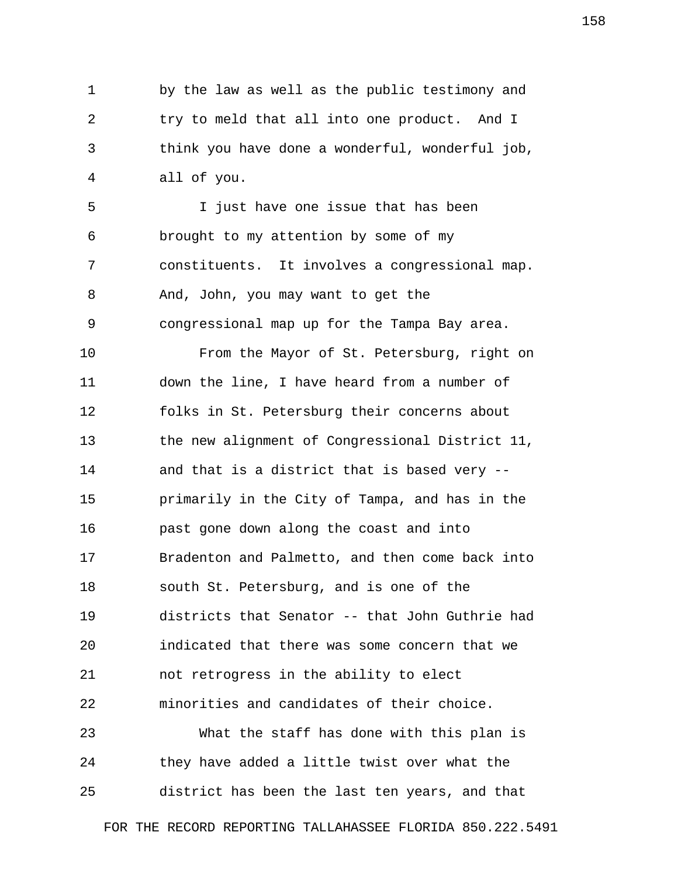1 by the law as well as the public testimony and 2 try to meld that all into one product. And I 3 think you have done a wonderful, wonderful job, 4 all of you.

 5 I just have one issue that has been 6 brought to my attention by some of my 7 constituents. It involves a congressional map. 8 And, John, you may want to get the 9 congressional map up for the Tampa Bay area.

10 From the Mayor of St. Petersburg, right on 11 down the line, I have heard from a number of 12 folks in St. Petersburg their concerns about 13 the new alignment of Congressional District 11, 14 and that is a district that is based very -- 15 primarily in the City of Tampa, and has in the 16 past gone down along the coast and into 17 Bradenton and Palmetto, and then come back into 18 south St. Petersburg, and is one of the 19 districts that Senator -- that John Guthrie had 20 indicated that there was some concern that we 21 not retrogress in the ability to elect 22 minorities and candidates of their choice. 23 What the staff has done with this plan is

24 they have added a little twist over what the 25 district has been the last ten years, and that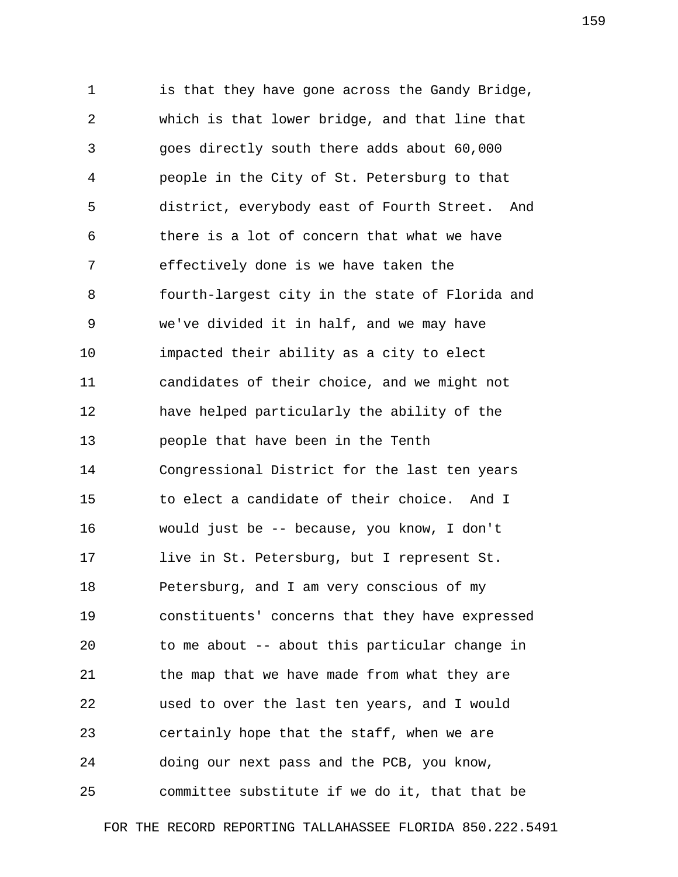1 is that they have gone across the Gandy Bridge, 2 which is that lower bridge, and that line that 3 goes directly south there adds about 60,000 4 people in the City of St. Petersburg to that 5 district, everybody east of Fourth Street. And 6 there is a lot of concern that what we have 7 effectively done is we have taken the 8 fourth-largest city in the state of Florida and 9 we've divided it in half, and we may have 10 impacted their ability as a city to elect 11 candidates of their choice, and we might not 12 have helped particularly the ability of the 13 people that have been in the Tenth 14 Congressional District for the last ten years 15 to elect a candidate of their choice. And I 16 would just be -- because, you know, I don't 17 live in St. Petersburg, but I represent St. 18 Petersburg, and I am very conscious of my 19 constituents' concerns that they have expressed 20 to me about -- about this particular change in 21 the map that we have made from what they are 22 used to over the last ten years, and I would 23 certainly hope that the staff, when we are 24 doing our next pass and the PCB, you know, 25 committee substitute if we do it, that that be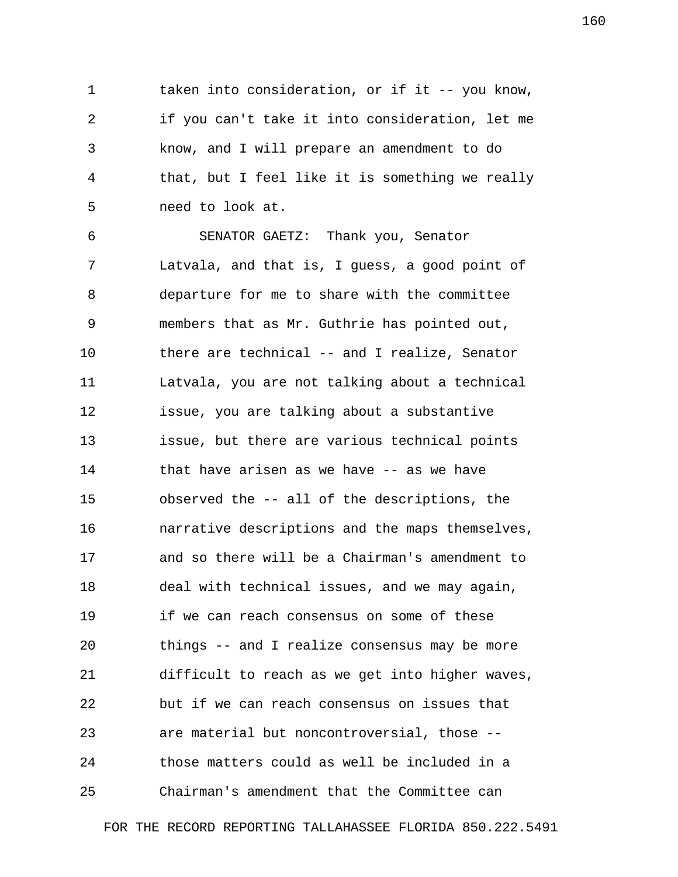1 taken into consideration, or if it -- you know, 2 if you can't take it into consideration, let me 3 know, and I will prepare an amendment to do 4 that, but I feel like it is something we really 5 need to look at.

 6 SENATOR GAETZ: Thank you, Senator 7 Latvala, and that is, I guess, a good point of 8 departure for me to share with the committee 9 members that as Mr. Guthrie has pointed out, 10 there are technical -- and I realize, Senator 11 Latvala, you are not talking about a technical 12 issue, you are talking about a substantive 13 issue, but there are various technical points 14 that have arisen as we have -- as we have 15 observed the -- all of the descriptions, the 16 narrative descriptions and the maps themselves, 17 and so there will be a Chairman's amendment to 18 deal with technical issues, and we may again, 19 if we can reach consensus on some of these 20 things -- and I realize consensus may be more 21 difficult to reach as we get into higher waves, 22 but if we can reach consensus on issues that 23 are material but noncontroversial, those -- 24 those matters could as well be included in a 25 Chairman's amendment that the Committee can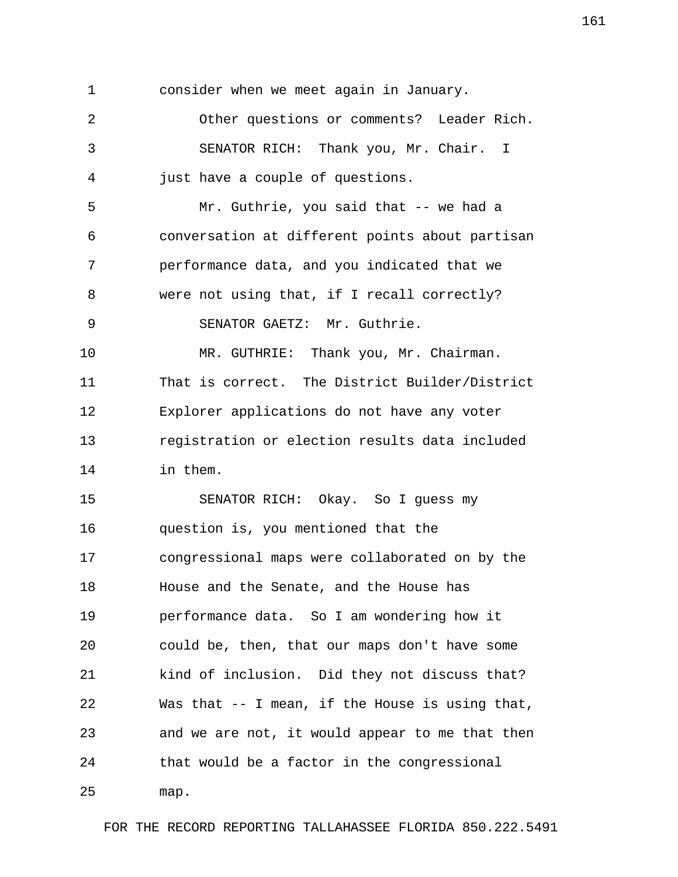1 consider when we meet again in January. 2 Other questions or comments? Leader Rich. 3 SENATOR RICH: Thank you, Mr. Chair. I 4 just have a couple of questions. 5 Mr. Guthrie, you said that -- we had a 6 conversation at different points about partisan 7 performance data, and you indicated that we 8 were not using that, if I recall correctly? 9 SENATOR GAETZ: Mr. Guthrie. 10 MR. GUTHRIE: Thank you, Mr. Chairman. 11 That is correct. The District Builder/District 12 Explorer applications do not have any voter 13 registration or election results data included 14 in them. 15 SENATOR RICH: Okay. So I guess my 16 question is, you mentioned that the 17 congressional maps were collaborated on by the 18 House and the Senate, and the House has 19 performance data. So I am wondering how it 20 could be, then, that our maps don't have some 21 kind of inclusion. Did they not discuss that? 22 Was that -- I mean, if the House is using that, 23 and we are not, it would appear to me that then 24 that would be a factor in the congressional 25 map.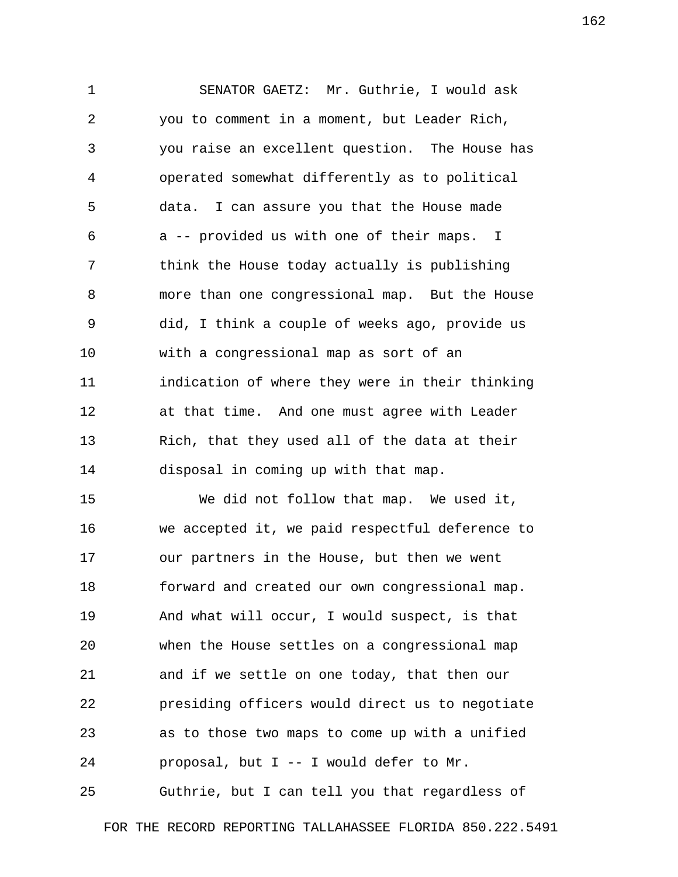1 SENATOR GAETZ: Mr. Guthrie, I would ask 2 you to comment in a moment, but Leader Rich, 3 you raise an excellent question. The House has 4 operated somewhat differently as to political 5 data. I can assure you that the House made 6 a -- provided us with one of their maps. I 7 think the House today actually is publishing 8 more than one congressional map. But the House 9 did, I think a couple of weeks ago, provide us 10 with a congressional map as sort of an 11 indication of where they were in their thinking 12 at that time. And one must agree with Leader 13 Rich, that they used all of the data at their 14 disposal in coming up with that map.

15 We did not follow that map. We used it, 16 we accepted it, we paid respectful deference to 17 our partners in the House, but then we went 18 forward and created our own congressional map. 19 And what will occur, I would suspect, is that 20 when the House settles on a congressional map 21 and if we settle on one today, that then our 22 presiding officers would direct us to negotiate 23 as to those two maps to come up with a unified 24 proposal, but I -- I would defer to Mr.

25 Guthrie, but I can tell you that regardless of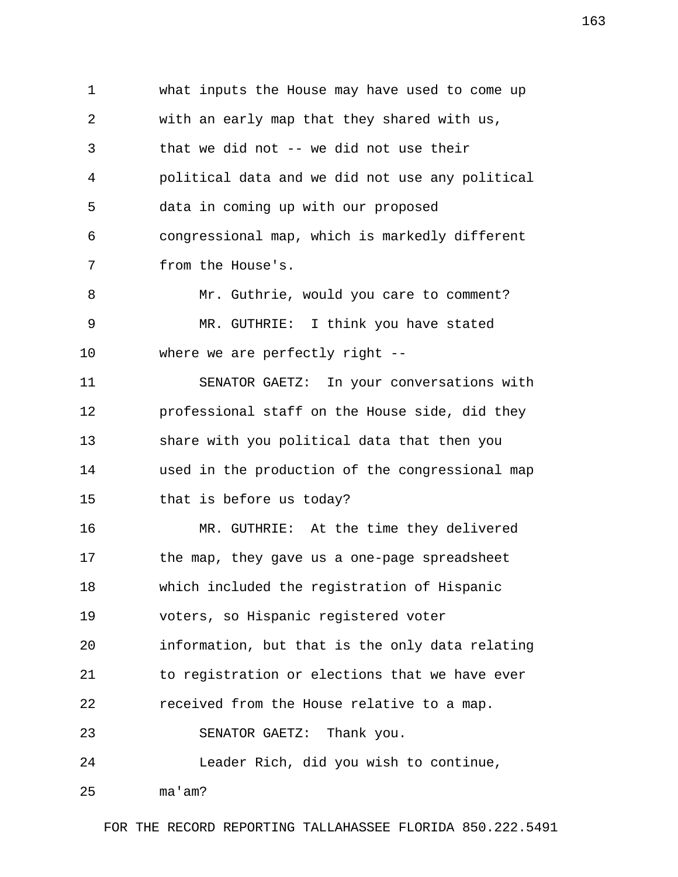1 what inputs the House may have used to come up 2 with an early map that they shared with us, 3 that we did not -- we did not use their 4 political data and we did not use any political 5 data in coming up with our proposed 6 congressional map, which is markedly different 7 from the House's. 8 Mr. Guthrie, would you care to comment? 9 MR. GUTHRIE: I think you have stated 10 where we are perfectly right -- 11 SENATOR GAETZ: In your conversations with 12 professional staff on the House side, did they 13 share with you political data that then you 14 used in the production of the congressional map 15 that is before us today? 16 MR. GUTHRIE: At the time they delivered 17 the map, they gave us a one-page spreadsheet 18 which included the registration of Hispanic 19 voters, so Hispanic registered voter 20 information, but that is the only data relating 21 to registration or elections that we have ever 22 received from the House relative to a map. 23 SENATOR GAETZ: Thank you. 24 Leader Rich, did you wish to continue, 25 ma'am?

FOR THE RECORD REPORTING TALLAHASSEE FLORIDA 850.222.5491

163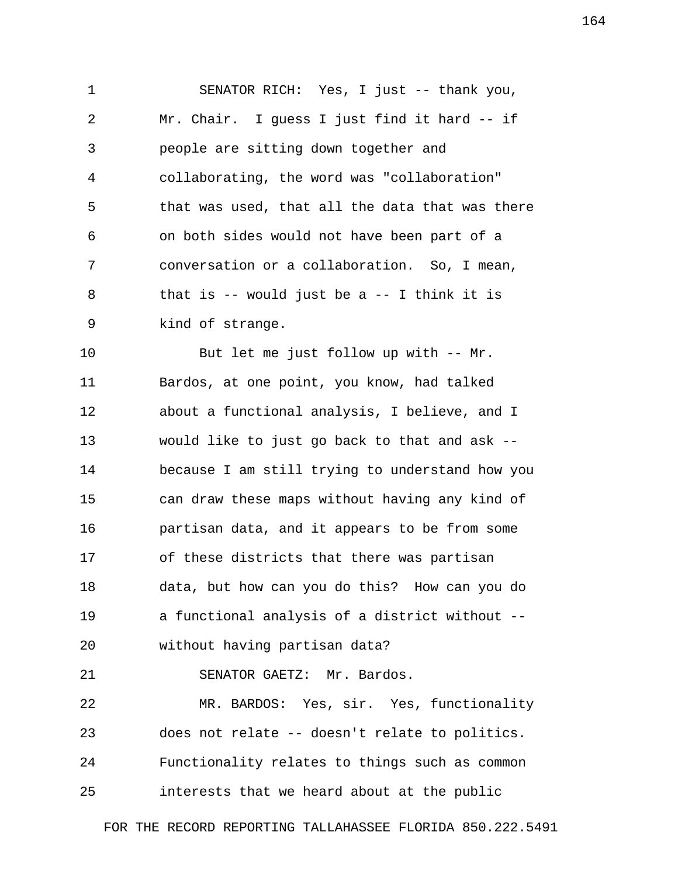1 SENATOR RICH: Yes, I just -- thank you, 2 Mr. Chair. I guess I just find it hard -- if 3 people are sitting down together and 4 collaborating, the word was "collaboration" 5 that was used, that all the data that was there 6 on both sides would not have been part of a 7 conversation or a collaboration. So, I mean, 8 that is -- would just be a -- I think it is 9 kind of strange.

10 But let me just follow up with -- Mr. 11 Bardos, at one point, you know, had talked 12 about a functional analysis, I believe, and I 13 would like to just go back to that and ask -- 14 because I am still trying to understand how you 15 can draw these maps without having any kind of 16 partisan data, and it appears to be from some 17 of these districts that there was partisan 18 data, but how can you do this? How can you do 19 a functional analysis of a district without -- 20 without having partisan data?

21 SENATOR GAETZ: Mr. Bardos.

22 MR. BARDOS: Yes, sir. Yes, functionality 23 does not relate -- doesn't relate to politics. 24 Functionality relates to things such as common 25 interests that we heard about at the public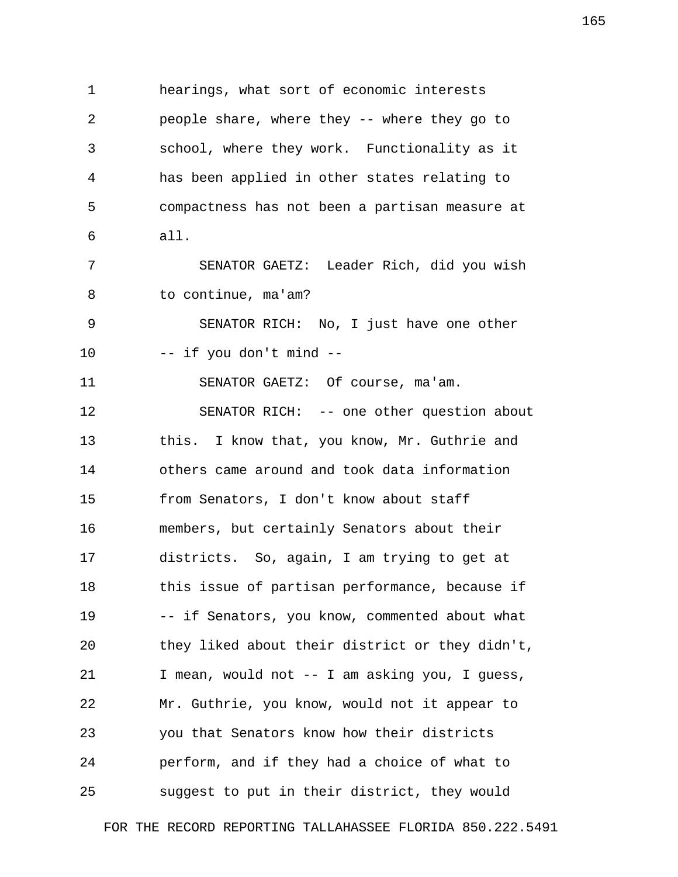1 hearings, what sort of economic interests 2 people share, where they -- where they go to 3 school, where they work. Functionality as it 4 has been applied in other states relating to 5 compactness has not been a partisan measure at 6 all. 7 SENATOR GAETZ: Leader Rich, did you wish 8 to continue, ma'am? 9 SENATOR RICH: No, I just have one other 10 -- if you don't mind -- 11 SENATOR GAETZ: Of course, ma'am. 12 SENATOR RICH: -- one other question about 13 this. I know that, you know, Mr. Guthrie and 14 others came around and took data information 15 from Senators, I don't know about staff 16 members, but certainly Senators about their 17 districts. So, again, I am trying to get at 18 this issue of partisan performance, because if 19 -- if Senators, you know, commented about what 20 they liked about their district or they didn't, 21 I mean, would not -- I am asking you, I guess, 22 Mr. Guthrie, you know, would not it appear to 23 you that Senators know how their districts 24 perform, and if they had a choice of what to 25 suggest to put in their district, they would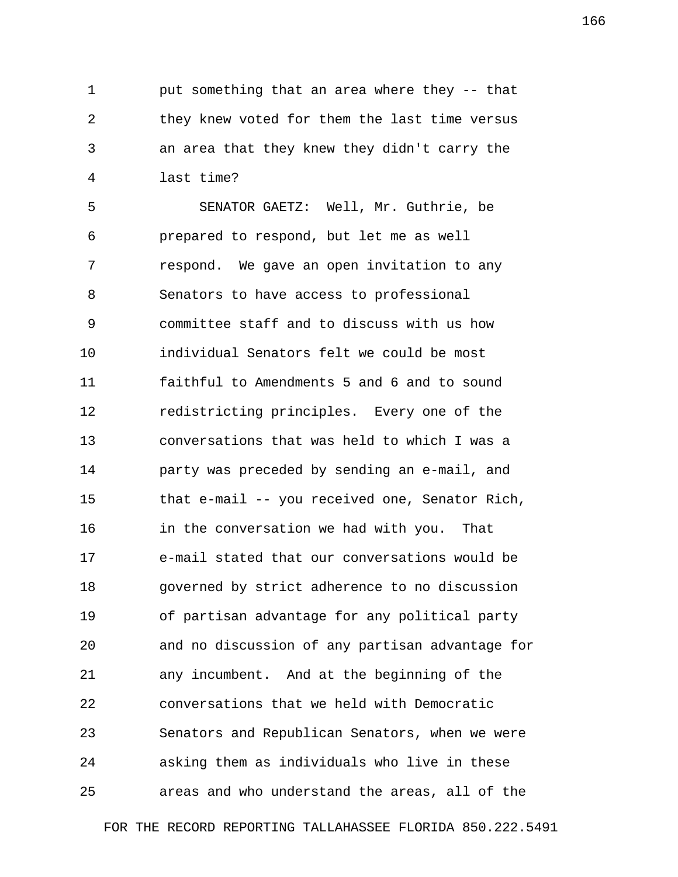1 put something that an area where they -- that 2 they knew voted for them the last time versus 3 an area that they knew they didn't carry the 4 last time?

 5 SENATOR GAETZ: Well, Mr. Guthrie, be 6 prepared to respond, but let me as well 7 respond. We gave an open invitation to any 8 Senators to have access to professional 9 committee staff and to discuss with us how 10 individual Senators felt we could be most 11 faithful to Amendments 5 and 6 and to sound 12 redistricting principles. Every one of the 13 conversations that was held to which I was a 14 party was preceded by sending an e-mail, and 15 that e-mail -- you received one, Senator Rich, 16 in the conversation we had with you. That 17 e-mail stated that our conversations would be 18 governed by strict adherence to no discussion 19 of partisan advantage for any political party 20 and no discussion of any partisan advantage for 21 any incumbent. And at the beginning of the 22 conversations that we held with Democratic 23 Senators and Republican Senators, when we were 24 asking them as individuals who live in these 25 areas and who understand the areas, all of the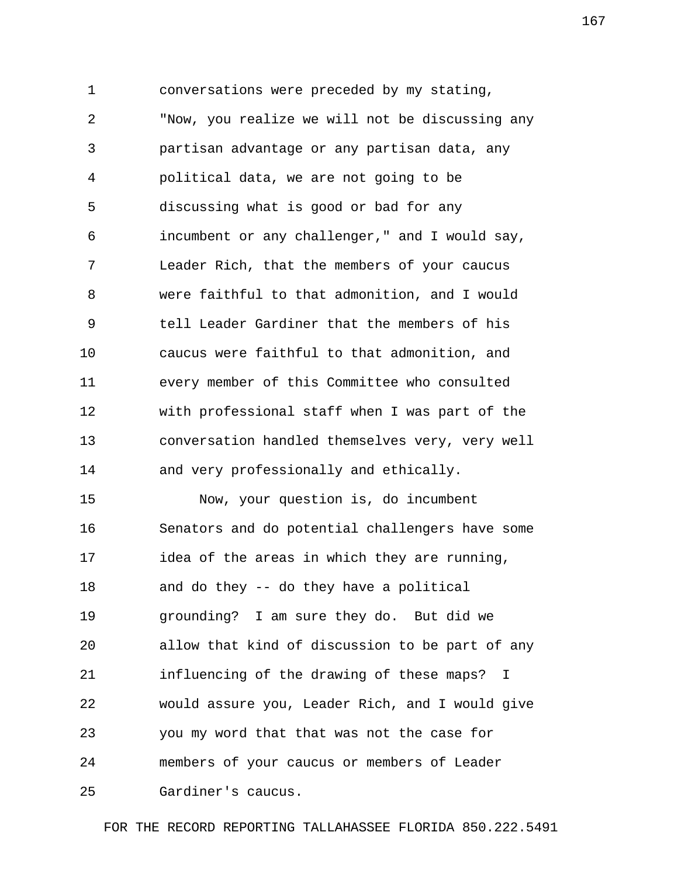1 conversations were preceded by my stating, 2 "Now, you realize we will not be discussing any 3 partisan advantage or any partisan data, any 4 political data, we are not going to be 5 discussing what is good or bad for any 6 incumbent or any challenger," and I would say, 7 Leader Rich, that the members of your caucus 8 were faithful to that admonition, and I would 9 tell Leader Gardiner that the members of his 10 caucus were faithful to that admonition, and 11 every member of this Committee who consulted 12 with professional staff when I was part of the 13 conversation handled themselves very, very well 14 and very professionally and ethically.

15 Now, your question is, do incumbent 16 Senators and do potential challengers have some 17 idea of the areas in which they are running, 18 and do they -- do they have a political 19 grounding? I am sure they do. But did we 20 allow that kind of discussion to be part of any 21 influencing of the drawing of these maps? I 22 would assure you, Leader Rich, and I would give 23 you my word that that was not the case for 24 members of your caucus or members of Leader 25 Gardiner's caucus.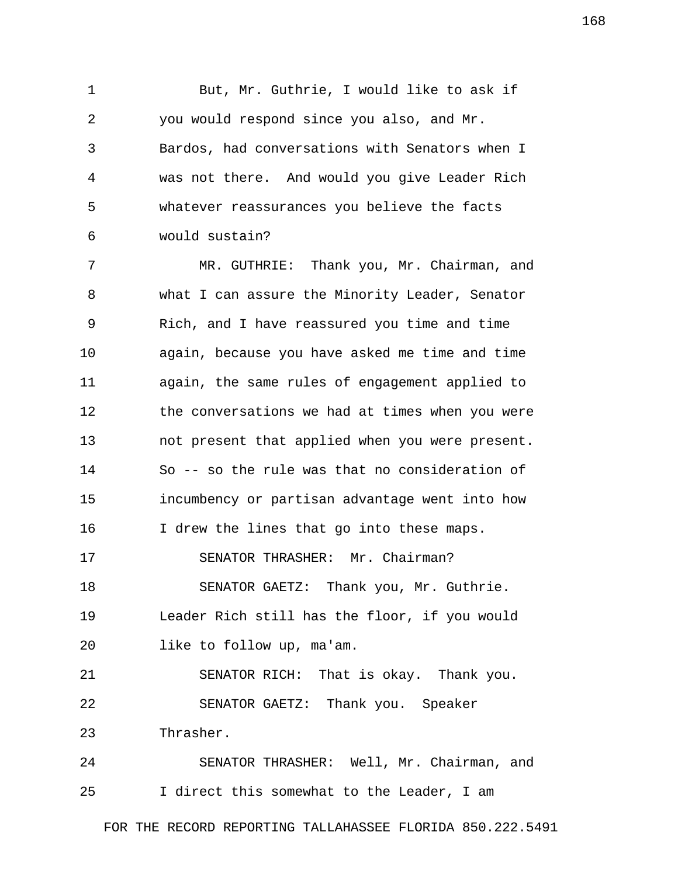1 But, Mr. Guthrie, I would like to ask if 2 you would respond since you also, and Mr. 3 Bardos, had conversations with Senators when I 4 was not there. And would you give Leader Rich 5 whatever reassurances you believe the facts 6 would sustain?

 7 MR. GUTHRIE: Thank you, Mr. Chairman, and 8 what I can assure the Minority Leader, Senator 9 Rich, and I have reassured you time and time 10 again, because you have asked me time and time 11 again, the same rules of engagement applied to 12 the conversations we had at times when you were 13 not present that applied when you were present. 14 So -- so the rule was that no consideration of 15 incumbency or partisan advantage went into how 16 I drew the lines that go into these maps. 17 SENATOR THRASHER: Mr. Chairman? 18 SENATOR GAETZ: Thank you, Mr. Guthrie. 19 Leader Rich still has the floor, if you would 20 like to follow up, ma'am. 21 SENATOR RICH: That is okay. Thank you. 22 SENATOR GAETZ: Thank you. Speaker 23 Thrasher. 24 SENATOR THRASHER: Well, Mr. Chairman, and

25 I direct this somewhat to the Leader, I am

FOR THE RECORD REPORTING TALLAHASSEE FLORIDA 850.222.5491

168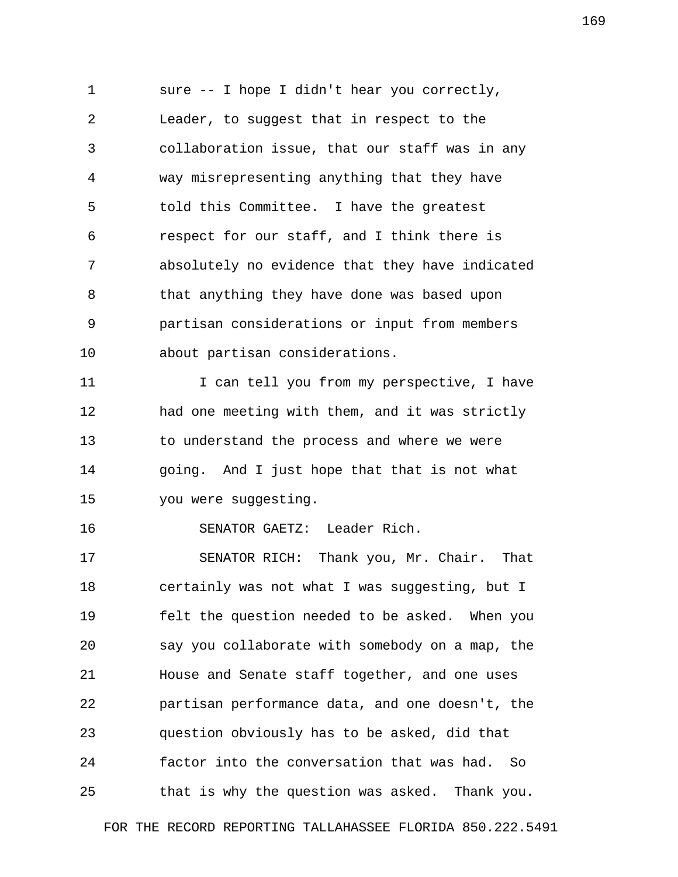1 sure -- I hope I didn't hear you correctly, 2 Leader, to suggest that in respect to the 3 collaboration issue, that our staff was in any 4 way misrepresenting anything that they have 5 told this Committee. I have the greatest 6 respect for our staff, and I think there is 7 absolutely no evidence that they have indicated 8 that anything they have done was based upon 9 partisan considerations or input from members 10 about partisan considerations.

11 1 I can tell you from my perspective, I have 12 had one meeting with them, and it was strictly 13 to understand the process and where we were 14 going. And I just hope that that is not what 15 you were suggesting.

16 SENATOR GAETZ: Leader Rich.

17 SENATOR RICH: Thank you, Mr. Chair. That 18 certainly was not what I was suggesting, but I 19 felt the question needed to be asked. When you 20 say you collaborate with somebody on a map, the 21 House and Senate staff together, and one uses 22 partisan performance data, and one doesn't, the 23 question obviously has to be asked, did that 24 factor into the conversation that was had. So 25 that is why the question was asked. Thank you.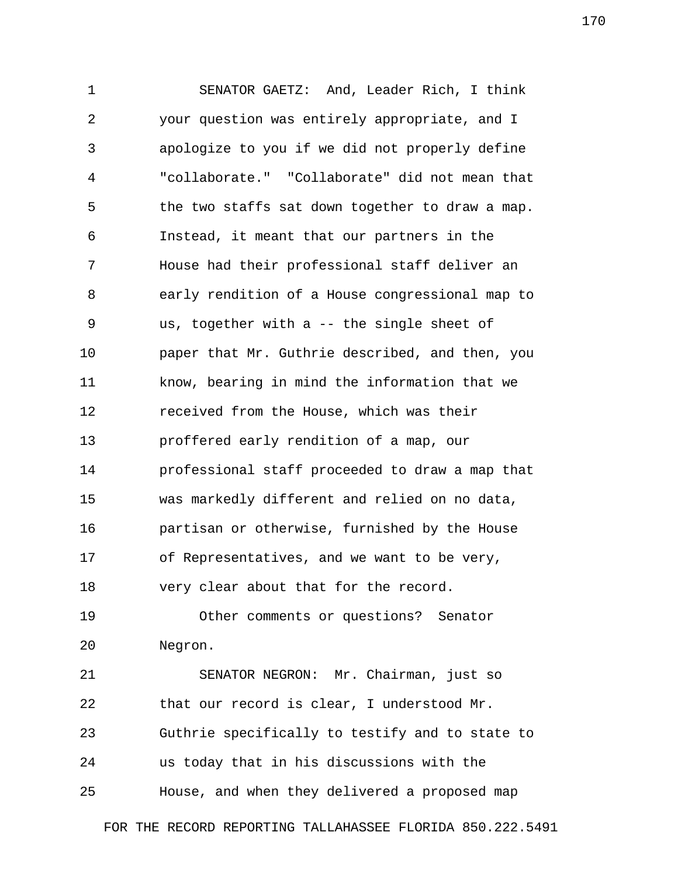1 SENATOR GAETZ: And, Leader Rich, I think 2 your question was entirely appropriate, and I 3 apologize to you if we did not properly define 4 "collaborate." "Collaborate" did not mean that 5 the two staffs sat down together to draw a map. 6 Instead, it meant that our partners in the 7 House had their professional staff deliver an 8 early rendition of a House congressional map to 9 us, together with a -- the single sheet of 10 paper that Mr. Guthrie described, and then, you 11 know, bearing in mind the information that we 12 received from the House, which was their 13 proffered early rendition of a map, our 14 professional staff proceeded to draw a map that 15 was markedly different and relied on no data, 16 partisan or otherwise, furnished by the House 17 of Representatives, and we want to be very, 18 very clear about that for the record.

19 Other comments or questions? Senator 20 Negron.

21 SENATOR NEGRON: Mr. Chairman, just so 22 that our record is clear, I understood Mr. 23 Guthrie specifically to testify and to state to 24 us today that in his discussions with the 25 House, and when they delivered a proposed map

FOR THE RECORD REPORTING TALLAHASSEE FLORIDA 850.222.5491

170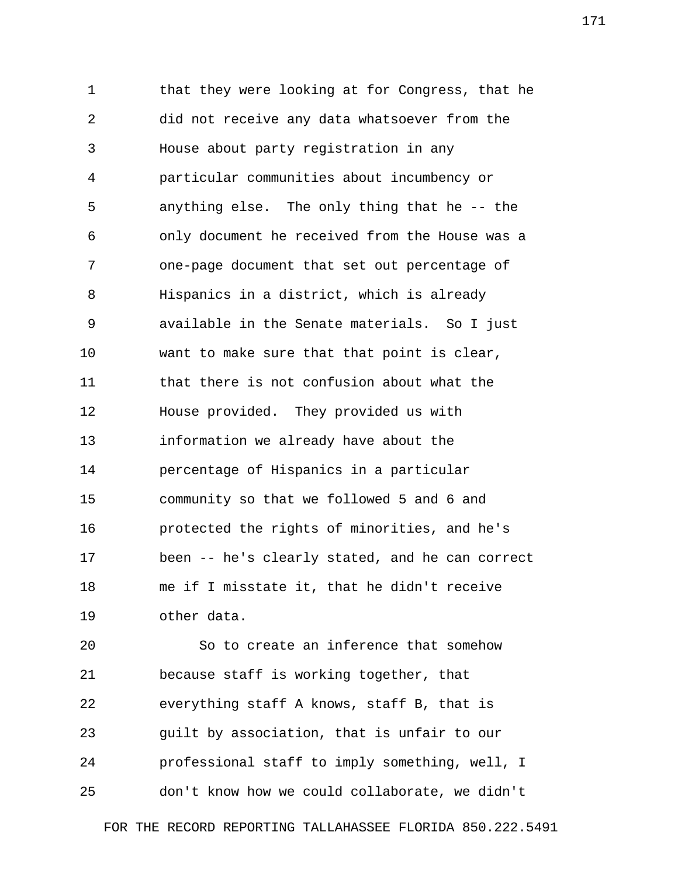1 that they were looking at for Congress, that he 2 did not receive any data whatsoever from the 3 House about party registration in any 4 particular communities about incumbency or 5 anything else. The only thing that he -- the 6 only document he received from the House was a 7 one-page document that set out percentage of 8 Hispanics in a district, which is already 9 available in the Senate materials. So I just 10 want to make sure that that point is clear, 11 that there is not confusion about what the 12 House provided. They provided us with 13 information we already have about the 14 percentage of Hispanics in a particular 15 community so that we followed 5 and 6 and 16 protected the rights of minorities, and he's 17 been -- he's clearly stated, and he can correct 18 me if I misstate it, that he didn't receive 19 other data.

20 So to create an inference that somehow 21 because staff is working together, that 22 everything staff A knows, staff B, that is 23 guilt by association, that is unfair to our 24 professional staff to imply something, well, I 25 don't know how we could collaborate, we didn't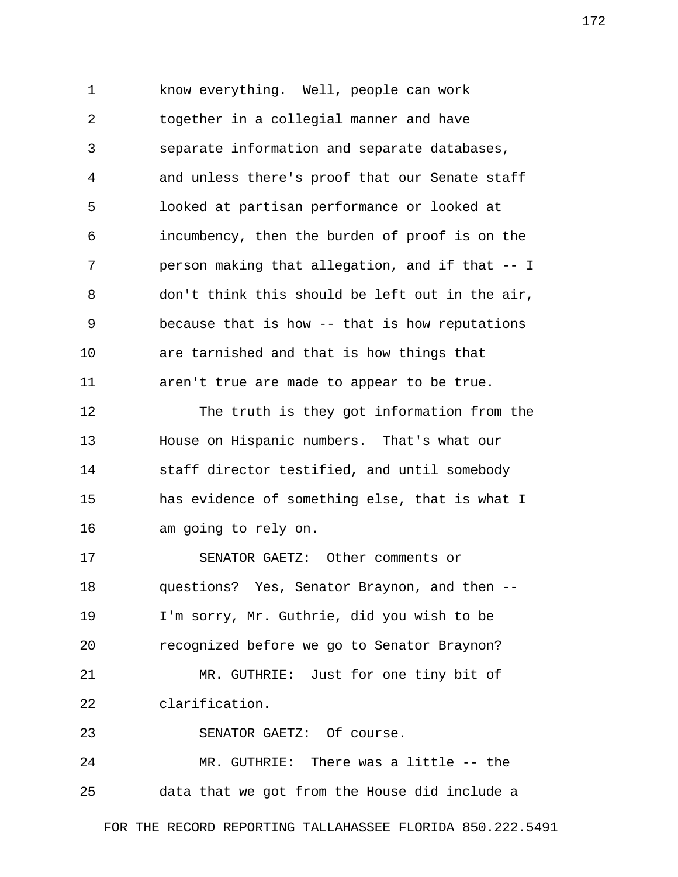1 know everything. Well, people can work 2 together in a collegial manner and have 3 separate information and separate databases, 4 and unless there's proof that our Senate staff 5 looked at partisan performance or looked at 6 incumbency, then the burden of proof is on the 7 person making that allegation, and if that -- I 8 don't think this should be left out in the air, 9 because that is how -- that is how reputations 10 are tarnished and that is how things that 11 aren't true are made to appear to be true.

12 The truth is they got information from the 13 House on Hispanic numbers. That's what our 14 staff director testified, and until somebody 15 has evidence of something else, that is what I 16 am going to rely on.

17 SENATOR GAETZ: Other comments or 18 questions? Yes, Senator Braynon, and then -- 19 I'm sorry, Mr. Guthrie, did you wish to be 20 recognized before we go to Senator Braynon? 21 MR. GUTHRIE: Just for one tiny bit of 22 clarification.

23 SENATOR GAETZ: Of course.

24 MR. GUTHRIE: There was a little -- the 25 data that we got from the House did include a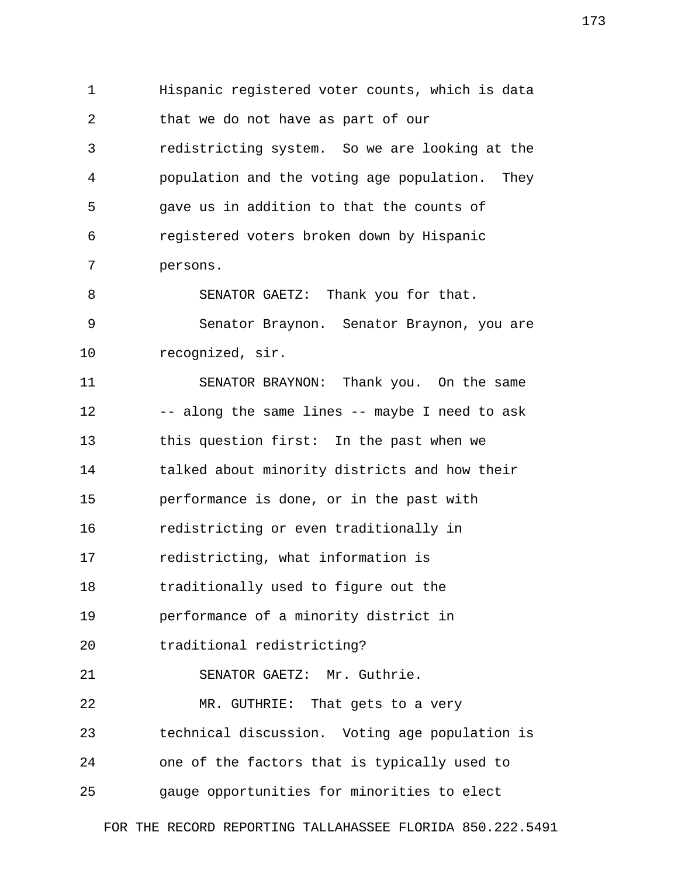1 Hispanic registered voter counts, which is data 2 that we do not have as part of our 3 redistricting system. So we are looking at the 4 population and the voting age population. They 5 gave us in addition to that the counts of 6 registered voters broken down by Hispanic 7 persons. 8 SENATOR GAETZ: Thank you for that. 9 Senator Braynon. Senator Braynon, you are 10 recognized, sir. 11 SENATOR BRAYNON: Thank you. On the same 12 -- along the same lines -- maybe I need to ask 13 this question first: In the past when we 14 talked about minority districts and how their 15 performance is done, or in the past with 16 redistricting or even traditionally in 17 redistricting, what information is 18 traditionally used to figure out the 19 performance of a minority district in 20 traditional redistricting? 21 SENATOR GAETZ: Mr. Guthrie. 22 MR. GUTHRIE: That gets to a very 23 technical discussion. Voting age population is 24 one of the factors that is typically used to 25 gauge opportunities for minorities to elect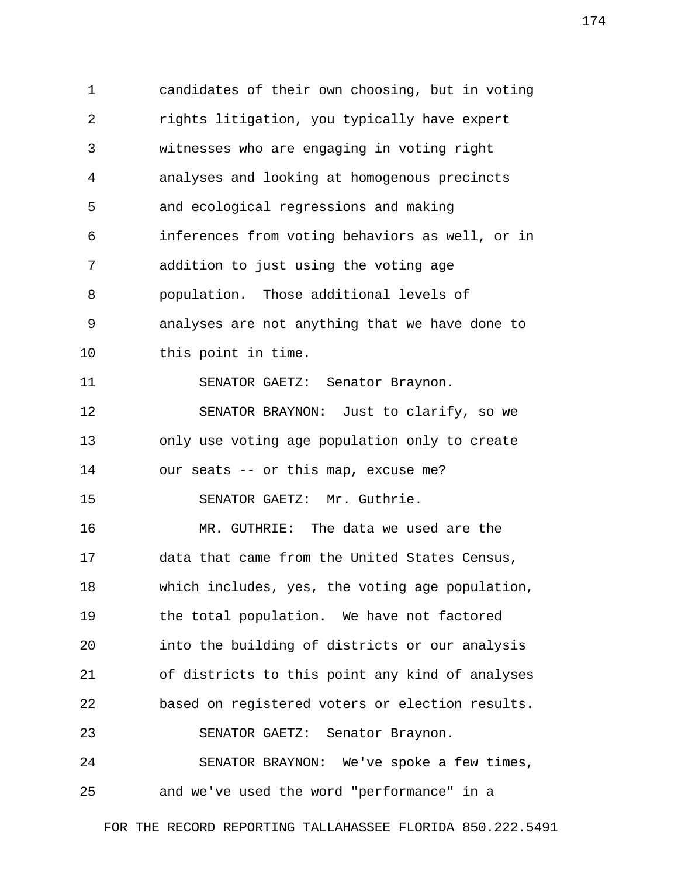1 candidates of their own choosing, but in voting 2 rights litigation, you typically have expert 3 witnesses who are engaging in voting right 4 analyses and looking at homogenous precincts 5 and ecological regressions and making 6 inferences from voting behaviors as well, or in 7 addition to just using the voting age 8 population. Those additional levels of 9 analyses are not anything that we have done to 10 this point in time. 11 SENATOR GAETZ: Senator Braynon. 12 SENATOR BRAYNON: Just to clarify, so we 13 only use voting age population only to create 14 our seats -- or this map, excuse me? 15 SENATOR GAETZ: Mr. Guthrie. 16 MR. GUTHRIE: The data we used are the 17 data that came from the United States Census, 18 which includes, yes, the voting age population, 19 the total population. We have not factored 20 into the building of districts or our analysis 21 of districts to this point any kind of analyses 22 based on registered voters or election results. 23 SENATOR GAETZ: Senator Braynon. 24 SENATOR BRAYNON: We've spoke a few times, 25 and we've used the word "performance" in a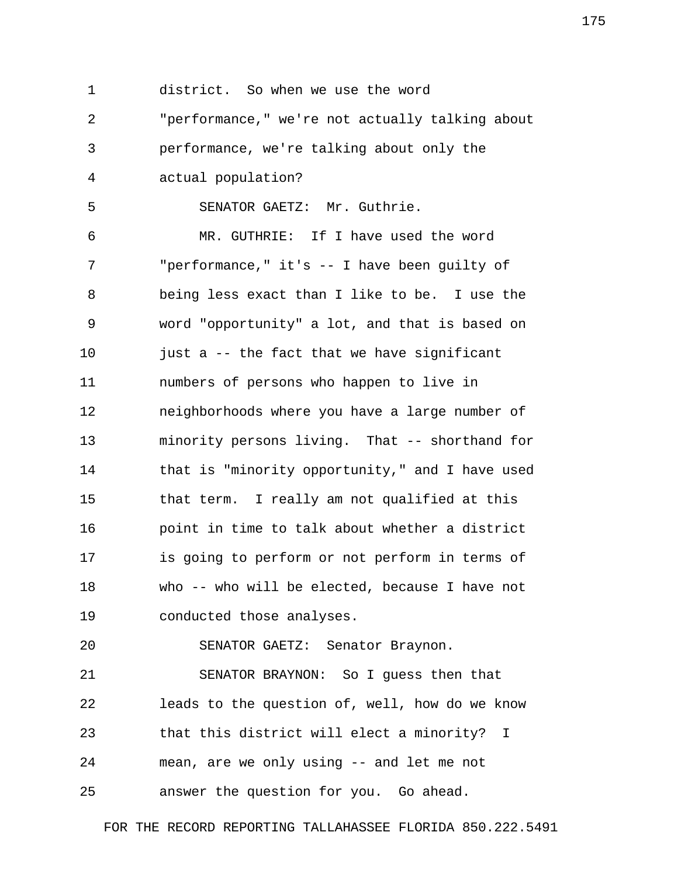1 district. So when we use the word 2 "performance," we're not actually talking about 3 performance, we're talking about only the 4 actual population? 5 SENATOR GAETZ: Mr. Guthrie. 6 MR. GUTHRIE: If I have used the word 7 "performance," it's -- I have been guilty of 8 being less exact than I like to be. I use the 9 word "opportunity" a lot, and that is based on 10 just a -- the fact that we have significant 11 numbers of persons who happen to live in 12 neighborhoods where you have a large number of 13 minority persons living. That -- shorthand for 14 that is "minority opportunity," and I have used 15 that term. I really am not qualified at this 16 point in time to talk about whether a district 17 is going to perform or not perform in terms of 18 who -- who will be elected, because I have not 19 conducted those analyses. 20 SENATOR GAETZ: Senator Braynon. 21 SENATOR BRAYNON: So I guess then that 22 leads to the question of, well, how do we know 23 that this district will elect a minority? I 24 mean, are we only using -- and let me not 25 answer the question for you. Go ahead.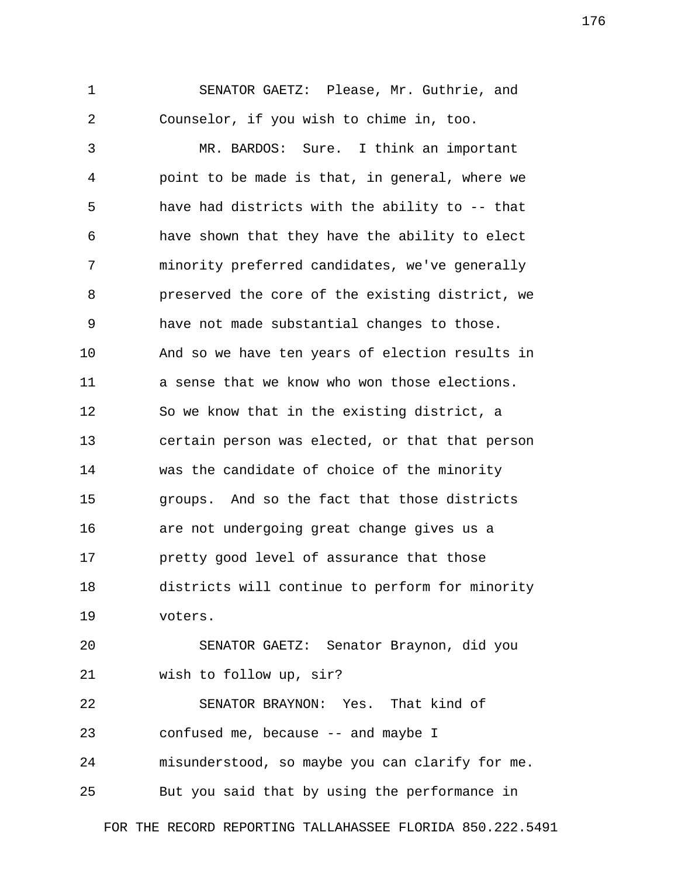1 SENATOR GAETZ: Please, Mr. Guthrie, and 2 Counselor, if you wish to chime in, too.

 3 MR. BARDOS: Sure. I think an important 4 point to be made is that, in general, where we 5 have had districts with the ability to -- that 6 have shown that they have the ability to elect 7 minority preferred candidates, we've generally 8 preserved the core of the existing district, we 9 have not made substantial changes to those. 10 And so we have ten years of election results in 11 a sense that we know who won those elections. 12 So we know that in the existing district, a 13 certain person was elected, or that that person 14 was the candidate of choice of the minority 15 groups. And so the fact that those districts 16 are not undergoing great change gives us a 17 pretty good level of assurance that those 18 districts will continue to perform for minority 19 voters.

20 SENATOR GAETZ: Senator Braynon, did you 21 wish to follow up, sir?

22 SENATOR BRAYNON: Yes. That kind of 23 confused me, because -- and maybe I 24 misunderstood, so maybe you can clarify for me.

25 But you said that by using the performance in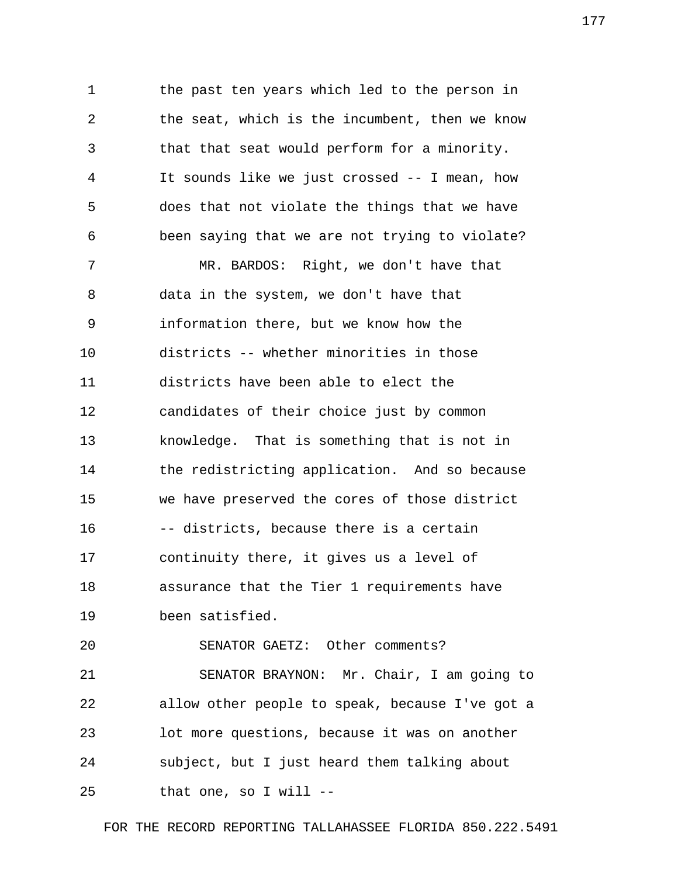1 the past ten years which led to the person in 2 the seat, which is the incumbent, then we know 3 that that seat would perform for a minority. 4 It sounds like we just crossed -- I mean, how 5 does that not violate the things that we have 6 been saying that we are not trying to violate? 7 MR. BARDOS: Right, we don't have that 8 data in the system, we don't have that 9 information there, but we know how the 10 districts -- whether minorities in those 11 districts have been able to elect the 12 candidates of their choice just by common 13 knowledge. That is something that is not in 14 the redistricting application. And so because 15 we have preserved the cores of those district 16 -- districts, because there is a certain 17 continuity there, it gives us a level of 18 assurance that the Tier 1 requirements have 19 been satisfied. 20 SENATOR GAETZ: Other comments? 21 SENATOR BRAYNON: Mr. Chair, I am going to

22 allow other people to speak, because I've got a 23 lot more questions, because it was on another 24 subject, but I just heard them talking about 25 that one, so I will --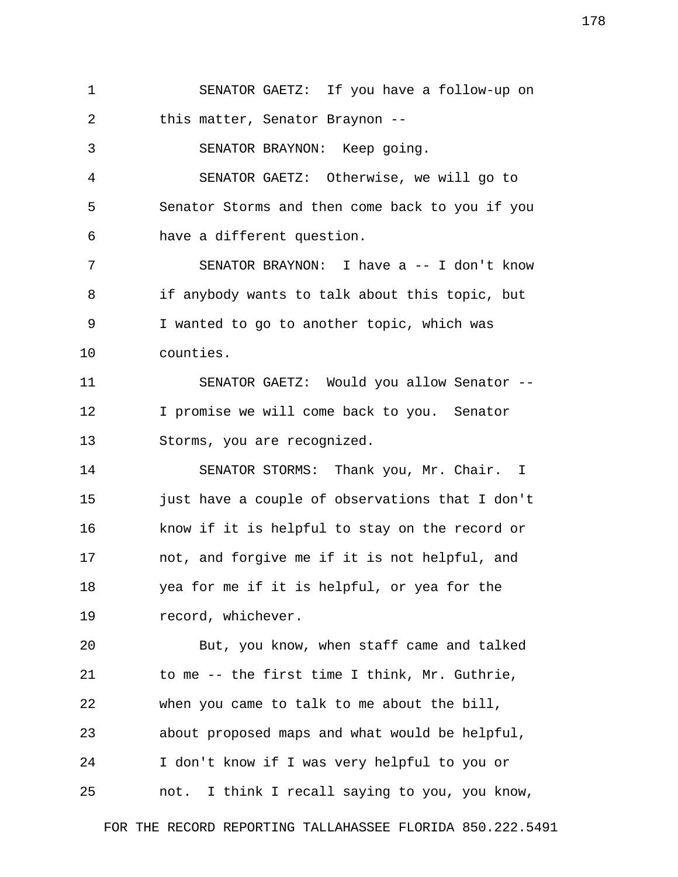1 SENATOR GAETZ: If you have a follow-up on 2 this matter, Senator Braynon -- 3 SENATOR BRAYNON: Keep going. 4 SENATOR GAETZ: Otherwise, we will go to 5 Senator Storms and then come back to you if you 6 have a different question. 7 SENATOR BRAYNON: I have a -- I don't know 8 if anybody wants to talk about this topic, but 9 I wanted to go to another topic, which was 10 counties. 11 SENATOR GAETZ: Would you allow Senator -- 12 I promise we will come back to you. Senator 13 Storms, you are recognized. 14 SENATOR STORMS: Thank you, Mr. Chair. I 15 just have a couple of observations that I don't 16 know if it is helpful to stay on the record or 17 not, and forgive me if it is not helpful, and 18 yea for me if it is helpful, or yea for the 19 record, whichever. 20 But, you know, when staff came and talked 21 to me -- the first time I think, Mr. Guthrie, 22 when you came to talk to me about the bill, 23 about proposed maps and what would be helpful, 24 I don't know if I was very helpful to you or 25 not. I think I recall saying to you, you know,

FOR THE RECORD REPORTING TALLAHASSEE FLORIDA 850.222.5491

178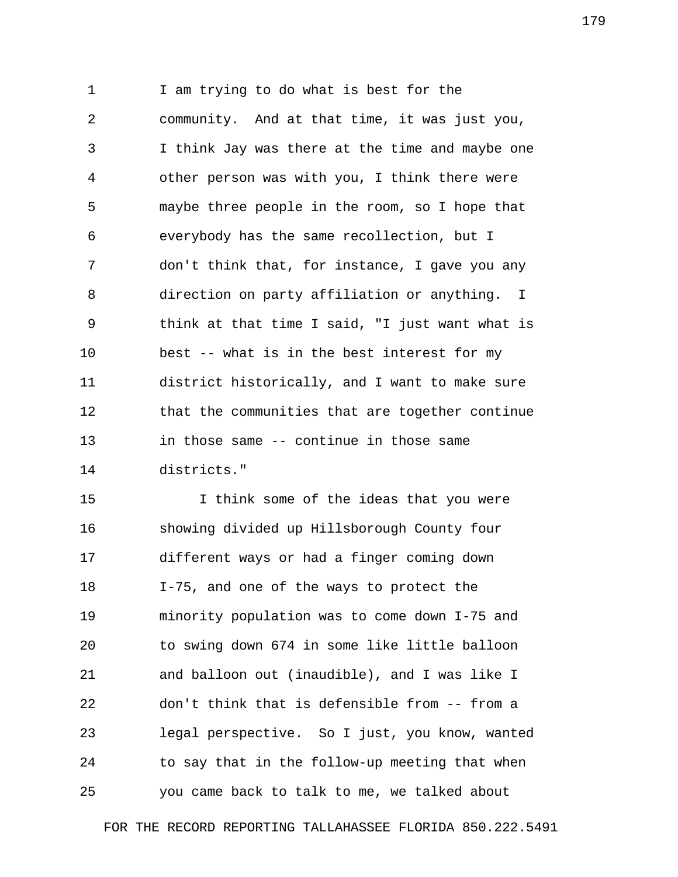1 I am trying to do what is best for the 2 community. And at that time, it was just you, 3 I think Jay was there at the time and maybe one 4 other person was with you, I think there were 5 maybe three people in the room, so I hope that 6 everybody has the same recollection, but I 7 don't think that, for instance, I gave you any 8 direction on party affiliation or anything. I 9 think at that time I said, "I just want what is 10 best -- what is in the best interest for my 11 district historically, and I want to make sure 12 that the communities that are together continue 13 in those same -- continue in those same 14 districts."

15 I think some of the ideas that you were 16 showing divided up Hillsborough County four 17 different ways or had a finger coming down 18 I-75, and one of the ways to protect the 19 minority population was to come down I-75 and 20 to swing down 674 in some like little balloon 21 and balloon out (inaudible), and I was like I 22 don't think that is defensible from -- from a 23 legal perspective. So I just, you know, wanted 24 to say that in the follow-up meeting that when 25 you came back to talk to me, we talked about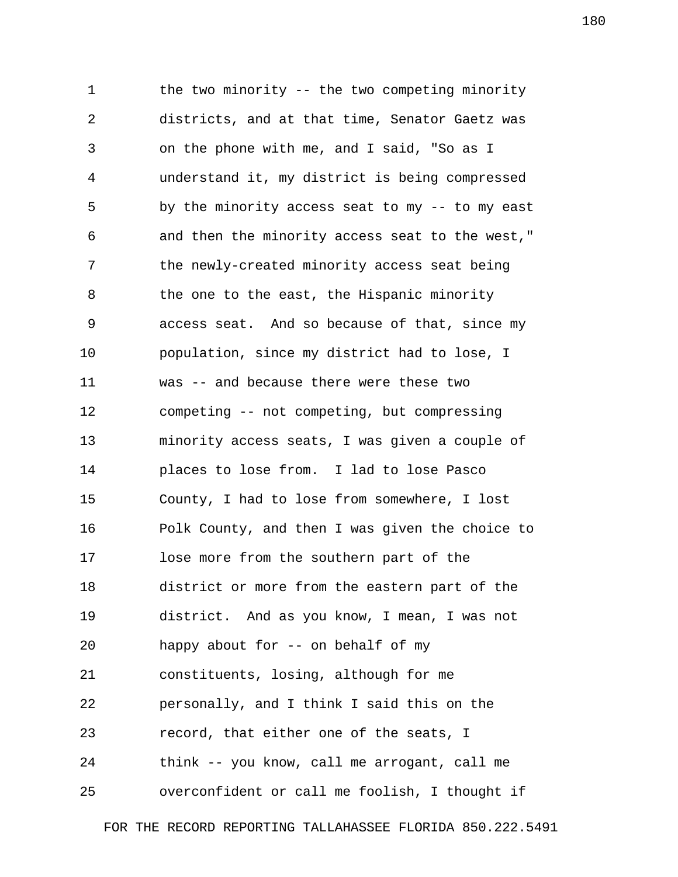1 the two minority -- the two competing minority 2 districts, and at that time, Senator Gaetz was 3 on the phone with me, and I said, "So as I 4 understand it, my district is being compressed 5 by the minority access seat to my -- to my east 6 and then the minority access seat to the west," 7 the newly-created minority access seat being 8 the one to the east, the Hispanic minority 9 access seat. And so because of that, since my 10 population, since my district had to lose, I 11 was -- and because there were these two 12 competing -- not competing, but compressing 13 minority access seats, I was given a couple of 14 places to lose from. I lad to lose Pasco 15 County, I had to lose from somewhere, I lost 16 Polk County, and then I was given the choice to 17 lose more from the southern part of the 18 district or more from the eastern part of the 19 district. And as you know, I mean, I was not 20 happy about for -- on behalf of my 21 constituents, losing, although for me 22 personally, and I think I said this on the 23 record, that either one of the seats, I 24 think -- you know, call me arrogant, call me 25 overconfident or call me foolish, I thought if

FOR THE RECORD REPORTING TALLAHASSEE FLORIDA 850.222.5491

180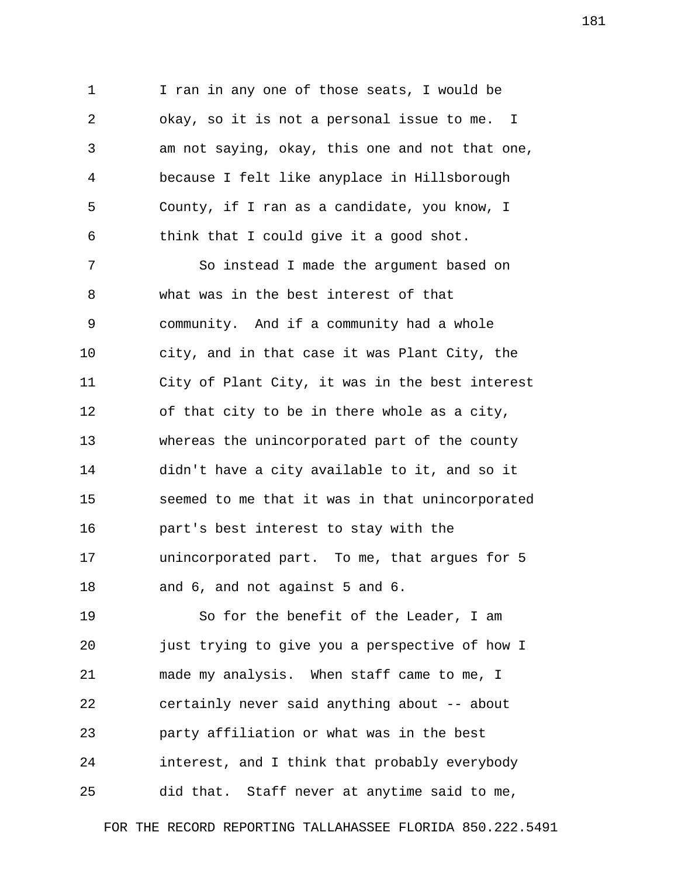1 I ran in any one of those seats, I would be 2 okay, so it is not a personal issue to me. I 3 am not saying, okay, this one and not that one, 4 because I felt like anyplace in Hillsborough 5 County, if I ran as a candidate, you know, I 6 think that I could give it a good shot.

 7 So instead I made the argument based on 8 what was in the best interest of that 9 community. And if a community had a whole 10 city, and in that case it was Plant City, the 11 City of Plant City, it was in the best interest 12 of that city to be in there whole as a city, 13 whereas the unincorporated part of the county 14 didn't have a city available to it, and so it 15 seemed to me that it was in that unincorporated 16 part's best interest to stay with the 17 unincorporated part. To me, that argues for 5 18 and 6, and not against 5 and 6.

19 So for the benefit of the Leader, I am 20 just trying to give you a perspective of how I 21 made my analysis. When staff came to me, I 22 certainly never said anything about -- about 23 party affiliation or what was in the best 24 interest, and I think that probably everybody 25 did that. Staff never at anytime said to me,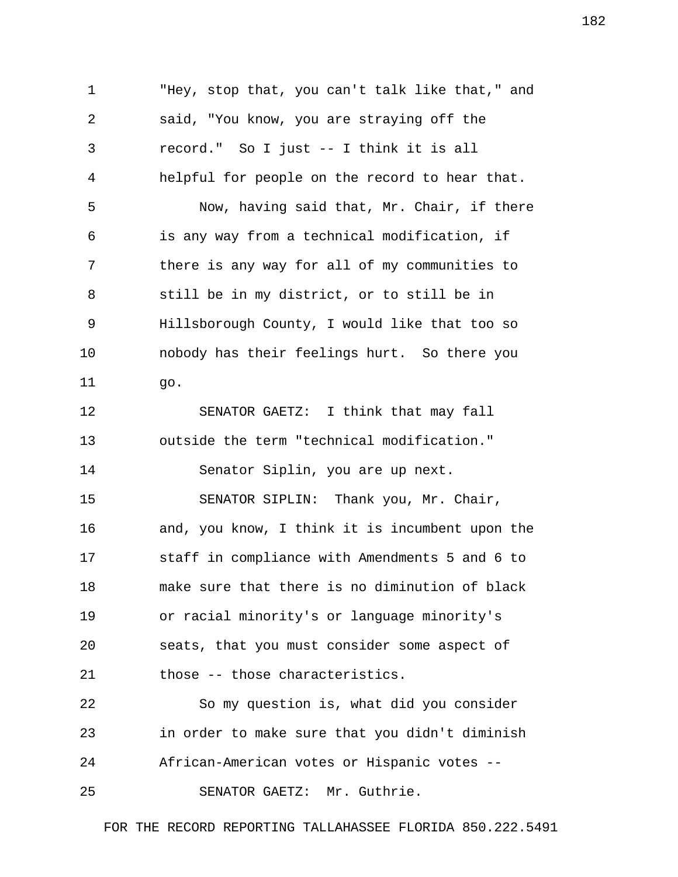1 "Hey, stop that, you can't talk like that," and 2 said, "You know, you are straying off the 3 record." So I just -- I think it is all 4 helpful for people on the record to hear that. 5 Now, having said that, Mr. Chair, if there 6 is any way from a technical modification, if 7 there is any way for all of my communities to 8 still be in my district, or to still be in 9 Hillsborough County, I would like that too so 10 nobody has their feelings hurt. So there you 11 go. 12 SENATOR GAETZ: I think that may fall 13 outside the term "technical modification." 14 Senator Siplin, you are up next. 15 SENATOR SIPLIN: Thank you, Mr. Chair, 16 and, you know, I think it is incumbent upon the 17 staff in compliance with Amendments 5 and 6 to 18 make sure that there is no diminution of black 19 or racial minority's or language minority's 20 seats, that you must consider some aspect of 21 those -- those characteristics. 22 So my question is, what did you consider 23 in order to make sure that you didn't diminish 24 African-American votes or Hispanic votes -- 25 SENATOR GAETZ: Mr. Guthrie.

FOR THE RECORD REPORTING TALLAHASSEE FLORIDA 850.222.5491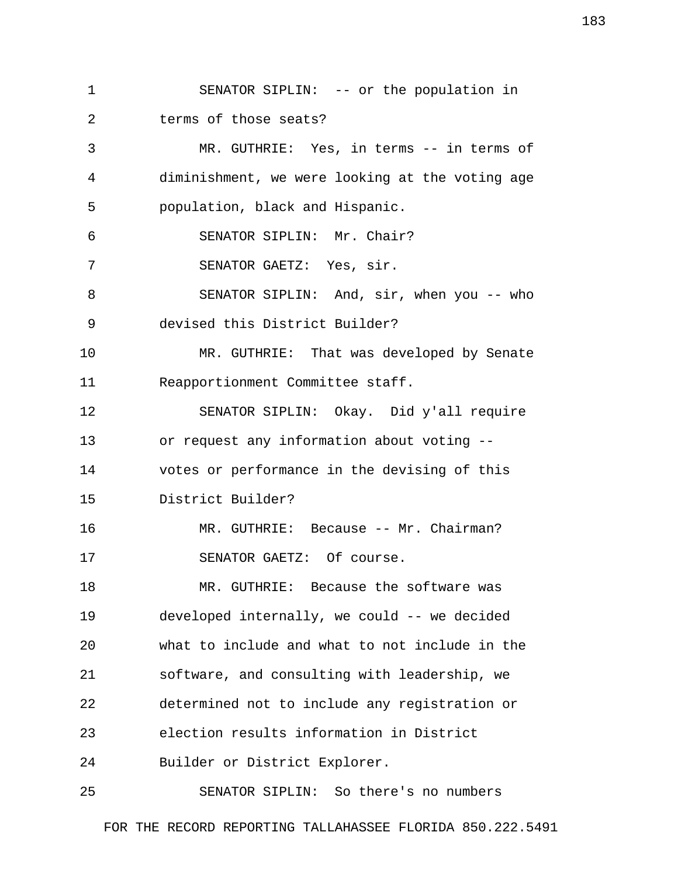1 SENATOR SIPLIN: -- or the population in 2 terms of those seats?

 3 MR. GUTHRIE: Yes, in terms -- in terms of 4 diminishment, we were looking at the voting age 5 population, black and Hispanic. 6 SENATOR SIPLIN: Mr. Chair? 7 SENATOR GAETZ: Yes, sir. 8 SENATOR SIPLIN: And, sir, when you -- who 9 devised this District Builder? 10 MR. GUTHRIE: That was developed by Senate 11 Reapportionment Committee staff. 12 SENATOR SIPLIN: Okay. Did y'all require 13 or request any information about voting -- 14 votes or performance in the devising of this 15 District Builder? 16 MR. GUTHRIE: Because -- Mr. Chairman? 17 SENATOR GAETZ: Of course. 18 MR. GUTHRIE: Because the software was 19 developed internally, we could -- we decided 20 what to include and what to not include in the 21 software, and consulting with leadership, we 22 determined not to include any registration or 23 election results information in District 24 Builder or District Explorer.

25 SENATOR SIPLIN: So there's no numbers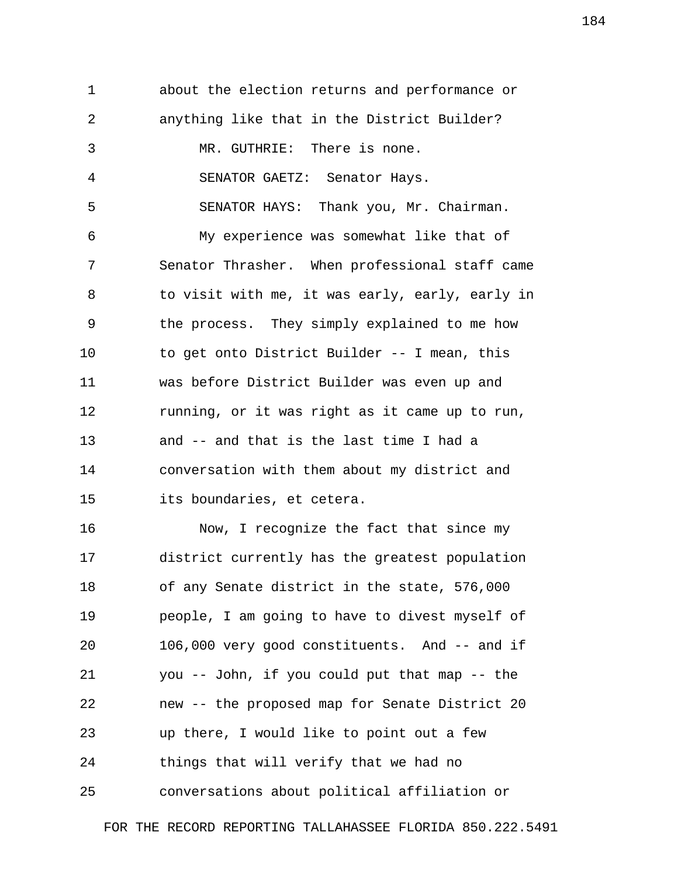1 about the election returns and performance or 2 anything like that in the District Builder? 3 MR. GUTHRIE: There is none. 4 SENATOR GAETZ: Senator Hays. 5 SENATOR HAYS: Thank you, Mr. Chairman. 6 My experience was somewhat like that of 7 Senator Thrasher. When professional staff came 8 to visit with me, it was early, early, early in 9 the process. They simply explained to me how 10 to get onto District Builder -- I mean, this 11 was before District Builder was even up and 12 running, or it was right as it came up to run, 13 and -- and that is the last time I had a 14 conversation with them about my district and 15 its boundaries, et cetera. 16 Now, I recognize the fact that since my 17 district currently has the greatest population 18 of any Senate district in the state, 576,000 19 people, I am going to have to divest myself of 20 106,000 very good constituents. And -- and if 21 you -- John, if you could put that map -- the 22 new -- the proposed map for Senate District 20 23 up there, I would like to point out a few 24 things that will verify that we had no 25 conversations about political affiliation or

FOR THE RECORD REPORTING TALLAHASSEE FLORIDA 850.222.5491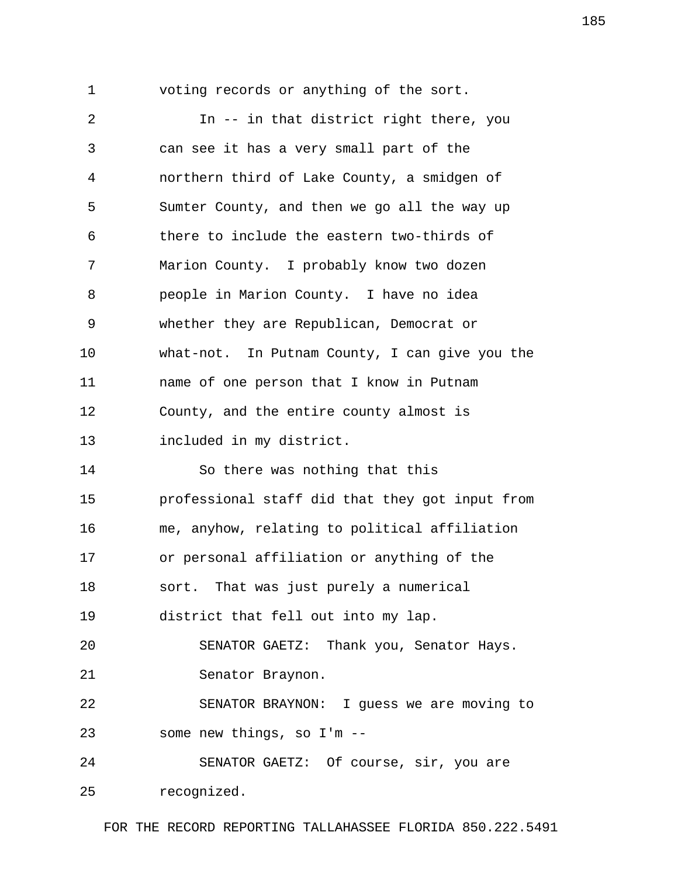1 voting records or anything of the sort. 2 In -- in that district right there, you 3 can see it has a very small part of the 4 northern third of Lake County, a smidgen of 5 Sumter County, and then we go all the way up 6 there to include the eastern two-thirds of 7 Marion County. I probably know two dozen 8 people in Marion County. I have no idea 9 whether they are Republican, Democrat or 10 what-not. In Putnam County, I can give you the 11 name of one person that I know in Putnam 12 County, and the entire county almost is 13 included in my district. 14 So there was nothing that this 15 professional staff did that they got input from 16 me, anyhow, relating to political affiliation 17 or personal affiliation or anything of the 18 sort. That was just purely a numerical 19 district that fell out into my lap. 20 SENATOR GAETZ: Thank you, Senator Hays. 21 Senator Braynon. 22 SENATOR BRAYNON: I guess we are moving to 23 some new things, so I'm -- 24 SENATOR GAETZ: Of course, sir, you are 25 recognized.

FOR THE RECORD REPORTING TALLAHASSEE FLORIDA 850.222.5491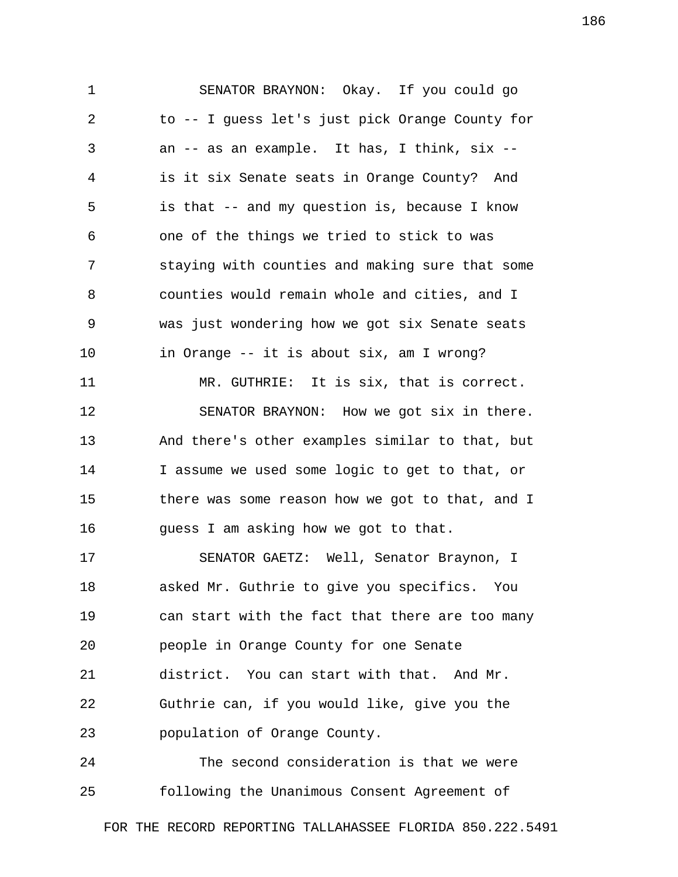1 SENATOR BRAYNON: Okay. If you could go 2 to -- I guess let's just pick Orange County for 3 an -- as an example. It has, I think, six -- 4 is it six Senate seats in Orange County? And 5 is that -- and my question is, because I know 6 one of the things we tried to stick to was 7 staying with counties and making sure that some 8 counties would remain whole and cities, and I 9 was just wondering how we got six Senate seats 10 in Orange -- it is about six, am I wrong? 11 MR. GUTHRIE: It is six, that is correct. 12 SENATOR BRAYNON: How we got six in there. 13 And there's other examples similar to that, but 14 I assume we used some logic to get to that, or 15 there was some reason how we got to that, and I 16 guess I am asking how we got to that. 17 SENATOR GAETZ: Well, Senator Braynon, I 18 asked Mr. Guthrie to give you specifics. You 19 can start with the fact that there are too many 20 people in Orange County for one Senate 21 district. You can start with that. And Mr. 22 Guthrie can, if you would like, give you the 23 population of Orange County.

24 The second consideration is that we were 25 following the Unanimous Consent Agreement of

FOR THE RECORD REPORTING TALLAHASSEE FLORIDA 850.222.5491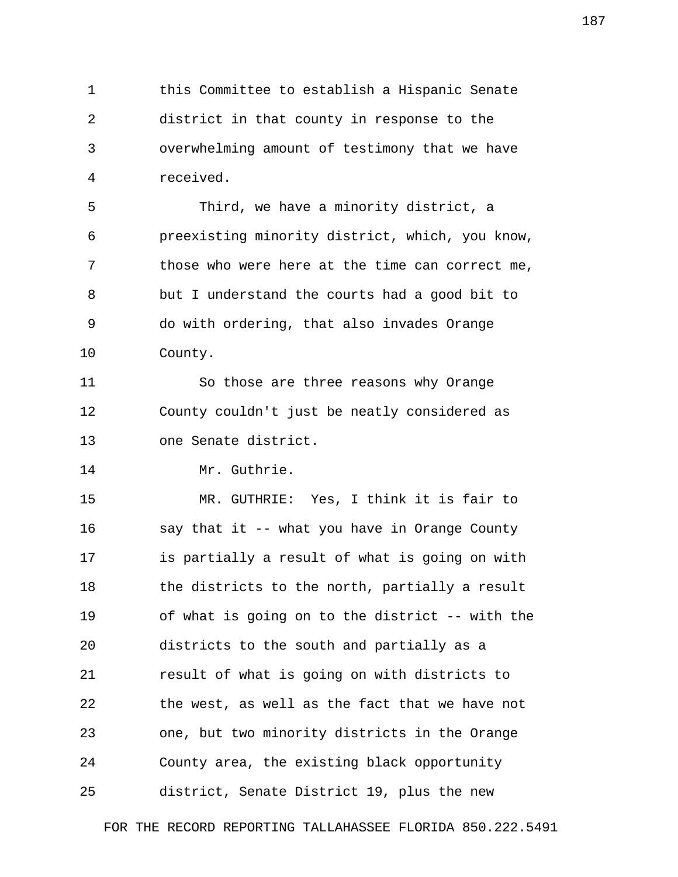1 this Committee to establish a Hispanic Senate 2 district in that county in response to the 3 overwhelming amount of testimony that we have 4 received.

 5 Third, we have a minority district, a 6 preexisting minority district, which, you know, 7 those who were here at the time can correct me, 8 but I understand the courts had a good bit to 9 do with ordering, that also invades Orange 10 County.

11 So those are three reasons why Orange 12 County couldn't just be neatly considered as 13 one Senate district.

14 Mr. Guthrie.

15 MR. GUTHRIE: Yes, I think it is fair to 16 say that it -- what you have in Orange County 17 is partially a result of what is going on with 18 the districts to the north, partially a result 19 of what is going on to the district -- with the 20 districts to the south and partially as a 21 result of what is going on with districts to 22 the west, as well as the fact that we have not 23 one, but two minority districts in the Orange 24 County area, the existing black opportunity 25 district, Senate District 19, plus the new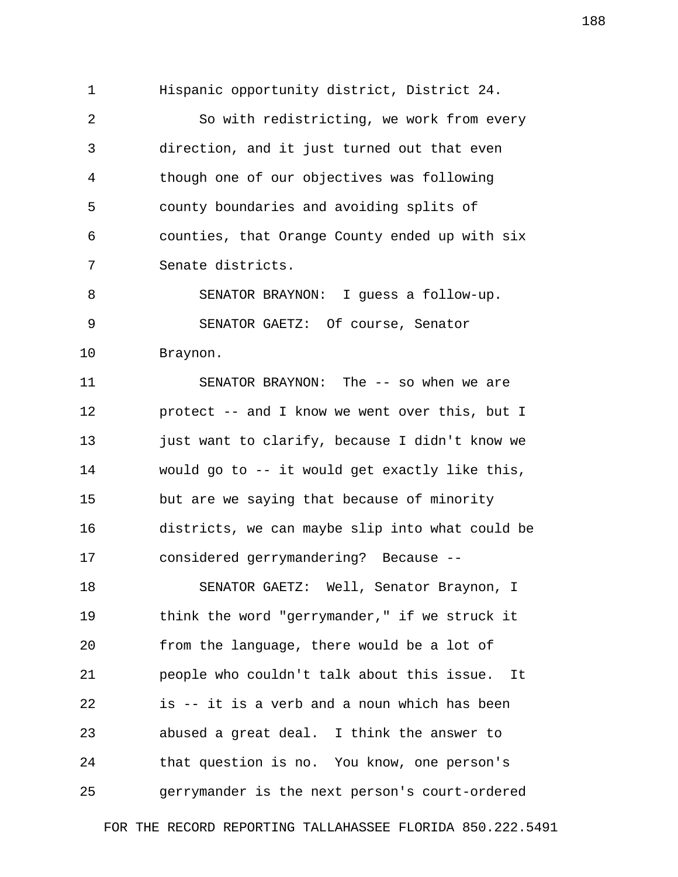1 Hispanic opportunity district, District 24.

 2 So with redistricting, we work from every 3 direction, and it just turned out that even 4 though one of our objectives was following 5 county boundaries and avoiding splits of 6 counties, that Orange County ended up with six 7 Senate districts.

 8 SENATOR BRAYNON: I guess a follow-up. 9 SENATOR GAETZ: Of course, Senator 10 Braynon.

11 SENATOR BRAYNON: The -- so when we are 12 protect -- and I know we went over this, but I 13 just want to clarify, because I didn't know we 14 would go to -- it would get exactly like this, 15 but are we saying that because of minority 16 districts, we can maybe slip into what could be 17 considered gerrymandering? Because --

18 SENATOR GAETZ: Well, Senator Braynon, I 19 think the word "gerrymander," if we struck it 20 from the language, there would be a lot of 21 people who couldn't talk about this issue. It 22 is -- it is a verb and a noun which has been 23 abused a great deal. I think the answer to 24 that question is no. You know, one person's 25 gerrymander is the next person's court-ordered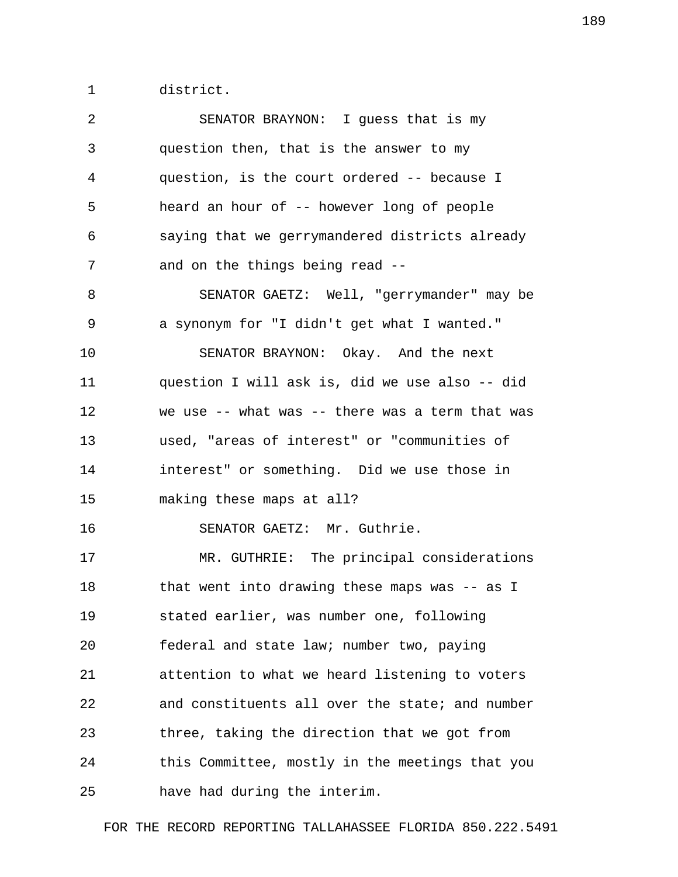1 district.

| 2  | SENATOR BRAYNON: I guess that is my             |
|----|-------------------------------------------------|
| 3  | question then, that is the answer to my         |
| 4  | question, is the court ordered -- because I     |
| 5  | heard an hour of -- however long of people      |
| 6  | saying that we gerrymandered districts already  |
| 7  | and on the things being read --                 |
| 8  | SENATOR GAETZ: Well, "gerrymander" may be       |
| 9  | a synonym for "I didn't get what I wanted."     |
| 10 | SENATOR BRAYNON: Okay. And the next             |
| 11 | question I will ask is, did we use also -- did  |
| 12 | we use -- what was -- there was a term that was |
| 13 | used, "areas of interest" or "communities of    |
| 14 | interest" or something. Did we use those in     |
| 15 | making these maps at all?                       |
| 16 | SENATOR GAETZ: Mr. Guthrie.                     |
| 17 | MR. GUTHRIE: The principal considerations       |
| 18 | that went into drawing these maps was -- as I   |
| 19 | stated earlier, was number one, following       |
| 20 | federal and state law; number two, paying       |
| 21 | attention to what we heard listening to voters  |
| 22 | and constituents all over the state; and number |
| 23 | three, taking the direction that we got from    |
| 24 | this Committee, mostly in the meetings that you |
| 25 | have had during the interim.                    |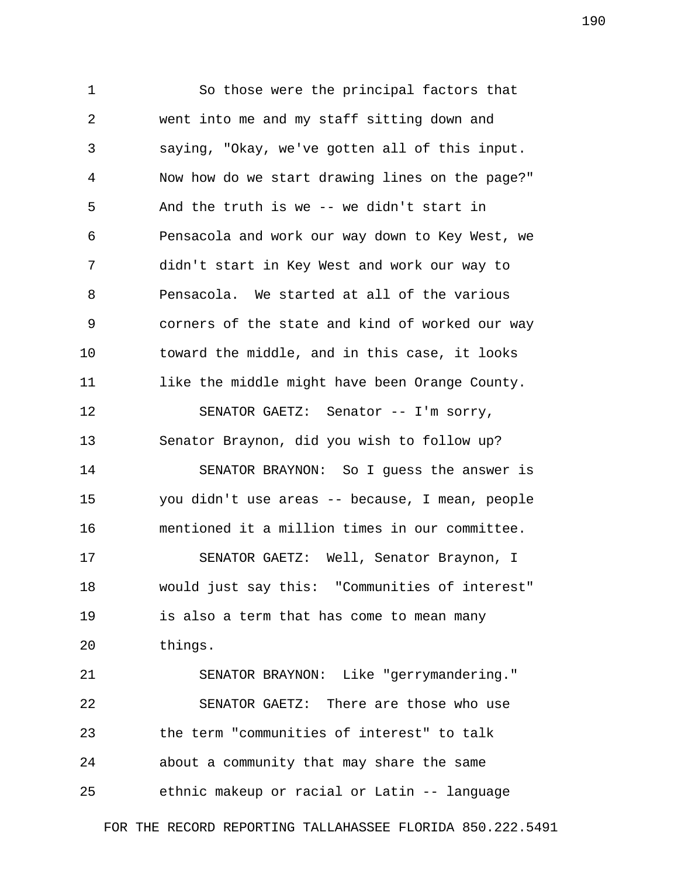1 So those were the principal factors that 2 went into me and my staff sitting down and 3 saying, "Okay, we've gotten all of this input. 4 Now how do we start drawing lines on the page?" 5 And the truth is we -- we didn't start in 6 Pensacola and work our way down to Key West, we 7 didn't start in Key West and work our way to 8 Pensacola. We started at all of the various 9 corners of the state and kind of worked our way 10 toward the middle, and in this case, it looks 11 like the middle might have been Orange County. 12 SENATOR GAETZ: Senator -- I'm sorry, 13 Senator Braynon, did you wish to follow up? 14 SENATOR BRAYNON: So I guess the answer is 15 you didn't use areas -- because, I mean, people 16 mentioned it a million times in our committee. 17 SENATOR GAETZ: Well, Senator Braynon, I 18 would just say this: "Communities of interest" 19 is also a term that has come to mean many 20 things. 21 SENATOR BRAYNON: Like "gerrymandering." 22 SENATOR GAETZ: There are those who use

24 about a community that may share the same

23 the term "communities of interest" to talk

25 ethnic makeup or racial or Latin -- language

FOR THE RECORD REPORTING TALLAHASSEE FLORIDA 850.222.5491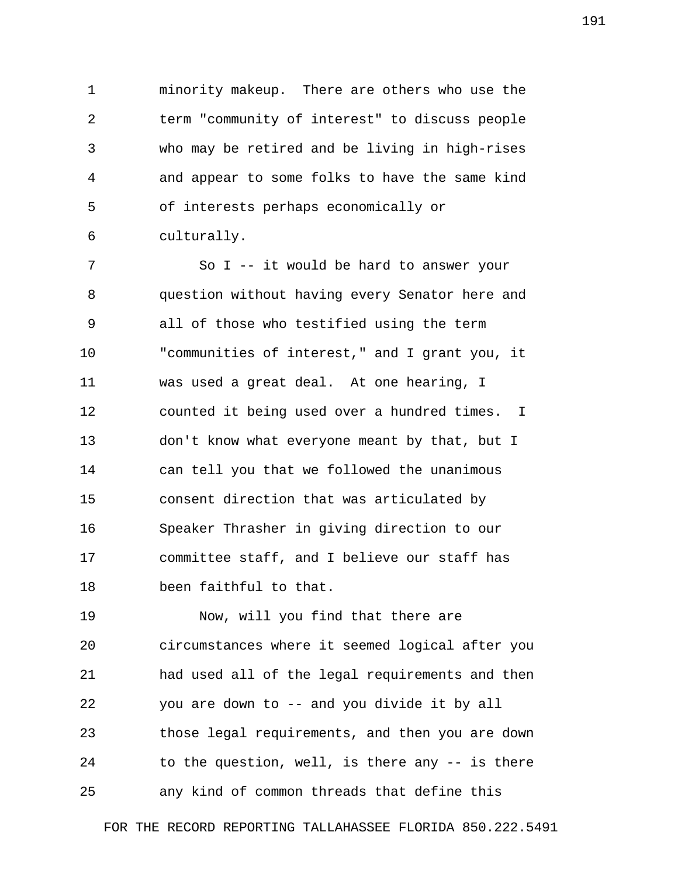1 minority makeup. There are others who use the 2 term "community of interest" to discuss people 3 who may be retired and be living in high-rises 4 and appear to some folks to have the same kind 5 of interests perhaps economically or 6 culturally.

 7 So I -- it would be hard to answer your 8 question without having every Senator here and 9 all of those who testified using the term 10 "communities of interest," and I grant you, it 11 was used a great deal. At one hearing, I 12 counted it being used over a hundred times. I 13 don't know what everyone meant by that, but I 14 can tell you that we followed the unanimous 15 consent direction that was articulated by 16 Speaker Thrasher in giving direction to our 17 committee staff, and I believe our staff has 18 been faithful to that.

19 Now, will you find that there are 20 circumstances where it seemed logical after you 21 had used all of the legal requirements and then 22 you are down to -- and you divide it by all 23 those legal requirements, and then you are down 24 to the question, well, is there any -- is there 25 any kind of common threads that define this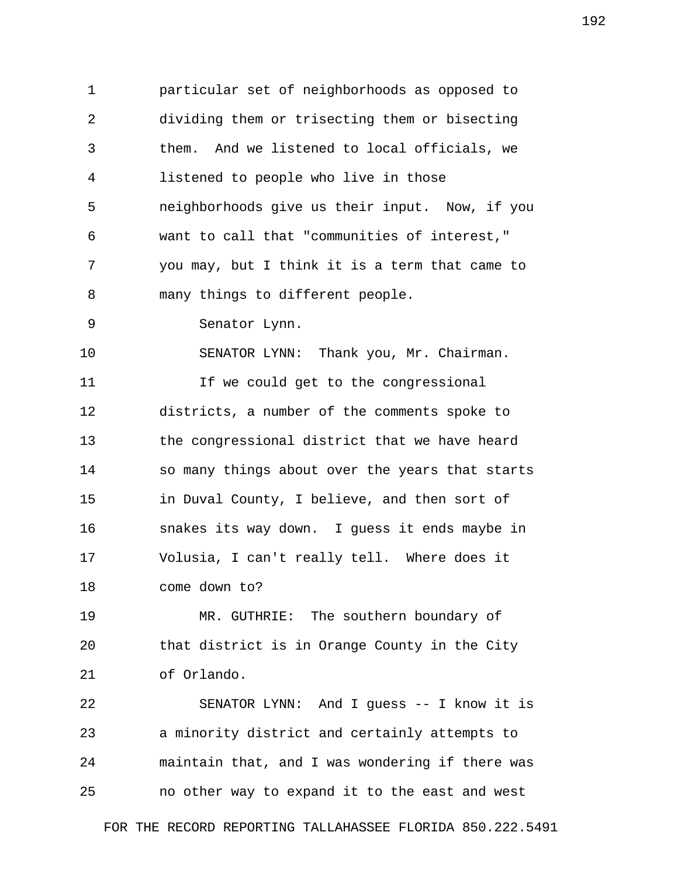1 particular set of neighborhoods as opposed to 2 dividing them or trisecting them or bisecting 3 them. And we listened to local officials, we 4 listened to people who live in those 5 neighborhoods give us their input. Now, if you 6 want to call that "communities of interest," 7 you may, but I think it is a term that came to 8 many things to different people. 9 Senator Lynn. 10 SENATOR LYNN: Thank you, Mr. Chairman. 11 11 If we could get to the congressional 12 districts, a number of the comments spoke to 13 the congressional district that we have heard 14 so many things about over the years that starts 15 in Duval County, I believe, and then sort of 16 snakes its way down. I guess it ends maybe in 17 Volusia, I can't really tell. Where does it 18 come down to? 19 MR. GUTHRIE: The southern boundary of

20 that district is in Orange County in the City 21 of Orlando.

22 SENATOR LYNN: And I guess -- I know it is 23 a minority district and certainly attempts to 24 maintain that, and I was wondering if there was 25 no other way to expand it to the east and west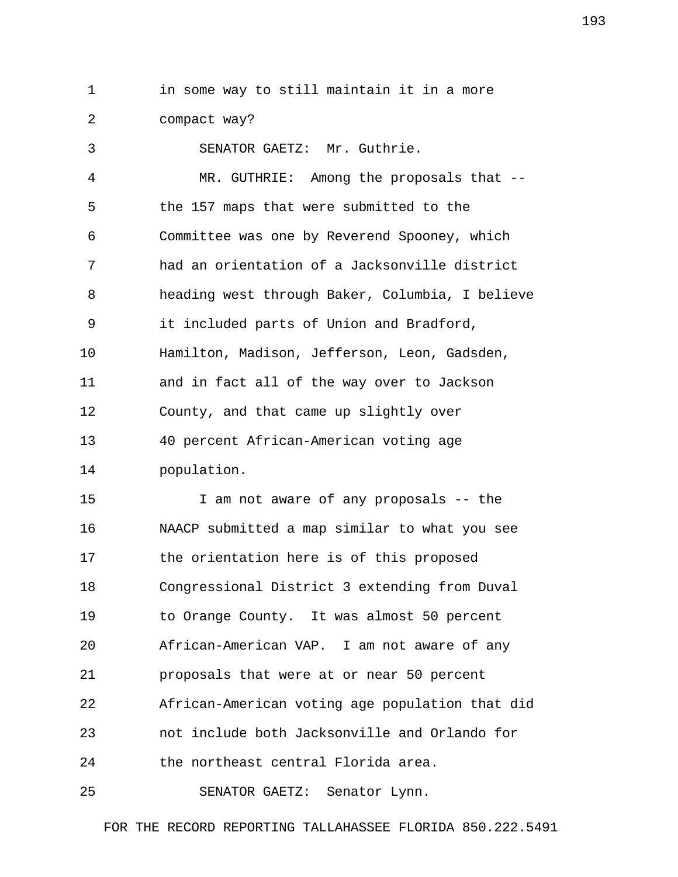1 in some way to still maintain it in a more 2 compact way?

 3 SENATOR GAETZ: Mr. Guthrie. 4 MR. GUTHRIE: Among the proposals that -- 5 the 157 maps that were submitted to the 6 Committee was one by Reverend Spooney, which 7 had an orientation of a Jacksonville district 8 heading west through Baker, Columbia, I believe 9 it included parts of Union and Bradford, 10 Hamilton, Madison, Jefferson, Leon, Gadsden, 11 and in fact all of the way over to Jackson 12 County, and that came up slightly over 13 40 percent African-American voting age 14 population.

15 I am not aware of any proposals -- the 16 NAACP submitted a map similar to what you see 17 the orientation here is of this proposed 18 Congressional District 3 extending from Duval 19 to Orange County. It was almost 50 percent 20 African-American VAP. I am not aware of any 21 proposals that were at or near 50 percent 22 African-American voting age population that did 23 not include both Jacksonville and Orlando for 24 the northeast central Florida area.

25 SENATOR GAETZ: Senator Lynn.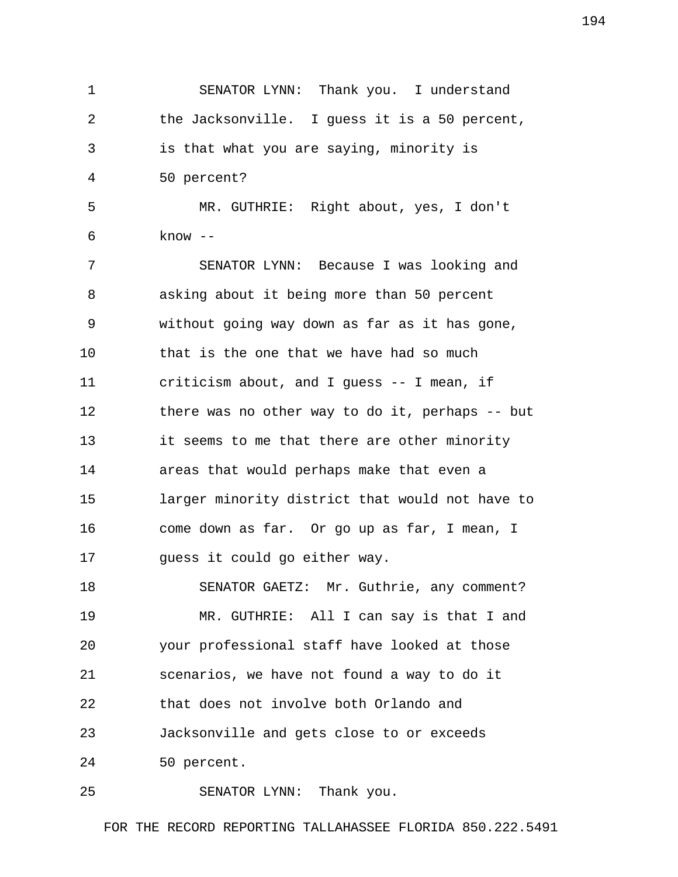1 SENATOR LYNN: Thank you. I understand 2 the Jacksonville. I guess it is a 50 percent, 3 is that what you are saying, minority is 4 50 percent? 5 MR. GUTHRIE: Right about, yes, I don't 6 know -- 7 SENATOR LYNN: Because I was looking and 8 asking about it being more than 50 percent 9 without going way down as far as it has gone, 10 that is the one that we have had so much 11 criticism about, and I guess -- I mean, if 12 there was no other way to do it, perhaps -- but 13 it seems to me that there are other minority 14 areas that would perhaps make that even a 15 larger minority district that would not have to 16 come down as far. Or go up as far, I mean, I 17 guess it could go either way. 18 SENATOR GAETZ: Mr. Guthrie, any comment? 19 MR. GUTHRIE: All I can say is that I and 20 your professional staff have looked at those 21 scenarios, we have not found a way to do it 22 that does not involve both Orlando and 23 Jacksonville and gets close to or exceeds 24 50 percent. 25 SENATOR LYNN: Thank you.

FOR THE RECORD REPORTING TALLAHASSEE FLORIDA 850.222.5491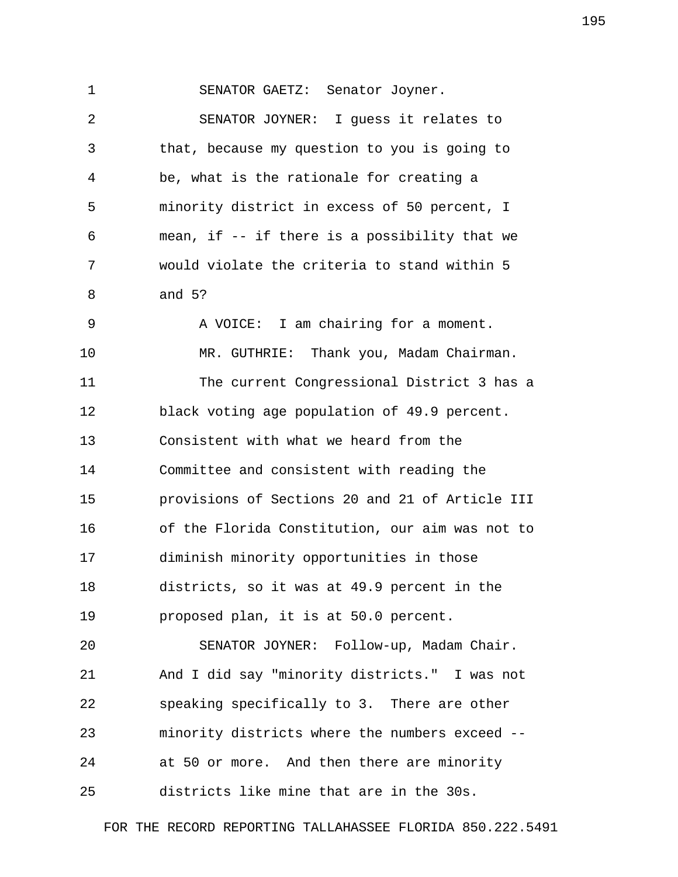1 SENATOR GAETZ: Senator Joyner. 2 SENATOR JOYNER: I guess it relates to 3 that, because my question to you is going to 4 be, what is the rationale for creating a 5 minority district in excess of 50 percent, I 6 mean, if -- if there is a possibility that we 7 would violate the criteria to stand within 5 8 and 5? 9 A VOICE: I am chairing for a moment. 10 MR. GUTHRIE: Thank you, Madam Chairman. 11 The current Congressional District 3 has a 12 black voting age population of 49.9 percent. 13 Consistent with what we heard from the 14 Committee and consistent with reading the 15 provisions of Sections 20 and 21 of Article III 16 of the Florida Constitution, our aim was not to 17 diminish minority opportunities in those 18 districts, so it was at 49.9 percent in the 19 proposed plan, it is at 50.0 percent. 20 SENATOR JOYNER: Follow-up, Madam Chair. 21 And I did say "minority districts." I was not 22 speaking specifically to 3. There are other 23 minority districts where the numbers exceed -- 24 at 50 or more. And then there are minority 25 districts like mine that are in the 30s.

FOR THE RECORD REPORTING TALLAHASSEE FLORIDA 850.222.5491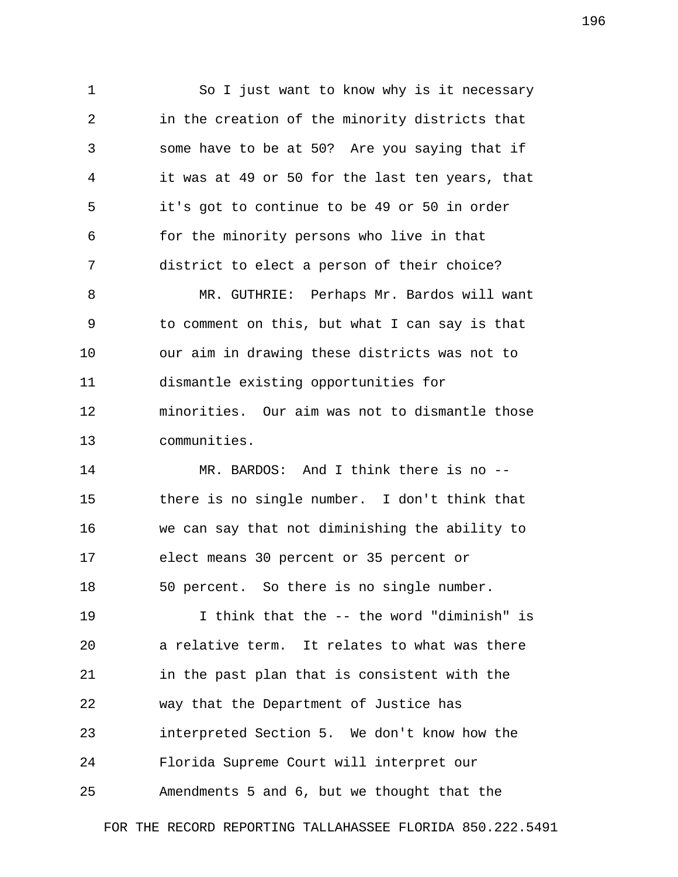1 So I just want to know why is it necessary 2 in the creation of the minority districts that 3 some have to be at 50? Are you saying that if 4 it was at 49 or 50 for the last ten years, that 5 it's got to continue to be 49 or 50 in order 6 for the minority persons who live in that 7 district to elect a person of their choice? 8 MR. GUTHRIE: Perhaps Mr. Bardos will want

 9 to comment on this, but what I can say is that 10 our aim in drawing these districts was not to 11 dismantle existing opportunities for 12 minorities. Our aim was not to dismantle those 13 communities.

14 MR. BARDOS: And I think there is no -- 15 there is no single number. I don't think that 16 we can say that not diminishing the ability to 17 elect means 30 percent or 35 percent or 18 50 percent. So there is no single number.

19 I think that the -- the word "diminish" is 20 a relative term. It relates to what was there 21 in the past plan that is consistent with the 22 way that the Department of Justice has 23 interpreted Section 5. We don't know how the 24 Florida Supreme Court will interpret our 25 Amendments 5 and 6, but we thought that the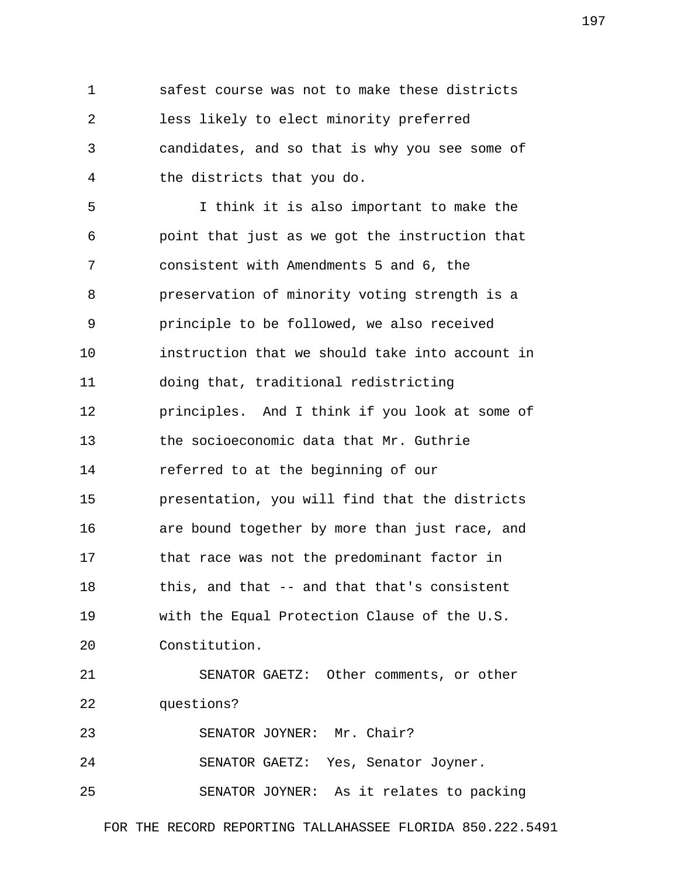1 safest course was not to make these districts 2 less likely to elect minority preferred 3 candidates, and so that is why you see some of 4 the districts that you do.

 5 I think it is also important to make the 6 point that just as we got the instruction that 7 consistent with Amendments 5 and 6, the 8 preservation of minority voting strength is a 9 principle to be followed, we also received 10 instruction that we should take into account in 11 doing that, traditional redistricting 12 principles. And I think if you look at some of 13 the socioeconomic data that Mr. Guthrie 14 referred to at the beginning of our 15 presentation, you will find that the districts 16 are bound together by more than just race, and 17 that race was not the predominant factor in 18 this, and that -- and that that's consistent 19 with the Equal Protection Clause of the U.S. 20 Constitution. 21 SENATOR GAETZ: Other comments, or other 22 questions? 23 SENATOR JOYNER: Mr. Chair? 24 SENATOR GAETZ: Yes, Senator Joyner.

25 SENATOR JOYNER: As it relates to packing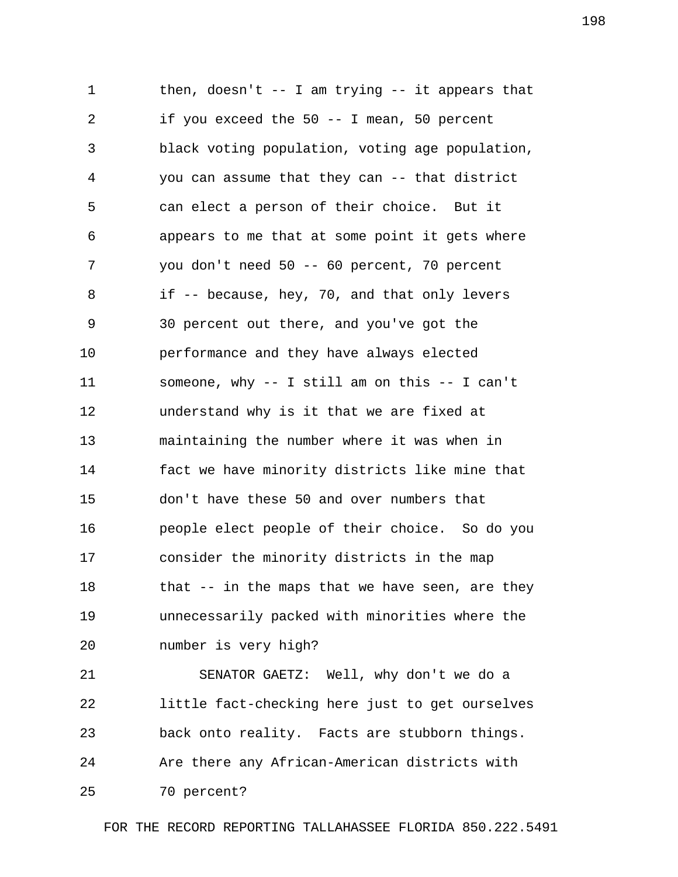1 then, doesn't -- I am trying -- it appears that 2 if you exceed the 50 -- I mean, 50 percent 3 black voting population, voting age population, 4 you can assume that they can -- that district 5 can elect a person of their choice. But it 6 appears to me that at some point it gets where 7 you don't need 50 -- 60 percent, 70 percent 8 if -- because, hey, 70, and that only levers 9 30 percent out there, and you've got the 10 performance and they have always elected 11 someone, why -- I still am on this -- I can't 12 understand why is it that we are fixed at 13 maintaining the number where it was when in 14 fact we have minority districts like mine that 15 don't have these 50 and over numbers that 16 people elect people of their choice. So do you 17 consider the minority districts in the map 18 that -- in the maps that we have seen, are they 19 unnecessarily packed with minorities where the 20 number is very high?

21 SENATOR GAETZ: Well, why don't we do a 22 little fact-checking here just to get ourselves 23 back onto reality. Facts are stubborn things. 24 Are there any African-American districts with 25 70 percent?

FOR THE RECORD REPORTING TALLAHASSEE FLORIDA 850.222.5491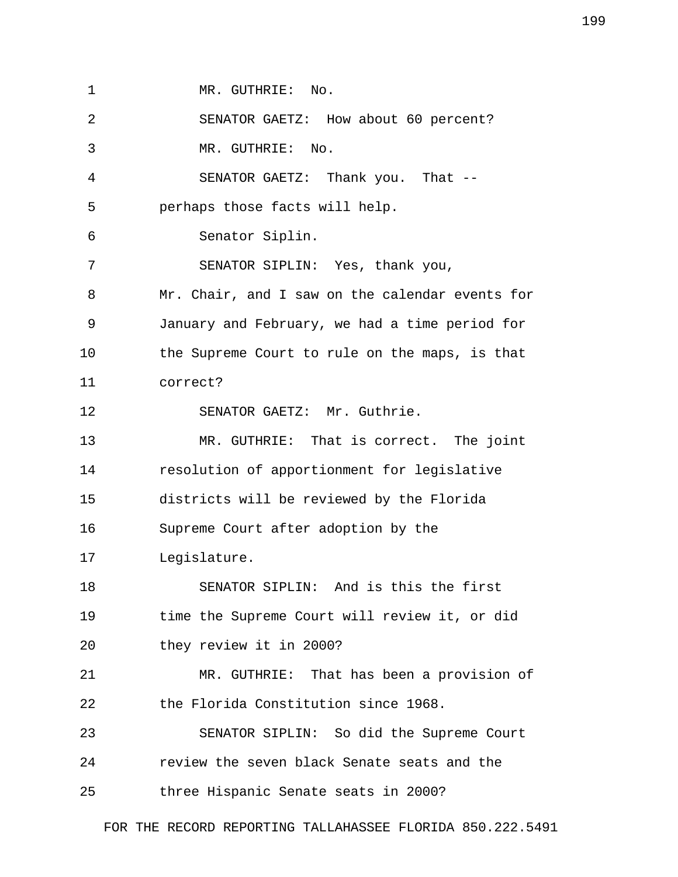1 MR. GUTHRIE: No. 2 SENATOR GAETZ: How about 60 percent? 3 MR. GUTHRIE: No. 4 SENATOR GAETZ: Thank you. That -- 5 perhaps those facts will help. 6 Senator Siplin. 7 SENATOR SIPLIN: Yes, thank you, 8 Mr. Chair, and I saw on the calendar events for 9 January and February, we had a time period for 10 the Supreme Court to rule on the maps, is that 11 correct? 12 SENATOR GAETZ: Mr. Guthrie. 13 MR. GUTHRIE: That is correct. The joint 14 resolution of apportionment for legislative 15 districts will be reviewed by the Florida 16 Supreme Court after adoption by the 17 Legislature. 18 SENATOR SIPLIN: And is this the first 19 time the Supreme Court will review it, or did 20 they review it in 2000? 21 MR. GUTHRIE: That has been a provision of 22 the Florida Constitution since 1968. 23 SENATOR SIPLIN: So did the Supreme Court 24 review the seven black Senate seats and the 25 three Hispanic Senate seats in 2000?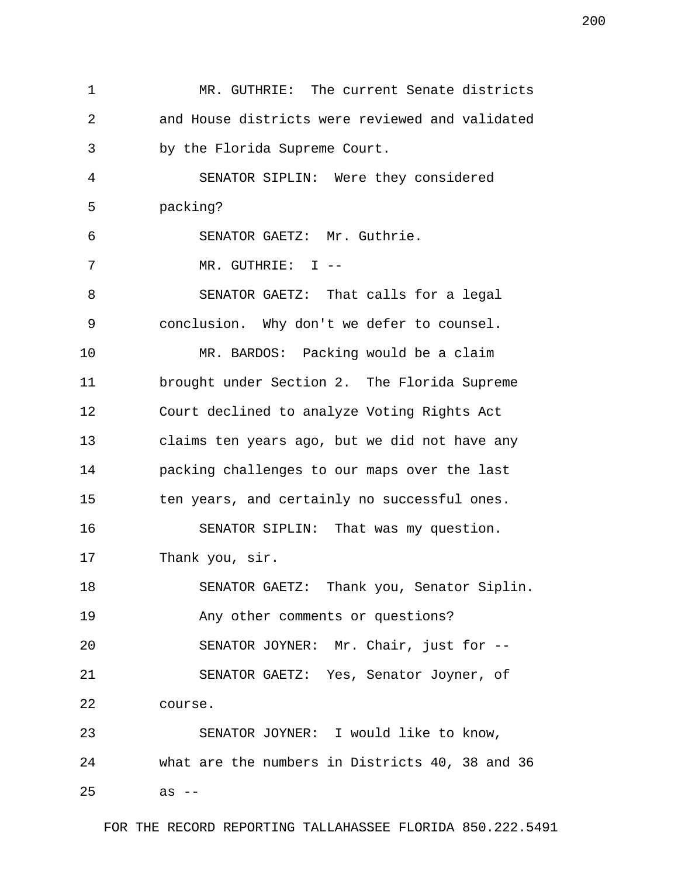1 MR. GUTHRIE: The current Senate districts 2 and House districts were reviewed and validated 3 by the Florida Supreme Court. 4 SENATOR SIPLIN: Were they considered 5 packing? 6 SENATOR GAETZ: Mr. Guthrie. 7 MR. GUTHRIE: I -- 8 SENATOR GAETZ: That calls for a legal 9 conclusion. Why don't we defer to counsel. 10 MR. BARDOS: Packing would be a claim 11 brought under Section 2. The Florida Supreme 12 Court declined to analyze Voting Rights Act 13 claims ten years ago, but we did not have any 14 packing challenges to our maps over the last 15 ten years, and certainly no successful ones. 16 SENATOR SIPLIN: That was my question. 17 Thank you, sir. 18 SENATOR GAETZ: Thank you, Senator Siplin. 19 Any other comments or questions? 20 SENATOR JOYNER: Mr. Chair, just for -- 21 SENATOR GAETZ: Yes, Senator Joyner, of 22 course. 23 SENATOR JOYNER: I would like to know, 24 what are the numbers in Districts 40, 38 and 36 25 as --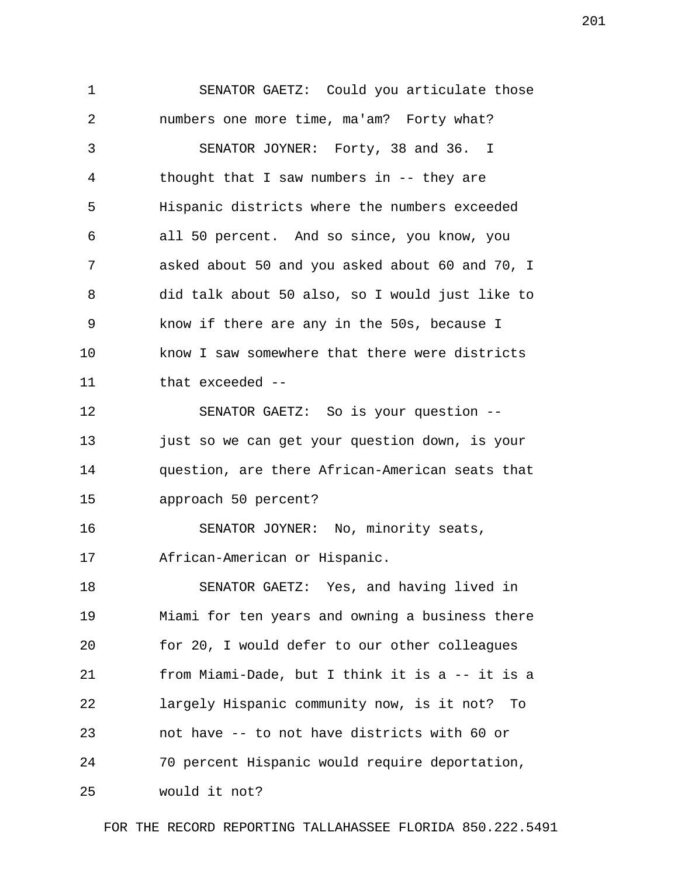1 SENATOR GAETZ: Could you articulate those 2 numbers one more time, ma'am? Forty what? 3 SENATOR JOYNER: Forty, 38 and 36. I 4 thought that I saw numbers in -- they are 5 Hispanic districts where the numbers exceeded 6 all 50 percent. And so since, you know, you 7 asked about 50 and you asked about 60 and 70, I 8 did talk about 50 also, so I would just like to 9 know if there are any in the 50s, because I 10 know I saw somewhere that there were districts 11 that exceeded --

12 SENATOR GAETZ: So is your question -- 13 just so we can get your question down, is your 14 question, are there African-American seats that 15 approach 50 percent?

16 SENATOR JOYNER: No, minority seats, 17 African-American or Hispanic.

18 SENATOR GAETZ: Yes, and having lived in 19 Miami for ten years and owning a business there 20 for 20, I would defer to our other colleagues 21 from Miami-Dade, but I think it is a -- it is a 22 largely Hispanic community now, is it not? To 23 not have -- to not have districts with 60 or 24 70 percent Hispanic would require deportation, 25 would it not?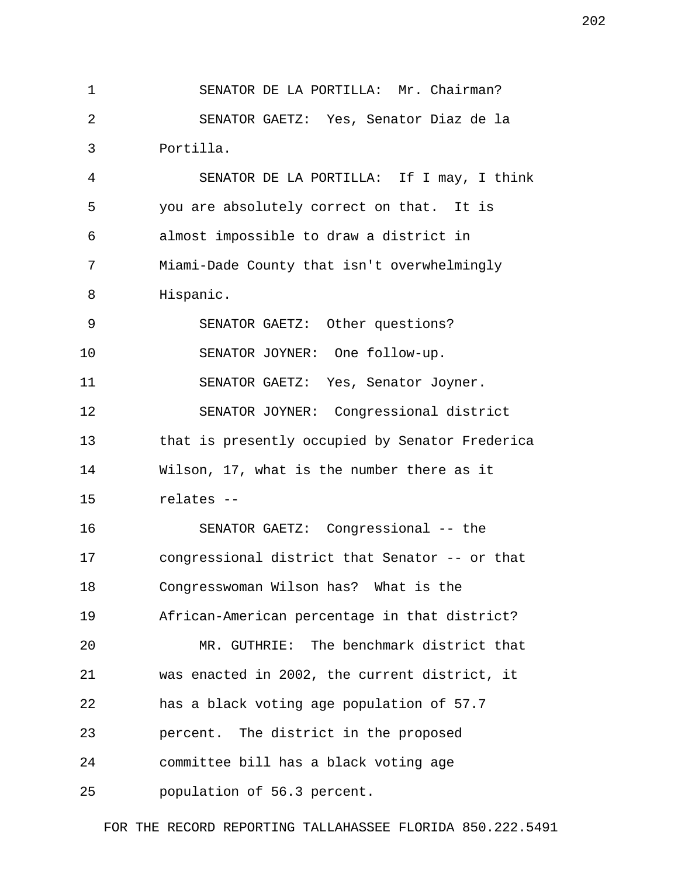1 SENATOR DE LA PORTILLA: Mr. Chairman? 2 SENATOR GAETZ: Yes, Senator Diaz de la 3 Portilla.

 4 SENATOR DE LA PORTILLA: If I may, I think 5 you are absolutely correct on that. It is 6 almost impossible to draw a district in 7 Miami-Dade County that isn't overwhelmingly 8 Hispanic.

 9 SENATOR GAETZ: Other questions? 10 SENATOR JOYNER: One follow-up. 11 SENATOR GAETZ: Yes, Senator Joyner. 12 SENATOR JOYNER: Congressional district 13 that is presently occupied by Senator Frederica 14 Wilson, 17, what is the number there as it 15 relates --

16 SENATOR GAETZ: Congressional -- the 17 congressional district that Senator -- or that 18 Congresswoman Wilson has? What is the 19 African-American percentage in that district? 20 MR. GUTHRIE: The benchmark district that 21 was enacted in 2002, the current district, it 22 has a black voting age population of 57.7 23 percent. The district in the proposed 24 committee bill has a black voting age 25 population of 56.3 percent.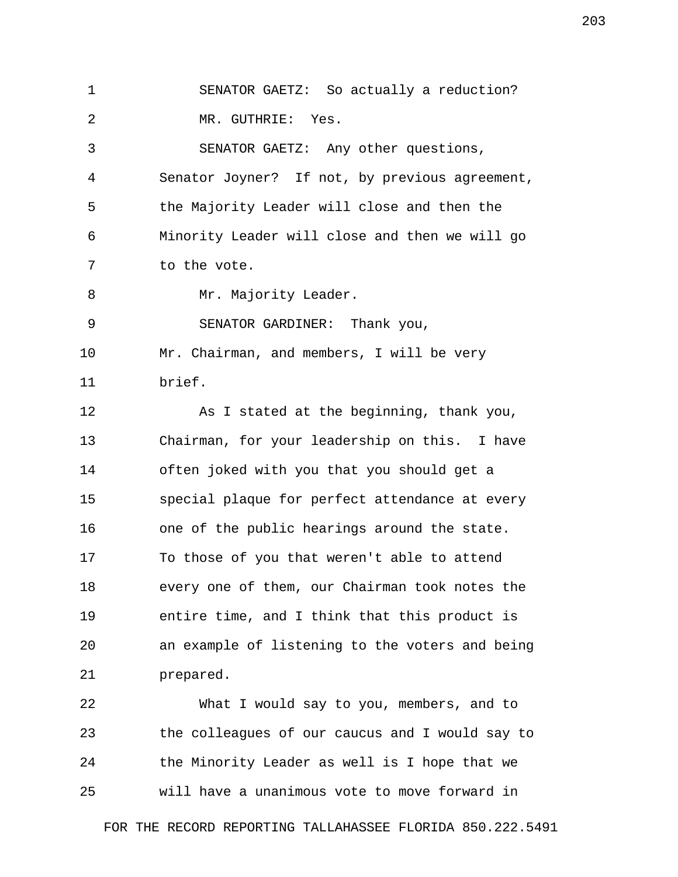1 SENATOR GAETZ: So actually a reduction? 2 MR. GUTHRIE: Yes. 3 SENATOR GAETZ: Any other questions, 4 Senator Joyner? If not, by previous agreement, 5 the Majority Leader will close and then the 6 Minority Leader will close and then we will go 7 to the vote. 8 Mr. Majority Leader. 9 SENATOR GARDINER: Thank you, 10 Mr. Chairman, and members, I will be very 11 brief. 12 As I stated at the beginning, thank you, 13 Chairman, for your leadership on this. I have 14 often joked with you that you should get a 15 special plaque for perfect attendance at every 16 one of the public hearings around the state. 17 To those of you that weren't able to attend 18 every one of them, our Chairman took notes the 19 entire time, and I think that this product is 20 an example of listening to the voters and being 21 prepared.

22 What I would say to you, members, and to 23 the colleagues of our caucus and I would say to 24 the Minority Leader as well is I hope that we 25 will have a unanimous vote to move forward in

FOR THE RECORD REPORTING TALLAHASSEE FLORIDA 850.222.5491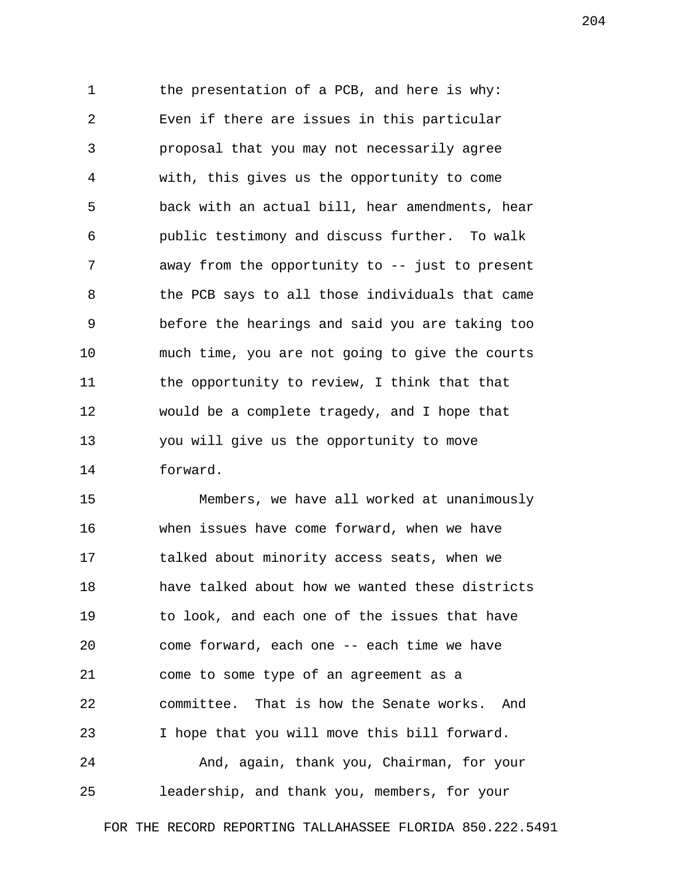1 the presentation of a PCB, and here is why: 2 Even if there are issues in this particular 3 proposal that you may not necessarily agree 4 with, this gives us the opportunity to come 5 back with an actual bill, hear amendments, hear 6 public testimony and discuss further. To walk 7 away from the opportunity to -- just to present 8 the PCB says to all those individuals that came 9 before the hearings and said you are taking too 10 much time, you are not going to give the courts 11 the opportunity to review, I think that that 12 would be a complete tragedy, and I hope that 13 you will give us the opportunity to move 14 forward.

15 Members, we have all worked at unanimously 16 when issues have come forward, when we have 17 talked about minority access seats, when we 18 have talked about how we wanted these districts 19 to look, and each one of the issues that have 20 come forward, each one -- each time we have 21 come to some type of an agreement as a 22 committee. That is how the Senate works. And 23 I hope that you will move this bill forward. 24 And, again, thank you, Chairman, for your

25 leadership, and thank you, members, for your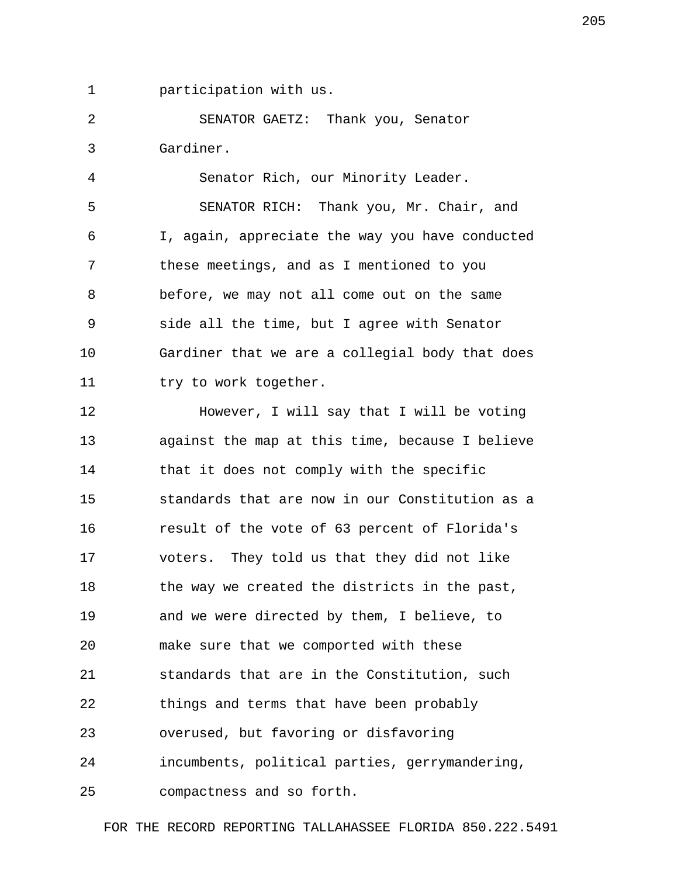1 participation with us.

 2 SENATOR GAETZ: Thank you, Senator 3 Gardiner.

 4 Senator Rich, our Minority Leader. 5 SENATOR RICH: Thank you, Mr. Chair, and 6 I, again, appreciate the way you have conducted 7 these meetings, and as I mentioned to you 8 before, we may not all come out on the same 9 side all the time, but I agree with Senator 10 Gardiner that we are a collegial body that does 11 try to work together.

12 However, I will say that I will be voting 13 against the map at this time, because I believe 14 that it does not comply with the specific 15 standards that are now in our Constitution as a 16 result of the vote of 63 percent of Florida's 17 voters. They told us that they did not like 18 the way we created the districts in the past, 19 and we were directed by them, I believe, to 20 make sure that we comported with these 21 standards that are in the Constitution, such 22 things and terms that have been probably 23 overused, but favoring or disfavoring 24 incumbents, political parties, gerrymandering, 25 compactness and so forth.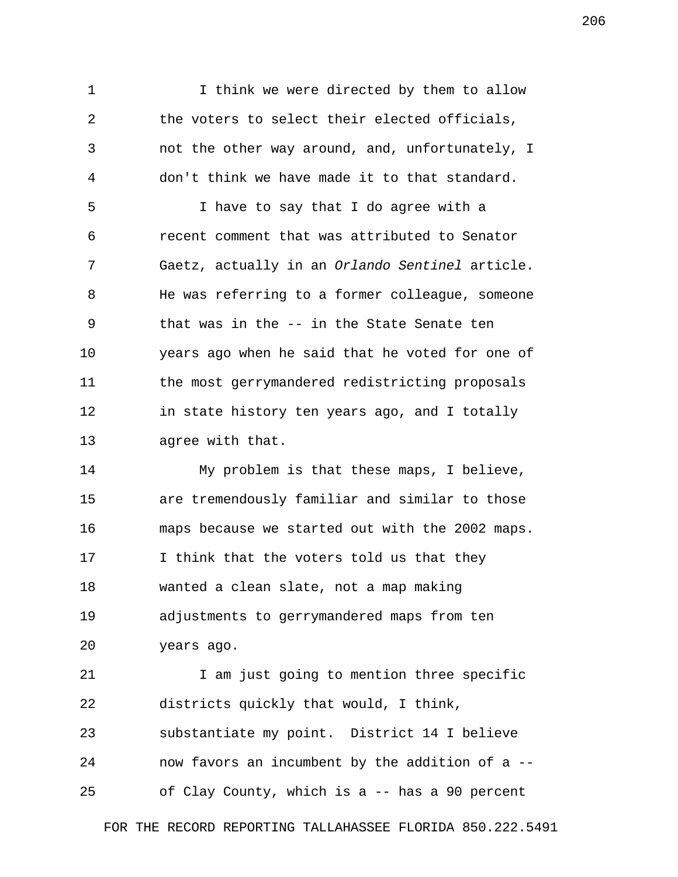1 1 I think we were directed by them to allow 2 the voters to select their elected officials, 3 not the other way around, and, unfortunately, I 4 don't think we have made it to that standard.

 5 I have to say that I do agree with a 6 recent comment that was attributed to Senator 7 Gaetz, actually in an *Orlando Sentinel* article. 8 He was referring to a former colleague, someone 9 that was in the -- in the State Senate ten 10 years ago when he said that he voted for one of 11 the most gerrymandered redistricting proposals 12 in state history ten years ago, and I totally 13 agree with that.

14 My problem is that these maps, I believe, 15 are tremendously familiar and similar to those 16 maps because we started out with the 2002 maps. 17 I think that the voters told us that they 18 wanted a clean slate, not a map making 19 adjustments to gerrymandered maps from ten 20 years ago.

21 1 I am just going to mention three specific 22 districts quickly that would, I think, 23 substantiate my point. District 14 I believe 24 now favors an incumbent by the addition of a -- 25 of Clay County, which is a -- has a 90 percent

FOR THE RECORD REPORTING TALLAHASSEE FLORIDA 850.222.5491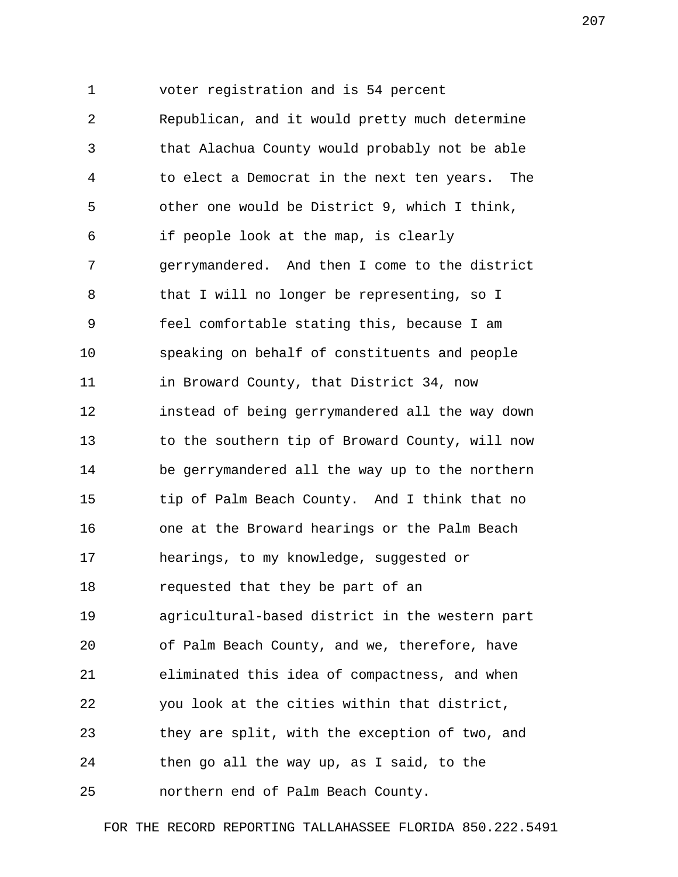1 voter registration and is 54 percent 2 Republican, and it would pretty much determine 3 that Alachua County would probably not be able 4 to elect a Democrat in the next ten years. The 5 other one would be District 9, which I think, 6 if people look at the map, is clearly 7 gerrymandered. And then I come to the district 8 that I will no longer be representing, so I 9 feel comfortable stating this, because I am 10 speaking on behalf of constituents and people 11 in Broward County, that District 34, now 12 instead of being gerrymandered all the way down 13 to the southern tip of Broward County, will now 14 be gerrymandered all the way up to the northern 15 tip of Palm Beach County. And I think that no 16 one at the Broward hearings or the Palm Beach 17 hearings, to my knowledge, suggested or 18 requested that they be part of an 19 agricultural-based district in the western part 20 of Palm Beach County, and we, therefore, have 21 eliminated this idea of compactness, and when 22 you look at the cities within that district, 23 they are split, with the exception of two, and 24 then go all the way up, as I said, to the 25 northern end of Palm Beach County.

FOR THE RECORD REPORTING TALLAHASSEE FLORIDA 850.222.5491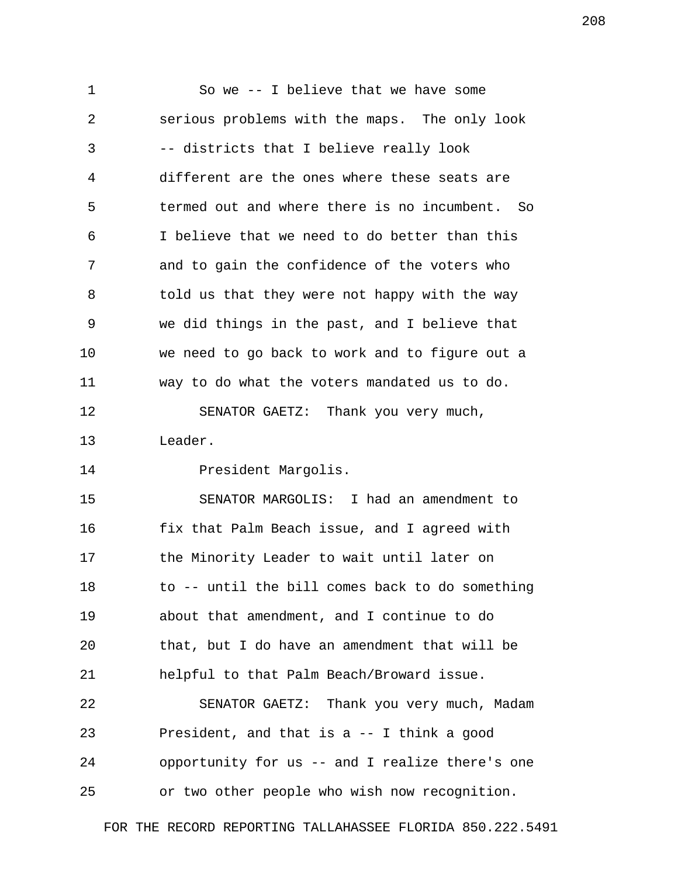1 So we -- I believe that we have some 2 serious problems with the maps. The only look 3 -- districts that I believe really look 4 different are the ones where these seats are 5 termed out and where there is no incumbent. So 6 I believe that we need to do better than this 7 and to gain the confidence of the voters who 8 told us that they were not happy with the way 9 we did things in the past, and I believe that 10 we need to go back to work and to figure out a 11 way to do what the voters mandated us to do. 12 SENATOR GAETZ: Thank you very much, 13 Leader.

14 President Margolis.

15 SENATOR MARGOLIS: I had an amendment to 16 fix that Palm Beach issue, and I agreed with 17 the Minority Leader to wait until later on 18 to -- until the bill comes back to do something 19 about that amendment, and I continue to do 20 that, but I do have an amendment that will be 21 helpful to that Palm Beach/Broward issue. 22 SENATOR GAETZ: Thank you very much, Madam 23 President, and that is a -- I think a good 24 opportunity for us -- and I realize there's one

25 or two other people who wish now recognition.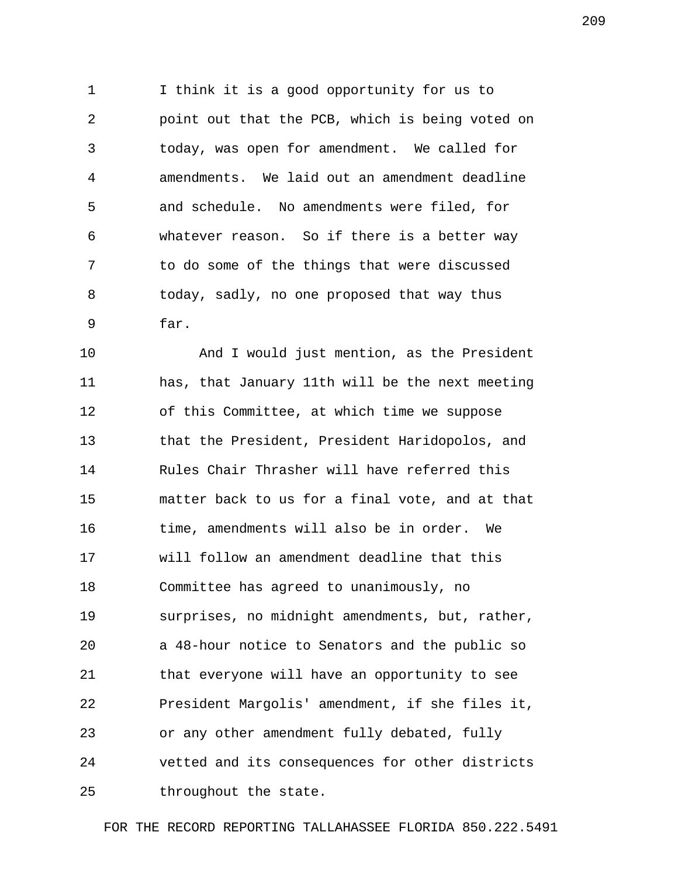1 I think it is a good opportunity for us to 2 point out that the PCB, which is being voted on 3 today, was open for amendment. We called for 4 amendments. We laid out an amendment deadline 5 and schedule. No amendments were filed, for 6 whatever reason. So if there is a better way 7 to do some of the things that were discussed 8 today, sadly, no one proposed that way thus 9 far.

10 And I would just mention, as the President 11 has, that January 11th will be the next meeting 12 of this Committee, at which time we suppose 13 that the President, President Haridopolos, and 14 Rules Chair Thrasher will have referred this 15 matter back to us for a final vote, and at that 16 time, amendments will also be in order. We 17 will follow an amendment deadline that this 18 Committee has agreed to unanimously, no 19 surprises, no midnight amendments, but, rather, 20 a 48-hour notice to Senators and the public so 21 that everyone will have an opportunity to see 22 President Margolis' amendment, if she files it, 23 or any other amendment fully debated, fully 24 vetted and its consequences for other districts 25 throughout the state.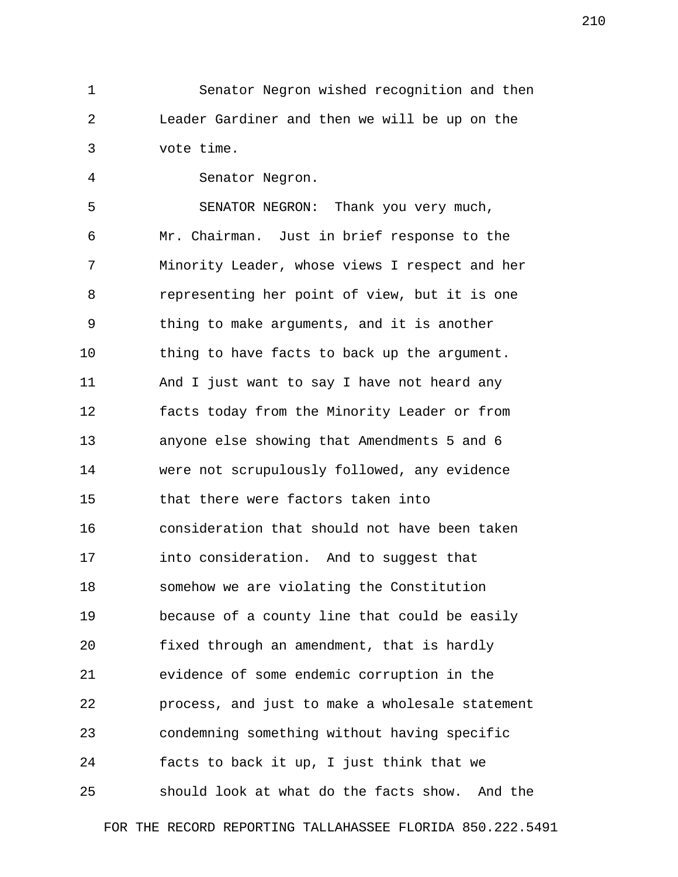1 Senator Negron wished recognition and then 2 Leader Gardiner and then we will be up on the 3 vote time.

4 Senator Negron.

 5 SENATOR NEGRON: Thank you very much, 6 Mr. Chairman. Just in brief response to the 7 Minority Leader, whose views I respect and her 8 representing her point of view, but it is one 9 thing to make arguments, and it is another 10 thing to have facts to back up the argument. 11 And I just want to say I have not heard any 12 facts today from the Minority Leader or from 13 anyone else showing that Amendments 5 and 6 14 were not scrupulously followed, any evidence 15 that there were factors taken into 16 consideration that should not have been taken 17 into consideration. And to suggest that 18 somehow we are violating the Constitution 19 because of a county line that could be easily 20 fixed through an amendment, that is hardly 21 evidence of some endemic corruption in the 22 process, and just to make a wholesale statement 23 condemning something without having specific 24 facts to back it up, I just think that we 25 should look at what do the facts show. And the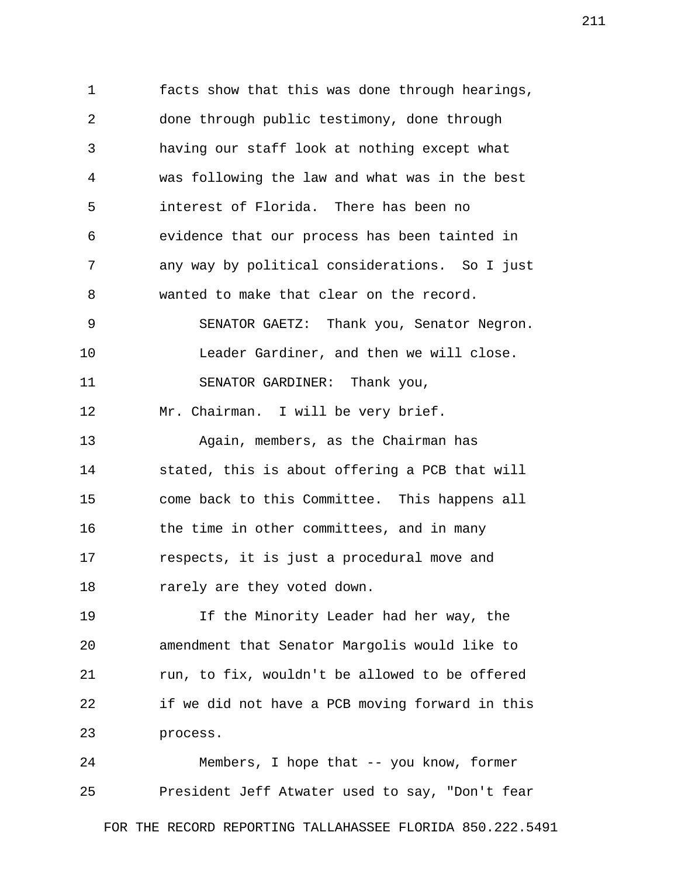1 facts show that this was done through hearings, 2 done through public testimony, done through 3 having our staff look at nothing except what 4 was following the law and what was in the best 5 interest of Florida. There has been no 6 evidence that our process has been tainted in 7 any way by political considerations. So I just 8 wanted to make that clear on the record. 9 SENATOR GAETZ: Thank you, Senator Negron. 10 Leader Gardiner, and then we will close. 11 SENATOR GARDINER: Thank you, 12 Mr. Chairman. I will be very brief. 13 Again, members, as the Chairman has 14 stated, this is about offering a PCB that will 15 come back to this Committee. This happens all 16 the time in other committees, and in many 17 respects, it is just a procedural move and 18 rarely are they voted down. 19 If the Minority Leader had her way, the 20 amendment that Senator Margolis would like to 21 run, to fix, wouldn't be allowed to be offered 22 if we did not have a PCB moving forward in this 23 process.

24 Members, I hope that -- you know, former 25 President Jeff Atwater used to say, "Don't fear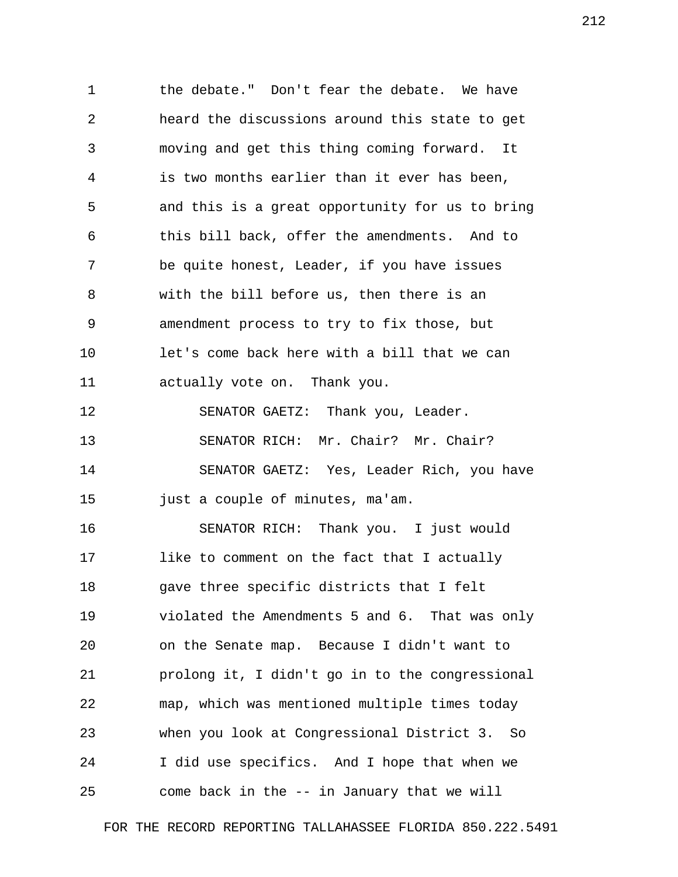1 the debate." Don't fear the debate. We have 2 heard the discussions around this state to get 3 moving and get this thing coming forward. It 4 is two months earlier than it ever has been, 5 and this is a great opportunity for us to bring 6 this bill back, offer the amendments. And to 7 be quite honest, Leader, if you have issues 8 with the bill before us, then there is an 9 amendment process to try to fix those, but 10 let's come back here with a bill that we can 11 actually vote on. Thank you. 12 SENATOR GAETZ: Thank you, Leader. 13 SENATOR RICH: Mr. Chair? Mr. Chair? 14 SENATOR GAETZ: Yes, Leader Rich, you have 15 just a couple of minutes, ma'am. 16 SENATOR RICH: Thank you. I just would 17 like to comment on the fact that I actually 18 gave three specific districts that I felt 19 violated the Amendments 5 and 6. That was only 20 on the Senate map. Because I didn't want to 21 prolong it, I didn't go in to the congressional 22 map, which was mentioned multiple times today 23 when you look at Congressional District 3. So 24 I did use specifics. And I hope that when we 25 come back in the -- in January that we will

FOR THE RECORD REPORTING TALLAHASSEE FLORIDA 850.222.5491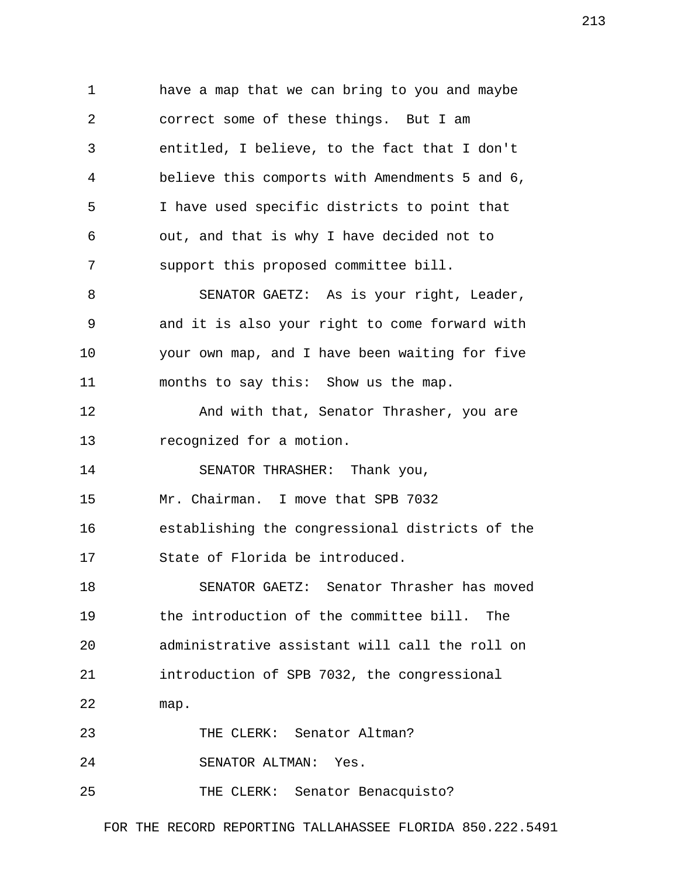1 have a map that we can bring to you and maybe 2 correct some of these things. But I am 3 entitled, I believe, to the fact that I don't 4 believe this comports with Amendments 5 and 6, 5 I have used specific districts to point that 6 out, and that is why I have decided not to 7 support this proposed committee bill. 8 SENATOR GAETZ: As is your right, Leader, 9 and it is also your right to come forward with 10 your own map, and I have been waiting for five 11 months to say this: Show us the map. 12 **And with that, Senator Thrasher, you are** 13 recognized for a motion. 14 SENATOR THRASHER: Thank you, 15 Mr. Chairman. I move that SPB 7032 16 establishing the congressional districts of the 17 State of Florida be introduced. 18 SENATOR GAETZ: Senator Thrasher has moved 19 the introduction of the committee bill. The 20 administrative assistant will call the roll on 21 introduction of SPB 7032, the congressional 22 map. 23 THE CLERK: Senator Altman? 24 SENATOR ALTMAN: Yes. 25 THE CLERK: Senator Benacquisto?

FOR THE RECORD REPORTING TALLAHASSEE FLORIDA 850.222.5491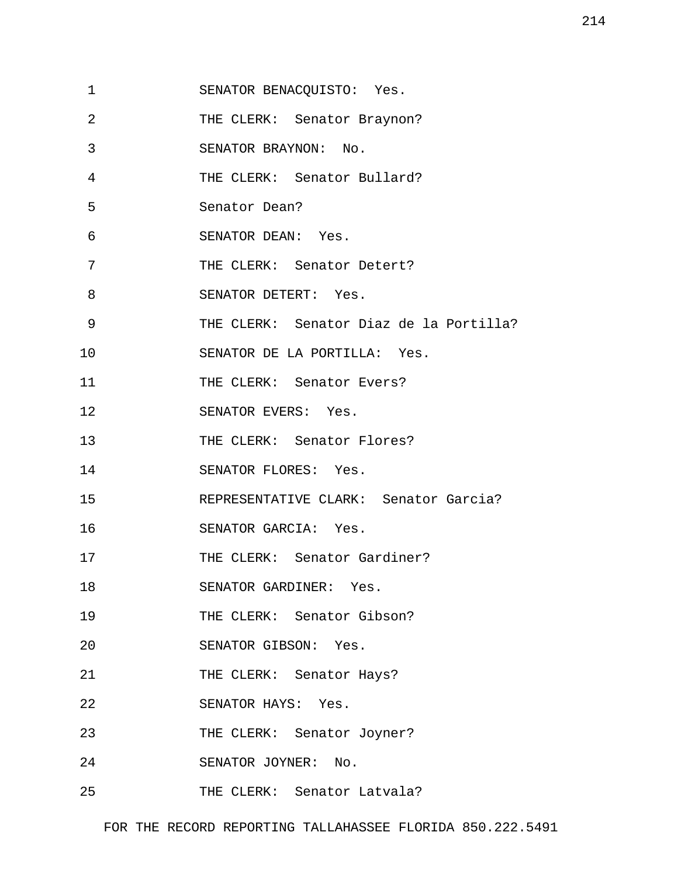- 1 SENATOR BENACQUISTO: Yes.
- 2 THE CLERK: Senator Braynon?
- 3 SENATOR BRAYNON: No.
- 4 THE CLERK: Senator Bullard?
- 5 Senator Dean?
- 6 SENATOR DEAN: Yes.
- 7 THE CLERK: Senator Detert?
- 8 SENATOR DETERT: Yes.
- 9 THE CLERK: Senator Diaz de la Portilla?

10 SENATOR DE LA PORTILLA: Yes.

- 11 THE CLERK: Senator Evers?
- 12 SENATOR EVERS: Yes.
- 13 THE CLERK: Senator Flores?
- 14 SENATOR FLORES: Yes.
- 15 REPRESENTATIVE CLARK: Senator Garcia?
- 16 SENATOR GARCIA: Yes.
- 17 THE CLERK: Senator Gardiner?
- 18 SENATOR GARDINER: Yes.
- 19 THE CLERK: Senator Gibson?
- 20 SENATOR GIBSON: Yes.
- 21 THE CLERK: Senator Hays?
- 22 SENATOR HAYS: Yes.
- 23 THE CLERK: Senator Joyner?
- 24 SENATOR JOYNER: No.
- 25 THE CLERK: Senator Latvala?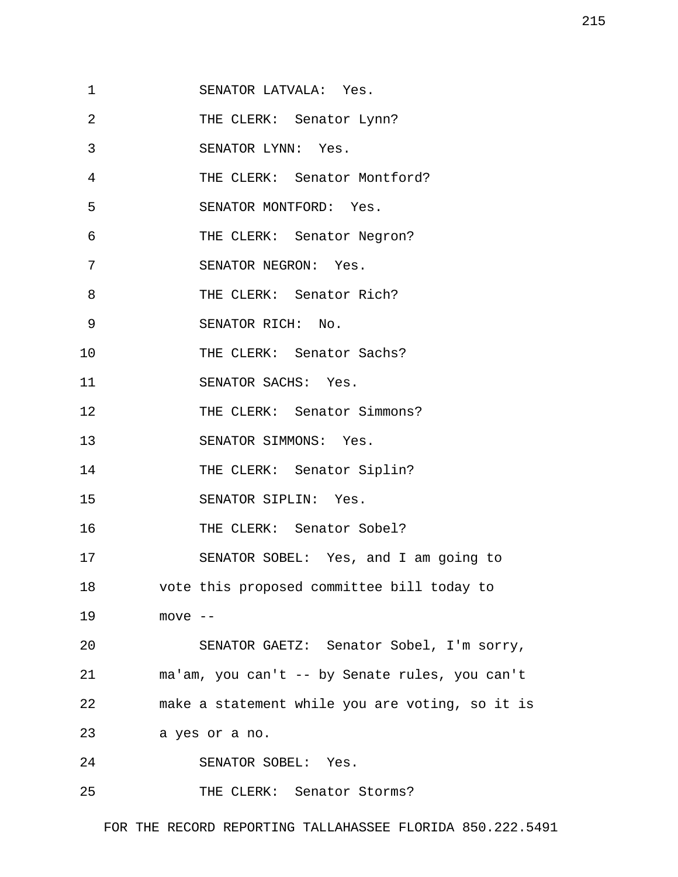| Yes. |
|------|
|      |

- 2 THE CLERK: Senator Lynn?
- 3 SENATOR LYNN: Yes.
- 4 THE CLERK: Senator Montford?
- 5 SENATOR MONTFORD: Yes.
- 6 THE CLERK: Senator Negron?
- 7 SENATOR NEGRON: Yes.
- 8 THE CLERK: Senator Rich?
- 9 SENATOR RICH: No.
- 10 THE CLERK: Senator Sachs?
- 11 SENATOR SACHS: Yes.
- 12 THE CLERK: Senator Simmons?
- 13 SENATOR SIMMONS: Yes.
- 14 THE CLERK: Senator Siplin?
- 15 SENATOR SIPLIN: Yes.
- 16 THE CLERK: Senator Sobel?
- 17 SENATOR SOBEL: Yes, and I am going to
- 18 vote this proposed committee bill today to
- 19 move --

20 SENATOR GAETZ: Senator Sobel, I'm sorry, 21 ma'am, you can't -- by Senate rules, you can't 22 make a statement while you are voting, so it is

- 23 a yes or a no.
- 24 SENATOR SOBEL: Yes.
- 25 THE CLERK: Senator Storms?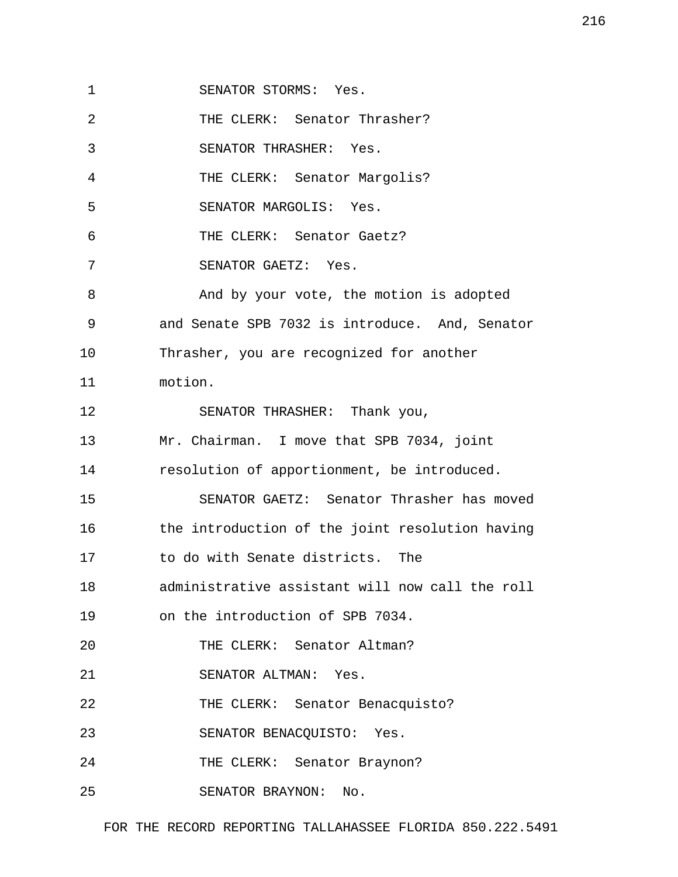1 SENATOR STORMS: Yes.

2 THE CLERK: Senator Thrasher?

3 SENATOR THRASHER: Yes.

4 THE CLERK: Senator Margolis?

5 SENATOR MARGOLIS: Yes.

6 THE CLERK: Senator Gaetz?

7 SENATOR GAETZ: Yes.

 8 And by your vote, the motion is adopted 9 and Senate SPB 7032 is introduce. And, Senator 10 Thrasher, you are recognized for another 11 motion.

12 SENATOR THRASHER: Thank you,

13 Mr. Chairman. I move that SPB 7034, joint

14 resolution of apportionment, be introduced.

15 SENATOR GAETZ: Senator Thrasher has moved 16 the introduction of the joint resolution having 17 to do with Senate districts. The

18 administrative assistant will now call the roll

19 on the introduction of SPB 7034.

20 THE CLERK: Senator Altman?

21 SENATOR ALTMAN: Yes.

22 THE CLERK: Senator Benacquisto?

23 SENATOR BENACQUISTO: Yes.

24 THE CLERK: Senator Braynon?

25 SENATOR BRAYNON: No.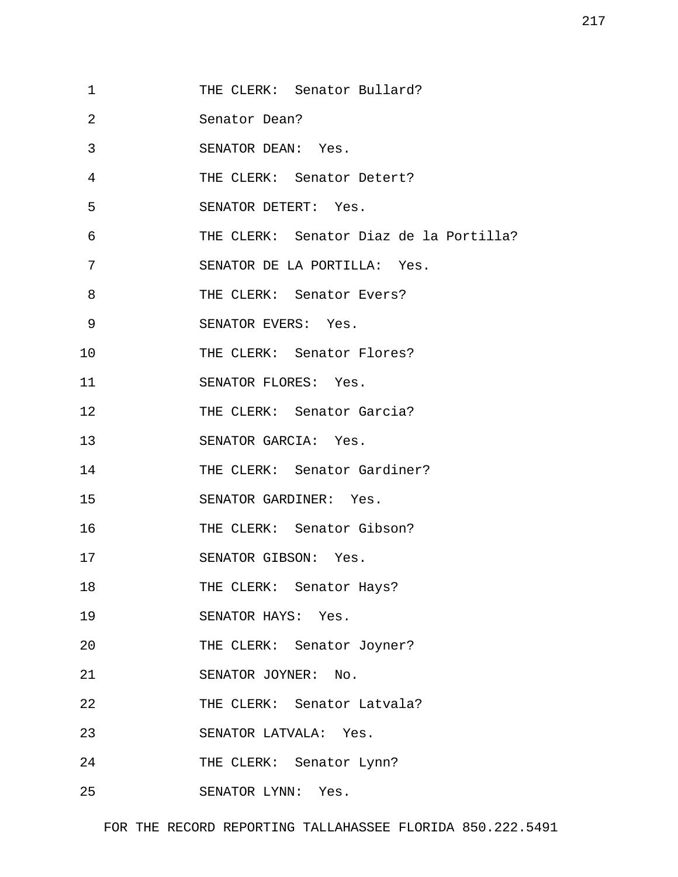- 1 THE CLERK: Senator Bullard?
- 2 Senator Dean?
- 3 SENATOR DEAN: Yes.
- 4 THE CLERK: Senator Detert?
- 5 SENATOR DETERT: Yes.
- 6 THE CLERK: Senator Diaz de la Portilla?
- 7 SENATOR DE LA PORTILLA: Yes.
- 8 THE CLERK: Senator Evers?
- 9 SENATOR EVERS: Yes.
- 10 THE CLERK: Senator Flores?
- 11 SENATOR FLORES: Yes.
- 12 THE CLERK: Senator Garcia?
- 13 SENATOR GARCIA: Yes.
- 14 THE CLERK: Senator Gardiner?
- 15 SENATOR GARDINER: Yes.
- 16 THE CLERK: Senator Gibson?
- 17 SENATOR GIBSON: Yes.
- 18 THE CLERK: Senator Hays?
- 19 SENATOR HAYS: Yes.
- 20 THE CLERK: Senator Joyner?
- 21 SENATOR JOYNER: No.
- 22 THE CLERK: Senator Latvala?
- 23 SENATOR LATVALA: Yes.
- 24 THE CLERK: Senator Lynn?
- 25 SENATOR LYNN: Yes.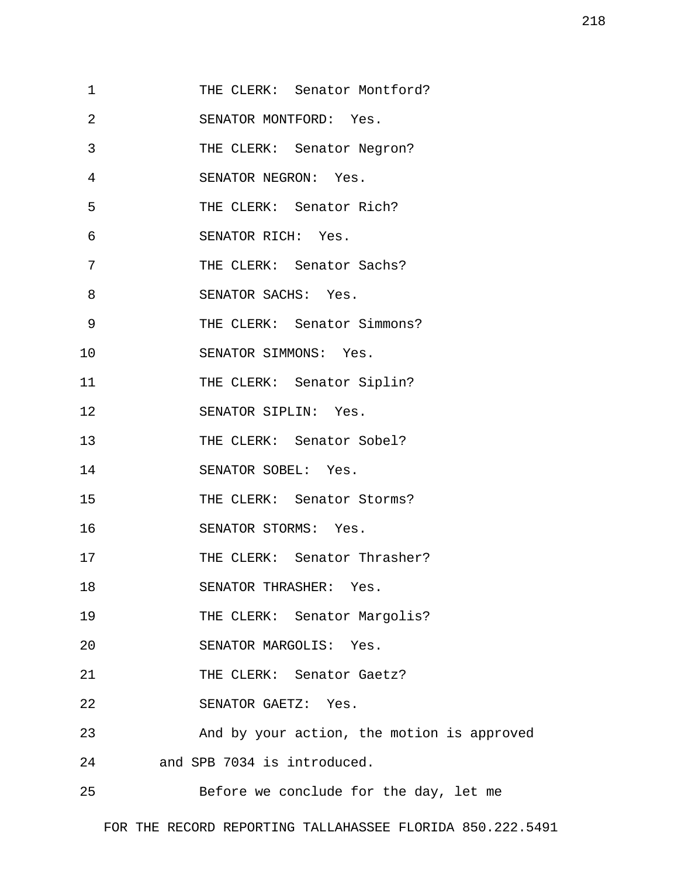| 1  | THE CLERK: Senator Montford?               |
|----|--------------------------------------------|
| 2  | SENATOR MONTFORD: Yes.                     |
| 3  | THE CLERK: Senator Negron?                 |
| 4  | SENATOR NEGRON: Yes.                       |
| 5  | THE CLERK: Senator Rich?                   |
| 6  | SENATOR RICH: Yes.                         |
| 7  | THE CLERK: Senator Sachs?                  |
| 8  | SENATOR SACHS: Yes.                        |
| 9  | THE CLERK: Senator Simmons?                |
| 10 | SENATOR SIMMONS: Yes.                      |
| 11 | THE CLERK: Senator Siplin?                 |
| 12 | SENATOR SIPLIN: Yes.                       |
| 13 | THE CLERK: Senator Sobel?                  |
| 14 | SENATOR SOBEL: Yes.                        |
| 15 | THE CLERK: Senator Storms?                 |
| 16 | SENATOR STORMS: Yes.                       |
| 17 | THE CLERK: Senator Thrasher?               |
| 18 | SENATOR THRASHER: Yes.                     |
| 19 | THE CLERK: Senator Margolis?               |
| 20 | SENATOR MARGOLIS: Yes.                     |
| 21 | THE CLERK: Senator Gaetz?                  |
| 22 | SENATOR GAETZ: Yes.                        |
| 23 | And by your action, the motion is approved |
| 24 | and SPB 7034 is introduced.                |
| 25 | Before we conclude for the day, let me     |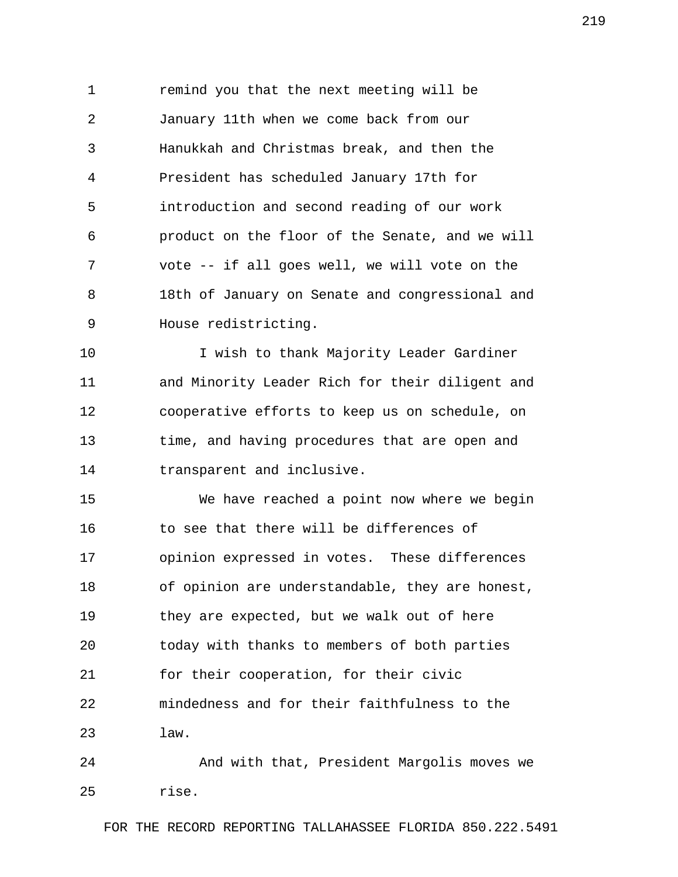1 remind you that the next meeting will be 2 January 11th when we come back from our 3 Hanukkah and Christmas break, and then the 4 President has scheduled January 17th for 5 introduction and second reading of our work 6 product on the floor of the Senate, and we will 7 vote -- if all goes well, we will vote on the 8 18th of January on Senate and congressional and 9 House redistricting.

10 I wish to thank Majority Leader Gardiner 11 and Minority Leader Rich for their diligent and 12 cooperative efforts to keep us on schedule, on 13 time, and having procedures that are open and 14 transparent and inclusive.

15 We have reached a point now where we begin 16 to see that there will be differences of 17 opinion expressed in votes. These differences 18 of opinion are understandable, they are honest, 19 they are expected, but we walk out of here 20 today with thanks to members of both parties 21 for their cooperation, for their civic 22 mindedness and for their faithfulness to the 23 law.

24 And with that, President Margolis moves we 25 rise.

FOR THE RECORD REPORTING TALLAHASSEE FLORIDA 850.222.5491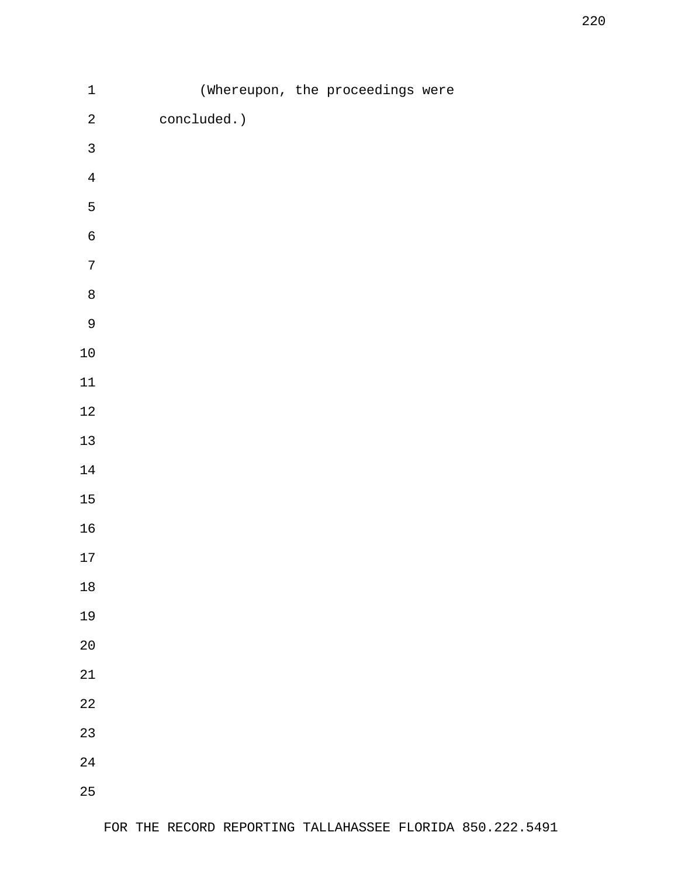| $\mathbf 1$      |             | (Whereupon, the proceedings were |  |
|------------------|-------------|----------------------------------|--|
| $\sqrt{2}$       | concluded.) |                                  |  |
| $\mathfrak{Z}$   |             |                                  |  |
| $\overline{4}$   |             |                                  |  |
| $\mathsf S$      |             |                                  |  |
| $\epsilon$       |             |                                  |  |
| $\boldsymbol{7}$ |             |                                  |  |
| $\,8\,$          |             |                                  |  |
| $\overline{9}$   |             |                                  |  |
| $10\,$           |             |                                  |  |
| $11\,$           |             |                                  |  |
| $12\,$           |             |                                  |  |
| $13\,$           |             |                                  |  |
| $14\,$           |             |                                  |  |
| $15\,$           |             |                                  |  |
| $16\,$           |             |                                  |  |
| $17\,$           |             |                                  |  |
| $18\,$           |             |                                  |  |
| 19               |             |                                  |  |
| $20$             |             |                                  |  |
| $21\,$           |             |                                  |  |
| $2\sqrt{2}$      |             |                                  |  |
| 23               |             |                                  |  |
| $2\sqrt{4}$      |             |                                  |  |
| 25               |             |                                  |  |